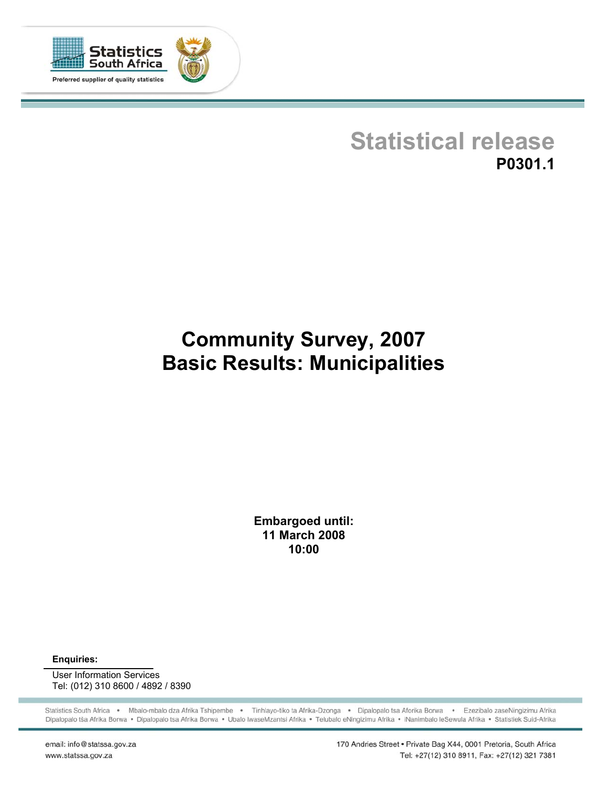

# **Statistical release P0301.1**

# **Community Survey, 2007 Basic Results: Municipalities**

**Embargoed until: 11 March 2008 10:00**

**Enquiries:** 

User Information Services Tel: (012) 310 8600 / 4892 / 8390

Statistics South Africa . Mbalo-mbalo dza Afrika Tshipembe . Tinhlayo-tiko ta Afrika-Dzonga . Dipalopalo tsa Aforika Borwa . Ezezibalo zaseNingizimu Afrika Dipalopalo tša Afrika Borwa · Dipalopalo tsa Afrika Borwa · Ubalo lwaseMzantsi Afrika · Telubalo eNingizimu Afrika · iNanimbalo leSewula Afrika · Statistiek Suid-Afrika

email: info@statssa.gov.za www.statssa.gov.za

170 Andries Street . Private Bag X44, 0001 Pretoria, South Africa Tel: +27(12) 310 8911, Fax: +27(12) 321 7381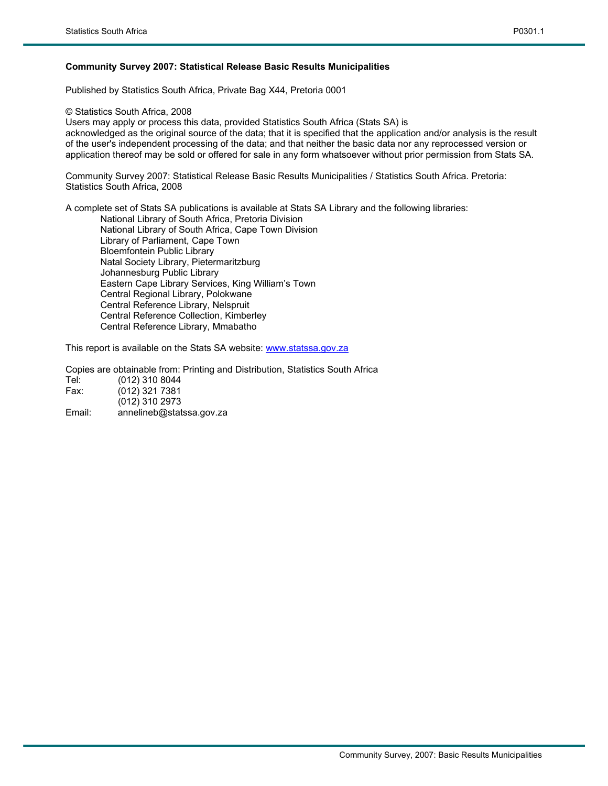#### **Community Survey 2007: Statistical Release Basic Results Municipalities**

Published by Statistics South Africa, Private Bag X44, Pretoria 0001

© Statistics South Africa, 2008

Users may apply or process this data, provided Statistics South Africa (Stats SA) is acknowledged as the original source of the data; that it is specified that the application and/or analysis is the result of the user's independent processing of the data; and that neither the basic data nor any reprocessed version or application thereof may be sold or offered for sale in any form whatsoever without prior permission from Stats SA.

Community Survey 2007: Statistical Release Basic Results Municipalities / Statistics South Africa. Pretoria: Statistics South Africa, 2008

A complete set of Stats SA publications is available at Stats SA Library and the following libraries: National Library of South Africa, Pretoria Division National Library of South Africa, Cape Town Division Library of Parliament, Cape Town Bloemfontein Public Library Natal Society Library, Pietermaritzburg Johannesburg Public Library

Eastern Cape Library Services, King William's Town Central Regional Library, Polokwane Central Reference Library, Nelspruit Central Reference Collection, Kimberley Central Reference Library, Mmabatho

This report is available on the Stats SA website: www.statssa.gov.za

Copies are obtainable from: Printing and Distribution, Statistics South Africa Tel: (012) 310 8044

| Fax: | $(012)$ 321 7381 |
|------|------------------|
|      | $(012)$ 310 2973 |

Email: annelineb@statssa.gov.za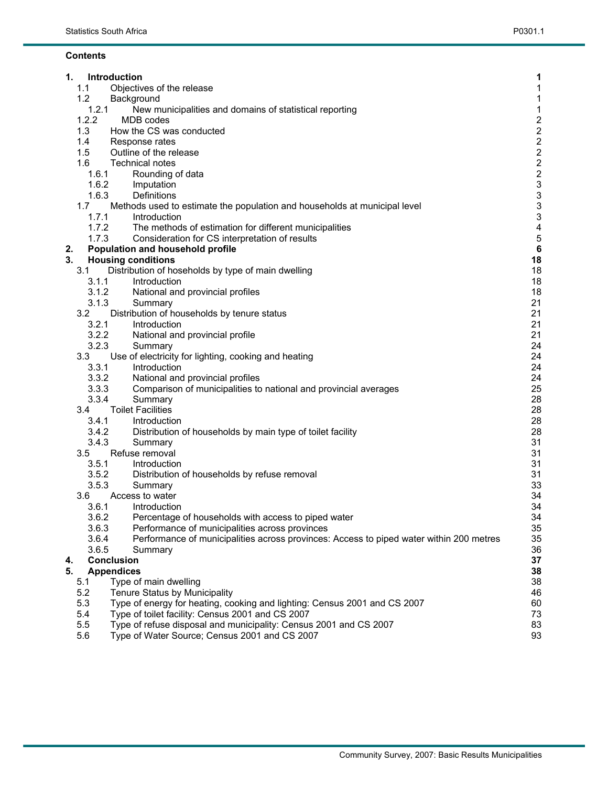#### **Contents**

| 1.       |                | Introduction                                                                            | 1                                            |
|----------|----------------|-----------------------------------------------------------------------------------------|----------------------------------------------|
|          | 1.1            | Objectives of the release                                                               | 1                                            |
|          | 1.2            | Background                                                                              | $\mathbf{1}$                                 |
|          | 1.2.1          | New municipalities and domains of statistical reporting                                 | 1                                            |
|          | 1.2.2          | <b>MDB</b> codes                                                                        | $\frac{2}{2}$                                |
|          | 1.3            | How the CS was conducted                                                                |                                              |
|          | 1.4            | Response rates                                                                          |                                              |
|          | 1.5            | Outline of the release                                                                  |                                              |
|          | 1.6            | <b>Technical notes</b>                                                                  | $\begin{array}{c}\n2 \\ 2 \\ 2\n\end{array}$ |
|          | 1.6.1          | Rounding of data                                                                        |                                              |
|          | 1.6.2          | Imputation                                                                              | 3                                            |
|          | 1.6.3          | Definitions                                                                             | $\ensuremath{\mathsf{3}}$                    |
|          | 1.7            | Methods used to estimate the population and households at municipal level               | $\mathsf 3$                                  |
|          | 1.7.1          | Introduction                                                                            | $\mathfrak{S}$                               |
|          | 1.7.2          | The methods of estimation for different municipalities                                  | $\overline{\mathbf{4}}$                      |
|          | 1.7.3          | Consideration for CS interpretation of results                                          | $\sqrt{5}$                                   |
| 2.       |                | Population and household profile                                                        | $\bf 6$                                      |
| 3.       |                | <b>Housing conditions</b>                                                               | 18                                           |
|          | 3.1            | Distribution of hoseholds by type of main dwelling<br>Introduction                      | 18<br>18                                     |
|          | 3.1.1<br>3.1.2 | National and provincial profiles                                                        | 18                                           |
|          | 3.1.3          | Summary                                                                                 | 21                                           |
|          | 3.2            | Distribution of households by tenure status                                             | 21                                           |
|          | 3.2.1          | Introduction                                                                            | 21                                           |
|          | 3.2.2          | National and provincial profile                                                         | 21                                           |
|          | 3.2.3          | Summary                                                                                 | 24                                           |
|          | 3.3            | Use of electricity for lighting, cooking and heating                                    | 24                                           |
|          | 3.3.1          | Introduction                                                                            | 24                                           |
|          | 3.3.2          | National and provincial profiles                                                        | 24                                           |
|          | 3.3.3          | Comparison of municipalities to national and provincial averages                        | 25                                           |
|          | 3.3.4          | Summary                                                                                 | 28                                           |
|          | 3.4            | <b>Toilet Facilities</b>                                                                | 28                                           |
|          | 3.4.1          | Introduction                                                                            | 28                                           |
|          | 3.4.2          | Distribution of households by main type of toilet facility                              | 28                                           |
|          | 3.4.3          | Summary                                                                                 | 31                                           |
|          | 3.5            | Refuse removal                                                                          | 31                                           |
|          | 3.5.1          | Introduction                                                                            | 31                                           |
|          | 3.5.2          | Distribution of households by refuse removal                                            | 31                                           |
|          | 3.5.3          | Summary                                                                                 | 33                                           |
|          | 3.6            | Access to water                                                                         | 34                                           |
|          | 3.6.1          | Introduction                                                                            | 34                                           |
|          | 3.6.2          | Percentage of households with access to piped water                                     | 34                                           |
|          | 3.6.3          | Performance of municipalities across provinces                                          | 35                                           |
|          | 3.6.4          | Performance of municipalities across provinces: Access to piped water within 200 metres | 35                                           |
|          | 3.6.5          | Summary<br><b>Conclusion</b>                                                            | 36<br>37                                     |
| 4.<br>5. |                | <b>Appendices</b>                                                                       | 38                                           |
|          | 5.1            | Type of main dwelling                                                                   | 38                                           |
|          | 5.2            | Tenure Status by Municipality                                                           | 46                                           |
|          | 5.3            | Type of energy for heating, cooking and lighting: Census 2001 and CS 2007               | 60                                           |
|          | 5.4            | Type of toilet facility: Census 2001 and CS 2007                                        | 73                                           |
|          | 5.5            | Type of refuse disposal and municipality: Census 2001 and CS 2007                       | 83                                           |
|          | 5.6            | Type of Water Source; Census 2001 and CS 2007                                           | 93                                           |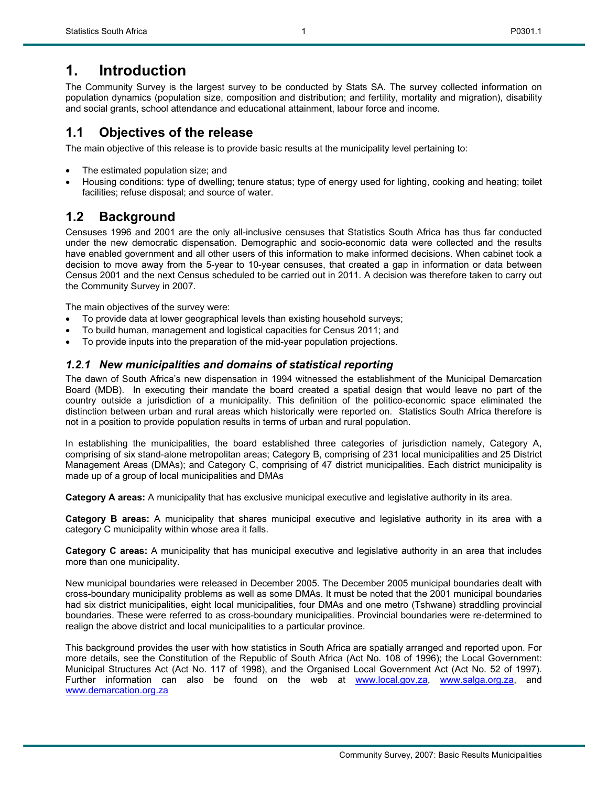## **1. Introduction**

The Community Survey is the largest survey to be conducted by Stats SA. The survey collected information on population dynamics (population size, composition and distribution; and fertility, mortality and migration), disability and social grants, school attendance and educational attainment, labour force and income.

1

## **1.1 Objectives of the release**

The main objective of this release is to provide basic results at the municipality level pertaining to:

- The estimated population size; and
- Housing conditions: type of dwelling; tenure status; type of energy used for lighting, cooking and heating; toilet facilities; refuse disposal; and source of water.

## **1.2 Background**

Censuses 1996 and 2001 are the only all-inclusive censuses that Statistics South Africa has thus far conducted under the new democratic dispensation. Demographic and socio-economic data were collected and the results have enabled government and all other users of this information to make informed decisions. When cabinet took a decision to move away from the 5-year to 10-year censuses, that created a gap in information or data between Census 2001 and the next Census scheduled to be carried out in 2011. A decision was therefore taken to carry out the Community Survey in 2007.

The main objectives of the survey were:

- To provide data at lower geographical levels than existing household surveys;
- To build human, management and logistical capacities for Census 2011; and
- To provide inputs into the preparation of the mid-year population projections.

## *1.2.1 New municipalities and domains of statistical reporting*

The dawn of South Africa's new dispensation in 1994 witnessed the establishment of the Municipal Demarcation Board (MDB). In executing their mandate the board created a spatial design that would leave no part of the country outside a jurisdiction of a municipality. This definition of the politico-economic space eliminated the distinction between urban and rural areas which historically were reported on. Statistics South Africa therefore is not in a position to provide population results in terms of urban and rural population.

In establishing the municipalities, the board established three categories of jurisdiction namely, Category A, comprising of six stand-alone metropolitan areas; Category B, comprising of 231 local municipalities and 25 District Management Areas (DMAs); and Category C, comprising of 47 district municipalities. Each district municipality is made up of a group of local municipalities and DMAs

**Category A areas:** A municipality that has exclusive municipal executive and legislative authority in its area.

**Category B areas:** A municipality that shares municipal executive and legislative authority in its area with a category C municipality within whose area it falls.

**Category C areas:** A municipality that has municipal executive and legislative authority in an area that includes more than one municipality.

New municipal boundaries were released in December 2005. The December 2005 municipal boundaries dealt with cross-boundary municipality problems as well as some DMAs. It must be noted that the 2001 municipal boundaries had six district municipalities, eight local municipalities, four DMAs and one metro (Tshwane) straddling provincial boundaries. These were referred to as cross-boundary municipalities. Provincial boundaries were re-determined to realign the above district and local municipalities to a particular province.

This background provides the user with how statistics in South Africa are spatially arranged and reported upon. For more details, see the Constitution of the Republic of South Africa (Act No. 108 of 1996); the Local Government: Municipal Structures Act (Act No. 117 of 1998), and the Organised Local Government Act (Act No. 52 of 1997). Further information can also be found on the web at www.local.gov.za, www.salga.org.za, and www.demarcation.org.za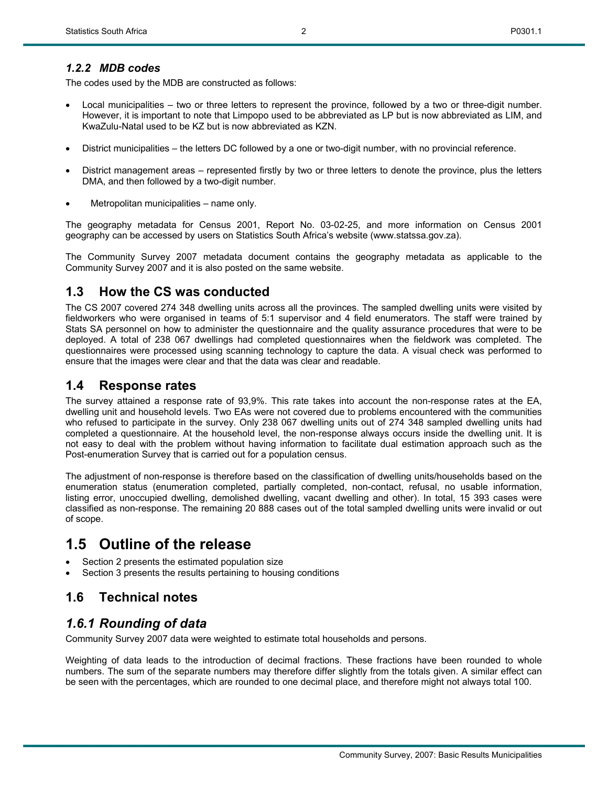The codes used by the MDB are constructed as follows:

- Local municipalities two or three letters to represent the province, followed by a two or three-digit number. However, it is important to note that Limpopo used to be abbreviated as LP but is now abbreviated as LIM, and KwaZulu-Natal used to be KZ but is now abbreviated as KZN.
- District municipalities the letters DC followed by a one or two-digit number, with no provincial reference.
- District management areas represented firstly by two or three letters to denote the province, plus the letters DMA, and then followed by a two-digit number.
- Metropolitan municipalities name only.

The geography metadata for Census 2001, Report No. 03-02-25, and more information on Census 2001 geography can be accessed by users on Statistics South Africa's website (www.statssa.gov.za).

The Community Survey 2007 metadata document contains the geography metadata as applicable to the Community Survey 2007 and it is also posted on the same website.

## **1.3 How the CS was conducted**

The CS 2007 covered 274 348 dwelling units across all the provinces. The sampled dwelling units were visited by fieldworkers who were organised in teams of 5:1 supervisor and 4 field enumerators. The staff were trained by Stats SA personnel on how to administer the questionnaire and the quality assurance procedures that were to be deployed. A total of 238 067 dwellings had completed questionnaires when the fieldwork was completed. The questionnaires were processed using scanning technology to capture the data. A visual check was performed to ensure that the images were clear and that the data was clear and readable.

## **1.4 Response rates**

The survey attained a response rate of 93,9%. This rate takes into account the non-response rates at the EA, dwelling unit and household levels. Two EAs were not covered due to problems encountered with the communities who refused to participate in the survey. Only 238 067 dwelling units out of 274 348 sampled dwelling units had completed a questionnaire. At the household level, the non-response always occurs inside the dwelling unit. It is not easy to deal with the problem without having information to facilitate dual estimation approach such as the Post-enumeration Survey that is carried out for a population census.

The adjustment of non-response is therefore based on the classification of dwelling units/households based on the enumeration status (enumeration completed, partially completed, non-contact, refusal, no usable information, listing error, unoccupied dwelling, demolished dwelling, vacant dwelling and other). In total, 15 393 cases were classified as non-response. The remaining 20 888 cases out of the total sampled dwelling units were invalid or out of scope.

## **1.5 Outline of the release**

- Section 2 presents the estimated population size
- Section 3 presents the results pertaining to housing conditions

## **1.6 Technical notes**

## *1.6.1 Rounding of data*

Community Survey 2007 data were weighted to estimate total households and persons.

Weighting of data leads to the introduction of decimal fractions. These fractions have been rounded to whole numbers. The sum of the separate numbers may therefore differ slightly from the totals given. A similar effect can be seen with the percentages, which are rounded to one decimal place, and therefore might not always total 100.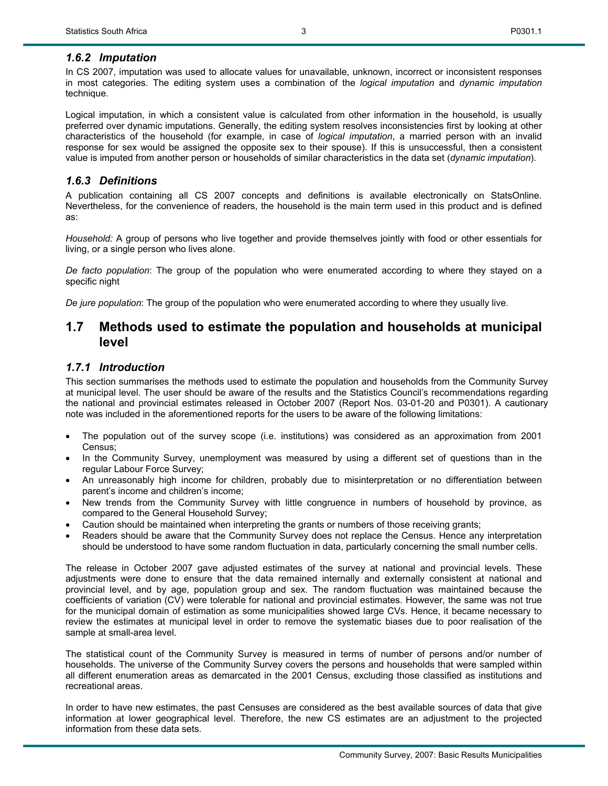## *1.6.2 Imputation*

In CS 2007, imputation was used to allocate values for unavailable, unknown, incorrect or inconsistent responses in most categories. The editing system uses a combination of the *logical imputation* and *dynamic imputation* technique.

Logical imputation, in which a consistent value is calculated from other information in the household, is usually preferred over dynamic imputations. Generally, the editing system resolves inconsistencies first by looking at other characteristics of the household (for example, in case of *logical imputation*, a married person with an invalid response for sex would be assigned the opposite sex to their spouse). If this is unsuccessful, then a consistent value is imputed from another person or households of similar characteristics in the data set (*dynamic imputation*).

### *1.6.3 Definitions*

A publication containing all CS 2007 concepts and definitions is available electronically on StatsOnline. Nevertheless, for the convenience of readers, the household is the main term used in this product and is defined as:

*Household:* A group of persons who live together and provide themselves jointly with food or other essentials for living, or a single person who lives alone.

*De facto population*: The group of the population who were enumerated according to where they stayed on a specific night

*De jure population*: The group of the population who were enumerated according to where they usually live.

## **1.7 Methods used to estimate the population and households at municipal level**

#### *1.7.1 Introduction*

This section summarises the methods used to estimate the population and households from the Community Survey at municipal level. The user should be aware of the results and the Statistics Council's recommendations regarding the national and provincial estimates released in October 2007 (Report Nos. 03-01-20 and P0301). A cautionary note was included in the aforementioned reports for the users to be aware of the following limitations:

- The population out of the survey scope (i.e. institutions) was considered as an approximation from 2001 Census;
- In the Community Survey, unemployment was measured by using a different set of questions than in the regular Labour Force Survey;
- An unreasonably high income for children, probably due to misinterpretation or no differentiation between parent's income and children's income;
- New trends from the Community Survey with little congruence in numbers of household by province, as compared to the General Household Survey;
- Caution should be maintained when interpreting the grants or numbers of those receiving grants;
- Readers should be aware that the Community Survey does not replace the Census. Hence any interpretation should be understood to have some random fluctuation in data, particularly concerning the small number cells.

The release in October 2007 gave adjusted estimates of the survey at national and provincial levels. These adjustments were done to ensure that the data remained internally and externally consistent at national and provincial level, and by age, population group and sex. The random fluctuation was maintained because the coefficients of variation (CV) were tolerable for national and provincial estimates. However, the same was not true for the municipal domain of estimation as some municipalities showed large CVs. Hence, it became necessary to review the estimates at municipal level in order to remove the systematic biases due to poor realisation of the sample at small-area level.

The statistical count of the Community Survey is measured in terms of number of persons and/or number of households. The universe of the Community Survey covers the persons and households that were sampled within all different enumeration areas as demarcated in the 2001 Census, excluding those classified as institutions and recreational areas.

In order to have new estimates, the past Censuses are considered as the best available sources of data that give information at lower geographical level. Therefore, the new CS estimates are an adjustment to the projected information from these data sets.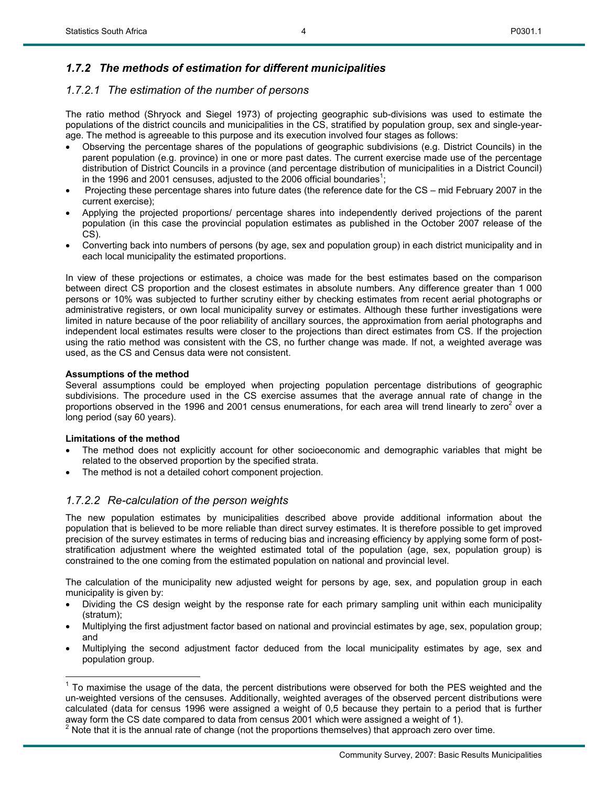## *1.7.2 The methods of estimation for different municipalities*

### *1.7.2.1 The estimation of the number of persons*

The ratio method (Shryock and Siegel 1973) of projecting geographic sub-divisions was used to estimate the populations of the district councils and municipalities in the CS, stratified by population group, sex and single-yearage. The method is agreeable to this purpose and its execution involved four stages as follows:

- Observing the percentage shares of the populations of geographic subdivisions (e.g. District Councils) in the parent population (e.g. province) in one or more past dates. The current exercise made use of the percentage distribution of District Councils in a province (and percentage distribution of municipalities in a District Council) in the 1996 and 2001 censuses, adjusted to the 2006 official boundaries<sup>1</sup>;
- Projecting these percentage shares into future dates (the reference date for the CS mid February 2007 in the current exercise);
- Applying the projected proportions/ percentage shares into independently derived projections of the parent population (in this case the provincial population estimates as published in the October 2007 release of the CS).
- Converting back into numbers of persons (by age, sex and population group) in each district municipality and in each local municipality the estimated proportions.

In view of these projections or estimates, a choice was made for the best estimates based on the comparison between direct CS proportion and the closest estimates in absolute numbers. Any difference greater than 1 000 persons or 10% was subjected to further scrutiny either by checking estimates from recent aerial photographs or administrative registers, or own local municipality survey or estimates. Although these further investigations were limited in nature because of the poor reliability of ancillary sources, the approximation from aerial photographs and independent local estimates results were closer to the projections than direct estimates from CS. If the projection using the ratio method was consistent with the CS, no further change was made. If not, a weighted average was used, as the CS and Census data were not consistent.

#### **Assumptions of the method**

Several assumptions could be employed when projecting population percentage distributions of geographic subdivisions. The procedure used in the CS exercise assumes that the average annual rate of change in the proportions observed in the 1996 and 2001 census enumerations, for each area will trend linearly to zero<sup>2</sup> over a long period (say 60 years).

#### **Limitations of the method**

 $\overline{a}$ 

- The method does not explicitly account for other socioeconomic and demographic variables that might be related to the observed proportion by the specified strata.
- The method is not a detailed cohort component projection.

#### *1.7.2.2 Re-calculation of the person weights*

The new population estimates by municipalities described above provide additional information about the population that is believed to be more reliable than direct survey estimates. It is therefore possible to get improved precision of the survey estimates in terms of reducing bias and increasing efficiency by applying some form of poststratification adjustment where the weighted estimated total of the population (age, sex, population group) is constrained to the one coming from the estimated population on national and provincial level.

The calculation of the municipality new adjusted weight for persons by age, sex, and population group in each municipality is given by:

- Dividing the CS design weight by the response rate for each primary sampling unit within each municipality (stratum);
- Multiplying the first adjustment factor based on national and provincial estimates by age, sex, population group; and
- Multiplying the second adjustment factor deduced from the local municipality estimates by age, sex and population group.

 $1$  To maximise the usage of the data, the percent distributions were observed for both the PES weighted and the un-weighted versions of the censuses. Additionally, weighted averages of the observed percent distributions were calculated (data for census 1996 were assigned a weight of 0,5 because they pertain to a period that is further away form the CS date compared to data from census 2001 which were assigned a weight of 1).

 $2$  Note that it is the annual rate of change (not the proportions themselves) that approach zero over time.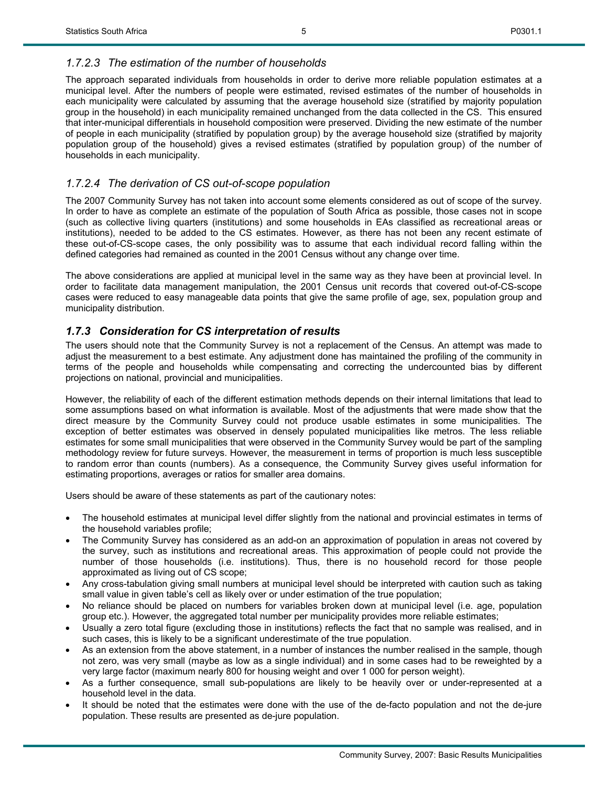5

#### *1.7.2.3 The estimation of the number of households*

The approach separated individuals from households in order to derive more reliable population estimates at a municipal level. After the numbers of people were estimated, revised estimates of the number of households in each municipality were calculated by assuming that the average household size (stratified by majority population group in the household) in each municipality remained unchanged from the data collected in the CS. This ensured that inter-municipal differentials in household composition were preserved. Dividing the new estimate of the number of people in each municipality (stratified by population group) by the average household size (stratified by majority population group of the household) gives a revised estimates (stratified by population group) of the number of households in each municipality.

#### *1.7.2.4 The derivation of CS out-of-scope population*

The 2007 Community Survey has not taken into account some elements considered as out of scope of the survey. In order to have as complete an estimate of the population of South Africa as possible, those cases not in scope (such as collective living quarters (institutions) and some households in EAs classified as recreational areas or institutions), needed to be added to the CS estimates. However, as there has not been any recent estimate of these out-of-CS-scope cases, the only possibility was to assume that each individual record falling within the defined categories had remained as counted in the 2001 Census without any change over time.

The above considerations are applied at municipal level in the same way as they have been at provincial level. In order to facilitate data management manipulation, the 2001 Census unit records that covered out-of-CS-scope cases were reduced to easy manageable data points that give the same profile of age, sex, population group and municipality distribution.

#### *1.7.3 Consideration for CS interpretation of results*

The users should note that the Community Survey is not a replacement of the Census. An attempt was made to adjust the measurement to a best estimate. Any adjustment done has maintained the profiling of the community in terms of the people and households while compensating and correcting the undercounted bias by different projections on national, provincial and municipalities.

However, the reliability of each of the different estimation methods depends on their internal limitations that lead to some assumptions based on what information is available. Most of the adjustments that were made show that the direct measure by the Community Survey could not produce usable estimates in some municipalities. The exception of better estimates was observed in densely populated municipalities like metros. The less reliable estimates for some small municipalities that were observed in the Community Survey would be part of the sampling methodology review for future surveys. However, the measurement in terms of proportion is much less susceptible to random error than counts (numbers). As a consequence, the Community Survey gives useful information for estimating proportions, averages or ratios for smaller area domains.

Users should be aware of these statements as part of the cautionary notes:

- The household estimates at municipal level differ slightly from the national and provincial estimates in terms of the household variables profile;
- The Community Survey has considered as an add-on an approximation of population in areas not covered by the survey, such as institutions and recreational areas. This approximation of people could not provide the number of those households (i.e. institutions). Thus, there is no household record for those people approximated as living out of CS scope;
- Any cross-tabulation giving small numbers at municipal level should be interpreted with caution such as taking small value in given table's cell as likely over or under estimation of the true population;
- No reliance should be placed on numbers for variables broken down at municipal level (i.e. age, population group etc.). However, the aggregated total number per municipality provides more reliable estimates;
- Usually a zero total figure (excluding those in institutions) reflects the fact that no sample was realised, and in such cases, this is likely to be a significant underestimate of the true population.
- As an extension from the above statement, in a number of instances the number realised in the sample, though not zero, was very small (maybe as low as a single individual) and in some cases had to be reweighted by a very large factor (maximum nearly 800 for housing weight and over 1 000 for person weight).
- As a further consequence, small sub-populations are likely to be heavily over or under-represented at a household level in the data.
- It should be noted that the estimates were done with the use of the de-facto population and not the de-jure population. These results are presented as de-jure population.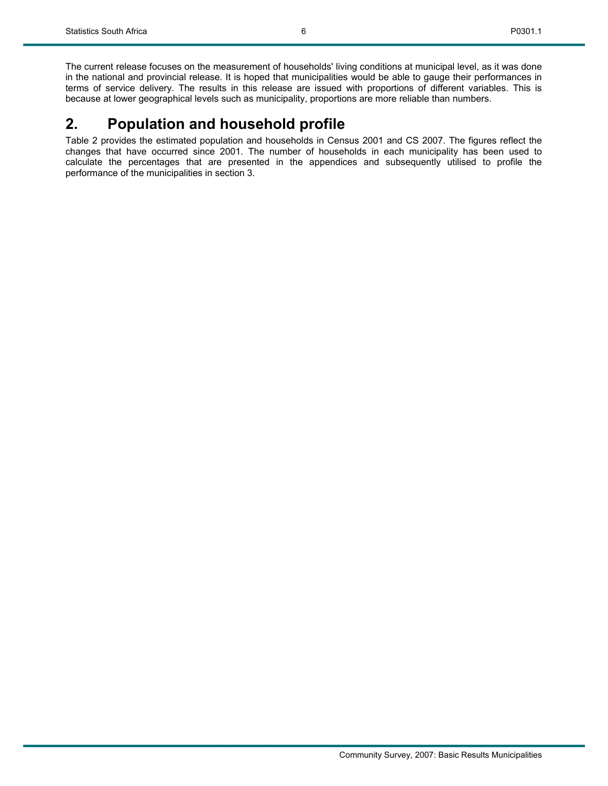The current release focuses on the measurement of households' living conditions at municipal level, as it was done in the national and provincial release. It is hoped that municipalities would be able to gauge their performances in terms of service delivery. The results in this release are issued with proportions of different variables. This is because at lower geographical levels such as municipality, proportions are more reliable than numbers.

## **2. Population and household profile**

Table 2 provides the estimated population and households in Census 2001 and CS 2007. The figures reflect the changes that have occurred since 2001. The number of households in each municipality has been used to calculate the percentages that are presented in the appendices and subsequently utilised to profile the performance of the municipalities in section 3.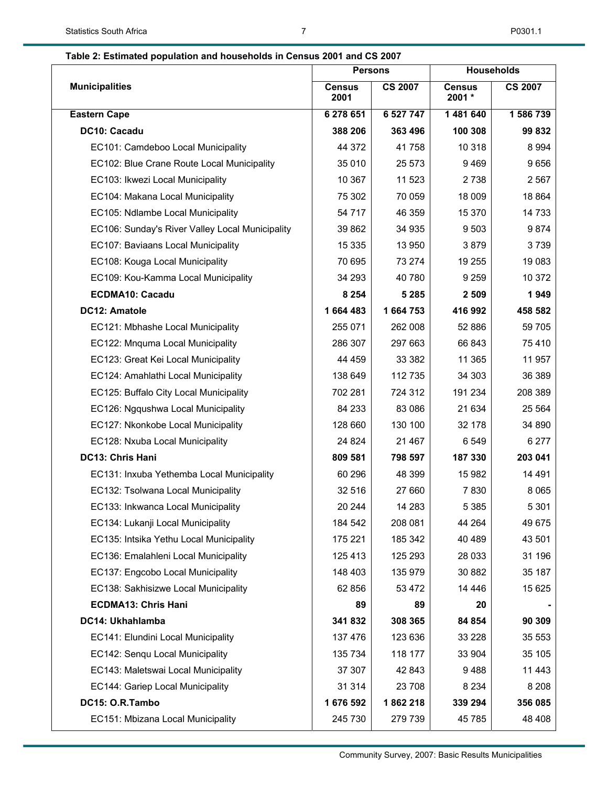## **Table 2: Estimated population and households in Census 2001 and CS 2007**

|                                                 | <b>Persons</b>        |                | <b>Households</b>       |                |
|-------------------------------------------------|-----------------------|----------------|-------------------------|----------------|
| <b>Municipalities</b>                           | <b>Census</b><br>2001 | <b>CS 2007</b> | <b>Census</b><br>2001 * | <b>CS 2007</b> |
| <b>Eastern Cape</b>                             | 6 278 651             | 6 527 747      | 1 481 640               | 1 586 739      |
| DC10: Cacadu                                    | 388 206               | 363 496        | 100 308                 | 99 832         |
| EC101: Camdeboo Local Municipality              | 44 372                | 41758          | 10 318                  | 8 9 9 4        |
| EC102: Blue Crane Route Local Municipality      | 35 010                | 25 573         | 9469                    | 9656           |
| EC103: Ikwezi Local Municipality                | 10 367                | 11 523         | 2738                    | 2 5 6 7        |
| EC104: Makana Local Municipality                | 75 302                | 70 059         | 18 009                  | 18 8 64        |
| EC105: Ndlambe Local Municipality               | 54 717                | 46 359         | 15 370                  | 14 733         |
| EC106: Sunday's River Valley Local Municipality | 39 862                | 34 935         | 9503                    | 9874           |
| EC107: Baviaans Local Municipality              | 15 3 35               | 13 950         | 3879                    | 3739           |
| EC108: Kouga Local Municipality                 | 70 695                | 73 274         | 19 255                  | 19 083         |
| EC109: Kou-Kamma Local Municipality             | 34 293                | 40 780         | 9 2 5 9                 | 10 372         |
| <b>ECDMA10: Cacadu</b>                          | 8 2 5 4               | 5 2 8 5        | 2 5 0 9                 | 1949           |
| DC12: Amatole                                   | 1664483               | 1 664 753      | 416 992                 | 458 582        |
| EC121: Mbhashe Local Municipality               | 255 071               | 262 008        | 52 886                  | 59 705         |
| EC122: Mnquma Local Municipality                | 286 307               | 297 663        | 66 843                  | 75 410         |
| EC123: Great Kei Local Municipality             | 44 4 59               | 33 382         | 11 365                  | 11 957         |
| EC124: Amahlathi Local Municipality             | 138 649               | 112 735        | 34 303                  | 36 389         |
| EC125: Buffalo City Local Municipality          | 702 281               | 724 312        | 191 234                 | 208 389        |
| EC126: Ngqushwa Local Municipality              | 84 233                | 83 0 86        | 21 634                  | 25 5 64        |
| EC127: Nkonkobe Local Municipality              | 128 660               | 130 100        | 32 178                  | 34 890         |
| EC128: Nxuba Local Municipality                 | 24 8 24               | 21 467         | 6549                    | 6 277          |
| DC13: Chris Hani                                | 809 581               | 798 597        | 187 330                 | 203 041        |
| EC131: Inxuba Yethemba Local Municipality       | 60 296                | 48 399         | 15 982                  | 14 491         |
| EC132: Tsolwana Local Municipality              | 32 516                | 27 660         | 7830                    | 8 0 6 5        |
| EC133: Inkwanca Local Municipality              | 20 244                | 14 283         | 5 3 8 5                 | 5 3 0 1        |
| EC134: Lukanji Local Municipality               | 184 542               | 208 081        | 44 264                  | 49 675         |
| EC135: Intsika Yethu Local Municipality         | 175 221               | 185 342        | 40 489                  | 43 501         |
| EC136: Emalahleni Local Municipality            | 125 413               | 125 293        | 28 0 33                 | 31 196         |
| EC137: Engcobo Local Municipality               | 148 403               | 135 979        | 30 882                  | 35 187         |
| EC138: Sakhisizwe Local Municipality            | 62 856                | 53 472         | 14 4 4 6                | 15 625         |
| <b>ECDMA13: Chris Hani</b>                      | 89                    | 89             | 20                      |                |
| DC14: Ukhahlamba                                | 341832                | 308 365        | 84 854                  | 90 309         |
| EC141: Elundini Local Municipality              | 137 476               | 123 636        | 33 2 28                 | 35 553         |
| EC142: Senqu Local Municipality                 | 135 734               | 118 177        | 33 904                  | 35 105         |
| EC143: Maletswai Local Municipality             | 37 307                | 42 843         | 9488                    | 11 443         |
| EC144: Gariep Local Municipality                | 31 314                | 23 708         | 8 2 3 4                 | 8 2 0 8        |
| DC15: O.R.Tambo                                 | 1 676 592             | 1862218        | 339 294                 | 356 085        |
| EC151: Mbizana Local Municipality               | 245 730               | 279 739        | 45 785                  | 48 408         |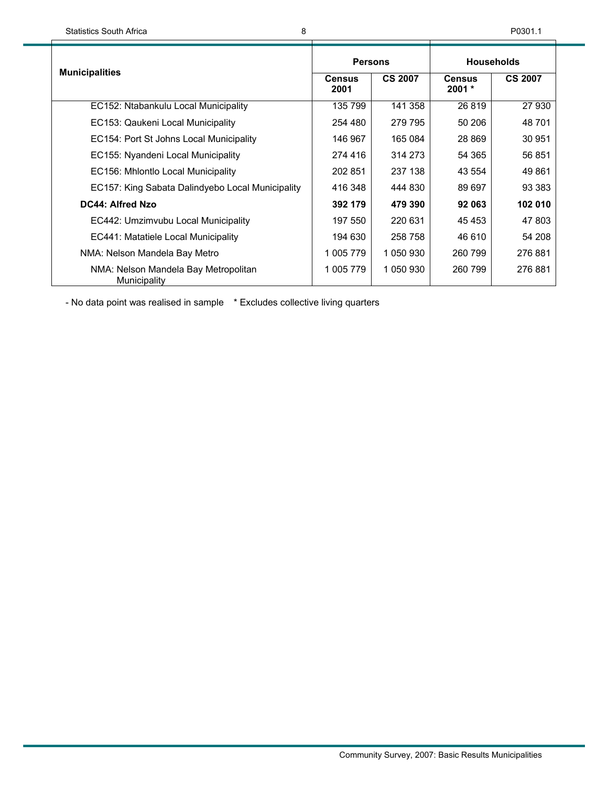|                                                      | <b>Persons</b>        |                | <b>Households</b>         |                |
|------------------------------------------------------|-----------------------|----------------|---------------------------|----------------|
| <b>Municipalities</b>                                | <b>Census</b><br>2001 | <b>CS 2007</b> | <b>Census</b><br>$2001 *$ | <b>CS 2007</b> |
| EC152: Ntabankulu Local Municipality                 | 135 799               | 141 358        | 26 819                    | 27 930         |
| EC153: Qaukeni Local Municipality                    | 254 480               | 279 795        | 50 206                    | 48 701         |
| EC154: Port St Johns Local Municipality              | 146 967               | 165 084        | 28 8 69                   | 30 951         |
| EC155: Nyandeni Local Municipality                   | 274 416               | 314 273        | 54 365                    | 56 851         |
| EC156: Mhlontlo Local Municipality                   | 202 851               | 237 138        | 43 554                    | 49 861         |
| EC157: King Sabata Dalindyebo Local Municipality     | 416 348               | 444 830        | 89 697                    | 93 383         |
| DC44: Alfred Nzo                                     | 392 179               | 479 390        | 92 063                    | 102 010        |
| EC442: Umzimvubu Local Municipality                  | 197 550               | 220 631        | 45 4 53                   | 47 803         |
| EC441: Matatiele Local Municipality                  | 194 630               | 258 758        | 46 610                    | 54 208         |
| NMA: Nelson Mandela Bay Metro                        | 1 005 779             | 1 050 930      | 260 799                   | 276 881        |
| NMA: Nelson Mandela Bay Metropolitan<br>Municipality | 1 005 779             | 1 050 930      | 260 799                   | 276881         |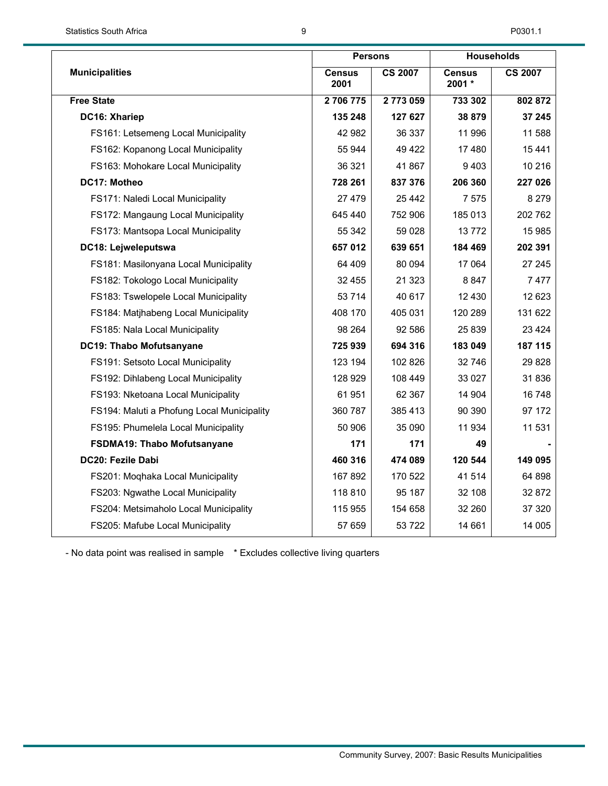|                                            |                       | <b>Persons</b> |                         | <b>Households</b> |  |
|--------------------------------------------|-----------------------|----------------|-------------------------|-------------------|--|
| <b>Municipalities</b>                      | <b>Census</b><br>2001 | <b>CS 2007</b> | <b>Census</b><br>2001 * | <b>CS 2007</b>    |  |
| <b>Free State</b>                          | 2706775               | 2773059        | 733 302                 | 802 872           |  |
| DC16: Xhariep                              | 135 248               | 127 627        | 38 879                  | 37 245            |  |
| FS161: Letsemeng Local Municipality        | 42 982                | 36 337         | 11 996                  | 11 588            |  |
| FS162: Kopanong Local Municipality         | 55 944                | 49 4 22        | 17 480                  | 15 441            |  |
| FS163: Mohokare Local Municipality         | 36 321                | 41 867         | 9403                    | 10 216            |  |
| DC17: Motheo                               | 728 261               | 837 376        | 206 360                 | 227 026           |  |
| FS171: Naledi Local Municipality           | 27 479                | 25 442         | 7 5 7 5                 | 8 2 7 9           |  |
| FS172: Mangaung Local Municipality         | 645 440               | 752 906        | 185 013                 | 202 762           |  |
| FS173: Mantsopa Local Municipality         | 55 342                | 59 0 28        | 13772                   | 15 985            |  |
| DC18: Lejweleputswa                        | 657 012               | 639 651        | 184 469                 | 202 391           |  |
| FS181: Masilonyana Local Municipality      | 64 409                | 80 094         | 17 064                  | 27 245            |  |
| FS182: Tokologo Local Municipality         | 32 455                | 21 3 23        | 8847                    | 7477              |  |
| FS183: Tswelopele Local Municipality       | 53 7 14               | 40 617         | 12 4 30                 | 12 623            |  |
| FS184: Matjhabeng Local Municipality       | 408 170               | 405 031        | 120 289                 | 131 622           |  |
| FS185: Nala Local Municipality             | 98 264                | 92 586         | 25 839                  | 23 4 24           |  |
| DC19: Thabo Mofutsanyane                   | 725 939               | 694 316        | 183 049                 | 187 115           |  |
| FS191: Setsoto Local Municipality          | 123 194               | 102 826        | 32 746                  | 29 8 28           |  |
| FS192: Dihlabeng Local Municipality        | 128 929               | 108 449        | 33 027                  | 31 836            |  |
| FS193: Nketoana Local Municipality         | 61951                 | 62 367         | 14 904                  | 16 748            |  |
| FS194: Maluti a Phofung Local Municipality | 360 787               | 385 413        | 90 390                  | 97 172            |  |
| FS195: Phumelela Local Municipality        | 50 906                | 35 090         | 11934                   | 11 531            |  |
| FSDMA19: Thabo Mofutsanyane                | 171                   | 171            | 49                      |                   |  |
| DC20: Fezile Dabi                          | 460 316               | 474 089        | 120 544                 | 149 095           |  |
| FS201: Moqhaka Local Municipality          | 167 892               | 170 522        | 41 514                  | 64 898            |  |
| FS203: Ngwathe Local Municipality          | 118 810               | 95 187         | 32 108                  | 32 872            |  |
| FS204: Metsimaholo Local Municipality      | 115 955               | 154 658        | 32 260                  | 37 320            |  |
| FS205: Mafube Local Municipality           | 57 659                | 53722          | 14 661                  | 14 005            |  |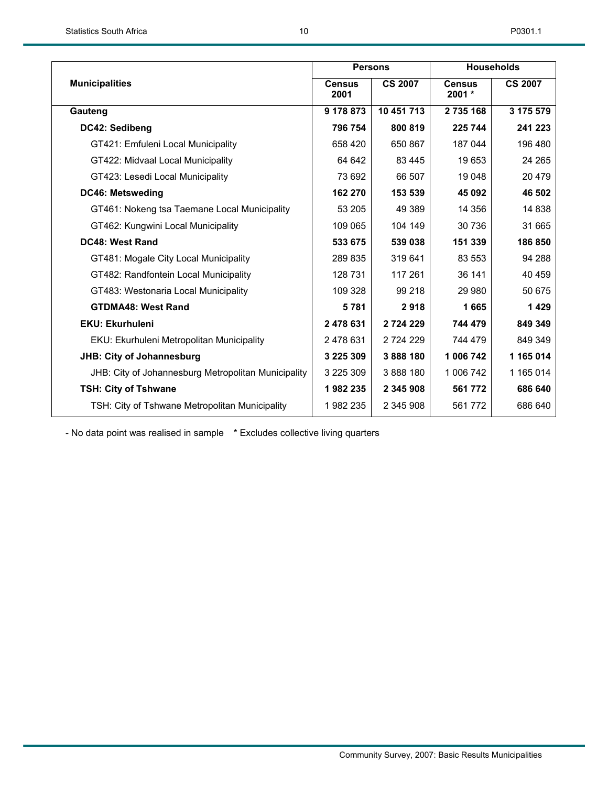|                                                     | <b>Persons</b>        |                | <b>Households</b>         |                |
|-----------------------------------------------------|-----------------------|----------------|---------------------------|----------------|
| <b>Municipalities</b>                               | <b>Census</b><br>2001 | <b>CS 2007</b> | <b>Census</b><br>$2001 *$ | <b>CS 2007</b> |
| Gauteng                                             | 9 178 873             | 10 451 713     | 2 735 168                 | 3 175 579      |
| DC42: Sedibeng                                      | 796 754               | 800 819        | 225 744                   | 241 223        |
| GT421: Emfuleni Local Municipality                  | 658 420               | 650 867        | 187 044                   | 196 480        |
| GT422: Midvaal Local Municipality                   | 64 642                | 83 4 45        | 19653                     | 24 265         |
| GT423: Lesedi Local Municipality                    | 73 692                | 66 507         | 19 048                    | 20 479         |
| DC46: Metsweding                                    | 162 270               | 153 539        | 45 092                    | 46 502         |
| GT461: Nokeng tsa Taemane Local Municipality        | 53 205                | 49 389         | 14 356                    | 14 838         |
| GT462: Kungwini Local Municipality                  | 109 065               | 104 149        | 30 736                    | 31 665         |
| <b>DC48: West Rand</b>                              | 533 675               | 539 038        | 151 339                   | 186 850        |
| GT481: Mogale City Local Municipality               | 289 835               | 319 641        | 83 553                    | 94 288         |
| GT482: Randfontein Local Municipality               | 128 731               | 117 261        | 36 141                    | 40 459         |
| GT483: Westonaria Local Municipality                | 109 328               | 99 218         | 29 980                    | 50 675         |
| <b>GTDMA48: West Rand</b>                           | 5781                  | 2918           | 1665                      | 1429           |
| <b>EKU: Ekurhuleni</b>                              | 2 478 631             | 2 724 229      | 744 479                   | 849 349        |
| EKU: Ekurhuleni Metropolitan Municipality           | 2478631               | 2 7 2 4 2 2 9  | 744 479                   | 849 349        |
| <b>JHB: City of Johannesburg</b>                    | 3 2 2 5 3 0 9         | 3888180        | 1 006 742                 | 1 165 014      |
| JHB: City of Johannesburg Metropolitan Municipality | 3 225 309             | 3888180        | 1 006 742                 | 1 165 014      |
| TSH: City of Tshwane                                | 1982235               | 2 345 908      | 561 772                   | 686 640        |
| TSH: City of Tshwane Metropolitan Municipality      | 1982 235              | 2 345 908      | 561 772                   | 686 640        |
|                                                     |                       |                |                           |                |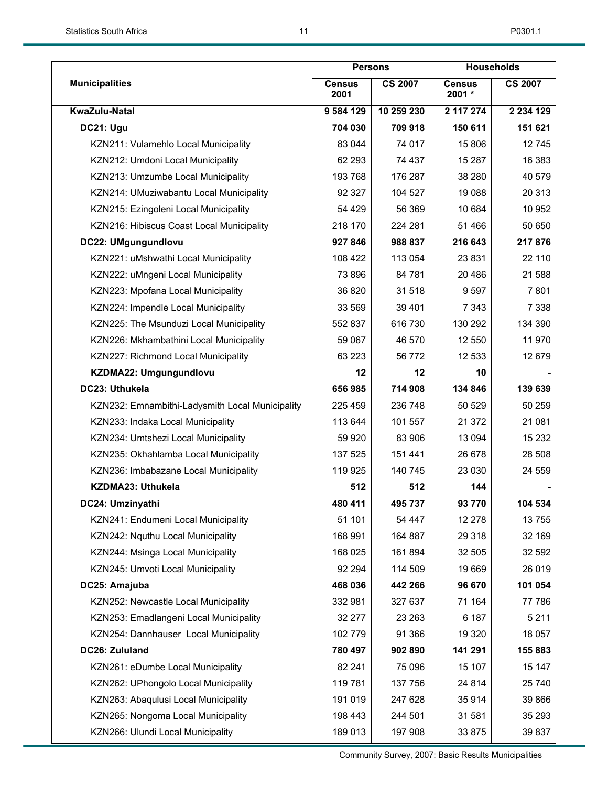|                                                 | <b>Persons</b>        |                |                         | <b>Households</b> |
|-------------------------------------------------|-----------------------|----------------|-------------------------|-------------------|
| <b>Municipalities</b>                           | <b>Census</b><br>2001 | <b>CS 2007</b> | <b>Census</b><br>2001 * | <b>CS 2007</b>    |
| KwaZulu-Natal                                   | 9 584 129             | 10 259 230     | 2 117 274               | 2 2 3 4 1 2 9     |
| DC21: Ugu                                       | 704 030               | 709 918        | 150 611                 | 151 621           |
| KZN211: Vulamehlo Local Municipality            | 83 044                | 74 017         | 15 806                  | 12745             |
| KZN212: Umdoni Local Municipality               | 62 293                | 74 437         | 15 287                  | 16 383            |
| KZN213: Umzumbe Local Municipality              | 193 768               | 176 287        | 38 280                  | 40 579            |
| KZN214: UMuziwabantu Local Municipality         | 92 327                | 104 527        | 19 088                  | 20 313            |
| KZN215: Ezingoleni Local Municipality           | 54 429                | 56 369         | 10 684                  | 10 952            |
| KZN216: Hibiscus Coast Local Municipality       | 218 170               | 224 281        | 51 466                  | 50 650            |
| DC22: UMgungundlovu                             | 927 846               | 988 837        | 216 643                 | 217 876           |
| KZN221: uMshwathi Local Municipality            | 108 422               | 113 054        | 23 831                  | 22 110            |
| KZN222: uMngeni Local Municipality              | 73 896                | 84 781         | 20 486                  | 21 588            |
| KZN223: Mpofana Local Municipality              | 36 820                | 31 518         | 9597                    | 7801              |
| KZN224: Impendle Local Municipality             | 33 569                | 39 401         | 7 3 4 3                 | 7 3 3 8           |
| KZN225: The Msunduzi Local Municipality         | 552 837               | 616 730        | 130 292                 | 134 390           |
| KZN226: Mkhambathini Local Municipality         | 59 067                | 46 570         | 12 550                  | 11 970            |
| KZN227: Richmond Local Municipality             | 63 2 23               | 56 772         | 12 533                  | 12 679            |
| KZDMA22: Umgungundlovu                          | 12                    | 12             | 10                      |                   |
| DC23: Uthukela                                  | 656 985               | 714 908        | 134 846                 | 139 639           |
| KZN232: Emnambithi-Ladysmith Local Municipality | 225 459               | 236 748        | 50 529                  | 50 259            |
| KZN233: Indaka Local Municipality               | 113 644               | 101 557        | 21 372                  | 21 081            |
| KZN234: Umtshezi Local Municipality             | 59 9 20               | 83 906         | 13 0 94                 | 15 232            |
| KZN235: Okhahlamba Local Municipality           | 137 525               | 151 441        | 26 678                  | 28 508            |
| KZN236: Imbabazane Local Municipality           | 119 925               | 140 745        | 23 030                  | 24 559            |
| KZDMA23: Uthukela                               | 512                   | 512            | 144                     |                   |
| DC24: Umzinyathi                                | 480 411               | 495 737        | 93770                   | 104 534           |
| KZN241: Endumeni Local Municipality             | 51 101                | 54 447         | 12 278                  | 13755             |
| KZN242: Nguthu Local Municipality               | 168 991               | 164 887        | 29 318                  | 32 169            |
| KZN244: Msinga Local Municipality               | 168 025               | 161 894        | 32 505                  | 32 592            |
| KZN245: Umvoti Local Municipality               | 92 294                | 114 509        | 19 669                  | 26 019            |
| DC25: Amajuba                                   | 468 036               | 442 266        | 96 670                  | 101 054           |
| KZN252: Newcastle Local Municipality            | 332 981               | 327 637        | 71 164                  | 77 786            |
| KZN253: Emadlangeni Local Municipality          | 32 277                | 23 263         | 6 187                   | 5 2 1 1           |
| KZN254: Dannhauser Local Municipality           | 102 779               | 91 366         | 19 3 20                 | 18 057            |
| DC26: Zululand                                  | 780 497               | 902 890        | 141 291                 | 155 883           |
| KZN261: eDumbe Local Municipality               | 82 241                | 75 096         | 15 107                  | 15 147            |
| KZN262: UPhongolo Local Municipality            | 119781                | 137 756        | 24 8 14                 | 25 740            |
| KZN263: Abaqulusi Local Municipality            | 191 019               | 247 628        | 35 914                  | 39 866            |
| KZN265: Nongoma Local Municipality              | 198 443               | 244 501        | 31 581                  | 35 293            |
| KZN266: Ulundi Local Municipality               | 189 013               | 197 908        | 33 875                  | 39 837            |

Community Survey, 2007: Basic Results Municipalities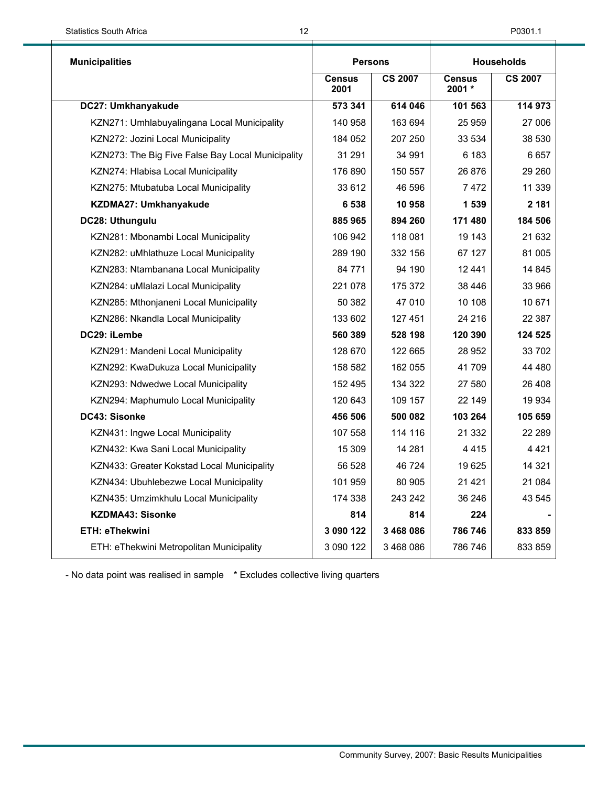| <b>Municipalities</b>                             | <b>Persons</b>        |                | <b>Households</b>       |                |
|---------------------------------------------------|-----------------------|----------------|-------------------------|----------------|
|                                                   | <b>Census</b><br>2001 | <b>CS 2007</b> | <b>Census</b><br>2001 * | <b>CS 2007</b> |
| DC27: Umkhanyakude                                | 573 341               | 614 046        | 101 563                 | 114 973        |
| KZN271: Umhlabuyalingana Local Municipality       | 140 958               | 163 694        | 25 959                  | 27 006         |
| KZN272: Jozini Local Municipality                 | 184 052               | 207 250        | 33 534                  | 38 530         |
| KZN273: The Big Five False Bay Local Municipality | 31 291                | 34 991         | 6 183                   | 6657           |
| KZN274: Hlabisa Local Municipality                | 176 890               | 150 557        | 26 876                  | 29 260         |
| KZN275: Mtubatuba Local Municipality              | 33 612                | 46 596         | 7472                    | 11 339         |
| KZDMA27: Umkhanyakude                             | 6 5 3 8               | 10 958         | 1 539                   | 2 181          |
| DC28: Uthungulu                                   | 885 965               | 894 260        | 171 480                 | 184 506        |
| KZN281: Mbonambi Local Municipality               | 106 942               | 118 081        | 19 143                  | 21 632         |
| KZN282: uMhlathuze Local Municipality             | 289 190               | 332 156        | 67 127                  | 81 005         |
| KZN283: Ntambanana Local Municipality             | 84 771                | 94 190         | 12441                   | 14 845         |
| KZN284: uMlalazi Local Municipality               | 221 078               | 175 372        | 38 446                  | 33 966         |
| KZN285: Mthonjaneni Local Municipality            | 50 382                | 47 010         | 10 108                  | 10 671         |
| KZN286: Nkandla Local Municipality                | 133 602               | 127 451        | 24 216                  | 22 3 8 7       |
| DC29: iLembe                                      | 560 389               | 528 198        | 120 390                 | 124 525        |
| KZN291: Mandeni Local Municipality                | 128 670               | 122 665        | 28 952                  | 33 702         |
| KZN292: KwaDukuza Local Municipality              | 158 582               | 162 055        | 41 709                  | 44 480         |
| KZN293: Ndwedwe Local Municipality                | 152 495               | 134 322        | 27 580                  | 26 408         |
| KZN294: Maphumulo Local Municipality              | 120 643               | 109 157        | 22 149                  | 19 9 34        |
| DC43: Sisonke                                     | 456 506               | 500 082        | 103 264                 | 105 659        |
| KZN431: Ingwe Local Municipality                  | 107 558               | 114 116        | 21 332                  | 22 289         |
| KZN432: Kwa Sani Local Municipality               | 15 309                | 14 281         | 4 4 1 5                 | 4421           |
| KZN433: Greater Kokstad Local Municipality        | 56 528                | 46 724         | 19625                   | 14 3 21        |
| KZN434: Ubuhlebezwe Local Municipality            | 101 959               | 80 905         | 21 4 21                 | 21 084         |
| KZN435: Umzimkhulu Local Municipality             | 174 338               | 243 242        | 36 246                  | 43 545         |
| <b>KZDMA43: Sisonke</b>                           | 814                   | 814            | 224                     |                |
| <b>ETH: eThekwini</b>                             | 3 090 122             | 3 468 086      | 786 746                 | 833859         |
| ETH: eThekwini Metropolitan Municipality          | 3 090 122             | 3 468 086      | 786 746                 | 833 859        |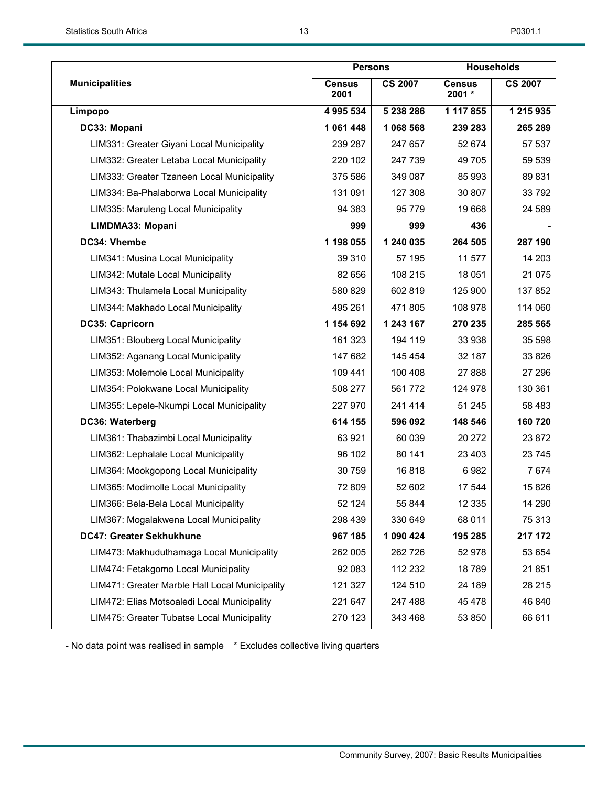|                                                | <b>Persons</b>        |                |                         | <b>Households</b> |
|------------------------------------------------|-----------------------|----------------|-------------------------|-------------------|
| <b>Municipalities</b>                          | <b>Census</b><br>2001 | <b>CS 2007</b> | <b>Census</b><br>2001 * | <b>CS 2007</b>    |
| Limpopo                                        | 4 995 534             | 5 238 286      | 1 117 855               | 1 215 935         |
| DC33: Mopani                                   | 1 061 448             | 1 068 568      | 239 283                 | 265 289           |
| LIM331: Greater Giyani Local Municipality      | 239 287               | 247 657        | 52 674                  | 57 537            |
| LIM332: Greater Letaba Local Municipality      | 220 102               | 247 739        | 49 705                  | 59 539            |
| LIM333: Greater Tzaneen Local Municipality     | 375 586               | 349 087        | 85 993                  | 89 831            |
| LIM334: Ba-Phalaborwa Local Municipality       | 131 091               | 127 308        | 30 807                  | 33 792            |
| LIM335: Maruleng Local Municipality            | 94 383                | 95 7 7 9       | 19 668                  | 24 589            |
| LIMDMA33: Mopani                               | 999                   | 999            | 436                     |                   |
| DC34: Vhembe                                   | 1 198 055             | 1 240 035      | 264 505                 | 287 190           |
| LIM341: Musina Local Municipality              | 39 310                | 57 195         | 11 577                  | 14 203            |
| LIM342: Mutale Local Municipality              | 82 656                | 108 215        | 18 051                  | 21 075            |
| LIM343: Thulamela Local Municipality           | 580 829               | 602 819        | 125 900                 | 137 852           |
| LIM344: Makhado Local Municipality             | 495 261               | 471 805        | 108 978                 | 114 060           |
| DC35: Capricorn                                | 1 154 692             | 1 243 167      | 270 235                 | 285 565           |
| LIM351: Blouberg Local Municipality            | 161 323               | 194 119        | 33 938                  | 35 598            |
| LIM352: Aganang Local Municipality             | 147 682               | 145 454        | 32 187                  | 33 826            |
| LIM353: Molemole Local Municipality            | 109 441               | 100 408        | 27 888                  | 27 29 6           |
| LIM354: Polokwane Local Municipality           | 508 277               | 561772         | 124 978                 | 130 361           |
| LIM355: Lepele-Nkumpi Local Municipality       | 227 970               | 241 414        | 51 245                  | 58 483            |
| DC36: Waterberg                                | 614 155               | 596 092        | 148 546                 | 160720            |
| LIM361: Thabazimbi Local Municipality          | 63 921                | 60 039         | 20 27 2                 | 23 872            |
| LIM362: Lephalale Local Municipality           | 96 102                | 80 141         | 23 403                  | 23 745            |
| LIM364: Mookgopong Local Municipality          | 30 759                | 16818          | 6982                    | 7674              |
| LIM365: Modimolle Local Municipality           | 72 809                | 52 602         | 17 544                  | 15826             |
| LIM366: Bela-Bela Local Municipality           | 52 124                | 55 844         | 12 3 35                 | 14 290            |
| LIM367: Mogalakwena Local Municipality         | 298 439               | 330 649        | 68 011                  | 75 313            |
| DC47: Greater Sekhukhune                       | 967 185               | 1 090 424      | 195 285                 | 217 172           |
| LIM473: Makhuduthamaga Local Municipality      | 262 005               | 262 726        | 52 978                  | 53 654            |
| LIM474: Fetakgomo Local Municipality           | 92 083                | 112 232        | 18789                   | 21 851            |
| LIM471: Greater Marble Hall Local Municipality | 121 327               | 124 510        | 24 189                  | 28 215            |
| LIM472: Elias Motsoaledi Local Municipality    | 221 647               | 247 488        | 45 478                  | 46 840            |
| LIM475: Greater Tubatse Local Municipality     | 270 123               | 343 468        | 53 850                  | 66 611            |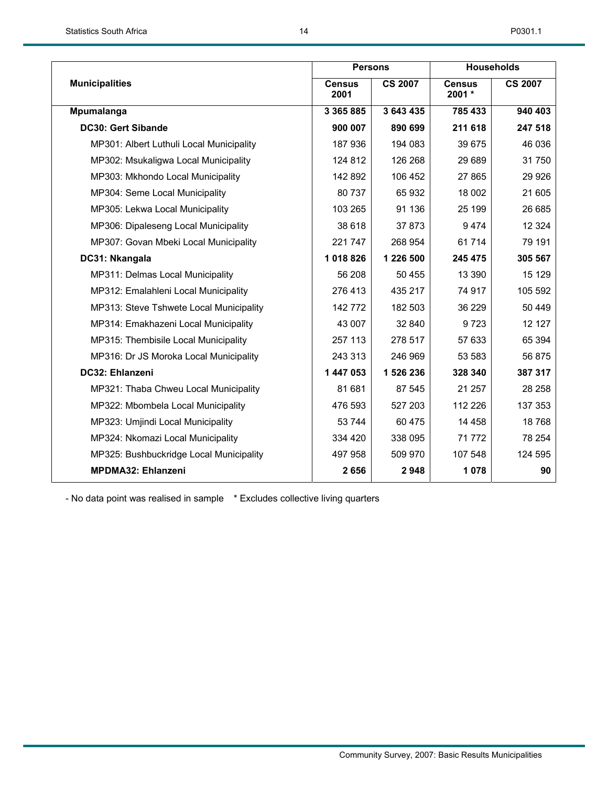|                                          | <b>Persons</b>        |                |                           | <b>Households</b> |
|------------------------------------------|-----------------------|----------------|---------------------------|-------------------|
| <b>Municipalities</b>                    | <b>Census</b><br>2001 | <b>CS 2007</b> | <b>Census</b><br>$2001 *$ | <b>CS 2007</b>    |
| Mpumalanga                               | 3 3 6 5 8 8 5         | 3 643 435      | 785 433                   | 940 403           |
| <b>DC30: Gert Sibande</b>                | 900 007               | 890 699        | 211 618                   | 247 518           |
| MP301: Albert Luthuli Local Municipality | 187936                | 194 083        | 39 675                    | 46 036            |
| MP302: Msukaligwa Local Municipality     | 124 812               | 126 268        | 29 689                    | 31750             |
| MP303: Mkhondo Local Municipality        | 142 892               | 106 452        | 27 865                    | 29 9 26           |
| MP304: Seme Local Municipality           | 80737                 | 65 932         | 18 002                    | 21 605            |
| MP305: Lekwa Local Municipality          | 103 265               | 91 136         | 25 199                    | 26 685            |
| MP306: Dipaleseng Local Municipality     | 38 618                | 37 873         | 9474                      | 12 3 24           |
| MP307: Govan Mbeki Local Municipality    | 221 747               | 268 954        | 61714                     | 79 191            |
| DC31: Nkangala                           | 1018826               | 1 226 500      | 245 475                   | 305 567           |
| MP311: Delmas Local Municipality         | 56 208                | 50 455         | 13 390                    | 15 129            |
| MP312: Emalahleni Local Municipality     | 276 413               | 435 217        | 74 917                    | 105 592           |
| MP313: Steve Tshwete Local Municipality  | 142 772               | 182 503        | 36 229                    | 50 449            |
| MP314: Emakhazeni Local Municipality     | 43 007                | 32 840         | 9 7 2 3                   | 12 127            |
| MP315: Thembisile Local Municipality     | 257 113               | 278 517        | 57 633                    | 65 394            |
| MP316: Dr JS Moroka Local Municipality   | 243 313               | 246 969        | 53 583                    | 56 875            |
| DC32: Ehlanzeni                          | 1 447 053             | 1 526 236      | 328 340                   | 387 317           |
| MP321: Thaba Chweu Local Municipality    | 81 681                | 87 545         | 21 257                    | 28 258            |
| MP322: Mbombela Local Municipality       | 476 593               | 527 203        | 112 226                   | 137 353           |
| MP323: Umjindi Local Municipality        | 53 744                | 60 475         | 14 4 58                   | 18768             |
| MP324: Nkomazi Local Municipality        | 334 420               | 338 095        | 71772                     | 78 254            |
| MP325: Bushbuckridge Local Municipality  | 497 958               | 509 970        | 107 548                   | 124 595           |
| <b>MPDMA32: Ehlanzeni</b>                | 2656                  | 2948           | 1 0 7 8                   | 90                |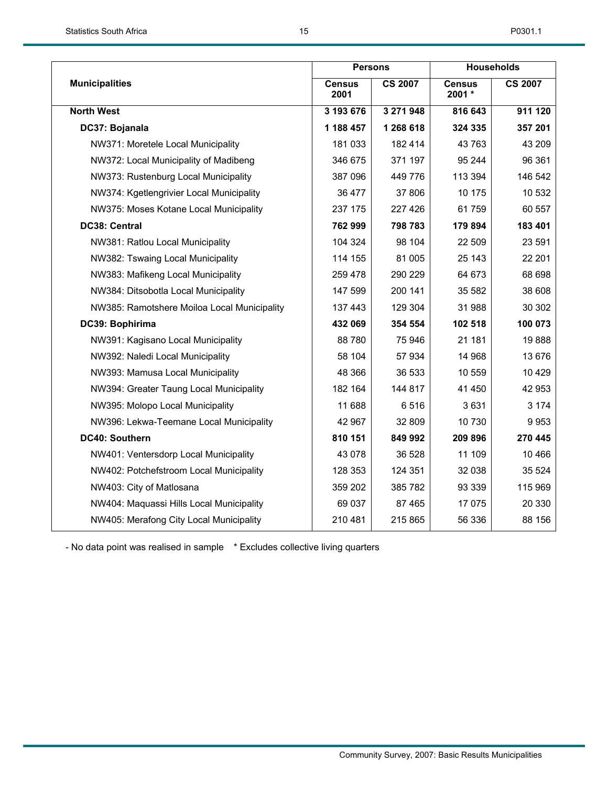|                                             | <b>Persons</b>        |                |                         | <b>Households</b> |
|---------------------------------------------|-----------------------|----------------|-------------------------|-------------------|
| <b>Municipalities</b>                       | <b>Census</b><br>2001 | <b>CS 2007</b> | <b>Census</b><br>2001 * | <b>CS 2007</b>    |
| <b>North West</b>                           | 3 193 676             | 3 271 948      | 816 643                 | 911 120           |
| DC37: Bojanala                              | 1 188 457             | 1 268 618      | 324 335                 | 357 201           |
| NW371: Moretele Local Municipality          | 181 033               | 182 414        | 43 763                  | 43 209            |
| NW372: Local Municipality of Madibeng       | 346 675               | 371 197        | 95 244                  | 96 361            |
| NW373: Rustenburg Local Municipality        | 387 096               | 449 776        | 113 394                 | 146 542           |
| NW374: Kgetlengrivier Local Municipality    | 36 477                | 37 806         | 10 175                  | 10 532            |
| NW375: Moses Kotane Local Municipality      | 237 175               | 227 426        | 61759                   | 60 557            |
| DC38: Central                               | 762 999               | 798 783        | 179 894                 | 183 401           |
| NW381: Ratlou Local Municipality            | 104 324               | 98 104         | 22 509                  | 23 591            |
| NW382: Tswaing Local Municipality           | 114 155               | 81 005         | 25 143                  | 22 201            |
| NW383: Mafikeng Local Municipality          | 259 478               | 290 229        | 64 673                  | 68 698            |
| NW384: Ditsobotla Local Municipality        | 147 599               | 200 141        | 35 582                  | 38 608            |
| NW385: Ramotshere Moiloa Local Municipality | 137 443               | 129 304        | 31 988                  | 30 30 2           |
| DC39: Bophirima                             | 432 069               | 354 554        | 102 518                 | 100 073           |
| NW391: Kagisano Local Municipality          | 88780                 | 75 946         | 21 181                  | 19888             |
| NW392: Naledi Local Municipality            | 58 104                | 57 934         | 14 968                  | 13 676            |
| NW393: Mamusa Local Municipality            | 48 366                | 36 533         | 10 559                  | 10 4 29           |
| NW394: Greater Taung Local Municipality     | 182 164               | 144 817        | 41 450                  | 42 953            |
| NW395: Molopo Local Municipality            | 11 688                | 6516           | 3631                    | 3 1 7 4           |
| NW396: Lekwa-Teemane Local Municipality     | 42 967                | 32 809         | 10 730                  | 9953              |
| DC40: Southern                              | 810 151               | 849 992        | 209 896                 | 270 445           |
| NW401: Ventersdorp Local Municipality       | 43 0 78               | 36 528         | 11 109                  | 10 466            |
| NW402: Potchefstroom Local Municipality     | 128 353               | 124 351        | 32 038                  | 35 5 24           |
| NW403: City of Matlosana                    | 359 202               | 385 782        | 93 339                  | 115 969           |
| NW404: Maquassi Hills Local Municipality    | 69 037                | 87 465         | 17 075                  | 20 330            |
| NW405: Merafong City Local Municipality     | 210 481               | 215 865        | 56 336                  | 88 156            |
|                                             |                       |                |                         |                   |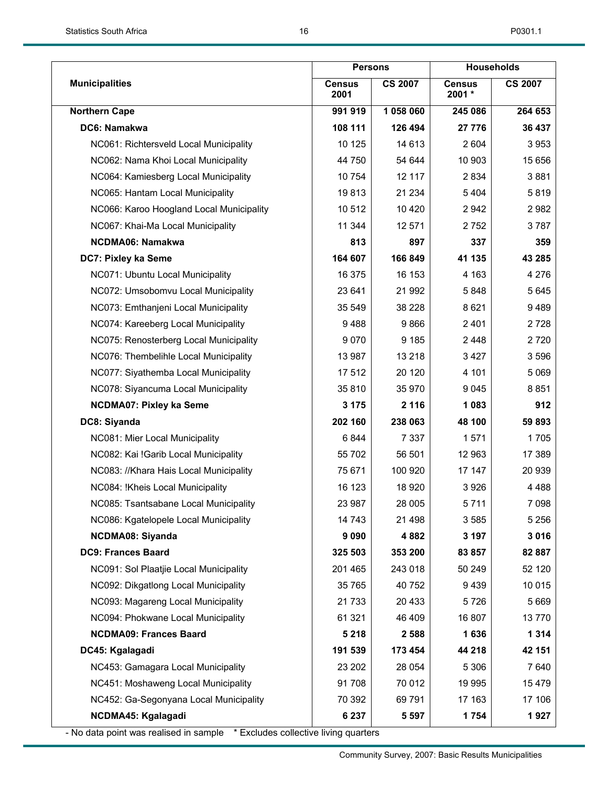|                                          | <b>Persons</b>        |                |                         | <b>Households</b> |
|------------------------------------------|-----------------------|----------------|-------------------------|-------------------|
| <b>Municipalities</b>                    | <b>Census</b><br>2001 | <b>CS 2007</b> | <b>Census</b><br>2001 * | <b>CS 2007</b>    |
| <b>Northern Cape</b>                     | 991 919               | 1 058 060      | 245 086                 | 264 653           |
| DC6: Namakwa                             | 108 111               | 126 494        | 27 776                  | 36 437            |
| NC061: Richtersveld Local Municipality   | 10 125                | 14 613         | 2 604                   | 3953              |
| NC062: Nama Khoi Local Municipality      | 44 750                | 54 644         | 10 903                  | 15 656            |
| NC064: Kamiesberg Local Municipality     | 10 754                | 12 117         | 2834                    | 3881              |
| NC065: Hantam Local Municipality         | 19813                 | 21 234         | 5 4 0 4                 | 5819              |
| NC066: Karoo Hoogland Local Municipality | 10512                 | 10 4 20        | 2 9 4 2                 | 2982              |
| NC067: Khai-Ma Local Municipality        | 11 344                | 12 571         | 2 7 5 2                 | 3787              |
| <b>NCDMA06: Namakwa</b>                  | 813                   | 897            | 337                     | 359               |
| DC7: Pixley ka Seme                      | 164 607               | 166 849        | 41 135                  | 43 285            |
| NC071: Ubuntu Local Municipality         | 16 375                | 16 153         | 4 1 6 3                 | 4 2 7 6           |
| NC072: Umsobomvu Local Municipality      | 23 641                | 21 992         | 5848                    | 5 6 4 5           |
| NC073: Emthanjeni Local Municipality     | 35 549                | 38 228         | 8 6 21                  | 9489              |
| NC074: Kareeberg Local Municipality      | 9488                  | 9866           | 2 4 0 1                 | 2728              |
| NC075: Renosterberg Local Municipality   | 9 0 7 0               | 9 1 8 5        | 2448                    | 2720              |
| NC076: Thembelihle Local Municipality    | 13 987                | 13 218         | 3427                    | 3 5 9 6           |
| NC077: Siyathemba Local Municipality     | 17512                 | 20 120         | 4 101                   | 5 0 6 9           |
| NC078: Siyancuma Local Municipality      | 35810                 | 35 970         | 9 0 4 5                 | 8851              |
| <b>NCDMA07: Pixley ka Seme</b>           | 3 1 7 5               | 2 1 1 6        | 1 0 8 3                 | 912               |
| DC8: Siyanda                             | 202 160               | 238 063        | 48 100                  | 59 893            |
| NC081: Mier Local Municipality           | 6844                  | 7 3 3 7        | 1571                    | 1705              |
| NC082: Kai !Garib Local Municipality     | 55 702                | 56 501         | 12 963                  | 17 389            |
| NC083: //Khara Hais Local Municipality   | 75 671                | 100 920        | 17 147                  | 20 939            |
| NC084: !Kheis Local Municipality         | 16 123                | 18 9 20        | 3926                    | 4 4 8 8           |
| NC085: Tsantsabane Local Municipality    | 23 987                | 28 005         | 5711                    | 7 0 9 8           |
| NC086: Kgatelopele Local Municipality    | 14 743                | 21 4 98        | 3585                    | 5 2 5 6           |
| NCDMA08: Siyanda                         | 9 0 9 0               | 4 8 8 2        | 3 197                   | 3016              |
| <b>DC9: Frances Baard</b>                | 325 503               | 353 200        | 83 857                  | 82 887            |
| NC091: Sol Plaatjie Local Municipality   | 201 465               | 243 018        | 50 249                  | 52 120            |
| NC092: Dikgatlong Local Municipality     | 35 765                | 40 752         | 9439                    | 10 015            |
| NC093: Magareng Local Municipality       | 21 733                | 20 4 33        | 5726                    | 5 6 6 9           |
| NC094: Phokwane Local Municipality       | 61 321                | 46 409         | 16 807                  | 13770             |
| <b>NCDMA09: Frances Baard</b>            | 5 2 1 8               | 2 5 8 8        | 1636                    | 1 3 1 4           |
| DC45: Kgalagadi                          | 191 539               | 173 454        | 44 218                  | 42 151            |
| NC453: Gamagara Local Municipality       | 23 202                | 28 0 54        | 5 3 0 6                 | 7640              |
| NC451: Moshaweng Local Municipality      | 91708                 | 70 012         | 19 995                  | 15 4 79           |
| NC452: Ga-Segonyana Local Municipality   | 70 392                | 69791          | 17 163                  | 17 106            |
| NCDMA45: Kgalagadi                       | 6 2 3 7               | 5 5 9 7        | 1 754                   | 1927              |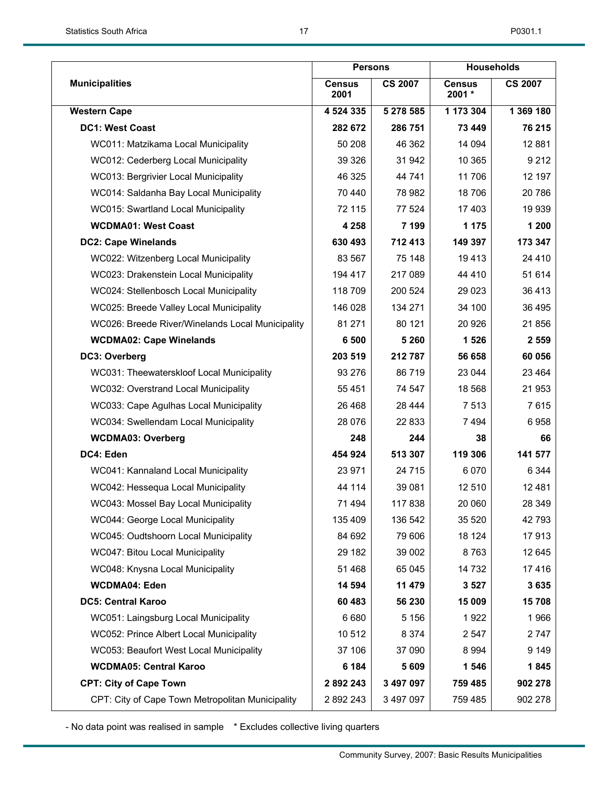|                                                  | <b>Persons</b>        |                | <b>Households</b>       |                |  |
|--------------------------------------------------|-----------------------|----------------|-------------------------|----------------|--|
| <b>Municipalities</b>                            | <b>Census</b><br>2001 | <b>CS 2007</b> | <b>Census</b><br>2001 * | <b>CS 2007</b> |  |
| <b>Western Cape</b>                              | 4 524 335             | 5 278 585      | 1 173 304               | 1 369 180      |  |
| <b>DC1: West Coast</b>                           | 282 672               | 286 751        | 73 449                  | 76 215         |  |
| WC011: Matzikama Local Municipality              | 50 208                | 46 362         | 14 094                  | 12881          |  |
| WC012: Cederberg Local Municipality              | 39 3 26               | 31 942         | 10 365                  | 9 2 1 2        |  |
| WC013: Bergrivier Local Municipality             | 46 325                | 44 741         | 11706                   | 12 197         |  |
| WC014: Saldanha Bay Local Municipality           | 70 440                | 78 982         | 18706                   | 20 786         |  |
| WC015: Swartland Local Municipality              | 72 115                | 77 524         | 17 403                  | 19 939         |  |
| <b>WCDMA01: West Coast</b>                       | 4 2 5 8               | 7 199          | 1 1 7 5                 | 1 200          |  |
| <b>DC2: Cape Winelands</b>                       | 630 493               | 712 413        | 149 397                 | 173 347        |  |
| WC022: Witzenberg Local Municipality             | 83 567                | 75 148         | 19413                   | 24 4 10        |  |
| WC023: Drakenstein Local Municipality            | 194 417               | 217 089        | 44 4 10                 | 51 614         |  |
| WC024: Stellenbosch Local Municipality           | 118 709               | 200 524        | 29 0 23                 | 36 413         |  |
| WC025: Breede Valley Local Municipality          | 146 028               | 134 271        | 34 100                  | 36 495         |  |
| WC026: Breede River/Winelands Local Municipality | 81 271                | 80 121         | 20 9 26                 | 21 856         |  |
| <b>WCDMA02: Cape Winelands</b>                   | 6 500                 | 5 2 6 0        | 1 5 2 6                 | 2 5 5 9        |  |
| DC3: Overberg                                    | 203 519               | 212 787        | 56 658                  | 60 056         |  |
| WC031: Theewaterskloof Local Municipality        | 93 276                | 86719          | 23 044                  | 23 4 64        |  |
| WC032: Overstrand Local Municipality             | 55 4 51               | 74 547         | 18 5 68                 | 21 953         |  |
| WC033: Cape Agulhas Local Municipality           | 26 4 68               | 28 4 44        | 7513                    | 7615           |  |
| WC034: Swellendam Local Municipality             | 28 0 76               | 22 833         | 7494                    | 6958           |  |
| <b>WCDMA03: Overberg</b>                         | 248                   | 244            | 38                      | 66             |  |
| DC4: Eden                                        | 454 924               | 513 307        | 119 306                 | 141 577        |  |
| WC041: Kannaland Local Municipality              | 23 971                | 24 7 15        | 6 0 7 0                 | 6 3 4 4        |  |
| WC042: Hessequa Local Municipality               | 44 114                | 39 081         | 12 510                  | 12 4 8 1       |  |
| WC043: Mossel Bay Local Municipality             | 71 494                | 117838         | 20 060                  | 28 349         |  |
| WC044: George Local Municipality                 | 135 409               | 136 542        | 35 5 20                 | 42 793         |  |
| WC045: Oudtshoorn Local Municipality             | 84 692                | 79 606         | 18 124                  | 17913          |  |
| WC047: Bitou Local Municipality                  | 29 182                | 39 002         | 8763                    | 12 645         |  |
| WC048: Knysna Local Municipality                 | 51 468                | 65 045         | 14 732                  | 17416          |  |
| <b>WCDMA04: Eden</b>                             | 14 594                | 11 479         | 3 5 27                  | 3635           |  |
| <b>DC5: Central Karoo</b>                        | 60 483                | 56 230         | 15 009                  | 15708          |  |
| WC051: Laingsburg Local Municipality             | 6 6 8 0               | 5 1 5 6        | 1922                    | 1966           |  |
| WC052: Prince Albert Local Municipality          | 10512                 | 8 3 7 4        | 2 5 4 7                 | 2 747          |  |
| WC053: Beaufort West Local Municipality          | 37 106                | 37 090         | 8 9 9 4                 | 9 1 4 9        |  |
| <b>WCDMA05: Central Karoo</b>                    | 6 184                 | 5 6 0 9        | 1 546                   | 1845           |  |
| <b>CPT: City of Cape Town</b>                    | 2 892 243             | 3 497 097      | 759 485                 | 902 278        |  |
| CPT: City of Cape Town Metropolitan Municipality | 2 892 243             | 3 497 097      | 759 485                 | 902 278        |  |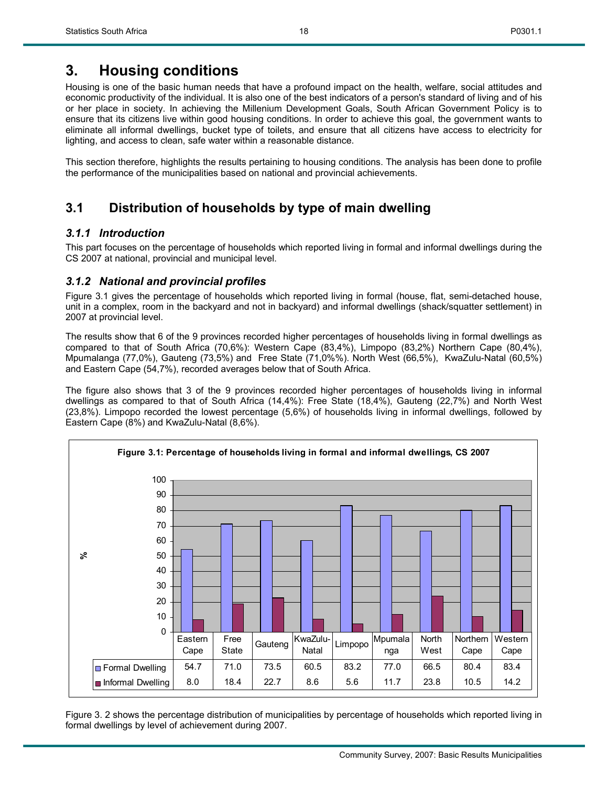## **3. Housing conditions**

Housing is one of the basic human needs that have a profound impact on the health, welfare, social attitudes and economic productivity of the individual. It is also one of the best indicators of a person's standard of living and of his or her place in society. In achieving the Millenium Development Goals, South African Government Policy is to ensure that its citizens live within good housing conditions. In order to achieve this goal, the government wants to eliminate all informal dwellings, bucket type of toilets, and ensure that all citizens have access to electricity for lighting, and access to clean, safe water within a reasonable distance.

18

This section therefore, highlights the results pertaining to housing conditions. The analysis has been done to profile the performance of the municipalities based on national and provincial achievements.

## **3.1 Distribution of households by type of main dwelling**

## *3.1.1 Introduction*

This part focuses on the percentage of households which reported living in formal and informal dwellings during the CS 2007 at national, provincial and municipal level.

## *3.1.2 National and provincial profiles*

Figure 3.1 gives the percentage of households which reported living in formal (house, flat, semi-detached house, unit in a complex, room in the backyard and not in backyard) and informal dwellings (shack/squatter settlement) in 2007 at provincial level.

The results show that 6 of the 9 provinces recorded higher percentages of households living in formal dwellings as compared to that of South Africa (70,6%): Western Cape (83,4%), Limpopo (83,2%) Northern Cape (80,4%), Mpumalanga (77,0%), Gauteng (73,5%) and Free State (71,0%%). North West (66,5%), KwaZulu-Natal (60,5%) and Eastern Cape (54,7%), recorded averages below that of South Africa.

The figure also shows that 3 of the 9 provinces recorded higher percentages of households living in informal dwellings as compared to that of South Africa (14,4%): Free State (18,4%), Gauteng (22,7%) and North West (23,8%). Limpopo recorded the lowest percentage (5,6%) of households living in informal dwellings, followed by Eastern Cape (8%) and KwaZulu-Natal (8,6%).



Figure 3. 2 shows the percentage distribution of municipalities by percentage of households which reported living in formal dwellings by level of achievement during 2007.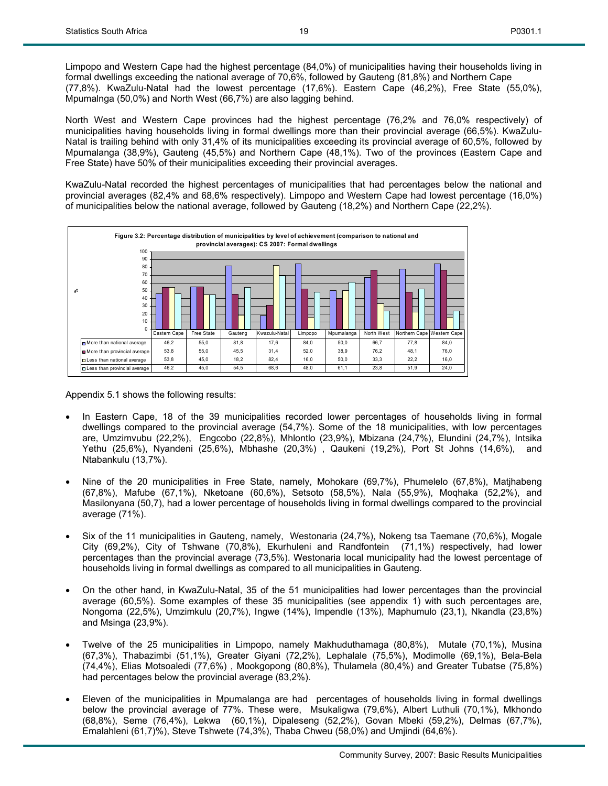North West and Western Cape provinces had the highest percentage (76,2% and 76,0% respectively) of municipalities having households living in formal dwellings more than their provincial average (66,5%). KwaZulu-Natal is trailing behind with only 31,4% of its municipalities exceeding its provincial average of 60,5%, followed by Mpumalanga (38,9%), Gauteng (45,5%) and Northern Cape (48,1%). Two of the provinces (Eastern Cape and Free State) have 50% of their municipalities exceeding their provincial averages.

KwaZulu-Natal recorded the highest percentages of municipalities that had percentages below the national and provincial averages (82,4% and 68,6% respectively). Limpopo and Western Cape had lowest percentage (16,0%) of municipalities below the national average, followed by Gauteng (18,2%) and Northern Cape (22,2%).



Appendix 5.1 shows the following results:

- In Eastern Cape, 18 of the 39 municipalities recorded lower percentages of households living in formal dwellings compared to the provincial average (54,7%). Some of the 18 municipalities, with low percentages are, Umzimvubu (22,2%), Engcobo (22,8%), Mhlontlo (23,9%), Mbizana (24,7%), Elundini (24,7%), Intsika Yethu (25,6%), Nyandeni (25,6%), Mbhashe (20,3%) , Qaukeni (19,2%), Port St Johns (14,6%), and Ntabankulu (13,7%).
- Nine of the 20 municipalities in Free State, namely, Mohokare (69,7%), Phumelelo (67,8%), Matjhabeng (67,8%), Mafube (67,1%), Nketoane (60,6%), Setsoto (58,5%), Nala (55,9%), Moqhaka (52,2%), and Masilonyana (50,7), had a lower percentage of households living in formal dwellings compared to the provincial average (71%).
- Six of the 11 municipalities in Gauteng, namely, Westonaria (24,7%), Nokeng tsa Taemane (70,6%), Mogale City (69,2%), City of Tshwane (70,8%), Ekurhuleni and Randfontein (71,1%) respectively, had lower percentages than the provincial average (73,5%). Westonaria local municipality had the lowest percentage of households living in formal dwellings as compared to all municipalities in Gauteng.
- On the other hand, in KwaZulu-Natal, 35 of the 51 municipalities had lower percentages than the provincial average (60,5%). Some examples of these 35 municipalities (see appendix 1) with such percentages are, Nongoma (22,5%), Umzimkulu (20,7%), Ingwe (14%), Impendle (13%), Maphumulo (23,1), Nkandla (23,8%) and Msinga (23,9%).
- Twelve of the 25 municipalities in Limpopo, namely Makhuduthamaga (80,8%), Mutale (70,1%), Musina (67,3%), Thabazimbi (51,1%), Greater Giyani (72,2%), Lephalale (75,5%), Modimolle (69,1%), Bela-Bela (74,4%), Elias Motsoaledi (77,6%) , Mookgopong (80,8%), Thulamela (80,4%) and Greater Tubatse (75,8%) had percentages below the provincial average (83,2%).
- Eleven of the municipalities in Mpumalanga are had percentages of households living in formal dwellings below the provincial average of 77%. These were, Msukaligwa (79,6%), Albert Luthuli (70,1%), Mkhondo (68,8%), Seme (76,4%), Lekwa (60,1%), Dipaleseng (52,2%), Govan Mbeki (59,2%), Delmas (67,7%), Emalahleni (61,7)%), Steve Tshwete (74,3%), Thaba Chweu (58,0%) and Umjindi (64,6%).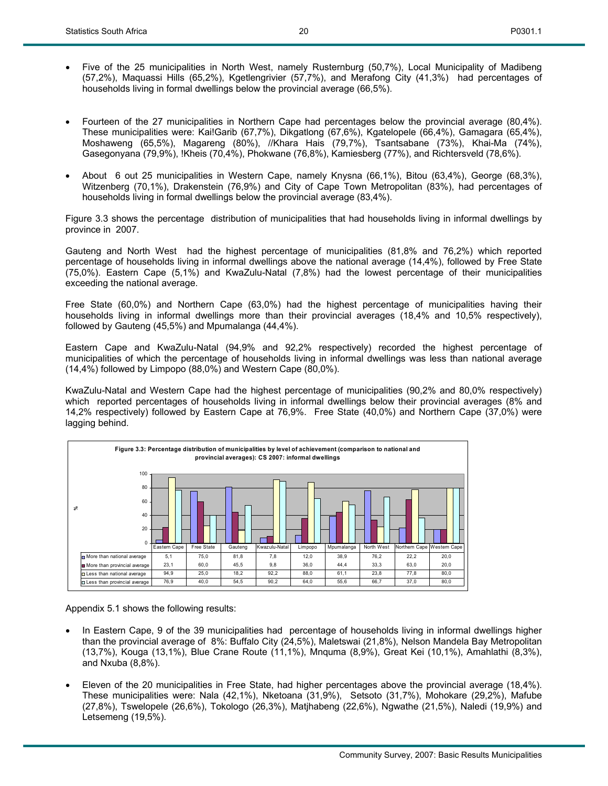• Five of the 25 municipalities in North West, namely Rusternburg (50,7%), Local Municipality of Madibeng (57,2%), Maquassi Hills (65,2%), Kgetlengrivier (57,7%), and Merafong City (41,3%) had percentages of households living in formal dwellings below the provincial average (66,5%).

20

- Fourteen of the 27 municipalities in Northern Cape had percentages below the provincial average (80,4%). These municipalities were: Kai!Garib (67,7%), Dikgatlong (67,6%), Kgatelopele (66,4%), Gamagara (65,4%), Moshaweng (65,5%), Magareng (80%), //Khara Hais (79,7%), Tsantsabane (73%), Khai-Ma (74%), Gasegonyana (79,9%), !Kheis (70,4%), Phokwane (76,8%), Kamiesberg (77%), and Richtersveld (78,6%).
- About 6 out 25 municipalities in Western Cape, namely Knysna (66,1%), Bitou (63,4%), George (68,3%), Witzenberg (70,1%), Drakenstein (76,9%) and City of Cape Town Metropolitan (83%), had percentages of households living in formal dwellings below the provincial average (83,4%).

Figure 3.3 shows the percentage distribution of municipalities that had households living in informal dwellings by province in 2007.

Gauteng and North West had the highest percentage of municipalities (81,8% and 76,2%) which reported percentage of households living in informal dwellings above the national average (14,4%), followed by Free State (75,0%). Eastern Cape (5,1%) and KwaZulu-Natal (7,8%) had the lowest percentage of their municipalities exceeding the national average.

Free State (60,0%) and Northern Cape (63,0%) had the highest percentage of municipalities having their households living in informal dwellings more than their provincial averages (18,4% and 10,5% respectively), followed by Gauteng (45,5%) and Mpumalanga (44,4%).

Eastern Cape and KwaZulu-Natal (94,9% and 92,2% respectively) recorded the highest percentage of municipalities of which the percentage of households living in informal dwellings was less than national average (14,4%) followed by Limpopo (88,0%) and Western Cape (80,0%).

KwaZulu-Natal and Western Cape had the highest percentage of municipalities (90,2% and 80,0% respectively) which reported percentages of households living in informal dwellings below their provincial averages (8% and 14,2% respectively) followed by Eastern Cape at 76,9%. Free State (40,0%) and Northern Cape (37,0%) were lagging behind.



Appendix 5.1 shows the following results:

- In Eastern Cape, 9 of the 39 municipalities had percentage of households living in informal dwellings higher than the provincial average of 8%: Buffalo City (24,5%), Maletswai (21,8%), Nelson Mandela Bay Metropolitan (13,7%), Kouga (13,1%), Blue Crane Route (11,1%), Mnquma (8,9%), Great Kei (10,1%), Amahlathi (8,3%), and Nxuba (8,8%).
- Eleven of the 20 municipalities in Free State, had higher percentages above the provincial average (18,4%). These municipalities were: Nala (42,1%), Nketoana (31,9%), Setsoto (31,7%), Mohokare (29,2%), Mafube (27,8%), Tswelopele (26,6%), Tokologo (26,3%), Matjhabeng (22,6%), Ngwathe (21,5%), Naledi (19,9%) and Letsemeng (19,5%).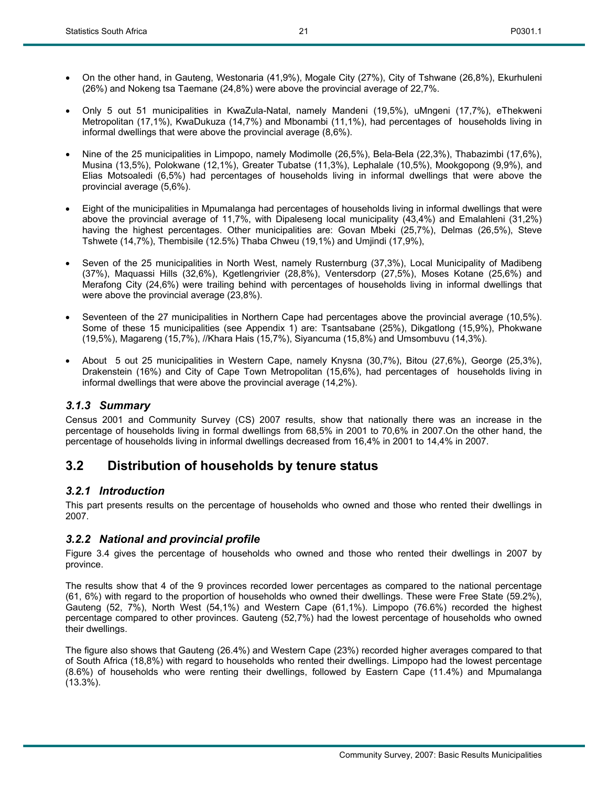- On the other hand, in Gauteng, Westonaria (41,9%), Mogale City (27%), City of Tshwane (26,8%), Ekurhuleni (26%) and Nokeng tsa Taemane (24,8%) were above the provincial average of 22,7%.
- Only 5 out 51 municipalities in KwaZula-Natal, namely Mandeni (19,5%), uMngeni (17,7%), eThekweni Metropolitan (17,1%), KwaDukuza (14,7%) and Mbonambi (11,1%), had percentages of households living in informal dwellings that were above the provincial average (8,6%).
- Nine of the 25 municipalities in Limpopo, namely Modimolle (26,5%), Bela-Bela (22,3%), Thabazimbi (17,6%), Musina (13,5%), Polokwane (12,1%), Greater Tubatse (11,3%), Lephalale (10,5%), Mookgopong (9,9%), and Elias Motsoaledi (6,5%) had percentages of households living in informal dwellings that were above the provincial average (5,6%).
- Eight of the municipalities in Mpumalanga had percentages of households living in informal dwellings that were above the provincial average of 11,7%, with Dipaleseng local municipality (43,4%) and Emalahleni (31,2%) having the highest percentages. Other municipalities are: Govan Mbeki (25,7%), Delmas (26,5%), Steve Tshwete (14,7%), Thembisile (12.5%) Thaba Chweu (19,1%) and Umjindi (17,9%),
- Seven of the 25 municipalities in North West, namely Rusternburg (37,3%), Local Municipality of Madibeng (37%), Maquassi Hills (32,6%), Kgetlengrivier (28,8%), Ventersdorp (27,5%), Moses Kotane (25,6%) and Merafong City (24,6%) were trailing behind with percentages of households living in informal dwellings that were above the provincial average (23,8%).
- Seventeen of the 27 municipalities in Northern Cape had percentages above the provincial average (10,5%). Some of these 15 municipalities (see Appendix 1) are: Tsantsabane (25%), Dikgatlong (15,9%), Phokwane (19,5%), Magareng (15,7%), //Khara Hais (15,7%), Siyancuma (15,8%) and Umsombuvu (14,3%).
- About 5 out 25 municipalities in Western Cape, namely Knysna (30,7%), Bitou (27,6%), George (25,3%), Drakenstein (16%) and City of Cape Town Metropolitan (15,6%), had percentages of households living in informal dwellings that were above the provincial average (14,2%).

#### *3.1.3 Summary*

Census 2001 and Community Survey (CS) 2007 results, show that nationally there was an increase in the percentage of households living in formal dwellings from 68,5% in 2001 to 70,6% in 2007.On the other hand, the percentage of households living in informal dwellings decreased from 16,4% in 2001 to 14,4% in 2007.

## **3.2 Distribution of households by tenure status**

#### *3.2.1 Introduction*

This part presents results on the percentage of households who owned and those who rented their dwellings in 2007.

#### *3.2.2 National and provincial profile*

Figure 3.4 gives the percentage of households who owned and those who rented their dwellings in 2007 by province.

The results show that 4 of the 9 provinces recorded lower percentages as compared to the national percentage (61, 6%) with regard to the proportion of households who owned their dwellings. These were Free State (59.2%), Gauteng (52, 7%), North West (54,1%) and Western Cape (61,1%). Limpopo (76.6%) recorded the highest percentage compared to other provinces. Gauteng (52,7%) had the lowest percentage of households who owned their dwellings.

The figure also shows that Gauteng (26.4%) and Western Cape (23%) recorded higher averages compared to that of South Africa (18,8%) with regard to households who rented their dwellings. Limpopo had the lowest percentage (8.6%) of households who were renting their dwellings, followed by Eastern Cape (11.4%) and Mpumalanga (13.3%).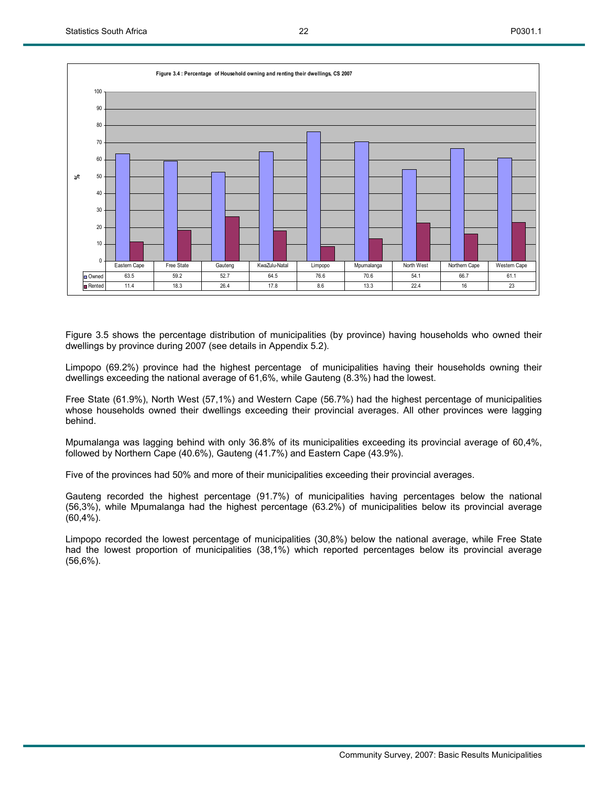

Figure 3.5 shows the percentage distribution of municipalities (by province) having households who owned their dwellings by province during 2007 (see details in Appendix 5.2).

Limpopo (69.2%) province had the highest percentage of municipalities having their households owning their dwellings exceeding the national average of 61,6%, while Gauteng (8.3%) had the lowest.

Free State (61.9%), North West (57,1%) and Western Cape (56.7%) had the highest percentage of municipalities whose households owned their dwellings exceeding their provincial averages. All other provinces were lagging behind.

Mpumalanga was lagging behind with only 36.8% of its municipalities exceeding its provincial average of 60,4%, followed by Northern Cape (40.6%), Gauteng (41.7%) and Eastern Cape (43.9%).

Five of the provinces had 50% and more of their municipalities exceeding their provincial averages.

Gauteng recorded the highest percentage (91.7%) of municipalities having percentages below the national (56,3%), while Mpumalanga had the highest percentage (63.2%) of municipalities below its provincial average (60,4%).

Limpopo recorded the lowest percentage of municipalities (30,8%) below the national average, while Free State had the lowest proportion of municipalities (38,1%) which reported percentages below its provincial average (56,6%).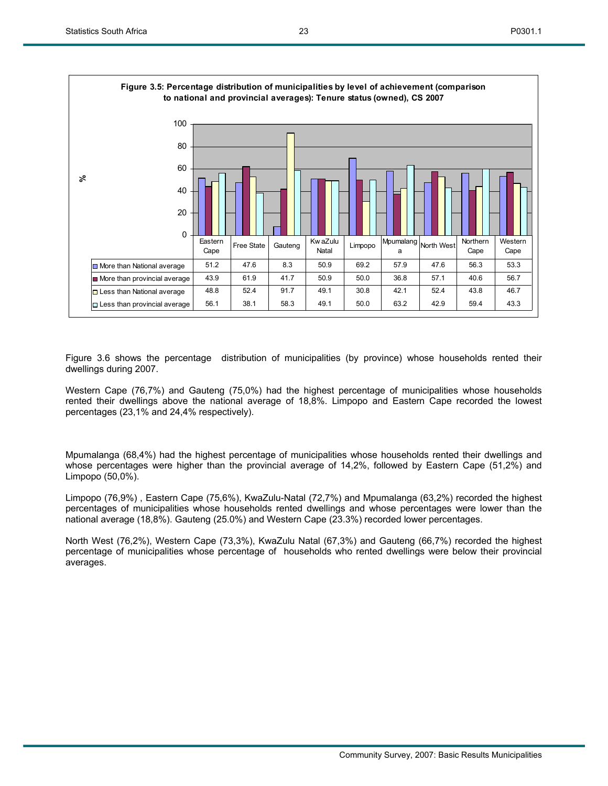

Figure 3.6 shows the percentage distribution of municipalities (by province) whose households rented their dwellings during 2007.

Western Cape (76,7%) and Gauteng (75,0%) had the highest percentage of municipalities whose households rented their dwellings above the national average of 18,8%. Limpopo and Eastern Cape recorded the lowest percentages (23,1% and 24,4% respectively).

Mpumalanga (68,4%) had the highest percentage of municipalities whose households rented their dwellings and whose percentages were higher than the provincial average of 14,2%, followed by Eastern Cape (51,2%) and Limpopo (50,0%).

Limpopo (76,9%) , Eastern Cape (75,6%), KwaZulu-Natal (72,7%) and Mpumalanga (63,2%) recorded the highest percentages of municipalities whose households rented dwellings and whose percentages were lower than the national average (18,8%). Gauteng (25.0%) and Western Cape (23.3%) recorded lower percentages.

North West (76,2%), Western Cape (73,3%), KwaZulu Natal (67,3%) and Gauteng (66,7%) recorded the highest percentage of municipalities whose percentage of households who rented dwellings were below their provincial averages.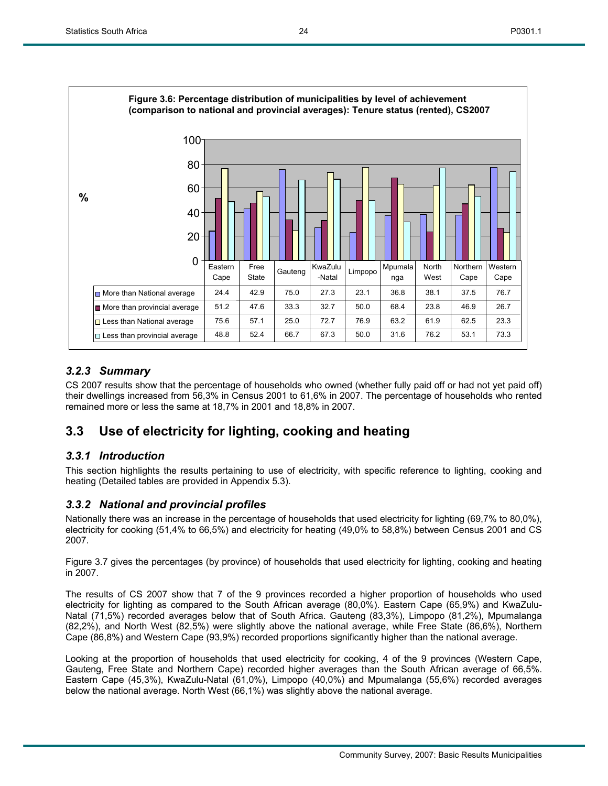

## *3.2.3 Summary*

CS 2007 results show that the percentage of households who owned (whether fully paid off or had not yet paid off) their dwellings increased from 56,3% in Census 2001 to 61,6% in 2007. The percentage of households who rented remained more or less the same at 18,7% in 2001 and 18,8% in 2007.

## **3.3 Use of electricity for lighting, cooking and heating**

## *3.3.1 Introduction*

This section highlights the results pertaining to use of electricity, with specific reference to lighting, cooking and heating (Detailed tables are provided in Appendix 5.3).

## *3.3.2 National and provincial profiles*

Nationally there was an increase in the percentage of households that used electricity for lighting (69,7% to 80,0%), electricity for cooking (51,4% to 66,5%) and electricity for heating (49,0% to 58,8%) between Census 2001 and CS 2007.

Figure 3.7 gives the percentages (by province) of households that used electricity for lighting, cooking and heating in 2007.

The results of CS 2007 show that 7 of the 9 provinces recorded a higher proportion of households who used electricity for lighting as compared to the South African average (80,0%). Eastern Cape (65,9%) and KwaZulu-Natal (71,5%) recorded averages below that of South Africa. Gauteng (83,3%), Limpopo (81,2%), Mpumalanga (82,2%), and North West (82,5%) were slightly above the national average, while Free State (86,6%), Northern Cape (86,8%) and Western Cape (93,9%) recorded proportions significantly higher than the national average.

Looking at the proportion of households that used electricity for cooking, 4 of the 9 provinces (Western Cape, Gauteng, Free State and Northern Cape) recorded higher averages than the South African average of 66,5%. Eastern Cape (45,3%), KwaZulu-Natal (61,0%), Limpopo (40,0%) and Mpumalanga (55,6%) recorded averages below the national average. North West (66,1%) was slightly above the national average.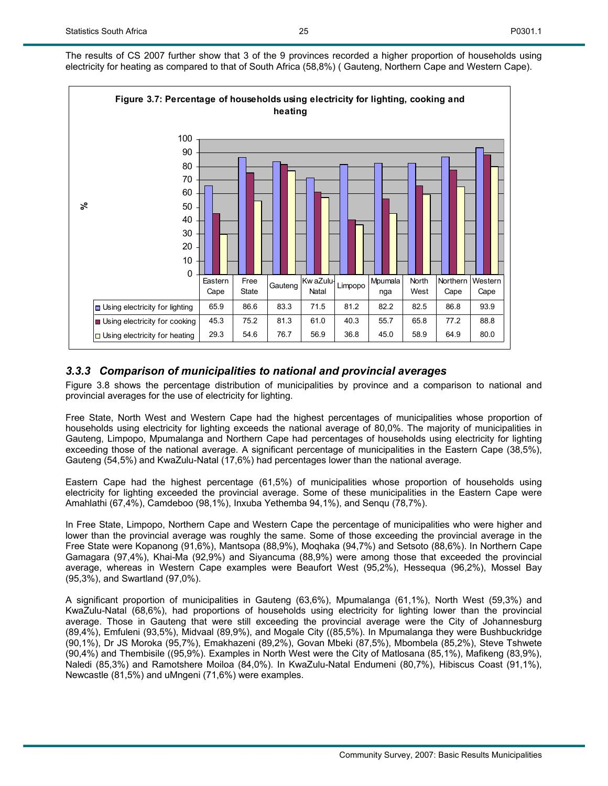

## *3.3.3 Comparison of municipalities to national and provincial averages*

Figure 3.8 shows the percentage distribution of municipalities by province and a comparison to national and provincial averages for the use of electricity for lighting.

Free State, North West and Western Cape had the highest percentages of municipalities whose proportion of households using electricity for lighting exceeds the national average of 80,0%. The majority of municipalities in Gauteng, Limpopo, Mpumalanga and Northern Cape had percentages of households using electricity for lighting exceeding those of the national average. A significant percentage of municipalities in the Eastern Cape (38,5%), Gauteng (54,5%) and KwaZulu-Natal (17,6%) had percentages lower than the national average.

Eastern Cape had the highest percentage (61,5%) of municipalities whose proportion of households using electricity for lighting exceeded the provincial average. Some of these municipalities in the Eastern Cape were Amahlathi (67,4%), Camdeboo (98,1%), Inxuba Yethemba 94,1%), and Senqu (78,7%).

In Free State, Limpopo, Northern Cape and Western Cape the percentage of municipalities who were higher and lower than the provincial average was roughly the same. Some of those exceeding the provincial average in the Free State were Kopanong (91,6%), Mantsopa (88,9%), Moqhaka (94,7%) and Setsoto (88,6%). In Northern Cape Gamagara (97,4%), Khai-Ma (92,9%) and Siyancuma (88,9%) were among those that exceeded the provincial average, whereas in Western Cape examples were Beaufort West (95,2%), Hessequa (96,2%), Mossel Bay (95,3%), and Swartland (97,0%).

A significant proportion of municipalities in Gauteng (63,6%), Mpumalanga (61,1%), North West (59,3%) and KwaZulu-Natal (68,6%), had proportions of households using electricity for lighting lower than the provincial average. Those in Gauteng that were still exceeding the provincial average were the City of Johannesburg (89,4%), Emfuleni (93,5%), Midvaal (89,9%), and Mogale City ((85,5%). In Mpumalanga they were Bushbuckridge (90,1%), Dr JS Moroka (95,7%), Emakhazeni (89,2%), Govan Mbeki (87,5%), Mbombela (85,2%), Steve Tshwete (90,4%) and Thembisile ((95,9%). Examples in North West were the City of Matlosana (85,1%), Mafikeng (83,9%), Naledi (85,3%) and Ramotshere Moiloa (84,0%). In KwaZulu-Natal Endumeni (80,7%), Hibiscus Coast (91,1%), Newcastle (81,5%) and uMngeni (71,6%) were examples.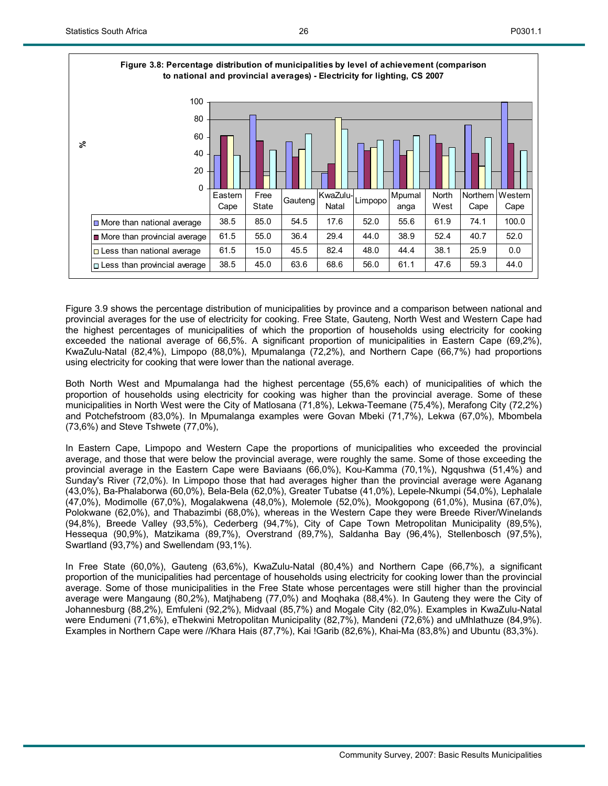

| 100<br>80<br>60<br>వి<br>40<br>20<br>0 | Eastern      | Free          | Gauteng | KwaZulu-<br>Natal | Limpopo | Mpumal       | North        | Northern     | Western       |
|----------------------------------------|--------------|---------------|---------|-------------------|---------|--------------|--------------|--------------|---------------|
| $\Box$ More than national average      | Cape<br>38.5 | State<br>85.0 | 54.5    | 17.6              | 52.0    | anga<br>55.6 | West<br>61.9 | Cape<br>74.1 | Cape<br>100.0 |
|                                        |              |               |         |                   |         |              |              |              |               |
| More than provincial average           | 61.5         | 55.0          | 36.4    | 29.4              | 44.0    | 38.9         | 52.4         | 40.7         | 52.0          |
| $\Box$ Less than national average      | 61.5         | 15.0          | 45.5    | 82.4              | 48.0    | 44.4         | 38.1         | 25.9         | 0.0           |
| $\Box$ Less than provincial average    | 38.5         | 45.0          | 63.6    | 68.6              | 56.0    | 61.1         | 47.6         | 59.3         | 44.0          |

Figure 3.9 shows the percentage distribution of municipalities by province and a comparison between national and provincial averages for the use of electricity for cooking. Free State, Gauteng, North West and Western Cape had the highest percentages of municipalities of which the proportion of households using electricity for cooking exceeded the national average of 66,5%. A significant proportion of municipalities in Eastern Cape (69,2%), KwaZulu-Natal (82,4%), Limpopo (88,0%), Mpumalanga (72,2%), and Northern Cape (66,7%) had proportions using electricity for cooking that were lower than the national average.

Both North West and Mpumalanga had the highest percentage (55,6% each) of municipalities of which the proportion of households using electricity for cooking was higher than the provincial average. Some of these municipalities in North West were the City of Matlosana (71,8%), Lekwa-Teemane (75,4%), Merafong City (72,2%) and Potchefstroom (83,0%). In Mpumalanga examples were Govan Mbeki (71,7%), Lekwa (67,0%), Mbombela (73,6%) and Steve Tshwete (77,0%),

In Eastern Cape, Limpopo and Western Cape the proportions of municipalities who exceeded the provincial average, and those that were below the provincial average, were roughly the same. Some of those exceeding the provincial average in the Eastern Cape were Baviaans (66,0%), Kou-Kamma (70,1%), Ngqushwa (51,4%) and Sunday's River (72,0%). In Limpopo those that had averages higher than the provincial average were Aganang (43,0%), Ba-Phalaborwa (60,0%), Bela-Bela (62,0%), Greater Tubatse (41,0%), Lepele-Nkumpi (54,0%), Lephalale (47,0%), Modimolle (67,0%), Mogalakwena (48,0%), Molemole (52,0%), Mookgopong (61,0%), Musina (67,0%), Polokwane (62,0%), and Thabazimbi (68,0%), whereas in the Western Cape they were Breede River/Winelands (94,8%), Breede Valley (93,5%), Cederberg (94,7%), City of Cape Town Metropolitan Municipality (89,5%), Hessequa (90,9%), Matzikama (89,7%), Overstrand (89,7%), Saldanha Bay (96,4%), Stellenbosch (97,5%), Swartland (93,7%) and Swellendam (93,1%).

In Free State (60,0%), Gauteng (63,6%), KwaZulu-Natal (80,4%) and Northern Cape (66,7%), a significant proportion of the municipalities had percentage of households using electricity for cooking lower than the provincial average. Some of those municipalities in the Free State whose percentages were still higher than the provincial average were Mangaung (80,2%), Matjhabeng (77,0%) and Moqhaka (88,4%). In Gauteng they were the City of Johannesburg (88,2%), Emfuleni (92,2%), Midvaal (85,7%) and Mogale City (82,0%). Examples in KwaZulu-Natal were Endumeni (71,6%), eThekwini Metropolitan Municipality (82,7%), Mandeni (72,6%) and uMhlathuze (84,9%). Examples in Northern Cape were //Khara Hais (87,7%), Kai !Garib (82,6%), Khai-Ma (83,8%) and Ubuntu (83,3%).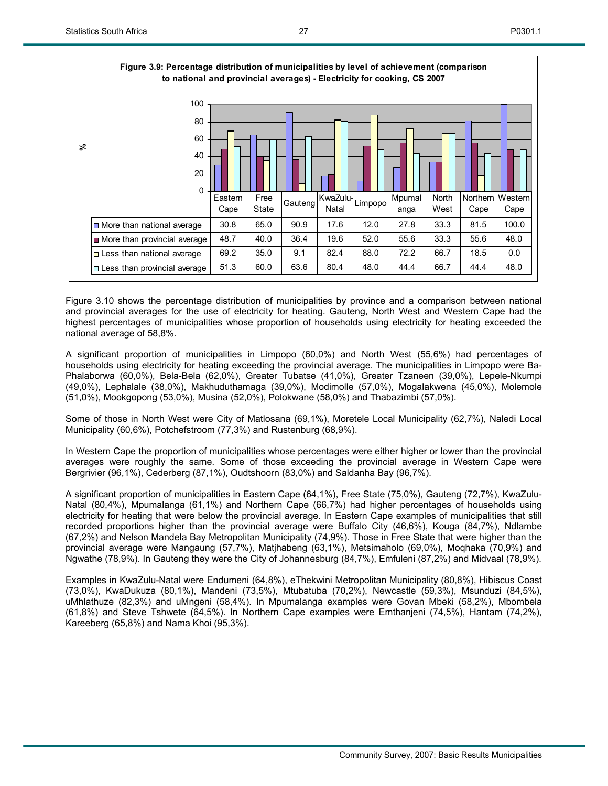

| 100<br>80<br>60<br>వి<br>40<br>20<br>$\mathbf 0$ |                 |               |         |                   |         |                |               | I                       |                 |
|--------------------------------------------------|-----------------|---------------|---------|-------------------|---------|----------------|---------------|-------------------------|-----------------|
|                                                  | Eastern<br>Cape | Free<br>State | Gauteng | KwaZulu-<br>Natal | Limpopo | Mpumal<br>anga | North<br>West | <b>Northern</b><br>Cape | Western<br>Cape |
| $\Box$ More than national average                | 30.8            | 65.0          | 90.9    | 17.6              | 12.0    | 27.8           | 33.3          | 81.5                    | 100.0           |
| More than provincial average                     | 48.7            | 40.0          | 36.4    | 19.6              | 52.0    | 55.6           | 33.3          | 55.6                    | 48.0            |
| $\Box$ Less than national average                | 69.2            | 35.0          | 9.1     | 82.4              | 88.0    | 72.2           | 66.7          | 18.5                    | 0.0             |
| $\Box$ Less than provincial average              | 51.3            | 60.0          | 63.6    | 80.4              | 48.0    | 44.4           | 66.7          | 44.4                    | 48.0            |

Figure 3.10 shows the percentage distribution of municipalities by province and a comparison between national and provincial averages for the use of electricity for heating. Gauteng, North West and Western Cape had the highest percentages of municipalities whose proportion of households using electricity for heating exceeded the national average of 58,8%.

A significant proportion of municipalities in Limpopo (60,0%) and North West (55,6%) had percentages of households using electricity for heating exceeding the provincial average. The municipalities in Limpopo were Ba-Phalaborwa (60,0%), Bela-Bela (62,0%), Greater Tubatse (41,0%), Greater Tzaneen (39,0%), Lepele-Nkumpi (49,0%), Lephalale (38,0%), Makhuduthamaga (39,0%), Modimolle (57,0%), Mogalakwena (45,0%), Molemole (51,0%), Mookgopong (53,0%), Musina (52,0%), Polokwane (58,0%) and Thabazimbi (57,0%).

Some of those in North West were City of Matlosana (69,1%), Moretele Local Municipality (62,7%), Naledi Local Municipality (60,6%), Potchefstroom (77,3%) and Rustenburg (68,9%).

In Western Cape the proportion of municipalities whose percentages were either higher or lower than the provincial averages were roughly the same. Some of those exceeding the provincial average in Western Cape were Bergrivier (96,1%), Cederberg (87,1%), Oudtshoorn (83,0%) and Saldanha Bay (96,7%).

A significant proportion of municipalities in Eastern Cape (64,1%), Free State (75,0%), Gauteng (72,7%), KwaZulu-Natal (80,4%), Mpumalanga (61,1%) and Northern Cape (66,7%) had higher percentages of households using electricity for heating that were below the provincial average. In Eastern Cape examples of municipalities that still recorded proportions higher than the provincial average were Buffalo City (46,6%), Kouga (84,7%), Ndlambe (67,2%) and Nelson Mandela Bay Metropolitan Municipality (74,9%). Those in Free State that were higher than the provincial average were Mangaung (57,7%), Matjhabeng (63,1%), Metsimaholo (69,0%), Moqhaka (70,9%) and Ngwathe (78,9%). In Gauteng they were the City of Johannesburg (84,7%), Emfuleni (87,2%) and Midvaal (78,9%).

Examples in KwaZulu-Natal were Endumeni (64,8%), eThekwini Metropolitan Municipality (80,8%), Hibiscus Coast (73,0%), KwaDukuza (80,1%), Mandeni (73,5%), Mtubatuba (70,2%), Newcastle (59,3%), Msunduzi (84,5%), uMhlathuze (82,3%) and uMngeni (58,4%). In Mpumalanga examples were Govan Mbeki (58,2%), Mbombela (61,8%) and Steve Tshwete (64,5%). In Northern Cape examples were Emthanjeni (74,5%), Hantam (74,2%), Kareeberg (65,8%) and Nama Khoi (95,3%).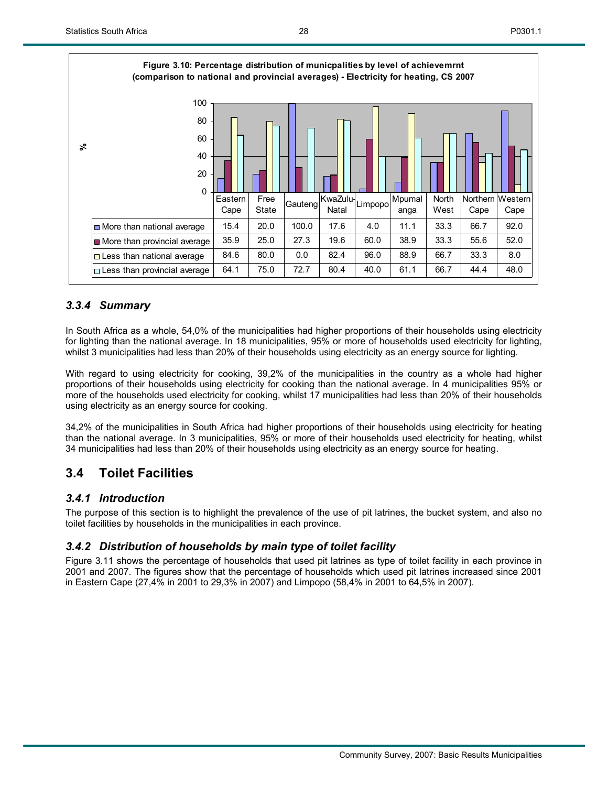

28

## *3.3.4 Summary*

In South Africa as a whole, 54,0% of the municipalities had higher proportions of their households using electricity for lighting than the national average. In 18 municipalities, 95% or more of households used electricity for lighting, whilst 3 municipalities had less than 20% of their households using electricity as an energy source for lighting.

With regard to using electricity for cooking, 39,2% of the municipalities in the country as a whole had higher proportions of their households using electricity for cooking than the national average. In 4 municipalities 95% or more of the households used electricity for cooking, whilst 17 municipalities had less than 20% of their households using electricity as an energy source for cooking.

34,2% of the municipalities in South Africa had higher proportions of their households using electricity for heating than the national average. In 3 municipalities, 95% or more of their households used electricity for heating, whilst 34 municipalities had less than 20% of their households using electricity as an energy source for heating.

## **3.4 Toilet Facilities**

## *3.4.1 Introduction*

The purpose of this section is to highlight the prevalence of the use of pit latrines, the bucket system, and also no toilet facilities by households in the municipalities in each province.

## *3.4.2 Distribution of households by main type of toilet facility*

Figure 3.11 shows the percentage of households that used pit latrines as type of toilet facility in each province in 2001 and 2007. The figures show that the percentage of households which used pit latrines increased since 2001 in Eastern Cape (27,4% in 2001 to 29,3% in 2007) and Limpopo (58,4% in 2001 to 64,5% in 2007).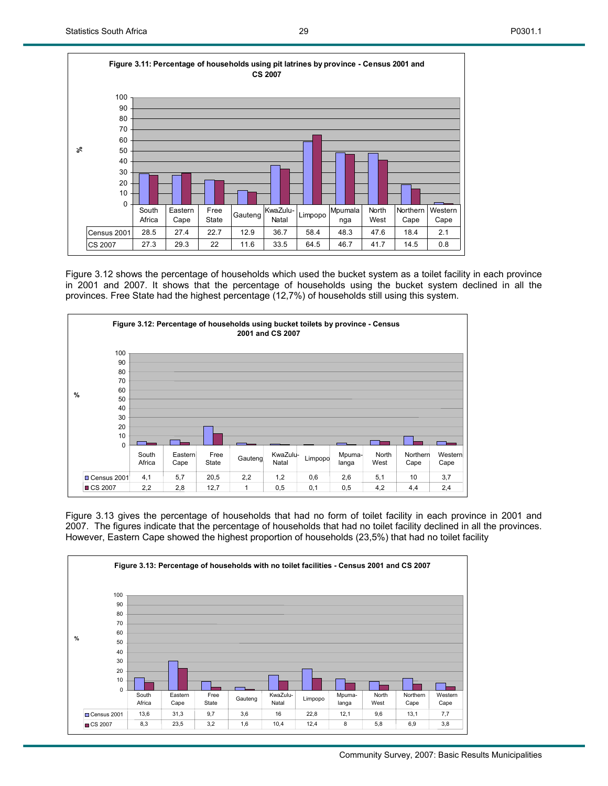

Figure 3.12 shows the percentage of households which used the bucket system as a toilet facility in each province in 2001 and 2007. It shows that the percentage of households using the bucket system declined in all the provinces. Free State had the highest percentage (12,7%) of households still using this system.



Figure 3.13 gives the percentage of households that had no form of toilet facility in each province in 2001 and 2007. The figures indicate that the percentage of households that had no toilet facility declined in all the provinces. However, Eastern Cape showed the highest proportion of households (23,5%) that had no toilet facility

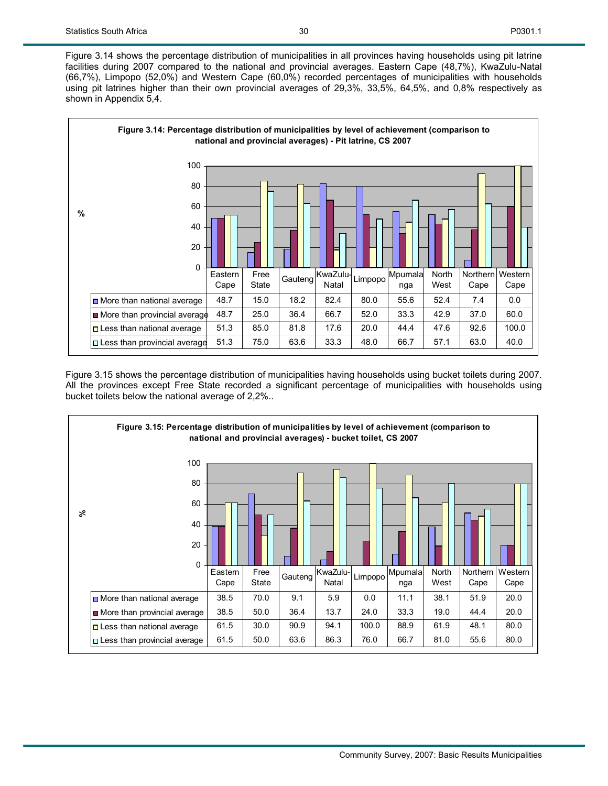Figure 3.14 shows the percentage distribution of municipalities in all provinces having households using pit latrine facilities during 2007 compared to the national and provincial averages. Eastern Cape (48,7%), KwaZulu-Natal (66,7%), Limpopo (52,0%) and Western Cape (60,0%) recorded percentages of municipalities with households using pit latrines higher than their own provincial averages of 29,3%, 33,5%, 64,5%, and 0,8% respectively as shown in Appendix 5,4.



Figure 3.15 shows the percentage distribution of municipalities having households using bucket toilets during 2007. All the provinces except Free State recorded a significant percentage of municipalities with households using bucket toilets below the national average of 2,2%..

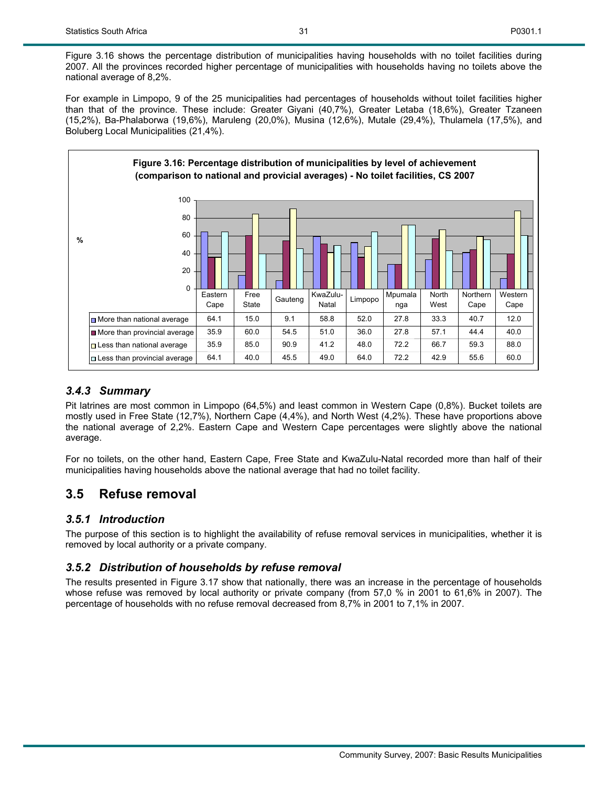Figure 3.16 shows the percentage distribution of municipalities having households with no toilet facilities during 2007. All the provinces recorded higher percentage of municipalities with households having no toilets above the national average of 8,2%.

For example in Limpopo, 9 of the 25 municipalities had percentages of households without toilet facilities higher than that of the province. These include: Greater Giyani (40,7%), Greater Letaba (18,6%), Greater Tzaneen (15,2%), Ba-Phalaborwa (19,6%), Maruleng (20,0%), Musina (12,6%), Mutale (29,4%), Thulamela (17,5%), and Boluberg Local Municipalities (21,4%).



#### *3.4.3 Summary*

Pit latrines are most common in Limpopo (64,5%) and least common in Western Cape (0,8%). Bucket toilets are mostly used in Free State (12,7%), Northern Cape (4,4%), and North West (4,2%). These have proportions above the national average of 2,2%. Eastern Cape and Western Cape percentages were slightly above the national average.

For no toilets, on the other hand, Eastern Cape, Free State and KwaZulu-Natal recorded more than half of their municipalities having households above the national average that had no toilet facility.

## **3.5 Refuse removal**

## *3.5.1 Introduction*

The purpose of this section is to highlight the availability of refuse removal services in municipalities, whether it is removed by local authority or a private company.

## *3.5.2 Distribution of households by refuse removal*

The results presented in Figure 3.17 show that nationally, there was an increase in the percentage of households whose refuse was removed by local authority or private company (from 57,0 % in 2001 to 61,6% in 2007). The percentage of households with no refuse removal decreased from 8,7% in 2001 to 7,1% in 2007.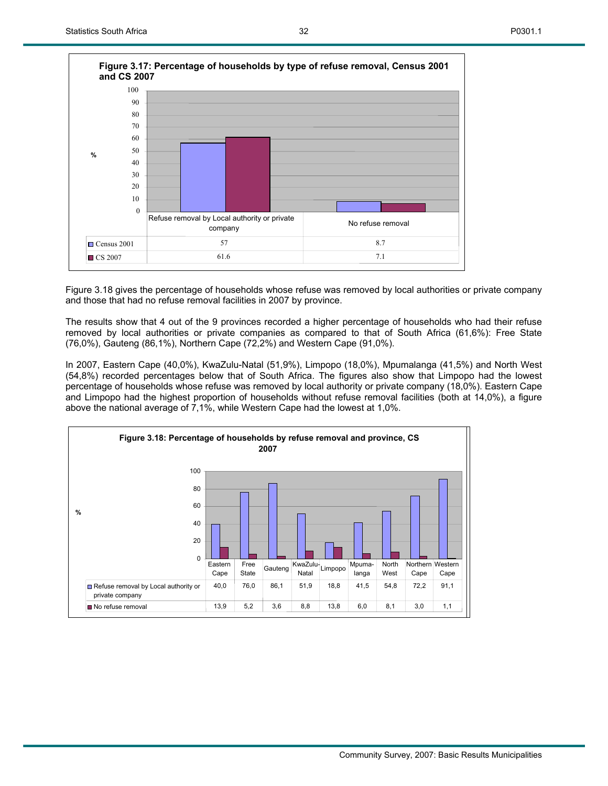

Figure 3.18 gives the percentage of households whose refuse was removed by local authorities or private company and those that had no refuse removal facilities in 2007 by province.

The results show that 4 out of the 9 provinces recorded a higher percentage of households who had their refuse removed by local authorities or private companies as compared to that of South Africa (61,6%): Free State (76,0%), Gauteng (86,1%), Northern Cape (72,2%) and Western Cape (91,0%).

In 2007, Eastern Cape (40,0%), KwaZulu-Natal (51,9%), Limpopo (18,0%), Mpumalanga (41,5%) and North West (54,8%) recorded percentages below that of South Africa. The figures also show that Limpopo had the lowest percentage of households whose refuse was removed by local authority or private company (18,0%). Eastern Cape and Limpopo had the highest proportion of households without refuse removal facilities (both at 14,0%), a figure above the national average of 7,1%, while Western Cape had the lowest at 1,0%.

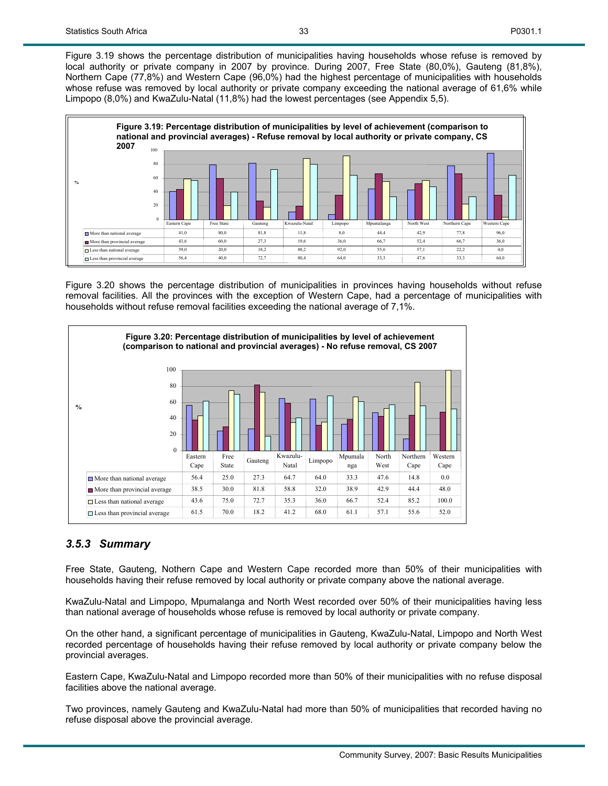Figure 3.19 shows the percentage distribution of municipalities having households whose refuse is removed by local authority or private company in 2007 by province. During 2007, Free State (80,0%), Gauteng (81,8%), Northern Cape (77,8%) and Western Cape (96,0%) had the highest percentage of municipalities with households whose refuse was removed by local authority or private company exceeding the national average of 61,6% while Limpopo (8,0%) and KwaZulu-Natal (11,8%) had the lowest percentages (see Appendix 5,5).



Figure 3.20 shows the percentage distribution of municipalities in provinces having households without refuse removal facilities. All the provinces with the exception of Western Cape, had a percentage of municipalities with households without refuse removal facilities exceeding the national average of 7,1%.



#### *3.5.3 Summary*

Free State, Gauteng, Nothern Cape and Western Cape recorded more than 50% of their municipalities with households having their refuse removed by local authority or private company above the national average.

KwaZulu-Natal and Limpopo, Mpumalanga and North West recorded over 50% of their municipalities having less than national average of households whose refuse is removed by local authority or private company.

On the other hand, a significant percentage of municipalities in Gauteng, KwaZulu-Natal, Limpopo and North West recorded percentage of households having their refuse removed by local authority or private company below the provincial averages.

Eastern Cape, KwaZulu-Natal and Limpopo recorded more than 50% of their municipalities with no refuse disposal facilities above the national average.

Two provinces, namely Gauteng and KwaZulu-Natal had more than 50% of municipalities that recorded having no refuse disposal above the provincial average.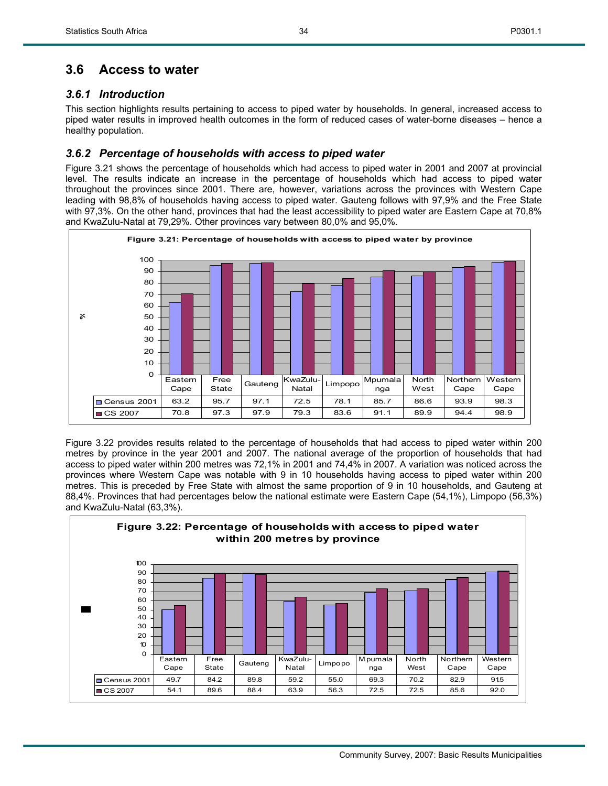## **3.6 Access to water**

## *3.6.1 Introduction*

This section highlights results pertaining to access to piped water by households. In general, increased access to piped water results in improved health outcomes in the form of reduced cases of water-borne diseases – hence a healthy population.

## *3.6.2 Percentage of households with access to piped water*

Figure 3.21 shows the percentage of households which had access to piped water in 2001 and 2007 at provincial level. The results indicate an increase in the percentage of households which had access to piped water throughout the provinces since 2001. There are, however, variations across the provinces with Western Cape leading with 98,8% of households having access to piped water. Gauteng follows with 97,9% and the Free State with 97,3%. On the other hand, provinces that had the least accessibility to piped water are Eastern Cape at 70,8% and KwaZulu-Natal at 79,29%. Other provinces vary between 80,0% and 95,0%.



Figure 3.22 provides results related to the percentage of households that had access to piped water within 200 metres by province in the year 2001 and 2007. The national average of the proportion of households that had access to piped water within 200 metres was 72,1% in 2001 and 74,4% in 2007. A variation was noticed across the provinces where Western Cape was notable with 9 in 10 households having access to piped water within 200 metres. This is preceded by Free State with almost the same proportion of 9 in 10 households, and Gauteng at 88,4%. Provinces that had percentages below the national estimate were Eastern Cape (54,1%), Limpopo (56,3%) and KwaZulu-Natal (63,3%).

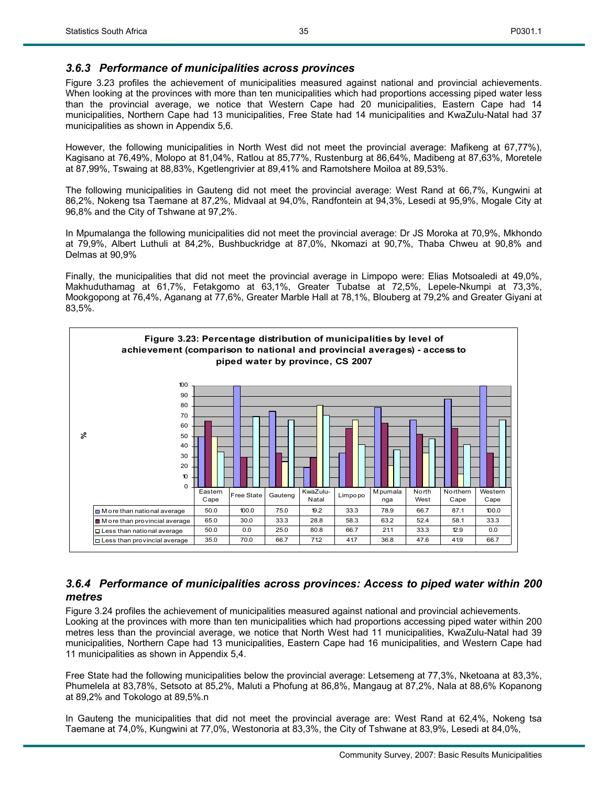#### *3.6.3 Performance of municipalities across provinces*

Figure 3.23 profiles the achievement of municipalities measured against national and provincial achievements. When looking at the provinces with more than ten municipalities which had proportions accessing piped water less than the provincial average, we notice that Western Cape had 20 municipalities, Eastern Cape had 14 municipalities, Northern Cape had 13 municipalities, Free State had 14 municipalities and KwaZulu-Natal had 37 municipalities as shown in Appendix 5,6.

However, the following municipalities in North West did not meet the provincial average: Mafikeng at 67,77%), Kagisano at 76,49%, Molopo at 81,04%, Ratlou at 85,77%, Rustenburg at 86,64%, Madibeng at 87,63%, Moretele at 87,99%, Tswaing at 88,83%, Kgetlengrivier at 89,41% and Ramotshere Moiloa at 89,53%.

The following municipalities in Gauteng did not meet the provincial average: West Rand at 66,7%, Kungwini at 86,2%, Nokeng tsa Taemane at 87,2%, Midvaal at 94,0%, Randfontein at 94,3%, Lesedi at 95,9%, Mogale City at 96,8% and the City of Tshwane at 97,2%.

In Mpumalanga the following municipalities did not meet the provincial average: Dr JS Moroka at 70,9%, Mkhondo at 79,9%, Albert Luthuli at 84,2%, Bushbuckridge at 87,0%, Nkomazi at 90,7%, Thaba Chweu at 90,8% and Delmas at 90,9%

Finally, the municipalities that did not meet the provincial average in Limpopo were: Elias Motsoaledi at 49,0%, Makhuduthamag at 61,7%, Fetakgomo at 63,1%, Greater Tubatse at 72,5%, Lepele-Nkumpi at 73,3%, Mookgopong at 76,4%, Aganang at 77,6%, Greater Marble Hall at 78,1%, Blouberg at 79,2% and Greater Giyani at 83,5%.



#### *3.6.4 Performance of municipalities across provinces: Access to piped water within 200 metres*

Figure 3.24 profiles the achievement of municipalities measured against national and provincial achievements. Looking at the provinces with more than ten municipalities which had proportions accessing piped water within 200 metres less than the provincial average, we notice that North West had 11 municipalities, KwaZulu-Natal had 39 municipalities, Northern Cape had 13 municipalities, Eastern Cape had 16 municipalities, and Western Cape had 11 municipalities as shown in Appendix 5,4.

Free State had the following municipalities below the provincial average: Letsemeng at 77,3%, Nketoana at 83,3%, Phumelela at 83,78%, Setsoto at 85,2%, Maluti a Phofung at 86,8%, Mangaug at 87,2%, Nala at 88,6% Kopanong at 89,2% and Tokologo at 89,5%.n

In Gauteng the municipalities that did not meet the provincial average are: West Rand at 62,4%, Nokeng tsa Taemane at 74,0%, Kungwini at 77,0%, Westonoria at 83,3%, the City of Tshwane at 83,9%, Lesedi at 84,0%,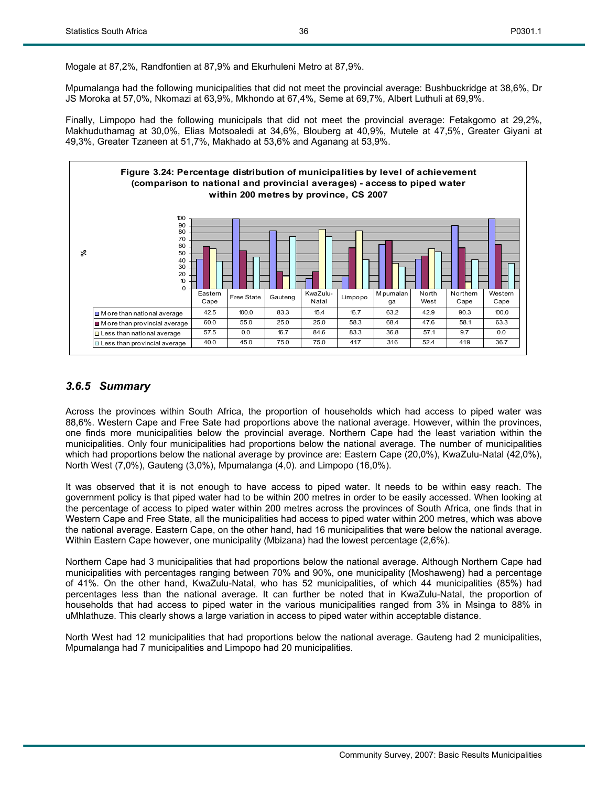Mogale at 87,2%, Randfontien at 87,9% and Ekurhuleni Metro at 87,9%.

Mpumalanga had the following municipalities that did not meet the provincial average: Bushbuckridge at 38,6%, Dr JS Moroka at 57,0%, Nkomazi at 63,9%, Mkhondo at 67,4%, Seme at 69,7%, Albert Luthuli at 69,9%.

Finally, Limpopo had the following municipals that did not meet the provincial average: Fetakgomo at 29,2%, Makhuduthamag at 30,0%, Elias Motsoaledi at 34,6%, Blouberg at 40,9%, Mutele at 47,5%, Greater Giyani at 49,3%, Greater Tzaneen at 51,7%, Makhado at 53,6% and Aganang at 53,9%.



## *3.6.5 Summary*

Across the provinces within South Africa, the proportion of households which had access to piped water was 88,6%. Western Cape and Free Sate had proportions above the national average. However, within the provinces, one finds more municipalities below the provincial average. Northern Cape had the least variation within the municipalities. Only four municipalities had proportions below the national average. The number of municipalities which had proportions below the national average by province are: Eastern Cape (20,0%), KwaZulu-Natal (42,0%), North West (7,0%), Gauteng (3,0%), Mpumalanga (4,0). and Limpopo (16,0%).

It was observed that it is not enough to have access to piped water. It needs to be within easy reach. The government policy is that piped water had to be within 200 metres in order to be easily accessed. When looking at the percentage of access to piped water within 200 metres across the provinces of South Africa, one finds that in Western Cape and Free State, all the municipalities had access to piped water within 200 metres, which was above the national average. Eastern Cape, on the other hand, had 16 municipalities that were below the national average. Within Eastern Cape however, one municipality (Mbizana) had the lowest percentage (2,6%).

Northern Cape had 3 municipalities that had proportions below the national average. Although Northern Cape had municipalities with percentages ranging between 70% and 90%, one municipality (Moshaweng) had a percentage of 41%. On the other hand, KwaZulu-Natal, who has 52 municipalities, of which 44 municipalities (85%) had percentages less than the national average. It can further be noted that in KwaZulu-Natal, the proportion of households that had access to piped water in the various municipalities ranged from 3% in Msinga to 88% in uMhlathuze. This clearly shows a large variation in access to piped water within acceptable distance.

North West had 12 municipalities that had proportions below the national average. Gauteng had 2 municipalities, Mpumalanga had 7 municipalities and Limpopo had 20 municipalities.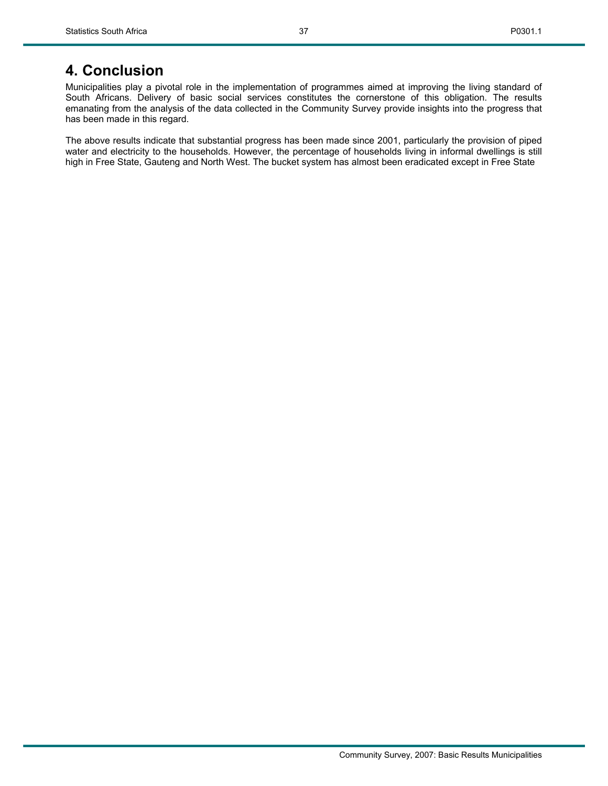## **4. Conclusion**

Municipalities play a pivotal role in the implementation of programmes aimed at improving the living standard of South Africans. Delivery of basic social services constitutes the cornerstone of this obligation. The results emanating from the analysis of the data collected in the Community Survey provide insights into the progress that has been made in this regard.

The above results indicate that substantial progress has been made since 2001, particularly the provision of piped water and electricity to the households. However, the percentage of households living in informal dwellings is still high in Free State, Gauteng and North West. The bucket system has almost been eradicated except in Free State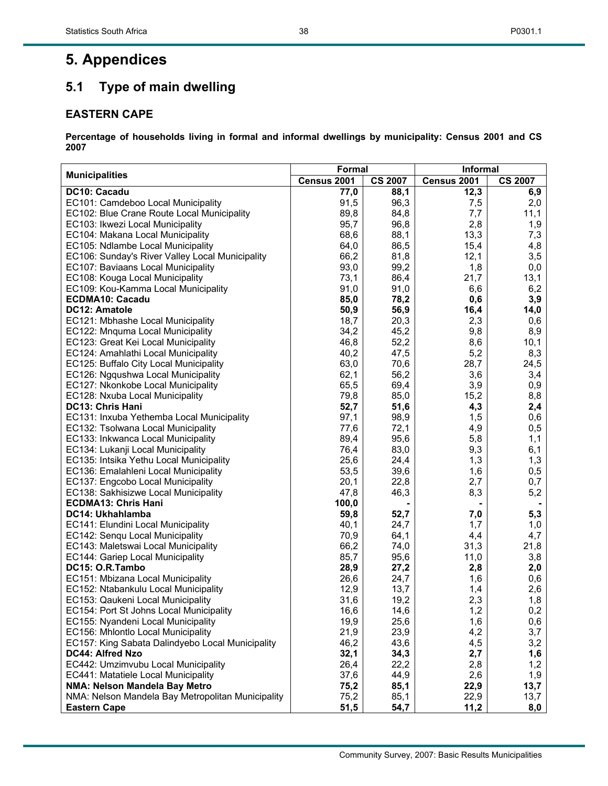# **5. Appendices**

## **5.1 Type of main dwelling**

## **EASTERN CAPE**

|                                                   | Formal      |                | <b>Informal</b> |                |  |  |
|---------------------------------------------------|-------------|----------------|-----------------|----------------|--|--|
| <b>Municipalities</b>                             | Census 2001 | <b>CS 2007</b> | Census 2001     | <b>CS 2007</b> |  |  |
| DC10: Cacadu                                      | 77,0        | 88,1           | 12,3            | 6,9            |  |  |
| EC101: Camdeboo Local Municipality                | 91,5        | 96,3           | 7,5             | 2,0            |  |  |
| EC102: Blue Crane Route Local Municipality        | 89,8        | 84,8           | 7,7             | 11,1           |  |  |
| EC103: Ikwezi Local Municipality                  | 95,7        | 96,8           | 2,8             | 1,9            |  |  |
| EC104: Makana Local Municipality                  | 68,6        | 88,1           | 13,3            | 7,3            |  |  |
| EC105: Ndlambe Local Municipality                 | 64,0        | 86,5           | 15,4            | 4,8            |  |  |
| EC106: Sunday's River Valley Local Municipality   | 66,2        | 81,8           | 12,1            | 3,5            |  |  |
| EC107: Baviaans Local Municipality                | 93,0        | 99,2           | 1,8             | 0,0            |  |  |
| EC108: Kouga Local Municipality                   | 73,1        | 86,4           | 21,7            | 13,1           |  |  |
| EC109: Kou-Kamma Local Municipality               | 91,0        | 91,0           | 6,6             | 6,2            |  |  |
| <b>ECDMA10: Cacadu</b>                            | 85,0        | 78,2           | 0,6             | 3,9            |  |  |
| DC12: Amatole                                     | 50,9        | 56,9           | 16,4            | 14,0           |  |  |
| EC121: Mbhashe Local Municipality                 | 18,7        | 20,3           | 2,3             | 0,6            |  |  |
| EC122: Mnquma Local Municipality                  | 34,2        | 45,2           | 9,8             | 8,9            |  |  |
| EC123: Great Kei Local Municipality               | 46,8        | 52,2           | 8,6             | 10,1           |  |  |
| EC124: Amahlathi Local Municipality               | 40,2        | 47,5           | 5,2             | 8,3            |  |  |
| EC125: Buffalo City Local Municipality            | 63,0        | 70,6           | 28,7            | 24,5           |  |  |
| EC126: Ngqushwa Local Municipality                | 62,1        | 56,2           | 3,6             | 3,4            |  |  |
| EC127: Nkonkobe Local Municipality                | 65,5        | 69,4           | 3,9             | 0,9            |  |  |
| EC128: Nxuba Local Municipality                   | 79,8        | 85,0           | 15,2            | 8,8            |  |  |
| DC13: Chris Hani                                  | 52,7        | 51,6           | 4,3             | 2,4            |  |  |
| EC131: Inxuba Yethemba Local Municipality         | 97,1        | 98,9           | 1,5             | 0,6            |  |  |
| EC132: Tsolwana Local Municipality                | 77,6        | 72,1           | 4,9             | 0,5            |  |  |
| EC133: Inkwanca Local Municipality                | 89,4        | 95,6           | 5,8             | 1,1            |  |  |
| EC134: Lukanji Local Municipality                 | 76,4        | 83,0           | 9,3             | 6,1            |  |  |
| EC135: Intsika Yethu Local Municipality           | 25,6        | 24,4           | 1,3             | 1,3            |  |  |
| EC136: Emalahleni Local Municipality              | 53,5        | 39,6           | 1,6             | 0,5            |  |  |
| EC137: Engcobo Local Municipality                 | 20,1        | 22,8           | 2,7             | 0,7            |  |  |
| EC138: Sakhisizwe Local Municipality              | 47,8        | 46,3           | 8,3             | 5,2            |  |  |
| <b>ECDMA13: Chris Hani</b>                        | 100,0       |                |                 |                |  |  |
| DC14: Ukhahlamba                                  | 59,8        | 52,7           | 7,0             | 5,3            |  |  |
| EC141: Elundini Local Municipality                | 40,1        | 24,7           | 1,7             | 1,0            |  |  |
| EC142: Senqu Local Municipality                   | 70,9        | 64,1           | 4,4             | 4,7            |  |  |
| EC143: Maletswai Local Municipality               | 66,2        | 74,0           | 31,3            | 21,8           |  |  |
| EC144: Gariep Local Municipality                  | 85,7        | 95,6           | 11,0            | 3,8            |  |  |
| DC15: O.R.Tambo                                   | 28,9        | 27,2           | 2,8             | 2,0            |  |  |
| EC151: Mbizana Local Municipality                 | 26,6        | 24,7           | 1,6             | 0,6            |  |  |
| EC152: Ntabankulu Local Municipality              | 12,9        | 13,7           | 1,4             | 2,6            |  |  |
| EC153: Qaukeni Local Municipality                 | 31,6        | 19,2           | 2,3             | 1,8            |  |  |
| EC154: Port St Johns Local Municipality           | 16,6        | 14,6           | 1,2             | 0,2            |  |  |
| EC155: Nyandeni Local Municipality                | 19,9        | 25,6           | 1,6             | 0,6            |  |  |
| EC156: Mhlontlo Local Municipality                | 21,9        | 23,9           | 4,2             | 3,7            |  |  |
| EC157: King Sabata Dalindyebo Local Municipality  | 46,2        | 43,6           | 4,5             | 3,2            |  |  |
| DC44: Alfred Nzo                                  | 32,1        | 34,3           | 2,7             | 1,6            |  |  |
| EC442: Umzimvubu Local Municipality               | 26,4        | 22,2           | 2,8             | 1,2            |  |  |
| EC441: Matatiele Local Municipality               | 37,6        | 44,9           | 2,6             | 1,9            |  |  |
| NMA: Nelson Mandela Bay Metro                     | 75,2        | 85,1           | 22,9            | 13,7           |  |  |
| NMA: Nelson Mandela Bay Metropolitan Municipality | 75,2        | 85,1           | 22,9            | 13,7           |  |  |
| <b>Eastern Cape</b>                               | 51,5        | 54,7           | 11,2            | 8,0            |  |  |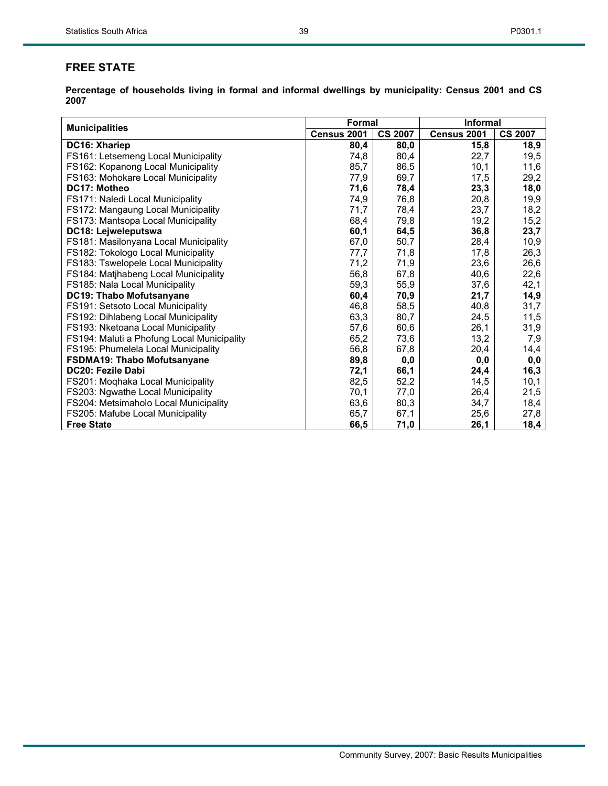## **FREE STATE**

|                                            | Formal      |                | <b>Informal</b> |                |  |
|--------------------------------------------|-------------|----------------|-----------------|----------------|--|
| <b>Municipalities</b>                      | Census 2001 | <b>CS 2007</b> | Census 2001     | <b>CS 2007</b> |  |
| DC16: Xhariep                              | 80,4        | 80,0           | 15,8            | 18,9           |  |
| FS161: Letsemeng Local Municipality        | 74,8        | 80,4           | 22,7            | 19,5           |  |
| FS162: Kopanong Local Municipality         | 85,7        | 86,5           | 10,1            | 11,6           |  |
| FS163: Mohokare Local Municipality         | 77,9        | 69,7           | 17,5            | 29,2           |  |
| DC17: Motheo                               | 71,6        | 78,4           | 23,3            | 18,0           |  |
| FS171: Naledi Local Municipality           | 74,9        | 76,8           | 20,8            | 19,9           |  |
| FS172: Mangaung Local Municipality         | 71,7        | 78,4           | 23,7            | 18,2           |  |
| FS173: Mantsopa Local Municipality         | 68,4        | 79,8           | 19,2            | 15,2           |  |
| DC18: Lejweleputswa                        | 60,1        | 64,5           | 36,8            | 23,7           |  |
| FS181: Masilonyana Local Municipality      | 67,0        | 50,7           | 28,4            | 10,9           |  |
| FS182: Tokologo Local Municipality         | 77,7        | 71,8           | 17,8            | 26,3           |  |
| FS183: Tswelopele Local Municipality       | 71,2        | 71,9           | 23,6            | 26,6           |  |
| FS184: Matjhabeng Local Municipality       | 56,8        | 67,8           | 40,6            | 22,6           |  |
| FS185: Nala Local Municipality             | 59,3        | 55,9           | 37,6            | 42,1           |  |
| DC19: Thabo Mofutsanyane                   | 60,4        | 70,9           | 21,7            | 14,9           |  |
| FS191: Setsoto Local Municipality          | 46,8        | 58,5           | 40,8            | 31,7           |  |
| FS192: Dihlabeng Local Municipality        | 63,3        | 80,7           | 24,5            | 11,5           |  |
| FS193: Nketoana Local Municipality         | 57,6        | 60,6           | 26,1            | 31,9           |  |
| FS194: Maluti a Phofung Local Municipality | 65,2        | 73,6           | 13,2            | 7,9            |  |
| FS195: Phumelela Local Municipality        | 56,8        | 67,8           | 20,4            | 14,4           |  |
| FSDMA19: Thabo Mofutsanyane                | 89,8        | 0,0            | 0,0             | 0,0            |  |
| DC20: Fezile Dabi                          | 72,1        | 66,1           | 24,4            | 16,3           |  |
| FS201: Moqhaka Local Municipality          | 82,5        | 52,2           | 14,5            | 10,1           |  |
| FS203: Ngwathe Local Municipality          | 70,1        | 77,0           | 26,4            | 21,5           |  |
| FS204: Metsimaholo Local Municipality      | 63,6        | 80,3           | 34,7            | 18,4           |  |
| FS205: Mafube Local Municipality           | 65,7        | 67,1           | 25,6            | 27,8           |  |
| <b>Free State</b>                          | 66,5        | 71,0           | 26,1            | 18,4           |  |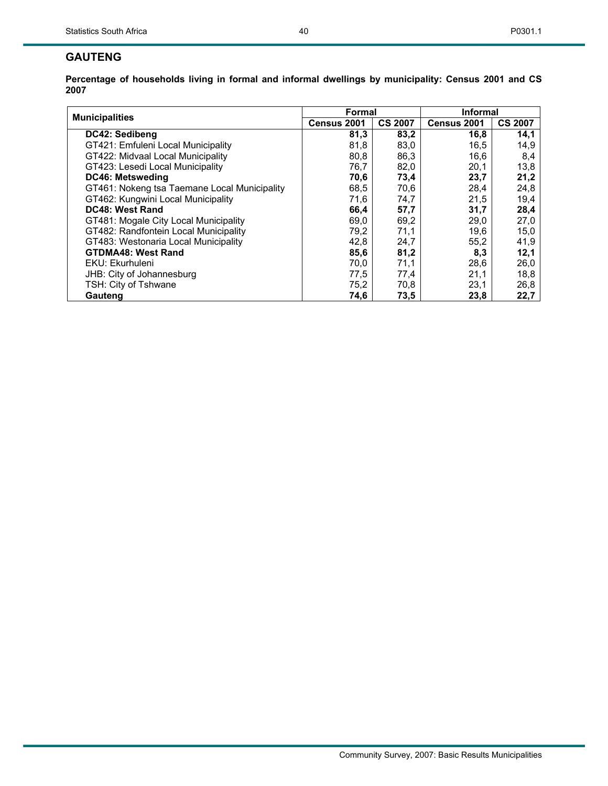#### **GAUTENG**

| <b>Municipalities</b>                        | Formal      |                | Informal    |                |  |  |
|----------------------------------------------|-------------|----------------|-------------|----------------|--|--|
|                                              | Census 2001 | <b>CS 2007</b> | Census 2001 | <b>CS 2007</b> |  |  |
| DC42: Sedibeng                               | 81,3        | 83,2           | 16,8        | 14,1           |  |  |
| GT421: Emfuleni Local Municipality           | 81,8        | 83,0           | 16,5        | 14,9           |  |  |
| GT422: Midvaal Local Municipality            | 80,8        | 86,3           | 16,6        | 8,4            |  |  |
| GT423: Lesedi Local Municipality             | 76,7        | 82,0           | 20,1        | 13,8           |  |  |
| <b>DC46: Metsweding</b>                      | 70,6        | 73,4           | 23,7        | 21,2           |  |  |
| GT461: Nokeng tsa Taemane Local Municipality | 68,5        | 70,6           | 28,4        | 24,8           |  |  |
| GT462: Kungwini Local Municipality           | 71,6        | 74,7           | 21,5        | 19,4           |  |  |
| DC48: West Rand                              | 66,4        | 57,7           | 31,7        | 28,4           |  |  |
| GT481: Mogale City Local Municipality        | 69,0        | 69,2           | 29,0        | 27,0           |  |  |
| GT482: Randfontein Local Municipality        | 79,2        | 71,1           | 19,6        | 15,0           |  |  |
| GT483: Westonaria Local Municipality         | 42,8        | 24,7           | 55,2        | 41,9           |  |  |
| <b>GTDMA48: West Rand</b>                    | 85,6        | 81,2           | 8,3         | 12,1           |  |  |
| EKU: Ekurhuleni                              | 70,0        | 71,1           | 28,6        | 26,0           |  |  |
| JHB: City of Johannesburg                    | 77,5        | 77,4           | 21,1        | 18,8           |  |  |
| TSH: City of Tshwane                         | 75,2        | 70,8           | 23,1        | 26,8           |  |  |
| Gauteng                                      | 74,6        | 73,5           | 23,8        | 22,7           |  |  |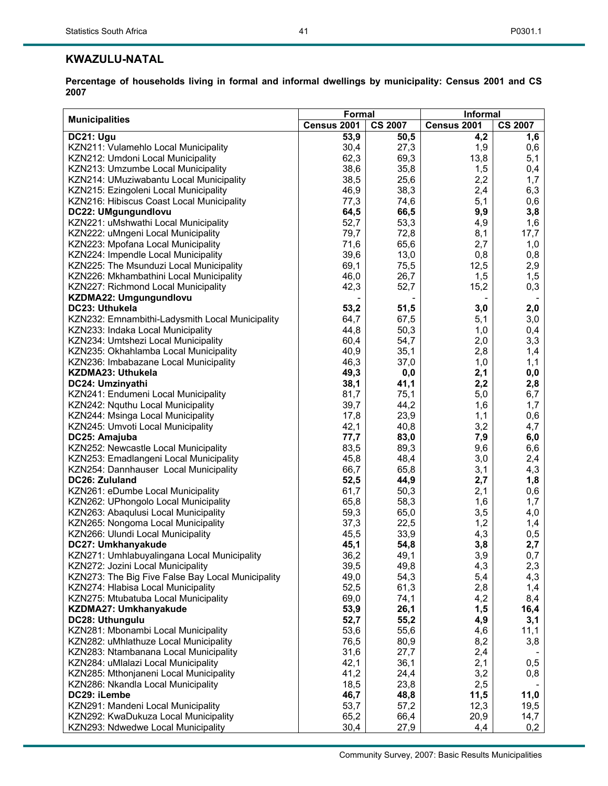## **KWAZULU-NATAL**

**Percentage of households living in formal and informal dwellings by municipality: Census 2001 and CS 2007** 

41

|                                                   | Formal      | Informal       |             |                |
|---------------------------------------------------|-------------|----------------|-------------|----------------|
| <b>Municipalities</b>                             | Census 2001 | <b>CS 2007</b> | Census 2001 | <b>CS 2007</b> |
| DC21: Ugu                                         | 53,9        | 50,5           | 4,2         | 1,6            |
| KZN211: Vulamehlo Local Municipality              | 30,4        | 27,3           | 1,9         | 0,6            |
| KZN212: Umdoni Local Municipality                 | 62,3        | 69,3           | 13,8        | 5,1            |
| KZN213: Umzumbe Local Municipality                | 38,6        | 35,8           | 1,5         | 0,4            |
| KZN214: UMuziwabantu Local Municipality           | 38,5        | 25,6           | 2,2         | 1,7            |
| KZN215: Ezingoleni Local Municipality             | 46,9        | 38,3           | 2,4         | 6,3            |
| KZN216: Hibiscus Coast Local Municipality         | 77,3        | 74,6           | 5,1         | 0,6            |
| DC22: UMgungundlovu                               | 64,5        | 66,5           | 9,9         | 3,8            |
| KZN221: uMshwathi Local Municipality              | 52,7        | 53,3           | 4,9         | 1,6            |
| KZN222: uMngeni Local Municipality                | 79,7        | 72,8           | 8,1         | 17,7           |
| KZN223: Mpofana Local Municipality                | 71,6        | 65,6           | 2,7         | 1,0            |
| KZN224: Impendle Local Municipality               | 39,6        | 13,0           | 0,8         | 0,8            |
| KZN225: The Msunduzi Local Municipality           | 69,1        | 75,5           | 12,5        | 2,9            |
| KZN226: Mkhambathini Local Municipality           | 46,0        | 26,7           | 1,5         | 1,5            |
| KZN227: Richmond Local Municipality               | 42,3        | 52,7           | 15,2        | 0,3            |
| KZDMA22: Umgungundlovu                            |             |                |             |                |
| DC23: Uthukela                                    | 53,2        | 51,5           | 3,0         | 2,0            |
|                                                   |             |                |             |                |
| KZN232: Emnambithi-Ladysmith Local Municipality   | 64,7        | 67,5           | 5,1         | 3,0            |
| KZN233: Indaka Local Municipality                 | 44,8        | 50,3           | 1,0         | 0,4            |
| KZN234: Umtshezi Local Municipality               | 60,4        | 54,7           | 2,0         | 3,3            |
| KZN235: Okhahlamba Local Municipality             | 40,9        | 35,1           | 2,8         | 1,4            |
| KZN236: Imbabazane Local Municipality             | 46,3        | 37,0           | 1,0         | 1,1            |
| <b>KZDMA23: Uthukela</b>                          | 49,3        | 0,0            | 2,1         | 0,0            |
| DC24: Umzinyathi                                  | 38,1        | 41,1           | 2,2         | 2,8            |
| KZN241: Endumeni Local Municipality               | 81,7        | 75,1           | 5,0         | 6,7            |
| KZN242: Nquthu Local Municipality                 | 39,7        | 44,2           | 1,6         | 1,7            |
| KZN244: Msinga Local Municipality                 | 17,8        | 23,9           | 1,1         | 0,6            |
| KZN245: Umvoti Local Municipality                 | 42,1        | 40,8           | 3,2         | 4,7            |
| DC25: Amajuba                                     | 77,7        | 83,0           | 7,9         | 6,0            |
| KZN252: Newcastle Local Municipality              | 83,5        | 89,3           | 9,6         | 6,6            |
| KZN253: Emadlangeni Local Municipality            | 45,8        | 48,4           | 3,0         | 2,4            |
| KZN254: Dannhauser Local Municipality             | 66,7        | 65,8           | 3,1         | 4,3            |
| DC26: Zululand                                    | 52,5        | 44,9           | 2,7         | 1,8            |
| KZN261: eDumbe Local Municipality                 | 61,7        | 50,3           | 2,1         | 0,6            |
| KZN262: UPhongolo Local Municipality              | 65,8        | 58,3           | 1,6         | 1,7            |
| KZN263: Abaqulusi Local Municipality              | 59,3        | 65,0           | 3,5         | 4,0            |
| KZN265: Nongoma Local Municipality                | 37,3        | 22,5           | 1,2         | 1,4            |
| KZN266: Ulundi Local Municipality                 | 45,5        | 33,9           | 4,3         | 0,5            |
| DC27: Umkhanyakude                                | 45,1        | 54,8           | 3,8         | 2,7            |
| KZN271: Umhlabuyalingana Local Municipality       | 36,2        | 49,1           | 3,9         | 0,7            |
| KZN272: Jozini Local Municipality                 | 39,5        | 49,8           | 4,3         | 2,3            |
| KZN273: The Big Five False Bay Local Municipality | 49,0        | 54,3           | 5,4         | 4,3            |
| KZN274: Hlabisa Local Municipality                | 52,5        | 61,3           | 2,8         | 1,4            |
| KZN275: Mtubatuba Local Municipality              | 69,0        | 74,1           | 4,2         | 8,4            |
| KZDMA27: Umkhanyakude                             | 53,9        | 26,1           | 1,5         | 16,4           |
| DC28: Uthungulu                                   | 52,7        | 55,2           | 4,9         | 3,1            |
| KZN281: Mbonambi Local Municipality               | 53,6        | 55,6           | 4,6         | 11,1           |
| KZN282: uMhlathuze Local Municipality             | 76,5        | 80,9           | 8,2         | 3,8            |
| KZN283: Ntambanana Local Municipality             | 31,6        | 27,7           | 2,4         |                |
| KZN284: uMlalazi Local Municipality               | 42,1        | 36,1           | 2,1         | 0,5            |
| KZN285: Mthonjaneni Local Municipality            | 41,2        | 24,4           | 3,2         | 0,8            |
| KZN286: Nkandla Local Municipality                | 18,5        | 23,8           | 2,5         |                |
| DC29: iLembe                                      | 46,7        | 48,8           | 11,5        | 11,0           |
| KZN291: Mandeni Local Municipality                | 53,7        | 57,2           | 12,3        | 19,5           |
| KZN292: KwaDukuza Local Municipality              | 65,2        | 66,4           | 20,9        | 14,7           |
| KZN293: Ndwedwe Local Municipality                | 30,4        | 27,9           | 4,4         | 0,2            |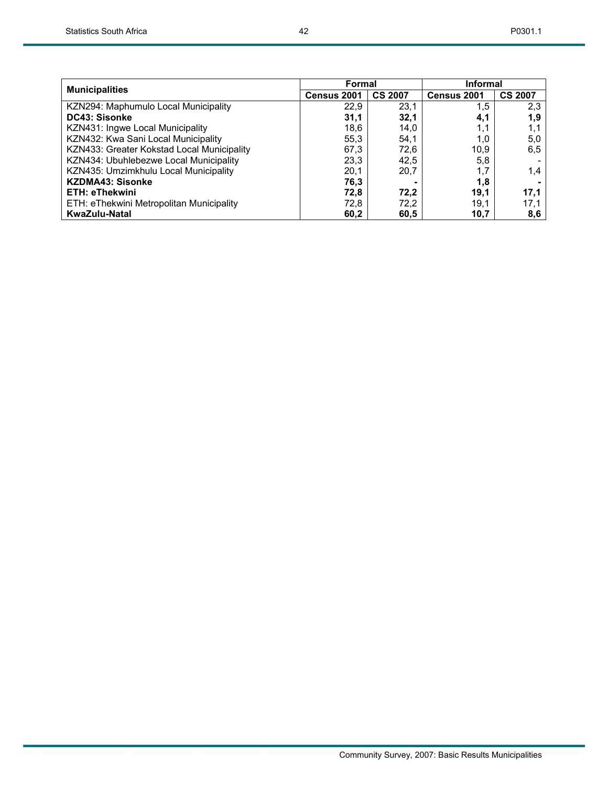| <b>Municipalities</b>                      | <b>Formal</b>      |                | <b>Informal</b> |                |  |
|--------------------------------------------|--------------------|----------------|-----------------|----------------|--|
|                                            | <b>Census 2001</b> | <b>CS 2007</b> | Census 2001     | <b>CS 2007</b> |  |
| KZN294: Maphumulo Local Municipality       | 22.9               | 23,1           | 1,5             | 2,3            |  |
| <b>DC43: Sisonke</b>                       | 31.1               | 32.1           | 4,1             | 1.9            |  |
| KZN431: Ingwe Local Municipality           | 18,6               | 14,0           | 1,1             | 1,1            |  |
| KZN432: Kwa Sani Local Municipality        | 55,3               | 54,1           | 1,0             | 5,0            |  |
| KZN433: Greater Kokstad Local Municipality | 67.3               | 72.6           | 10.9            | 6.5            |  |
| KZN434: Ubuhlebezwe Local Municipality     | 23,3               | 42,5           | 5,8             |                |  |
| KZN435: Umzimkhulu Local Municipality      | 20,1               | 20,7           | 1,7             | 1,4            |  |
| <b>KZDMA43: Sisonke</b>                    | 76,3               |                | 1,8             |                |  |
| <b>ETH: eThekwini</b>                      | 72.8               | 72,2           | 19.1            | 17,1           |  |
| ETH: eThekwini Metropolitan Municipality   | 72.8               | 72,2           | 19.1            | 17.1           |  |
| KwaZulu-Natal                              | 60,2               | 60,5           | 10,7            | 8,6            |  |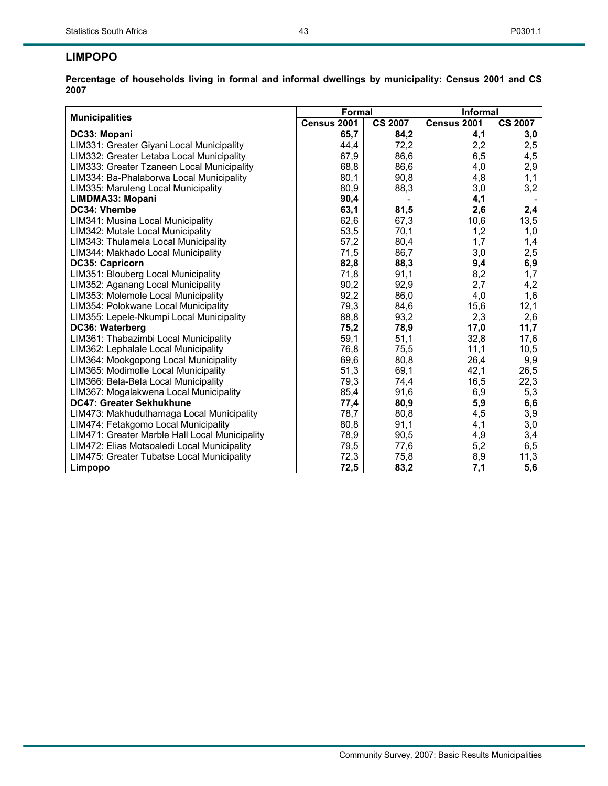## **LIMPOPO**

| <b>Municipalities</b>                          | Formal      |                | Informal    |                |  |  |
|------------------------------------------------|-------------|----------------|-------------|----------------|--|--|
|                                                | Census 2001 | <b>CS 2007</b> | Census 2001 | <b>CS 2007</b> |  |  |
| DC33: Mopani                                   | 65,7        | 84,2           | 4,1         | 3,0            |  |  |
| LIM331: Greater Giyani Local Municipality      | 44,4        | 72,2           | 2,2         | 2,5            |  |  |
| LIM332: Greater Letaba Local Municipality      | 67,9        | 86,6           | 6,5         | 4,5            |  |  |
| LIM333: Greater Tzaneen Local Municipality     | 68,8        | 86,6           | 4,0         | 2,9            |  |  |
| LIM334: Ba-Phalaborwa Local Municipality       | 80,1        | 90,8           | 4,8         | 1,1            |  |  |
| LIM335: Maruleng Local Municipality            | 80,9        | 88,3           | 3,0         | 3,2            |  |  |
| LIMDMA33: Mopani                               | 90,4        |                | 4,1         |                |  |  |
| DC34: Vhembe                                   | 63,1        | 81,5           | 2,6         | 2,4            |  |  |
| LIM341: Musina Local Municipality              | 62,6        | 67,3           | 10,6        | 13,5           |  |  |
| LIM342: Mutale Local Municipality              | 53,5        | 70,1           | 1,2         | 1,0            |  |  |
| LIM343: Thulamela Local Municipality           | 57,2        | 80,4           | 1,7         | 1,4            |  |  |
| LIM344: Makhado Local Municipality             | 71,5        | 86,7           | 3,0         | 2,5            |  |  |
| <b>DC35: Capricorn</b>                         | 82,8        | 88,3           | 9,4         | 6,9            |  |  |
| LIM351: Blouberg Local Municipality            | 71,8        | 91,1           | 8,2         | 1,7            |  |  |
| LIM352: Aganang Local Municipality             | 90,2        | 92,9           | 2,7         | 4,2            |  |  |
| LIM353: Molemole Local Municipality            | 92,2        | 86,0           | 4,0         | 1,6            |  |  |
| LIM354: Polokwane Local Municipality           | 79,3        | 84,6           | 15,6        | 12,1           |  |  |
| LIM355: Lepele-Nkumpi Local Municipality       | 88,8        | 93,2           | 2,3         | 2,6            |  |  |
| DC36: Waterberg                                | 75,2        | 78,9           | 17,0        | 11,7           |  |  |
| LIM361: Thabazimbi Local Municipality          | 59,1        | 51,1           | 32,8        | 17,6           |  |  |
| LIM362: Lephalale Local Municipality           | 76,8        | 75,5           | 11,1        | 10,5           |  |  |
| LIM364: Mookgopong Local Municipality          | 69,6        | 80,8           | 26,4        | 9,9            |  |  |
| LIM365: Modimolle Local Municipality           | 51,3        | 69,1           | 42,1        | 26,5           |  |  |
| LIM366: Bela-Bela Local Municipality           | 79,3        | 74,4           | 16,5        | 22,3           |  |  |
| LIM367: Mogalakwena Local Municipality         | 85,4        | 91,6           | 6,9         | 5,3            |  |  |
| DC47: Greater Sekhukhune                       | 77,4        | 80,9           | 5,9         | 6,6            |  |  |
| LIM473: Makhuduthamaga Local Municipality      | 78,7        | 80,8           | 4,5         | 3,9            |  |  |
| LIM474: Fetakgomo Local Municipality           | 80,8        | 91,1           | 4,1         | 3,0            |  |  |
| LIM471: Greater Marble Hall Local Municipality | 78,9        | 90,5           | 4,9         | 3,4            |  |  |
| LIM472: Elias Motsoaledi Local Municipality    | 79,5        | 77,6           | 5,2         | 6,5            |  |  |
| LIM475: Greater Tubatse Local Municipality     | 72,3        | 75,8           | 8,9         | 11,3           |  |  |
| Limpopo                                        | 72,5        | 83,2           | 7,1         | 5,6            |  |  |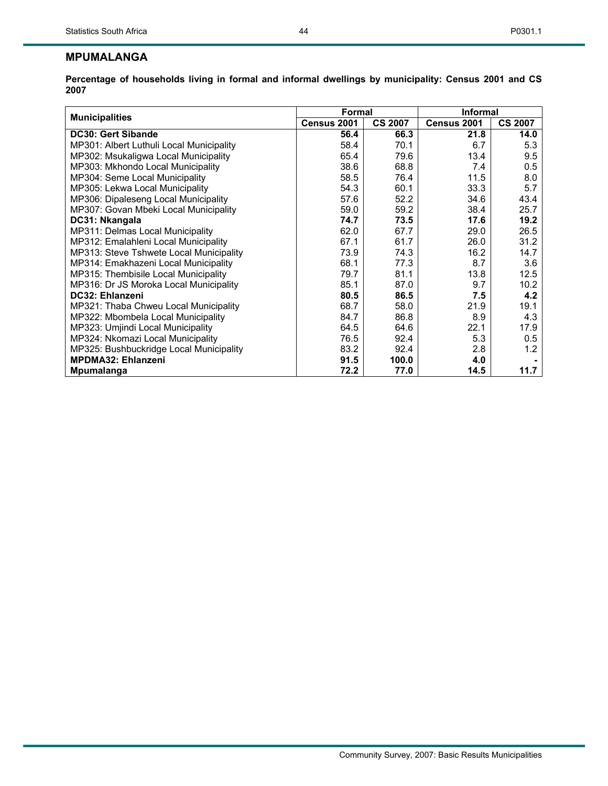## **MPUMALANGA**

|                                          | Formal      |                | <b>Informal</b> |                |  |  |
|------------------------------------------|-------------|----------------|-----------------|----------------|--|--|
| <b>Municipalities</b>                    | Census 2001 | <b>CS 2007</b> | Census 2001     | <b>CS 2007</b> |  |  |
| <b>DC30: Gert Sibande</b>                | 56.4        | 66.3           | 21.8            | 14.0           |  |  |
| MP301: Albert Luthuli Local Municipality | 58.4        | 70.1           | 6.7             | 5.3            |  |  |
| MP302: Msukaligwa Local Municipality     | 65.4        | 79.6           | 13.4            | 9.5            |  |  |
| MP303: Mkhondo Local Municipality        | 38.6        | 68.8           | 7.4             | 0.5            |  |  |
| MP304: Seme Local Municipality           | 58.5        | 76.4           | 11.5            | 8.0            |  |  |
| MP305: Lekwa Local Municipality          | 54.3        | 60.1           | 33.3            | 5.7            |  |  |
| MP306: Dipaleseng Local Municipality     | 57.6        | 52.2           | 34.6            | 43.4           |  |  |
| MP307: Govan Mbeki Local Municipality    | 59.0        | 59.2           | 38.4            | 25.7           |  |  |
| DC31: Nkangala                           | 74.7        | 73.5           | 17.6            | 19.2           |  |  |
| MP311: Delmas Local Municipality         | 62.0        | 67.7           | 29.0            | 26.5           |  |  |
| MP312: Emalahleni Local Municipality     | 67.1        | 61.7           | 26.0            | 31.2           |  |  |
| MP313: Steve Tshwete Local Municipality  | 73.9        | 74.3           | 16.2            | 14.7           |  |  |
| MP314: Emakhazeni Local Municipality     | 68.1        | 77.3           | 8.7             | 3.6            |  |  |
| MP315: Thembisile Local Municipality     | 79.7        | 81.1           | 13.8            | 12.5           |  |  |
| MP316: Dr JS Moroka Local Municipality   | 85.1        | 87.0           | 9.7             | 10.2           |  |  |
| DC32: Ehlanzeni                          | 80.5        | 86.5           | 7.5             | 4.2            |  |  |
| MP321: Thaba Chweu Local Municipality    | 68.7        | 58.0           | 21.9            | 19.1           |  |  |
| MP322: Mbombela Local Municipality       | 84.7        | 86.8           | 8.9             | 4.3            |  |  |
| MP323: Umjindi Local Municipality        | 64.5        | 64.6           | 22.1            | 17.9           |  |  |
| MP324: Nkomazi Local Municipality        | 76.5        | 92.4           | 5.3             | 0.5            |  |  |
| MP325: Bushbuckridge Local Municipality  | 83.2        | 92.4           | 2.8             | 1.2            |  |  |
| <b>MPDMA32: Ehlanzeni</b>                | 91.5        | 100.0          | 4.0             |                |  |  |
| Mpumalanga                               | 72.2        | 77.0           | 14.5            | 11.7           |  |  |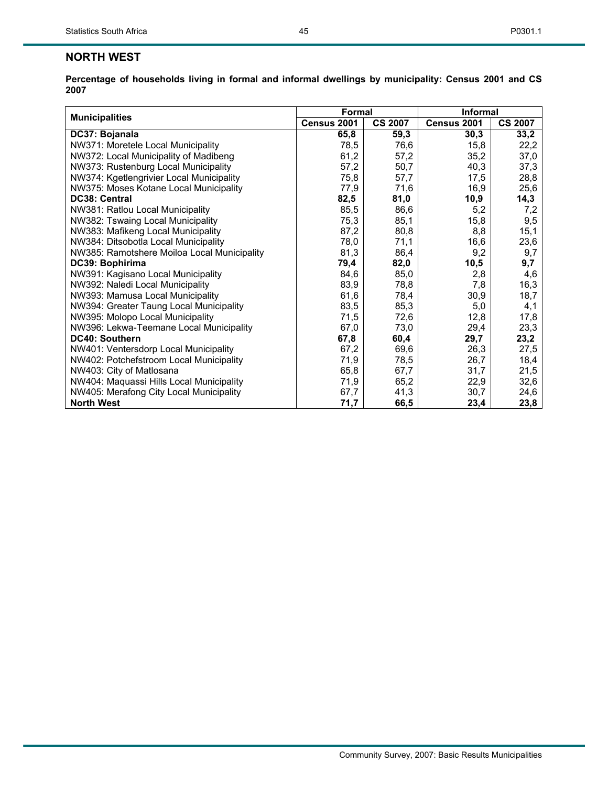## **NORTH WEST**

|                                             | <b>Formal</b> |                | Informal    |                |  |  |
|---------------------------------------------|---------------|----------------|-------------|----------------|--|--|
| <b>Municipalities</b>                       | Census 2001   | <b>CS 2007</b> | Census 2001 | <b>CS 2007</b> |  |  |
| DC37: Bojanala                              | 65,8          | 59,3           | 30,3        | 33,2           |  |  |
| NW371: Moretele Local Municipality          | 78,5          | 76,6           | 15,8        | 22,2           |  |  |
| NW372: Local Municipality of Madibeng       | 61,2          | 57,2           | 35,2        | 37,0           |  |  |
| NW373: Rustenburg Local Municipality        | 57,2          | 50,7           | 40,3        | 37,3           |  |  |
| NW374: Kgetlengrivier Local Municipality    | 75,8          | 57,7           | 17,5        | 28,8           |  |  |
| NW375: Moses Kotane Local Municipality      | 77,9          | 71,6           | 16,9        | 25,6           |  |  |
| DC38: Central                               | 82,5          | 81,0           | 10,9        | 14,3           |  |  |
| NW381: Ratlou Local Municipality            | 85,5          | 86,6           | 5,2         | 7,2            |  |  |
| NW382: Tswaing Local Municipality           | 75,3          | 85,1           | 15,8        | 9,5            |  |  |
| NW383: Mafikeng Local Municipality          | 87,2          | 80,8           | 8,8         | 15,1           |  |  |
| NW384: Ditsobotla Local Municipality        | 78,0          | 71,1           | 16,6        | 23,6           |  |  |
| NW385: Ramotshere Moiloa Local Municipality | 81,3          | 86,4           | 9,2         | 9,7            |  |  |
| DC39: Bophirima                             | 79,4          | 82,0           | 10,5        | 9,7            |  |  |
| NW391: Kagisano Local Municipality          | 84,6          | 85,0           | 2,8         | 4,6            |  |  |
| NW392: Naledi Local Municipality            | 83,9          | 78,8           | 7,8         | 16,3           |  |  |
| NW393: Mamusa Local Municipality            | 61,6          | 78,4           | 30,9        | 18,7           |  |  |
| NW394: Greater Taung Local Municipality     | 83,5          | 85,3           | 5,0         | 4,1            |  |  |
| NW395: Molopo Local Municipality            | 71,5          | 72,6           | 12,8        | 17,8           |  |  |
| NW396: Lekwa-Teemane Local Municipality     | 67,0          | 73,0           | 29,4        | 23,3           |  |  |
| DC40: Southern                              | 67,8          | 60,4           | 29,7        | 23,2           |  |  |
| NW401: Ventersdorp Local Municipality       | 67,2          | 69,6           | 26,3        | 27,5           |  |  |
| NW402: Potchefstroom Local Municipality     | 71,9          | 78,5           | 26,7        | 18,4           |  |  |
| NW403: City of Matlosana                    | 65,8          | 67,7           | 31,7        | 21,5           |  |  |
| NW404: Maquassi Hills Local Municipality    | 71,9          | 65,2           | 22,9        | 32,6           |  |  |
| NW405: Merafong City Local Municipality     | 67,7          | 41,3           | 30,7        | 24,6           |  |  |
| <b>North West</b>                           | 71,7          | 66,5           | 23,4        | 23,8           |  |  |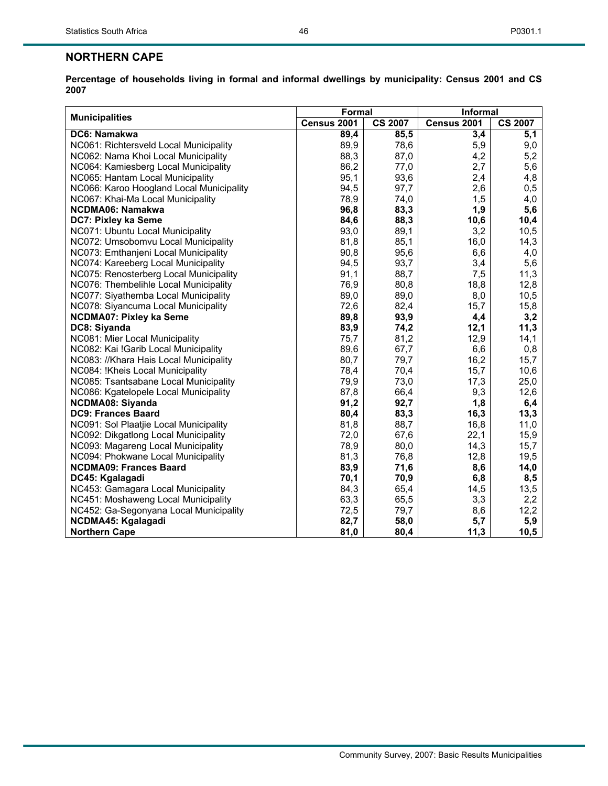## **NORTHERN CAPE**

| <b>Municipalities</b>                    | Formal      |                | <b>Informal</b> |                |  |  |
|------------------------------------------|-------------|----------------|-----------------|----------------|--|--|
|                                          | Census 2001 | <b>CS 2007</b> | Census 2001     | <b>CS 2007</b> |  |  |
| DC6: Namakwa                             | 89,4        | 85,5           | 3,4             | 5,1            |  |  |
| NC061: Richtersveld Local Municipality   | 89,9        | 78,6           | 5,9             | 9,0            |  |  |
| NC062: Nama Khoi Local Municipality      | 88,3        | 87,0           | 4,2             | 5,2            |  |  |
| NC064: Kamiesberg Local Municipality     | 86,2        | 77,0           | 2,7             | 5,6            |  |  |
| NC065: Hantam Local Municipality         | 95,1        | 93,6           | 2,4             | 4,8            |  |  |
| NC066: Karoo Hoogland Local Municipality | 94,5        | 97,7           | 2,6             | 0,5            |  |  |
| NC067: Khai-Ma Local Municipality        | 78,9        | 74,0           | 1,5             | 4,0            |  |  |
| <b>NCDMA06: Namakwa</b>                  | 96,8        | 83,3           | 1,9             | 5,6            |  |  |
| DC7: Pixley ka Seme                      | 84,6        | 88,3           | 10,6            | 10,4           |  |  |
| NC071: Ubuntu Local Municipality         | 93,0        | 89,1           | 3,2             | 10,5           |  |  |
| NC072: Umsobomvu Local Municipality      | 81,8        | 85,1           | 16,0            | 14,3           |  |  |
| NC073: Emthanjeni Local Municipality     | 90,8        | 95,6           | 6,6             | 4,0            |  |  |
| NC074: Kareeberg Local Municipality      | 94,5        | 93,7           | 3,4             | 5,6            |  |  |
| NC075: Renosterberg Local Municipality   | 91,1        | 88,7           | 7,5             | 11,3           |  |  |
| NC076: Thembelihle Local Municipality    | 76,9        | 80,8           | 18,8            | 12,8           |  |  |
| NC077: Siyathemba Local Municipality     | 89,0        | 89,0           | 8,0             | 10,5           |  |  |
| NC078: Siyancuma Local Municipality      | 72,6        | 82,4           | 15,7            | 15,8           |  |  |
| <b>NCDMA07: Pixley ka Seme</b>           | 89,8        | 93,9           | 4,4             | 3,2            |  |  |
| DC8: Siyanda                             | 83,9        | 74,2           | 12,1            | 11,3           |  |  |
| NC081: Mier Local Municipality           | 75,7        | 81,2           | 12,9            | 14,1           |  |  |
| NC082: Kai !Garib Local Municipality     | 89,6        | 67,7           | 6,6             | 0,8            |  |  |
| NC083: //Khara Hais Local Municipality   | 80,7        | 79,7           | 16,2            | 15,7           |  |  |
| NC084: !Kheis Local Municipality         | 78,4        | 70,4           | 15,7            | 10,6           |  |  |
| NC085: Tsantsabane Local Municipality    | 79,9        | 73,0           | 17,3            | 25,0           |  |  |
| NC086: Kgatelopele Local Municipality    | 87,8        | 66,4           | 9,3             | 12,6           |  |  |
| <b>NCDMA08: Siyanda</b>                  | 91,2        | 92,7           | 1,8             | 6,4            |  |  |
| <b>DC9: Frances Baard</b>                | 80,4        | 83,3           | 16,3            | 13,3           |  |  |
| NC091: Sol Plaatjie Local Municipality   | 81,8        | 88,7           | 16,8            | 11,0           |  |  |
| NC092: Dikgatlong Local Municipality     | 72,0        | 67,6           | 22,1            | 15,9           |  |  |
| NC093: Magareng Local Municipality       | 78,9        | 80,0           | 14,3            | 15,7           |  |  |
| NC094: Phokwane Local Municipality       | 81,3        | 76,8           | 12,8            | 19,5           |  |  |
| <b>NCDMA09: Frances Baard</b>            | 83,9        | 71,6           | 8,6             | 14,0           |  |  |
| DC45: Kgalagadi                          | 70,1        | 70,9           | 6,8             | 8,5            |  |  |
| NC453: Gamagara Local Municipality       | 84,3        | 65,4           | 14,5            | 13,5           |  |  |
| NC451: Moshaweng Local Municipality      | 63,3        | 65,5           | 3,3             | 2,2            |  |  |
| NC452: Ga-Segonyana Local Municipality   | 72,5        | 79,7           | 8,6             | 12,2           |  |  |
| <b>NCDMA45: Kgalagadi</b>                | 82,7        | 58,0           | 5,7             | 5,9            |  |  |
| <b>Northern Cape</b>                     | 81,0        | 80,4           | 11,3            | 10,5           |  |  |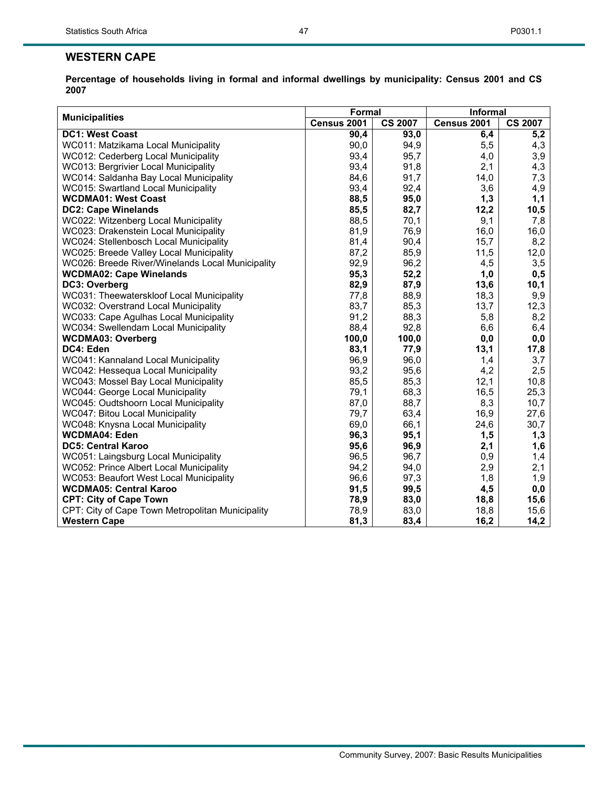| <b>Municipalities</b>                            | Formal      |                | <b>Informal</b> |                |  |
|--------------------------------------------------|-------------|----------------|-----------------|----------------|--|
|                                                  | Census 2001 | <b>CS 2007</b> | Census 2001     | <b>CS 2007</b> |  |
| <b>DC1: West Coast</b>                           | 90,4        | 93,0           | 6,4             | 5,2            |  |
| WC011: Matzikama Local Municipality              | 90,0        | 94,9           | 5,5             | 4,3            |  |
| WC012: Cederberg Local Municipality              | 93,4        | 95,7           | 4,0             | 3,9            |  |
| WC013: Bergrivier Local Municipality             | 93,4        | 91,8           | 2,1             | 4,3            |  |
| WC014: Saldanha Bay Local Municipality           | 84,6        | 91,7           | 14,0            | 7,3            |  |
| <b>WC015: Swartland Local Municipality</b>       | 93,4        | 92,4           | 3,6             | 4,9            |  |
| <b>WCDMA01: West Coast</b>                       | 88,5        | 95,0           | 1,3             | 1,1            |  |
| <b>DC2: Cape Winelands</b>                       | 85,5        | 82,7           | 12,2            | 10,5           |  |
| WC022: Witzenberg Local Municipality             | 88,5        | 70,1           | 9,1             | 7,8            |  |
| WC023: Drakenstein Local Municipality            | 81,9        | 76,9           | 16,0            | 16,0           |  |
| WC024: Stellenbosch Local Municipality           | 81,4        | 90,4           | 15,7            | 8,2            |  |
| WC025: Breede Valley Local Municipality          | 87,2        | 85,9           | 11,5            | 12,0           |  |
| WC026: Breede River/Winelands Local Municipality | 92,9        | 96,2           | 4,5             | 3,5            |  |
| <b>WCDMA02: Cape Winelands</b>                   | 95,3        | 52,2           | 1,0             | 0,5            |  |
| DC3: Overberg                                    | 82,9        | 87,9           | 13,6            | 10,1           |  |
| WC031: Theewaterskloof Local Municipality        | 77,8        | 88,9           | 18,3            | 9,9            |  |
| WC032: Overstrand Local Municipality             | 83,7        | 85,3           | 13,7            | 12,3           |  |
| WC033: Cape Agulhas Local Municipality           | 91,2        | 88,3           | 5,8             | 8,2            |  |
| WC034: Swellendam Local Municipality             | 88,4        | 92,8           | 6,6             | 6,4            |  |
| <b>WCDMA03: Overberg</b>                         | 100,0       | 100,0          | 0,0             | 0,0            |  |
| DC4: Eden                                        | 83,1        | 77,9           | 13,1            | 17,8           |  |
| WC041: Kannaland Local Municipality              | 96,9        | 96,0           | 1,4             | 3,7            |  |
| WC042: Hessequa Local Municipality               | 93,2        | 95,6           | 4,2             | 2,5            |  |
| WC043: Mossel Bay Local Municipality             | 85,5        | 85,3           | 12,1            | 10,8           |  |
| WC044: George Local Municipality                 | 79,1        | 68,3           | 16,5            | 25,3           |  |
| WC045: Oudtshoorn Local Municipality             | 87,0        | 88,7           | 8,3             | 10,7           |  |
| WC047: Bitou Local Municipality                  | 79,7        | 63,4           | 16,9            | 27,6           |  |
| WC048: Knysna Local Municipality                 | 69,0        | 66,1           | 24,6            | 30,7           |  |
| <b>WCDMA04: Eden</b>                             | 96,3        | 95,1           | 1,5             | 1,3            |  |
| <b>DC5: Central Karoo</b>                        | 95,6        | 96,9           | 2,1             | 1,6            |  |
| WC051: Laingsburg Local Municipality             | 96,5        | 96,7           | 0,9             | 1,4            |  |
| WC052: Prince Albert Local Municipality          | 94,2        | 94,0           | 2,9             | 2,1            |  |
| WC053: Beaufort West Local Municipality          | 96,6        | 97,3           | 1,8             | 1,9            |  |
| <b>WCDMA05: Central Karoo</b>                    | 91,5        | 99,5           | 4,5             | 0,0            |  |
| <b>CPT: City of Cape Town</b>                    | 78,9        | 83,0           | 18,8            | 15,6           |  |
| CPT: City of Cape Town Metropolitan Municipality | 78,9        | 83,0           | 18,8            | 15,6           |  |
| <b>Western Cape</b>                              | 81,3        | 83,4           | 16,2            | 14,2           |  |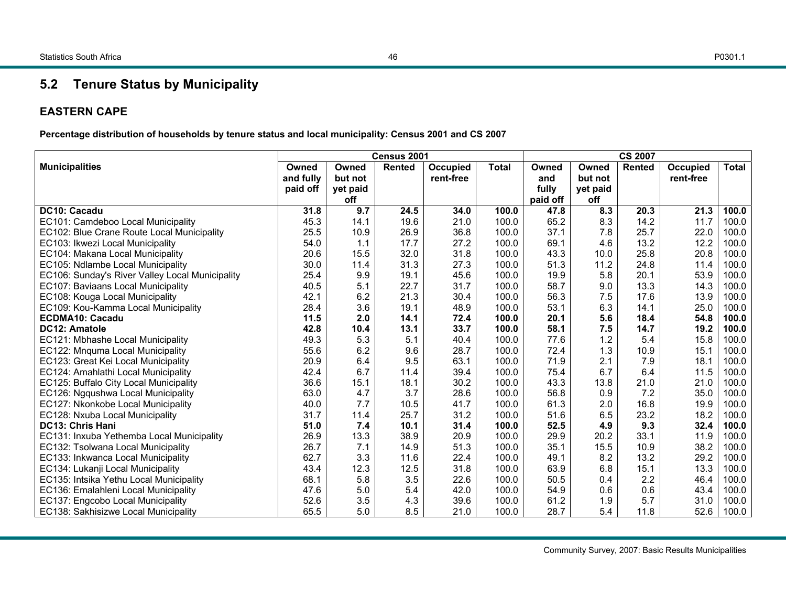#### P0301.1

## **5.2 Tenure Status by Municipality**

#### **EASTERN CAPE**

**Percentage distribution of households by tenure status and local municipality: Census 2001 and CS 2007** 

|                                                 |           |          | Census 2001<br><b>CS 2007</b> |           |              |          |          |               |           |              |
|-------------------------------------------------|-----------|----------|-------------------------------|-----------|--------------|----------|----------|---------------|-----------|--------------|
| <b>Municipalities</b>                           | Owned     | Owned    | <b>Rented</b>                 | Occupied  | <b>Total</b> | Owned    | Owned    | <b>Rented</b> | Occupied  | <b>Total</b> |
|                                                 | and fully | but not  |                               | rent-free |              | and      | but not  |               | rent-free |              |
|                                                 | paid off  | yet paid |                               |           |              | fully    | yet paid |               |           |              |
|                                                 |           | off      |                               |           |              | paid off | off      |               |           |              |
| DC10: Cacadu                                    | 31.8      | 9.7      | 24.5                          | 34.0      | 100.0        | 47.8     | 8.3      | 20.3          | 21.3      | 100.0        |
| EC101: Camdeboo Local Municipality              | 45.3      | 14.1     | 19.6                          | 21.0      | 100.0        | 65.2     | 8.3      | 14.2          | 11.7      | 100.0        |
| EC102: Blue Crane Route Local Municipality      | 25.5      | 10.9     | 26.9                          | 36.8      | 100.0        | 37.1     | 7.8      | 25.7          | 22.0      | 100.0        |
| EC103: Ikwezi Local Municipality                | 54.0      | 1.1      | 17.7                          | 27.2      | 100.0        | 69.1     | 4.6      | 13.2          | 12.2      | 100.0        |
| EC104: Makana Local Municipality                | 20.6      | 15.5     | 32.0                          | 31.8      | 100.0        | 43.3     | 10.0     | 25.8          | 20.8      | 100.0        |
| EC105: Ndlambe Local Municipality               | 30.0      | 11.4     | 31.3                          | 27.3      | 100.0        | 51.3     | 11.2     | 24.8          | 11.4      | 100.0        |
| EC106: Sunday's River Valley Local Municipality | 25.4      | 9.9      | 19.1                          | 45.6      | 100.0        | 19.9     | 5.8      | 20.1          | 53.9      | 100.0        |
| EC107: Baviaans Local Municipality              | 40.5      | 5.1      | 22.7                          | 31.7      | 100.0        | 58.7     | 9.0      | 13.3          | 14.3      | 100.0        |
| EC108: Kouga Local Municipality                 | 42.1      | 6.2      | 21.3                          | 30.4      | 100.0        | 56.3     | 7.5      | 17.6          | 13.9      | 100.0        |
| EC109: Kou-Kamma Local Municipality             | 28.4      | 3.6      | 19.1                          | 48.9      | 100.0        | 53.1     | 6.3      | 14.1          | 25.0      | 100.0        |
| <b>ECDMA10: Cacadu</b>                          | 11.5      | 2.0      | 14.1                          | 72.4      | 100.0        | 20.1     | 5.6      | 18.4          | 54.8      | 100.0        |
| <b>DC12: Amatole</b>                            | 42.8      | 10.4     | 13.1                          | 33.7      | 100.0        | 58.1     | 7.5      | 14.7          | 19.2      | 100.0        |
| EC121: Mbhashe Local Municipality               | 49.3      | 5.3      | 5.1                           | 40.4      | 100.0        | 77.6     | 1.2      | 5.4           | 15.8      | 100.0        |
| EC122: Mnquma Local Municipality                | 55.6      | 6.2      | 9.6                           | 28.7      | 100.0        | 72.4     | 1.3      | 10.9          | 15.1      | 100.0        |
| EC123: Great Kei Local Municipality             | 20.9      | 6.4      | 9.5                           | 63.1      | 100.0        | 71.9     | 2.1      | 7.9           | 18.1      | 100.0        |
| EC124: Amahlathi Local Municipality             | 42.4      | 6.7      | 11.4                          | 39.4      | 100.0        | 75.4     | 6.7      | 6.4           | 11.5      | 100.0        |
| EC125: Buffalo City Local Municipality          | 36.6      | 15.1     | 18.1                          | 30.2      | 100.0        | 43.3     | 13.8     | 21.0          | 21.0      | 100.0        |
| EC126: Ngqushwa Local Municipality              | 63.0      | 4.7      | 3.7                           | 28.6      | 100.0        | 56.8     | 0.9      | 7.2           | 35.0      | 100.0        |
| EC127: Nkonkobe Local Municipality              | 40.0      | 7.7      | 10.5                          | 41.7      | 100.0        | 61.3     | 2.0      | 16.8          | 19.9      | 100.0        |
| EC128: Nxuba Local Municipality                 | 31.7      | 11.4     | 25.7                          | 31.2      | 100.0        | 51.6     | 6.5      | 23.2          | 18.2      | 100.0        |
| <b>DC13: Chris Hani</b>                         | 51.0      | 7.4      | 10.1                          | 31.4      | 100.0        | 52.5     | 4.9      | 9.3           | 32.4      | 100.0        |
| EC131: Inxuba Yethemba Local Municipality       | 26.9      | 13.3     | 38.9                          | 20.9      | 100.0        | 29.9     | 20.2     | 33.1          | 11.9      | 100.0        |
| EC132: Tsolwana Local Municipality              | 26.7      | 7.1      | 14.9                          | 51.3      | 100.0        | 35.1     | 15.5     | 10.9          | 38.2      | 100.0        |
| EC133: Inkwanca Local Municipality              | 62.7      | 3.3      | 11.6                          | 22.4      | 100.0        | 49.1     | 8.2      | 13.2          | 29.2      | 100.0        |
| EC134: Lukanji Local Municipality               | 43.4      | 12.3     | 12.5                          | 31.8      | 100.0        | 63.9     | 6.8      | 15.1          | 13.3      | 100.0        |
| EC135: Intsika Yethu Local Municipality         | 68.1      | 5.8      | 3.5                           | 22.6      | 100.0        | 50.5     | 0.4      | 2.2           | 46.4      | 100.0        |
| EC136: Emalahleni Local Municipality            | 47.6      | $5.0\,$  | 5.4                           | 42.0      | 100.0        | 54.9     | 0.6      | 0.6           | 43.4      | 100.0        |
| EC137: Engcobo Local Municipality               | 52.6      | 3.5      | 4.3                           | 39.6      | 100.0        | 61.2     | 1.9      | 5.7           | 31.0      | 100.0        |
| EC138: Sakhisizwe Local Municipality            | 65.5      | 5.0      | 8.5                           | 21.0      | 100.0        | 28.7     | 5.4      | 11.8          | 52.6      | 100.0        |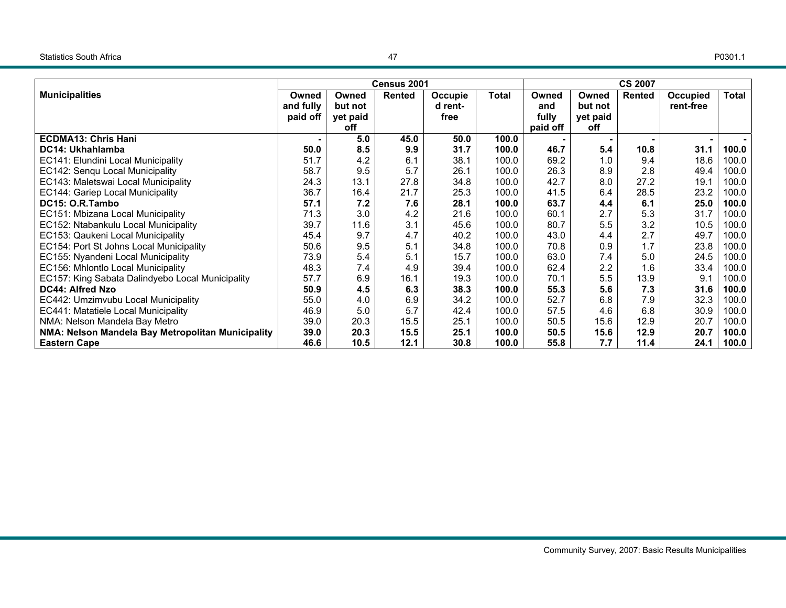|                                                   |           | Census 2001<br><b>CS 2007</b> |               |         |       |          |          |               |           |       |
|---------------------------------------------------|-----------|-------------------------------|---------------|---------|-------|----------|----------|---------------|-----------|-------|
| <b>Municipalities</b>                             | Owned     | Owned                         | <b>Rented</b> | Occupie | Total | Owned    | Owned    | <b>Rented</b> | Occupied  | Total |
|                                                   | and fully | but not                       |               | d rent- |       | and      | but not  |               | rent-free |       |
|                                                   | paid off  | yet paid                      |               | free    |       | fully    | yet paid |               |           |       |
|                                                   |           | off                           |               |         |       | paid off | off      |               |           |       |
| <b>ECDMA13: Chris Hani</b>                        |           | 5.0                           | 45.0          | 50.0    | 100.0 |          |          |               |           |       |
| <b>DC14: Ukhahlamba</b>                           | 50.0      | 8.5                           | 9.9           | 31.7    | 100.0 | 46.7     | 5.4      | 10.8          | 31.1      | 100.0 |
| EC141: Elundini Local Municipality                | 51.7      | 4.2                           | 6.1           | 38.1    | 100.0 | 69.2     | 1.0      | 9.4           | 18.6      | 100.0 |
| EC142: Senqu Local Municipality                   | 58.7      | 9.5                           | 5.7           | 26.1    | 100.0 | 26.3     | 8.9      | 2.8           | 49.4      | 100.0 |
| EC143: Maletswai Local Municipality               | 24.3      | 13.1                          | 27.8          | 34.8    | 100.0 | 42.7     | 8.0      | 27.2          | 19.1      | 100.0 |
| EC144: Gariep Local Municipality                  | 36.7      | 16.4                          | 21.7          | 25.3    | 100.0 | 41.5     | 6.4      | 28.5          | 23.2      | 100.0 |
| DC15: O.R.Tambo                                   | 57.1      | 7.2                           | 7.6           | 28.1    | 100.0 | 63.7     | 4.4      | 6.1           | 25.0      | 100.0 |
| EC151: Mbizana Local Municipality                 | 71.3      | 3.0                           | 4.2           | 21.6    | 100.0 | 60.1     | 2.7      | 5.3           | 31.7      | 100.0 |
| EC152: Ntabankulu Local Municipality              | 39.7      | 11.6                          | 3.1           | 45.6    | 100.0 | 80.7     | 5.5      | 3.2           | 10.5      | 100.0 |
| EC153: Qaukeni Local Municipality                 | 45.4      | 9.7                           | 4.7           | 40.2    | 100.0 | 43.0     | 4.4      | 2.7           | 49.7      | 100.0 |
| EC154: Port St Johns Local Municipality           | 50.6      | 9.5                           | 5.1           | 34.8    | 100.0 | 70.8     | 0.9      | 1.7           | 23.8      | 100.0 |
| EC155: Nyandeni Local Municipality                | 73.9      | 5.4                           | 5.1           | 15.7    | 100.0 | 63.0     | 7.4      | 5.0           | 24.5      | 100.0 |
| EC156: Mhlontlo Local Municipality                | 48.3      | 7.4                           | 4.9           | 39.4    | 100.0 | 62.4     | 2.2      | 1.6           | 33.4      | 100.0 |
| EC157: King Sabata Dalindyebo Local Municipality  | 57.7      | 6.9                           | 16.1          | 19.3    | 100.0 | 70.1     | 5.5      | 13.9          | 9.1       | 100.0 |
| DC44: Alfred Nzo                                  | 50.9      | 4.5                           | 6.3           | 38.3    | 100.0 | 55.3     | 5.6      | 7.3           | 31.6      | 100.0 |
| EC442: Umzimvubu Local Municipality               | 55.0      | 4.0                           | 6.9           | 34.2    | 100.0 | 52.7     | 6.8      | 7.9           | 32.3      | 100.0 |
| EC441: Matatiele Local Municipality               | 46.9      | 5.0                           | 5.7           | 42.4    | 100.0 | 57.5     | 4.6      | 6.8           | 30.9      | 100.0 |
| NMA: Nelson Mandela Bay Metro                     | 39.0      | 20.3                          | 15.5          | 25.1    | 100.0 | 50.5     | 15.6     | 12.9          | 20.7      | 100.0 |
| NMA: Nelson Mandela Bay Metropolitan Municipality | 39.0      | 20.3                          | 15.5          | 25.1    | 100.0 | 50.5     | 15.6     | 12.9          | 20.7      | 100.0 |
| <b>Eastern Cape</b>                               | 46.6      | 10.5                          | 12.1          | 30.8    | 100.0 | 55.8     | 7.7      | 11.4          | 24.1      | 100.0 |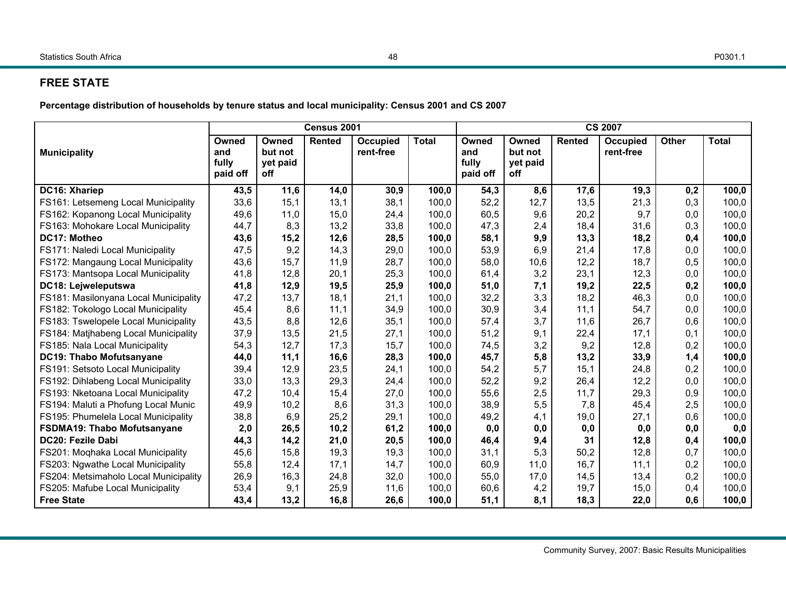## **FREE STATE**

**Percentage distribution of households by tenure status and local municipality: Census 2001 and CS 2007** 

|                                       |                                   |                                     | Census 2001 |                       |              | <b>CS 2007</b>                    |                                     |        |                       |              |              |
|---------------------------------------|-----------------------------------|-------------------------------------|-------------|-----------------------|--------------|-----------------------------------|-------------------------------------|--------|-----------------------|--------------|--------------|
| <b>Municipality</b>                   | Owned<br>and<br>fully<br>paid off | Owned<br>but not<br>yet paid<br>off | Rented      | Occupied<br>rent-free | <b>Total</b> | Owned<br>and<br>fully<br>paid off | Owned<br>but not<br>yet paid<br>off | Rented | Occupied<br>rent-free | <b>Other</b> | <b>Total</b> |
| DC16: Xhariep                         | 43,5                              | 11,6                                | 14,0        | 30,9                  | 100,0        | 54,3                              | 8,6                                 | 17,6   | 19,3                  | 0,2          | 100,0        |
| FS161: Letsemeng Local Municipality   | 33,6                              | 15,1                                | 13,1        | 38,1                  | 100,0        | 52,2                              | 12,7                                | 13,5   | 21,3                  | 0,3          | 100,0        |
| FS162: Kopanong Local Municipality    | 49,6                              | 11,0                                | 15,0        | 24,4                  | 100,0        | 60,5                              | 9,6                                 | 20,2   | 9,7                   | 0,0          | 100,0        |
| FS163: Mohokare Local Municipality    | 44,7                              | 8,3                                 | 13,2        | 33,8                  | 100,0        | 47,3                              | 2,4                                 | 18,4   | 31,6                  | 0,3          | 100,0        |
| DC17: Motheo                          | 43,6                              | 15,2                                | 12,6        | 28,5                  | 100,0        | 58,1                              | 9,9                                 | 13,3   | 18,2                  | 0,4          | 100,0        |
| FS171: Naledi Local Municipality      | 47,5                              | 9,2                                 | 14,3        | 29,0                  | 100,0        | 53,9                              | 6,9                                 | 21,4   | 17,8                  | 0,0          | 100,0        |
| FS172: Mangaung Local Municipality    | 43,6                              | 15,7                                | 11,9        | 28,7                  | 100,0        | 58,0                              | 10,6                                | 12,2   | 18,7                  | 0,5          | 100,0        |
| FS173: Mantsopa Local Municipality    | 41,8                              | 12,8                                | 20,1        | 25,3                  | 100,0        | 61,4                              | 3,2                                 | 23,1   | 12,3                  | 0,0          | 100,0        |
| DC18: Lejweleputswa                   | 41,8                              | 12,9                                | 19,5        | 25,9                  | 100,0        | 51,0                              | 7,1                                 | 19,2   | 22,5                  | 0,2          | 100,0        |
| FS181: Masilonyana Local Municipality | 47,2                              | 13,7                                | 18,1        | 21,1                  | 100,0        | 32,2                              | 3,3                                 | 18,2   | 46,3                  | 0,0          | 100,0        |
| FS182: Tokologo Local Municipality    | 45,4                              | 8,6                                 | 11,1        | 34,9                  | 100,0        | 30,9                              | 3,4                                 | 11,1   | 54,7                  | 0,0          | 100,0        |
| FS183: Tswelopele Local Municipality  | 43,5                              | 8,8                                 | 12,6        | 35,1                  | 100,0        | 57,4                              | 3,7                                 | 11,6   | 26,7                  | 0,6          | 100,0        |
| FS184: Matjhabeng Local Municipality  | 37,9                              | 13,5                                | 21,5        | 27,1                  | 100,0        | 51,2                              | 9,1                                 | 22,4   | 17,1                  | 0,1          | 100,0        |
| FS185: Nala Local Municipality        | 54,3                              | 12,7                                | 17,3        | 15,7                  | 100,0        | 74,5                              | 3,2                                 | 9,2    | 12,8                  | 0,2          | 100,0        |
| <b>DC19: Thabo Mofutsanyane</b>       | 44,0                              | 11,1                                | 16,6        | 28,3                  | 100,0        | 45,7                              | 5,8                                 | 13,2   | 33,9                  | 1,4          | 100,0        |
| FS191: Setsoto Local Municipality     | 39,4                              | 12,9                                | 23,5        | 24,1                  | 100,0        | 54,2                              | 5,7                                 | 15,1   | 24,8                  | 0,2          | 100,0        |
| FS192: Dihlabeng Local Municipality   | 33,0                              | 13,3                                | 29,3        | 24,4                  | 100,0        | 52,2                              | 9,2                                 | 26,4   | 12,2                  | 0,0          | 100,0        |
| FS193: Nketoana Local Municipality    | 47,2                              | 10,4                                | 15,4        | 27,0                  | 100,0        | 55,6                              | 2,5                                 | 11,7   | 29,3                  | 0,9          | 100,0        |
| FS194: Maluti a Phofung Local Munic   | 49,9                              | 10,2                                | 8,6         | 31,3                  | 100,0        | 38,9                              | 5,5                                 | 7,8    | 45,4                  | 2,5          | 100,0        |
| FS195: Phumelela Local Municipality   | 38,8                              | 6,9                                 | 25,2        | 29,1                  | 100,0        | 49,2                              | 4,1                                 | 19,0   | 27,1                  | 0,6          | 100,0        |
| <b>FSDMA19: Thabo Mofutsanyane</b>    | 2,0                               | 26,5                                | 10,2        | 61,2                  | 100,0        | 0,0                               | 0,0                                 | 0,0    | 0,0                   | 0, 0         | 0,0          |
| DC20: Fezile Dabi                     | 44,3                              | 14,2                                | 21,0        | 20,5                  | 100,0        | 46,4                              | 9,4                                 | 31     | 12,8                  | 0,4          | 100,0        |
| FS201: Moqhaka Local Municipality     | 45,6                              | 15,8                                | 19,3        | 19,3                  | 100,0        | 31,1                              | 5,3                                 | 50,2   | 12,8                  | 0,7          | 100,0        |
| FS203: Ngwathe Local Municipality     | 55,8                              | 12,4                                | 17,1        | 14,7                  | 100,0        | 60,9                              | 11,0                                | 16,7   | 11,1                  | 0,2          | 100,0        |
| FS204: Metsimaholo Local Municipality | 26,9                              | 16,3                                | 24,8        | 32,0                  | 100,0        | 55,0                              | 17,0                                | 14,5   | 13,4                  | 0,2          | 100,0        |
| FS205: Mafube Local Municipality      | 53,4                              | 9,1                                 | 25,9        | 11,6                  | 100,0        | 60,6                              | 4,2                                 | 19,7   | 15,0                  | 0,4          | 100,0        |
| <b>Free State</b>                     | 43,4                              | 13,2                                | 16,8        | 26,6                  | 100,0        | 51,1                              | 8,1                                 | 18,3   | 22,0                  | 0,6          | 100,0        |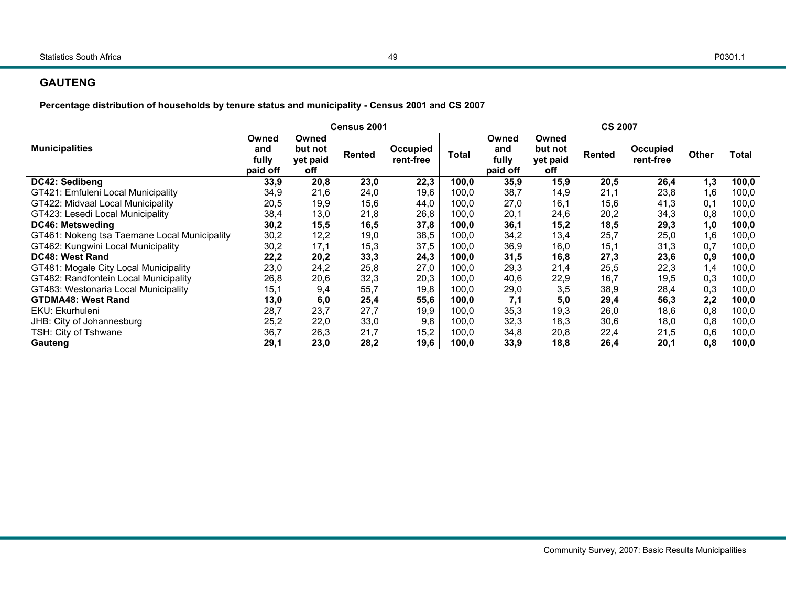## **GAUTENG**

**Percentage distribution of households by tenure status and municipality - Census 2001 and CS 2007**

|                                              |                                   |                                     | Census 2001 |                       |              |                                   |                                     | <b>CS 2007</b> |                       |              |              |
|----------------------------------------------|-----------------------------------|-------------------------------------|-------------|-----------------------|--------------|-----------------------------------|-------------------------------------|----------------|-----------------------|--------------|--------------|
| <b>Municipalities</b>                        | Owned<br>and<br>fully<br>paid off | Owned<br>but not<br>yet paid<br>off | Rented      | Occupied<br>rent-free | <b>Total</b> | Owned<br>and<br>fully<br>paid off | Owned<br>but not<br>yet paid<br>off | Rented         | Occupied<br>rent-free | <b>Other</b> | <b>Total</b> |
| DC42: Sedibeng                               | 33,9                              | 20,8                                | 23,0        | 22,3                  | 100,0        | 35,9                              | 15,9                                | 20,5           | 26,4                  | 1,3          | 100,0        |
| GT421: Emfuleni Local Municipality           | 34,9                              | 21,6                                | 24,0        | 19,6                  | 100,0        | 38,7                              | 14,9                                | 21,1           | 23,8                  | 1,6          | 100,0        |
| GT422: Midvaal Local Municipality            | 20,5                              | 19,9                                | 15,6        | 44,0                  | 100.0        | 27,0                              | 16,1                                | 15,6           | 41,3                  | 0,1          | 100,0        |
| GT423: Lesedi Local Municipality             | 38,4                              | 13,0                                | 21,8        | 26,8                  | 100,0        | 20,1                              | 24,6                                | 20,2           | 34,3                  | 0,8          | 100,0        |
| <b>DC46: Metsweding</b>                      | 30,2                              | 15,5                                | 16,5        | 37,8                  | 100,0        | 36,1                              | 15,2                                | 18,5           | 29,3                  | 1,0          | 100,0        |
| GT461: Nokeng tsa Taemane Local Municipality | 30,2                              | 12,2                                | 19,0        | 38,5                  | 100,0        | 34,2                              | 13.4                                | 25,7           | 25,0                  | 1,6          | 100,0        |
| GT462: Kungwini Local Municipality           | 30,2                              | 17,1                                | 15,3        | 37,5                  | 100,0        | 36,9                              | 16,0                                | 15,1           | 31,3                  | 0,7          | 100,0        |
| DC48: West Rand                              | 22,2                              | 20,2                                | 33,3        | 24,3                  | 100,0        | 31,5                              | 16,8                                | 27,3           | 23,6                  | 0,9          | 100,0        |
| GT481: Mogale City Local Municipality        | 23,0                              | 24,2                                | 25,8        | 27,0                  | 100,0        | 29,3                              | 21,4                                | 25,5           | 22,3                  | 1,4          | 100,0        |
| GT482: Randfontein Local Municipality        | 26,8                              | 20,6                                | 32,3        | 20,3                  | 100,0        | 40,6                              | 22,9                                | 16,7           | 19,5                  | 0,3          | 100,0        |
| GT483: Westonaria Local Municipality         | 15.1                              | 9,4                                 | 55,7        | 19,8                  | 100,0        | 29,0                              | 3,5                                 | 38,9           | 28,4                  | 0,3          | 100,0        |
| <b>GTDMA48: West Rand</b>                    | 13,0                              | 6,0                                 | 25,4        | 55,6                  | 100,0        | 7,1                               | 5,0                                 | 29,4           | 56,3                  | 2,2          | 100,0        |
| EKU: Ekurhuleni                              | 28,7                              | 23,7                                | 27,7        | 19,9                  | 100,0        | 35,3                              | 19,3                                | 26,0           | 18,6                  | 0,8          | 100,0        |
| JHB: City of Johannesburg                    | 25,2                              | 22,0                                | 33,0        | 9,8                   | 100.0        | 32,3                              | 18.3                                | 30,6           | 18,0                  | 0,8          | 100,0        |
| TSH: City of Tshwane                         | 36,7                              | 26,3                                | 21,7        | 15,2                  | 100,0        | 34,8                              | 20,8                                | 22,4           | 21,5                  | 0,6          | 100,0        |
| Gauteng                                      | 29.1                              | 23,0                                | 28,2        | 19,6                  | 100,0        | 33,9                              | 18,8                                | 26,4           | 20,1                  | 0,8          | 100,0        |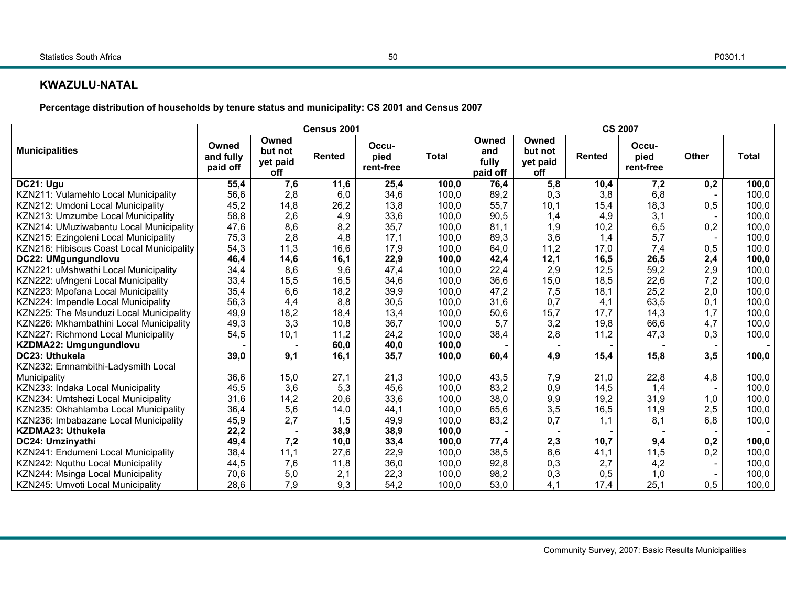#### **KWAZULU-NATAL**

**Percentage distribution of households by tenure status and municipality: CS 2001 and Census 2007** 

|                                           |                                |                                     | Census 2001   |                            |              | <b>CS 2007</b>                    |                                     |               |                            |       |              |
|-------------------------------------------|--------------------------------|-------------------------------------|---------------|----------------------------|--------------|-----------------------------------|-------------------------------------|---------------|----------------------------|-------|--------------|
| <b>Municipalities</b>                     | Owned<br>and fully<br>paid off | Owned<br>but not<br>yet paid<br>off | <b>Rented</b> | Occu-<br>pied<br>rent-free | <b>Total</b> | Owned<br>and<br>fully<br>paid off | Owned<br>but not<br>yet paid<br>off | <b>Rented</b> | Occu-<br>pied<br>rent-free | Other | <b>Total</b> |
| DC21: Ugu                                 | 55,4                           | 7,6                                 | 11,6          | 25,4                       | 100,0        | 76,4                              | 5,8                                 | 10,4          | 7,2                        | 0,2   | 100,0        |
| KZN211: Vulamehlo Local Municipality      | 56,6                           | 2,8                                 | 6,0           | 34,6                       | 100,0        | 89,2                              | 0,3                                 | 3,8           | 6,8                        |       | 100,0        |
| KZN212: Umdoni Local Municipality         | 45,2                           | 14,8                                | 26,2          | 13,8                       | 100,0        | 55,7                              | 10,1                                | 15,4          | 18,3                       | 0,5   | 100,0        |
| KZN213: Umzumbe Local Municipality        | 58,8                           | 2,6                                 | 4,9           | 33,6                       | 100,0        | 90,5                              | 1,4                                 | 4,9           | 3,1                        |       | 100,0        |
| KZN214: UMuziwabantu Local Municipality   | 47,6                           | 8,6                                 | 8,2           | 35,7                       | 100,0        | 81,1                              | 1,9                                 | 10,2          | 6,5                        | 0,2   | 100,0        |
| KZN215: Ezingoleni Local Municipality     | 75,3                           | 2,8                                 | 4,8           | 17,1                       | 100,0        | 89,3                              | 3,6                                 | 1,4           | 5,7                        |       | 100,0        |
| KZN216: Hibiscus Coast Local Municipality | 54,3                           | 11,3                                | 16,6          | 17,9                       | 100,0        | 64,0                              | 11,2                                | 17,0          | 7,4                        | 0,5   | 100,0        |
| DC22: UMgungundlovu                       | 46,4                           | 14,6                                | 16,1          | 22,9                       | 100,0        | 42,4                              | 12,1                                | 16,5          | 26,5                       | 2,4   | 100,0        |
| KZN221: uMshwathi Local Municipality      | 34,4                           | 8,6                                 | 9,6           | 47,4                       | 100,0        | 22,4                              | 2,9                                 | 12,5          | 59,2                       | 2,9   | 100,0        |
| KZN222: uMngeni Local Municipality        | 33,4                           | 15,5                                | 16,5          | 34,6                       | 100,0        | 36,6                              | 15,0                                | 18,5          | 22,6                       | 7,2   | 100,0        |
| KZN223: Mpofana Local Municipality        | 35,4                           | 6,6                                 | 18,2          | 39,9                       | 100,0        | 47,2                              | 7,5                                 | 18,1          | 25,2                       | 2,0   | 100,0        |
| KZN224: Impendle Local Municipality       | 56,3                           | 4,4                                 | 8,8           | 30,5                       | 100,0        | 31,6                              | 0,7                                 | 4,1           | 63,5                       | 0,1   | 100,0        |
| KZN225: The Msunduzi Local Municipality   | 49,9                           | 18,2                                | 18,4          | 13,4                       | 100,0        | 50,6                              | 15,7                                | 17,7          | 14,3                       | 1,7   | 100,0        |
| KZN226: Mkhambathini Local Municipality   | 49,3                           | 3,3                                 | 10,8          | 36,7                       | 100,0        | 5,7                               | 3,2                                 | 19,8          | 66,6                       | 4,7   | 100,0        |
| KZN227: Richmond Local Municipality       | 54,5                           | 10,1                                | 11,2          | 24,2                       | 100,0        | 38,4                              | 2,8                                 | 11,2          | 47,3                       | 0,3   | 100,0        |
| KZDMA22: Umgungundlovu                    |                                |                                     | 60,0          | 40,0                       | 100,0        |                                   |                                     |               |                            |       |              |
| DC23: Uthukela                            | 39,0                           | 9,1                                 | 16,1          | 35,7                       | 100,0        | 60,4                              | 4,9                                 | 15,4          | 15,8                       | 3,5   | 100,0        |
| KZN232: Emnambithi-Ladysmith Local        |                                |                                     |               |                            |              |                                   |                                     |               |                            |       |              |
| Municipality                              | 36,6                           | 15,0                                | 27,1          | 21,3                       | 100,0        | 43,5                              | 7,9                                 | 21,0          | 22,8                       | 4,8   | 100,0        |
| KZN233: Indaka Local Municipality         | 45,5                           | 3,6                                 | 5,3           | 45,6                       | 100,0        | 83,2                              | 0,9                                 | 14,5          | 1,4                        |       | 100,0        |
| KZN234: Umtshezi Local Municipality       | 31,6                           | 14,2                                | 20,6          | 33,6                       | 100,0        | 38,0                              | 9,9                                 | 19,2          | 31,9                       | 1,0   | 100,0        |
| KZN235: Okhahlamba Local Municipality     | 36,4                           | 5,6                                 | 14,0          | 44,1                       | 100,0        | 65,6                              | 3,5                                 | 16,5          | 11,9                       | 2,5   | 100,0        |
| KZN236: Imbabazane Local Municipality     | 45,9                           | 2,7                                 | 1,5           | 49,9                       | 100,0        | 83,2                              | 0,7                                 | 1,1           | 8,1                        | 6,8   | 100,0        |
| KZDMA23: Uthukela                         | 22,2                           |                                     | 38,9          | 38,9                       | 100,0        |                                   |                                     |               |                            |       |              |
| DC24: Umzinyathi                          | 49,4                           | 7,2                                 | 10,0          | 33,4                       | 100,0        | 77,4                              | 2,3                                 | 10,7          | 9,4                        | 0,2   | 100,0        |
| KZN241: Endumeni Local Municipality       | 38,4                           | 11,1                                | 27,6          | 22,9                       | 100,0        | 38,5                              | 8,6                                 | 41,1          | 11,5                       | 0,2   | 100,0        |
| KZN242: Nquthu Local Municipality         | 44,5                           | 7,6                                 | 11,8          | 36,0                       | 100,0        | 92,8                              | 0,3                                 | 2,7           | 4,2                        |       | 100,0        |
| KZN244: Msinga Local Municipality         | 70,6                           | 5,0                                 | 2,1           | 22,3                       | 100,0        | 98,2                              | 0,3                                 | 0,5           | 1,0                        |       | 100,0        |
| KZN245: Umvoti Local Municipality         | 28,6                           | 7,9                                 | 9,3           | 54,2                       | 100,0        | 53,0                              | 4,1                                 | 17,4          | 25,1                       | 0,5   | 100,0        |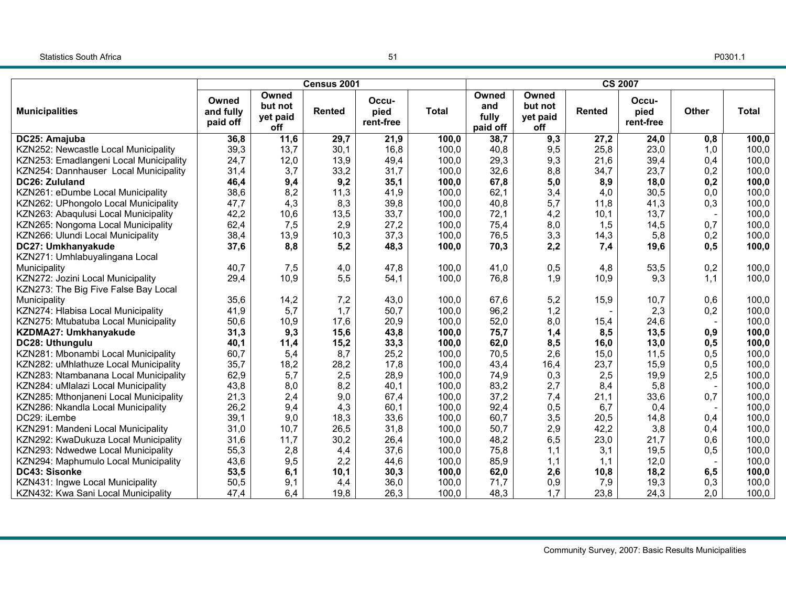P0301.1

|                                        |                                |                                     | Census 2001   |                            |              |                                   |                                     |               | <b>CS 2007</b>             |              |              |
|----------------------------------------|--------------------------------|-------------------------------------|---------------|----------------------------|--------------|-----------------------------------|-------------------------------------|---------------|----------------------------|--------------|--------------|
| <b>Municipalities</b>                  | Owned<br>and fully<br>paid off | Owned<br>but not<br>yet paid<br>off | <b>Rented</b> | Occu-<br>pied<br>rent-free | <b>Total</b> | Owned<br>and<br>fully<br>paid off | Owned<br>but not<br>yet paid<br>off | <b>Rented</b> | Occu-<br>pied<br>rent-free | <b>Other</b> | <b>Total</b> |
| DC25: Amajuba                          | 36,8                           | 11,6                                | 29,7          | 21,9                       | 100,0        | 38,7                              | 9,3                                 | 27,2          | 24,0                       | 0,8          | 100,0        |
| KZN252: Newcastle Local Municipality   | 39,3                           | 13,7                                | 30,1          | 16,8                       | 100,0        | 40,8                              | 9,5                                 | 25,8          | 23,0                       | 1,0          | 100,0        |
| KZN253: Emadlangeni Local Municipality | 24,7                           | 12,0                                | 13,9          | 49,4                       | 100,0        | 29,3                              | 9,3                                 | 21,6          | 39,4                       | 0,4          | 100,0        |
| KZN254: Dannhauser Local Municipality  | 31,4                           | 3,7                                 | 33,2          | 31,7                       | 100,0        | 32,6                              | 8,8                                 | 34,7          | 23,7                       | 0,2          | 100,0        |
| DC26: Zululand                         | 46,4                           | 9,4                                 | 9,2           | 35,1                       | 100,0        | 67,8                              | 5,0                                 | 8,9           | 18,0                       | 0,2          | 100,0        |
| KZN261: eDumbe Local Municipality      | 38,6                           | 8,2                                 | 11,3          | 41,9                       | 100,0        | 62,1                              | 3,4                                 | 4,0           | 30,5                       | 0,0          | 100,0        |
| KZN262: UPhongolo Local Municipality   | 47,7                           | 4,3                                 | 8,3           | 39,8                       | 100,0        | 40,8                              | 5,7                                 | 11,8          | 41,3                       | 0,3          | 100,0        |
| KZN263: Abaqulusi Local Municipality   | 42,2                           | 10,6                                | 13,5          | 33,7                       | 100,0        | 72,1                              | 4,2                                 | 10,1          | 13,7                       |              | 100,0        |
| KZN265: Nongoma Local Municipality     | 62,4                           | 7,5                                 | 2,9           | 27,2                       | 100,0        | 75,4                              | 8,0                                 | 1,5           | 14,5                       | 0,7          | 100,0        |
| KZN266: Ulundi Local Municipality      | 38,4                           | 13,9                                | 10,3          | 37,3                       | 100,0        | 76,5                              | 3,3                                 | 14,3          | 5,8                        | 0,2          | 100,0        |
| DC27: Umkhanyakude                     | 37,6                           | 8,8                                 | 5,2           | 48,3                       | 100,0        | 70,3                              | 2,2                                 | 7,4           | 19,6                       | 0,5          | 100,0        |
| KZN271: Umhlabuyalingana Local         |                                |                                     |               |                            |              |                                   |                                     |               |                            |              |              |
| Municipality                           | 40,7                           | 7,5                                 | 4,0           | 47,8                       | 100,0        | 41,0                              | 0,5                                 | 4,8           | 53,5                       | 0,2          | 100,0        |
| KZN272: Jozini Local Municipality      | 29,4                           | 10,9                                | 5,5           | 54,1                       | 100,0        | 76,8                              | 1,9                                 | 10,9          | 9,3                        | 1,1          | 100,0        |
| KZN273: The Big Five False Bay Local   |                                |                                     |               |                            |              |                                   |                                     |               |                            |              |              |
| Municipality                           | 35,6                           | 14,2                                | 7,2           | 43,0                       | 100,0        | 67,6                              | 5,2                                 | 15,9          | 10,7                       | 0,6          | 100,0        |
| KZN274: Hlabisa Local Municipality     | 41,9                           | 5,7                                 | 1,7           | 50,7                       | 100,0        | 96,2                              | 1,2                                 |               | 2,3                        | 0,2          | 100,0        |
| KZN275: Mtubatuba Local Municipality   | 50,6                           | 10,9                                | 17,6          | 20,9                       | 100,0        | 52,0                              | 8,0                                 | 15,4          | 24,6                       |              | 100,0        |
| KZDMA27: Umkhanyakude                  | 31,3                           | 9,3                                 | 15,6          | 43,8                       | 100,0        | 75,7                              | 1,4                                 | 8,5           | 13,5                       | 0,9          | 100,0        |
| DC28: Uthungulu                        | 40,1                           | 11,4                                | 15,2          | 33,3                       | 100,0        | 62,0                              | 8,5                                 | 16,0          | 13,0                       | 0,5          | 100,0        |
| KZN281: Mbonambi Local Municipality    | 60,7                           | 5,4                                 | 8,7           | 25,2                       | 100,0        | 70,5                              | 2,6                                 | 15,0          | 11,5                       | 0,5          | 100,0        |
| KZN282: uMhlathuze Local Municipality  | 35,7                           | 18,2                                | 28,2          | 17,8                       | 100,0        | 43,4                              | 16,4                                | 23,7          | 15,9                       | 0,5          | 100,0        |
| KZN283: Ntambanana Local Municipality  | 62,9                           | 5,7                                 | 2,5           | 28,9                       | 100,0        | 74,9                              | 0,3                                 | 2,5           | 19,9                       | 2,5          | 100,0        |
| KZN284: uMlalazi Local Municipality    | 43,8                           | 8,0                                 | 8,2           | 40,1                       | 100,0        | 83,2                              | 2,7                                 | 8,4           | 5,8                        |              | 100,0        |
| KZN285: Mthonjaneni Local Municipality | 21,3                           | 2,4                                 | 9,0           | 67,4                       | 100,0        | 37,2                              | 7,4                                 | 21,1          | 33,6                       | 0,7          | 100,0        |
| KZN286: Nkandla Local Municipality     | 26,2                           | 9,4                                 | 4,3           | 60,1                       | 100,0        | 92,4                              | 0,5                                 | 6,7           | 0,4                        |              | 100,0        |
| DC29: iLembe                           | 39,1                           | 9,0                                 | 18,3          | 33,6                       | 100,0        | 60,7                              | 3,5                                 | 20,5          | 14,8                       | 0,4          | 100,0        |
| KZN291: Mandeni Local Municipality     | 31,0                           | 10,7                                | 26,5          | 31,8                       | 100,0        | 50,7                              | 2,9                                 | 42,2          | 3,8                        | 0,4          | 100,0        |
| KZN292: KwaDukuza Local Municipality   | 31,6                           | 11,7                                | 30,2          | 26,4                       | 100,0        | 48,2                              | 6,5                                 | 23,0          | 21,7                       | 0,6          | 100,0        |
| KZN293: Ndwedwe Local Municipality     | 55,3                           | 2,8                                 | 4,4           | 37,6                       | 100,0        | 75,8                              | 1,1                                 | 3,1           | 19,5                       | 0,5          | 100,0        |
| KZN294: Maphumulo Local Municipality   | 43,6                           | 9,5                                 | 2,2           | 44,6                       | 100,0        | 85,9                              | 1,1                                 | 1,1           | 12,0                       |              | 100,0        |
| DC43: Sisonke                          | 53,5                           | 6,1                                 | 10,1          | 30,3                       | 100,0        | 62,0                              | 2,6                                 | 10,8          | 18,2                       | 6, 5         | 100,0        |
| KZN431: Ingwe Local Municipality       | 50,5                           | 9,1                                 | 4,4           | 36,0                       | 100,0        | 71,7                              | 0,9                                 | 7,9           | 19,3                       | 0,3          | 100,0        |
| KZN432: Kwa Sani Local Municipality    | 47,4                           | 6,4                                 | 19,8          | 26,3                       | 100,0        | 48,3                              | 1,7                                 | 23,8          | 24,3                       | 2,0          | 100,0        |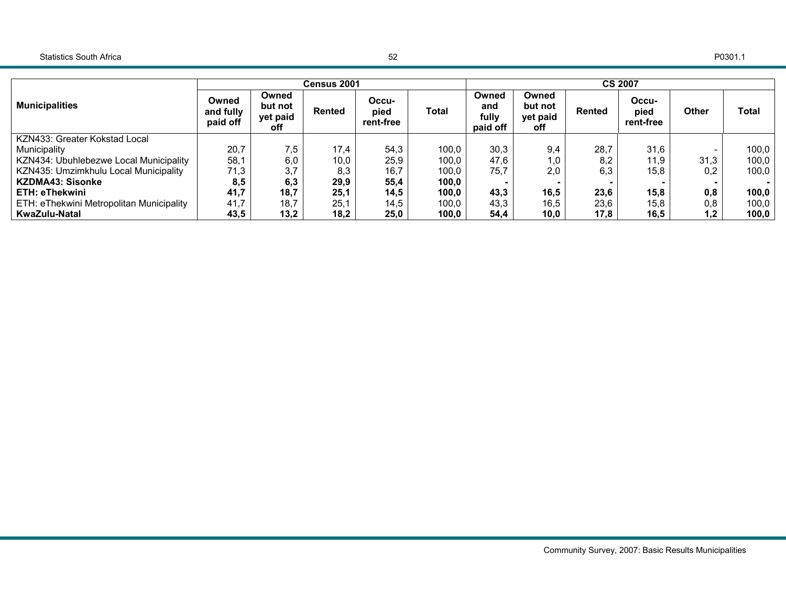|                                          |                                |                                     | <b>Census 2001</b> |                            |       |                                   |                                     |        | <b>CS 2007</b>             |              |       |
|------------------------------------------|--------------------------------|-------------------------------------|--------------------|----------------------------|-------|-----------------------------------|-------------------------------------|--------|----------------------------|--------------|-------|
| <b>Municipalities</b>                    | Owned<br>and fully<br>paid off | Owned<br>but not<br>yet paid<br>off | <b>Rented</b>      | Occu-<br>pied<br>rent-free | Total | Owned<br>and<br>fully<br>paid off | Owned<br>but not<br>yet paid<br>off | Rented | Occu-<br>pied<br>rent-free | <b>Other</b> | Total |
| KZN433: Greater Kokstad Local            |                                |                                     |                    |                            |       |                                   |                                     |        |                            |              |       |
| Municipality                             | 20,7                           | 7,5                                 | 17,4               | 54,3                       | 100,0 | 30,3                              | 9,4                                 | 28,7   | 31,6                       |              | 100,0 |
| KZN434: Ubuhlebezwe Local Municipality   | 58,1                           | 6,0                                 | 10,0               | 25,9                       | 100.0 | 47,6                              | 1,0                                 | 8,2    | 11,9                       | 31,3         | 100,0 |
| KZN435: Umzimkhulu Local Municipality    | 71,3                           | 3,7                                 | 8,3                | 16,7                       | 100,0 | 75,7                              | 2.0                                 | 6,3    | 15,8                       | 0.2          | 100,0 |
| <b>KZDMA43: Sisonke</b>                  | 8,5                            | 6,3                                 | 29,9               | 55,4                       | 100,0 |                                   |                                     |        |                            |              |       |
| ETH: eThekwini                           | 41,7                           | 18,7                                | 25,1               | 14,5                       | 100,0 | 43,3                              | 16,5                                | 23,6   | 15,8                       | 0,8          | 100,0 |
| ETH: eThekwini Metropolitan Municipality | 41,7                           | 18,7                                | 25,1               | 14.5                       | 100,0 | 43,3                              | 16,5                                | 23,6   | 15,8                       | 0,8          | 100,0 |
| KwaZulu-Natal                            | 43,5                           | 13,2                                | 18,2               | 25,0                       | 100,0 | 54,4                              | 10,0                                | 17,8   | 16,5                       | 1,2          | 100,0 |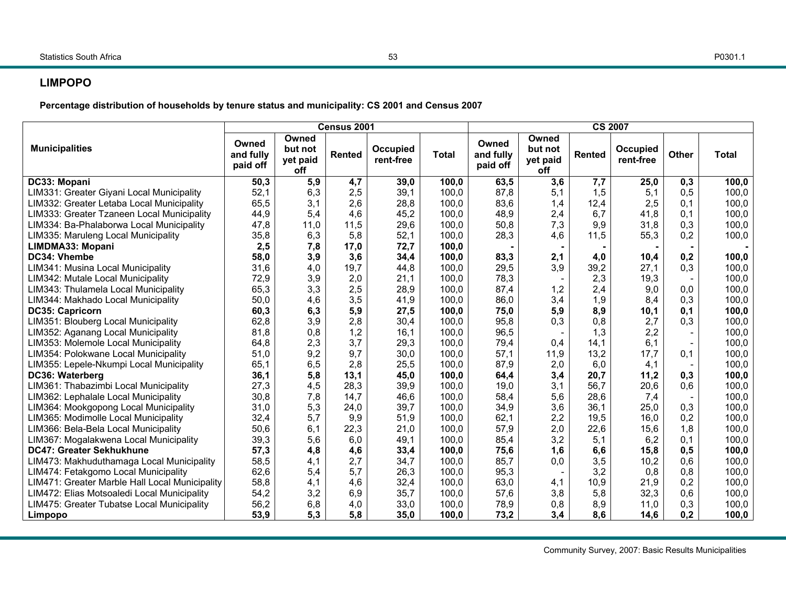## **LIMPOPO**

**Percentage distribution of households by tenure status and municipality: CS 2001 and Census 2007** 

|                                                |                                |                                     | Census 2001 |                       |              |                                | <b>CS 2007</b><br>Owned    |               |                       |              |              |
|------------------------------------------------|--------------------------------|-------------------------------------|-------------|-----------------------|--------------|--------------------------------|----------------------------|---------------|-----------------------|--------------|--------------|
| <b>Municipalities</b>                          | Owned<br>and fully<br>paid off | Owned<br>but not<br>yet paid<br>off | Rented      | Occupied<br>rent-free | <b>Total</b> | Owned<br>and fully<br>paid off | but not<br>yet paid<br>off | <b>Rented</b> | Occupied<br>rent-free | <b>Other</b> | <b>Total</b> |
| DC33: Mopani                                   | 50,3                           | 5,9                                 | 4,7         | 39,0                  | 100,0        | 63,5                           | 3,6                        | 7,7           | 25,0                  | 0,3          | 100,0        |
| LIM331: Greater Giyani Local Municipality      | 52,1                           | 6,3                                 | 2,5         | 39,1                  | 100,0        | 87,8                           | 5,1                        | 1,5           | 5,1                   | 0,5          | 100,0        |
| LIM332: Greater Letaba Local Municipality      | 65,5                           | 3,1                                 | 2,6         | 28,8                  | 100,0        | 83,6                           | 1,4                        | 12,4          | 2,5                   | 0,1          | 100,0        |
| LIM333: Greater Tzaneen Local Municipality     | 44,9                           | 5,4                                 | 4,6         | 45,2                  | 100,0        | 48,9                           | 2,4                        | 6,7           | 41,8                  | 0,1          | 100,0        |
| LIM334: Ba-Phalaborwa Local Municipality       | 47,8                           | 11,0                                | 11,5        | 29,6                  | 100,0        | 50,8                           | 7,3                        | 9,9           | 31,8                  | 0,3          | 100,0        |
| LIM335: Maruleng Local Municipality            | 35,8                           | 6,3                                 | 5,8         | 52,1                  | 100,0        | 28,3                           | 4,6                        | 11,5          | 55,3                  | 0,2          | 100,0        |
| LIMDMA33: Mopani                               | 2,5                            | 7,8                                 | 17,0        | 72,7                  | 100,0        |                                |                            |               |                       |              |              |
| DC34: Vhembe                                   | 58,0                           | 3,9                                 | 3,6         | 34,4                  | 100,0        | 83,3                           | 2,1                        | 4,0           | 10,4                  | 0,2          | 100,0        |
| LIM341: Musina Local Municipality              | 31,6                           | 4,0                                 | 19,7        | 44,8                  | 100,0        | 29,5                           | 3,9                        | 39,2          | 27,1                  | 0,3          | 100,0        |
| LIM342: Mutale Local Municipality              | 72,9                           | 3,9                                 | 2,0         | 21,1                  | 100,0        | 78,3                           |                            | 2,3           | 19,3                  |              | 100,0        |
| LIM343: Thulamela Local Municipality           | 65,3                           | 3,3                                 | 2,5         | 28,9                  | 100,0        | 87,4                           | 1,2                        | 2,4           | 9,0                   | 0,0          | 100,0        |
| LIM344: Makhado Local Municipality             | 50,0                           | 4,6                                 | 3,5         | 41,9                  | 100,0        | 86,0                           | 3,4                        | 1,9           | 8,4                   | 0,3          | 100,0        |
| DC35: Capricorn                                | 60,3                           | 6,3                                 | 5,9         | 27,5                  | 100,0        | 75,0                           | 5,9                        | 8,9           | 10,1                  | 0,1          | 100,0        |
| LIM351: Blouberg Local Municipality            | 62,8                           | 3,9                                 | 2,8         | 30,4                  | 100,0        | 95,8                           | 0,3                        | 0,8           | 2,7                   | 0,3          | 100,0        |
| LIM352: Aganang Local Municipality             | 81,8                           | 0,8                                 | 1,2         | 16,1                  | 100,0        | 96,5                           |                            | 1,3           | 2,2                   |              | 100,0        |
| LIM353: Molemole Local Municipality            | 64,8                           | 2,3                                 | 3,7         | 29,3                  | 100,0        | 79,4                           | 0,4                        | 14,1          | 6,1                   |              | 100,0        |
| LIM354: Polokwane Local Municipality           | 51,0                           | 9,2                                 | 9,7         | 30,0                  | 100,0        | 57,1                           | 11,9                       | 13,2          | 17,7                  | 0,1          | 100,0        |
| LIM355: Lepele-Nkumpi Local Municipality       | 65,1                           | 6, 5                                | 2,8         | 25,5                  | 100,0        | 87,9                           | 2,0                        | 6,0           | 4,1                   |              | 100,0        |
| DC36: Waterberg                                | 36,1                           | 5,8                                 | 13,1        | 45,0                  | 100,0        | 64,4                           | 3,4                        | 20,7          | 11,2                  | 0,3          | 100,0        |
| LIM361: Thabazimbi Local Municipality          | 27,3                           | 4,5                                 | 28,3        | 39,9                  | 100,0        | 19,0                           | 3,1                        | 56,7          | 20,6                  | 0,6          | 100,0        |
| LIM362: Lephalale Local Municipality           | 30,8                           | 7,8                                 | 14,7        | 46,6                  | 100,0        | 58,4                           | 5,6                        | 28,6          | 7,4                   |              | 100,0        |
| LIM364: Mookgopong Local Municipality          | 31,0                           | 5,3                                 | 24,0        | 39,7                  | 100,0        | 34,9                           | 3,6                        | 36.1          | 25,0                  | 0,3          | 100,0        |
| LIM365: Modimolle Local Municipality           | 32,4                           | 5,7                                 | 9,9         | 51,9                  | 100,0        | 62,1                           | 2,2                        | 19,5          | 16,0                  | 0,2          | 100,0        |
| LIM366: Bela-Bela Local Municipality           | 50,6                           | 6,1                                 | 22,3        | 21,0                  | 100.0        | 57,9                           | 2,0                        | 22,6          | 15,6                  | 1,8          | 100,0        |
| LIM367: Mogalakwena Local Municipality         | 39,3                           | 5,6                                 | 6,0         | 49,1                  | 100,0        | 85,4                           | 3,2                        | 5,1           | 6,2                   | 0,1          | 100,0        |
| <b>DC47: Greater Sekhukhune</b>                | 57,3                           | 4,8                                 | 4,6         | 33,4                  | 100,0        | 75,6                           | 1,6                        | 6,6           | 15,8                  | 0,5          | 100,0        |
| LIM473: Makhuduthamaga Local Municipality      | 58,5                           | 4,1                                 | 2,7         | 34,7                  | 100,0        | 85,7                           | 0,0                        | 3,5           | 10,2                  | 0,6          | 100,0        |
| LIM474: Fetakgomo Local Municipality           | 62,6                           | 5,4                                 | 5,7         | 26,3                  | 100,0        | 95,3                           |                            | 3,2           | 0,8                   | 0,8          | 100,0        |
| LIM471: Greater Marble Hall Local Municipality | 58,8                           | 4,1                                 | 4,6         | 32,4                  | 100,0        | 63,0                           | 4,1                        | 10,9          | 21,9                  | 0,2          | 100,0        |
| LIM472: Elias Motsoaledi Local Municipality    | 54,2                           | 3,2                                 | 6,9         | 35,7                  | 100,0        | 57,6                           | 3,8                        | 5,8           | 32,3                  | 0,6          | 100,0        |
| LIM475: Greater Tubatse Local Municipality     | 56,2                           | 6,8                                 | 4,0         | 33,0                  | 100,0        | 78,9                           | 0,8                        | 8,9           | 11,0                  | 0,3          | 100,0        |
| Limpopo                                        | 53,9                           | 5,3                                 | 5,8         | 35,0                  | 100,0        | 73,2                           | 3,4                        | 8,6           | 14,6                  | 0,2          | 100,0        |

Community Survey, 2007: Basic Results Municipalities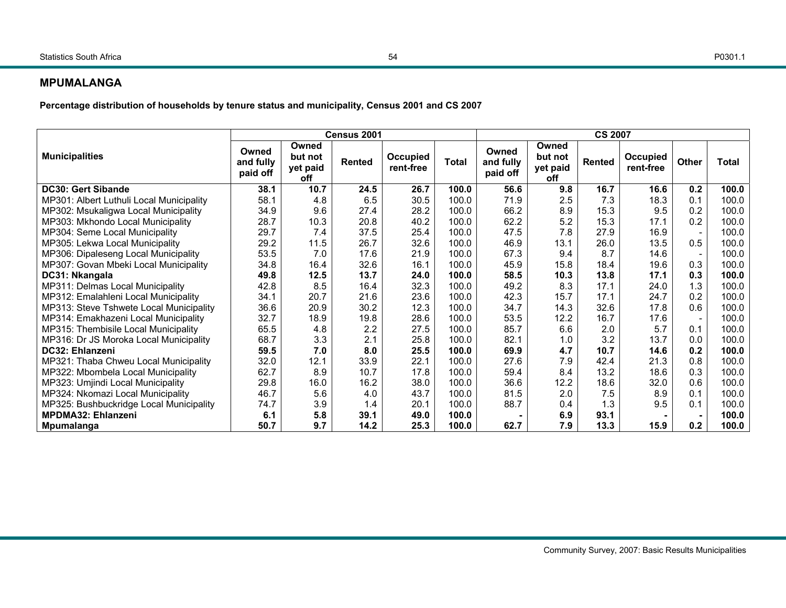#### **MPUMALANGA**

**Percentage distribution of households by tenure status and municipality, Census 2001 and CS 2007** 

|                                          |                                |                                     | Census 2001 |                       |              |                                |                                     | <b>CS 2007</b> |                       |        |              |
|------------------------------------------|--------------------------------|-------------------------------------|-------------|-----------------------|--------------|--------------------------------|-------------------------------------|----------------|-----------------------|--------|--------------|
| <b>Municipalities</b>                    | Owned<br>and fully<br>paid off | Owned<br>but not<br>yet paid<br>off | Rented      | Occupied<br>rent-free | <b>Total</b> | Owned<br>and fully<br>paid off | Owned<br>but not<br>yet paid<br>off | <b>Rented</b>  | Occupied<br>rent-free | Other  | <b>Total</b> |
| DC30: Gert Sibande                       | 38.1                           | 10.7                                | 24.5        | 26.7                  | 100.0        | 56.6                           | 9.8                                 | 16.7           | 16.6                  | 0.2    | 100.0        |
| MP301: Albert Luthuli Local Municipality | 58.1                           | 4.8                                 | 6.5         | 30.5                  | 100.0        | 71.9                           | 2.5                                 | 7.3            | 18.3                  | 0.1    | 100.0        |
| MP302: Msukaligwa Local Municipality     | 34.9                           | 9.6                                 | 27.4        | 28.2                  | 100.0        | 66.2                           | 8.9                                 | 15.3           | 9.5                   | 0.2    | 100.0        |
| MP303: Mkhondo Local Municipality        | 28.7                           | 10.3                                | 20.8        | 40.2                  | 100.0        | 62.2                           | 5.2                                 | 15.3           | 17.1                  | 0.2    | 100.0        |
| MP304: Seme Local Municipality           | 29.7                           | 7.4                                 | 37.5        | 25.4                  | 100.0        | 47.5                           | 7.8                                 | 27.9           | 16.9                  |        | 100.0        |
| MP305: Lekwa Local Municipality          | 29.2                           | 11.5                                | 26.7        | 32.6                  | 100.0        | 46.9                           | 13.1                                | 26.0           | 13.5                  | 0.5    | 100.0        |
| MP306: Dipaleseng Local Municipality     | 53.5                           | 7.0                                 | 17.6        | 21.9                  | 100.0        | 67.3                           | 9.4                                 | 8.7            | 14.6                  |        | 100.0        |
| MP307: Govan Mbeki Local Municipality    | 34.8                           | 16.4                                | 32.6        | 16.1                  | 100.0        | 45.9                           | 15.8                                | 18.4           | 19.6                  | 0.3    | 100.0        |
| DC31: Nkangala                           | 49.8                           | 12.5                                | 13.7        | 24.0                  | 100.0        | 58.5                           | 10.3                                | 13.8           | 17.1                  | 0.3    | 100.0        |
| MP311: Delmas Local Municipality         | 42.8                           | 8.5                                 | 16.4        | 32.3                  | 100.0        | 49.2                           | 8.3                                 | 17.1           | 24.0                  | 1.3    | 100.0        |
| MP312: Emalahleni Local Municipality     | 34.1                           | 20.7                                | 21.6        | 23.6                  | 100.0        | 42.3                           | 15.7                                | 17.1           | 24.7                  | 0.2    | 100.0        |
| MP313: Steve Tshwete Local Municipality  | 36.6                           | 20.9                                | 30.2        | 12.3                  | 100.0        | 34.7                           | 14.3                                | 32.6           | 17.8                  | 0.6    | 100.0        |
| MP314: Emakhazeni Local Municipality     | 32.7                           | 18.9                                | 19.8        | 28.6                  | 100.0        | 53.5                           | 12.2                                | 16.7           | 17.6                  | $\sim$ | 100.0        |
| MP315: Thembisile Local Municipality     | 65.5                           | 4.8                                 | 2.2         | 27.5                  | 100.0        | 85.7                           | 6.6                                 | 2.0            | 5.7                   | 0.1    | 100.0        |
| MP316: Dr JS Moroka Local Municipality   | 68.7                           | 3.3                                 | 2.1         | 25.8                  | 100.0        | 82.1                           | 1.0                                 | 3.2            | 13.7                  | 0.0    | 100.0        |
| DC32: Ehlanzeni                          | 59.5                           | 7.0                                 | 8.0         | 25.5                  | 100.0        | 69.9                           | 4.7                                 | 10.7           | 14.6                  | 0.2    | 100.0        |
| MP321: Thaba Chweu Local Municipality    | 32.0                           | 12.1                                | 33.9        | 22.1                  | 100.0        | 27.6                           | 7.9                                 | 42.4           | 21.3                  | 0.8    | 100.0        |
| MP322: Mbombela Local Municipality       | 62.7                           | 8.9                                 | 10.7        | 17.8                  | 100.0        | 59.4                           | 8.4                                 | 13.2           | 18.6                  | 0.3    | 100.0        |
| MP323: Umjindi Local Municipality        | 29.8                           | 16.0                                | 16.2        | 38.0                  | 100.0        | 36.6                           | 12.2                                | 18.6           | 32.0                  | 0.6    | 100.0        |
| MP324: Nkomazi Local Municipality        | 46.7                           | 5.6                                 | 4.0         | 43.7                  | 100.0        | 81.5                           | 2.0                                 | 7.5            | 8.9                   | 0.1    | 100.0        |
| MP325: Bushbuckridge Local Municipality  | 74.7                           | 3.9                                 | 1.4         | 20.1                  | 100.0        | 88.7                           | 0.4                                 | 1.3            | 9.5                   | 0.1    | 100.0        |
| <b>MPDMA32: Ehlanzeni</b>                | 6.1                            | 5.8                                 | 39.1        | 49.0                  | 100.0        |                                | 6.9                                 | 93.1           |                       |        | 100.0        |
| Mpumalanga                               | 50.7                           | 9.7                                 | 14.2        | 25.3                  | 100.0        | 62.7                           | 7.9                                 | 13.3           | 15.9                  | 0.2    | 100.0        |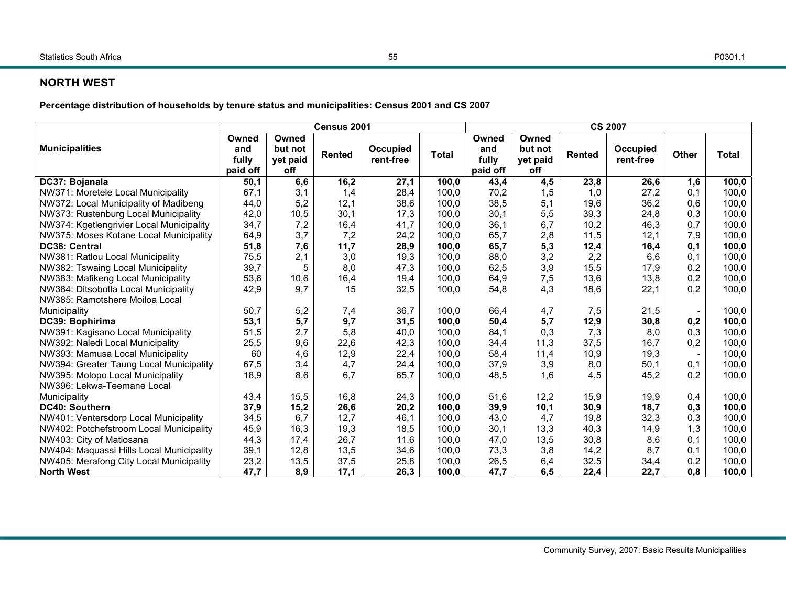## **NORTH WEST**

**Percentage distribution of households by tenure status and municipalities: Census 2001 and CS 2007** 

|                                          |          | <b>CS 2007</b><br>Census 2001 |               |           |              |          |          |               |           |       |       |
|------------------------------------------|----------|-------------------------------|---------------|-----------|--------------|----------|----------|---------------|-----------|-------|-------|
|                                          | Owned    | Owned                         |               |           |              | Owned    | Owned    |               |           |       |       |
| <b>Municipalities</b>                    | and      | but not                       | <b>Rented</b> | Occupied  | <b>Total</b> | and      | but not  | <b>Rented</b> | Occupied  | Other | Total |
|                                          | fully    | yet paid                      |               | rent-free |              | fully    | yet paid |               | rent-free |       |       |
|                                          | paid off | off                           |               |           |              | paid off | off      |               |           |       |       |
| DC37: Bojanala                           | 50,1     | 6,6                           | 16,2          | 27,1      | 100,0        | 43,4     | 4,5      | 23,8          | 26,6      | 1,6   | 100,0 |
| NW371: Moretele Local Municipality       | 67,1     | 3,1                           | 1,4           | 28,4      | 100,0        | 70,2     | 1,5      | 1,0           | 27,2      | 0,1   | 100,0 |
| NW372: Local Municipality of Madibeng    | 44,0     | 5,2                           | 12,1          | 38,6      | 100,0        | 38,5     | 5,1      | 19,6          | 36,2      | 0,6   | 100,0 |
| NW373: Rustenburg Local Municipality     | 42,0     | 10,5                          | 30,1          | 17,3      | 100.0        | 30,1     | 5,5      | 39,3          | 24,8      | 0,3   | 100,0 |
| NW374: Kgetlengrivier Local Municipality | 34,7     | 7,2                           | 16,4          | 41,7      | 100,0        | 36,1     | 6,7      | 10,2          | 46,3      | 0,7   | 100,0 |
| NW375: Moses Kotane Local Municipality   | 64,9     | 3,7                           | 7,2           | 24,2      | 100,0        | 65,7     | 2,8      | 11,5          | 12,1      | 7,9   | 100,0 |
| DC38: Central                            | 51,8     | 7,6                           | 11,7          | 28,9      | 100,0        | 65,7     | 5,3      | 12,4          | 16,4      | 0,1   | 100,0 |
| NW381: Ratlou Local Municipality         | 75,5     | 2,1                           | 3,0           | 19,3      | 100,0        | 88,0     | 3,2      | 2,2           | 6.6       | 0,1   | 100,0 |
| NW382: Tswaing Local Municipality        | 39,7     | 5                             | 8,0           | 47,3      | 100,0        | 62,5     | 3,9      | 15,5          | 17,9      | 0,2   | 100,0 |
| NW383: Mafikeng Local Municipality       | 53,6     | 10,6                          | 16,4          | 19,4      | 100,0        | 64,9     | 7,5      | 13,6          | 13,8      | 0.2   | 100,0 |
| NW384: Ditsobotla Local Municipality     | 42,9     | 9,7                           | 15            | 32,5      | 100,0        | 54,8     | 4,3      | 18,6          | 22,1      | 0.2   | 100,0 |
| NW385: Ramotshere Moiloa Local           |          |                               |               |           |              |          |          |               |           |       |       |
| Municipality                             | 50,7     | 5,2                           | 7,4           | 36,7      | 100,0        | 66,4     | 4,7      | 7,5           | 21,5      |       | 100,0 |
| DC39: Bophirima                          | 53,1     | 5,7                           | 9,7           | 31,5      | 100,0        | 50,4     | 5,7      | 12,9          | 30,8      | 0,2   | 100,0 |
| NW391: Kagisano Local Municipality       | 51,5     | 2,7                           | 5,8           | 40,0      | 100,0        | 84,1     | 0,3      | 7,3           | 8,0       | 0,3   | 100,0 |
| NW392: Naledi Local Municipality         | 25,5     | 9,6                           | 22,6          | 42,3      | 100,0        | 34,4     | 11,3     | 37,5          | 16,7      | 0,2   | 100,0 |
| NW393: Mamusa Local Municipality         | 60       | 4,6                           | 12,9          | 22,4      | 100,0        | 58,4     | 11,4     | 10,9          | 19,3      |       | 100,0 |
| NW394: Greater Taung Local Municipality  | 67,5     | 3,4                           | 4,7           | 24,4      | 100,0        | 37,9     | 3,9      | 8,0           | 50,1      | 0,1   | 100,0 |
| NW395: Molopo Local Municipality         | 18,9     | 8,6                           | 6.7           | 65,7      | 100,0        | 48,5     | 1,6      | 4,5           | 45,2      | 0.2   | 100,0 |
| NW396: Lekwa-Teemane Local               |          |                               |               |           |              |          |          |               |           |       |       |
| Municipality                             | 43,4     | 15,5                          | 16,8          | 24,3      | 100,0        | 51,6     | 12,2     | 15,9          | 19,9      | 0,4   | 100,0 |
| <b>DC40: Southern</b>                    | 37,9     | 15,2                          | 26,6          | 20,2      | 100,0        | 39,9     | 10,1     | 30,9          | 18,7      | 0,3   | 100,0 |
| NW401: Ventersdorp Local Municipality    | 34,5     | 6,7                           | 12,7          | 46,1      | 100,0        | 43,0     | 4.7      | 19,8          | 32,3      | 0,3   | 100,0 |
| NW402: Potchefstroom Local Municipality  | 45,9     | 16,3                          | 19,3          | 18,5      | 100,0        | 30,1     | 13,3     | 40,3          | 14,9      | 1,3   | 100,0 |
| NW403: City of Matlosana                 | 44,3     | 17,4                          | 26,7          | 11,6      | 100,0        | 47,0     | 13,5     | 30,8          | 8,6       | 0,1   | 100,0 |
| NW404: Maquassi Hills Local Municipality | 39,1     | 12,8                          | 13,5          | 34,6      | 100.0        | 73,3     | 3,8      | 14,2          | 8,7       | 0,1   | 100,0 |
| NW405: Merafong City Local Municipality  | 23,2     | 13,5                          | 37,5          | 25,8      | 100,0        | 26,5     | 6,4      | 32,5          | 34,4      | 0,2   | 100,0 |
| <b>North West</b>                        | 47,7     | 8,9                           | 17,1          | 26,3      | 100,0        | 47,7     | 6, 5     | 22,4          | 22,7      | 0,8   | 100,0 |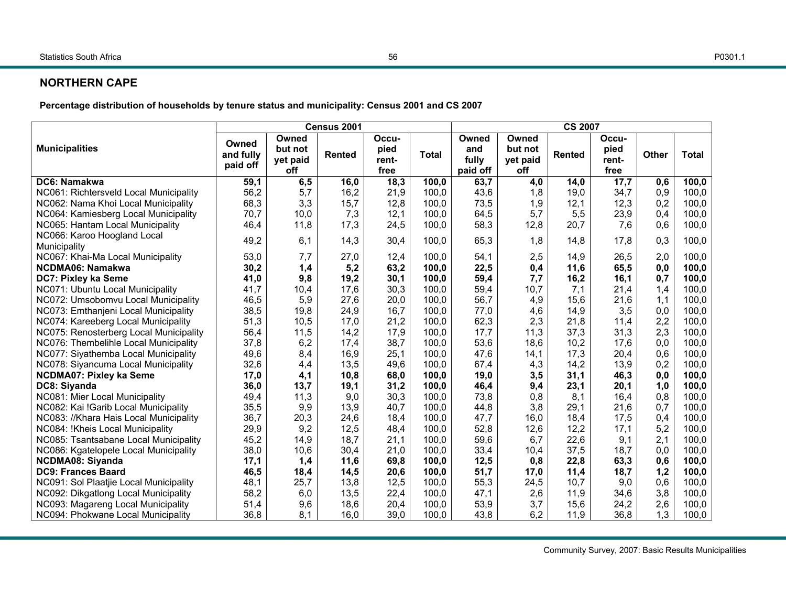#### **NORTHERN CAPE**

**Percentage distribution of households by tenure status and municipality: Census 2001 and CS 2007** 

|                                        | <b>CS 2007</b><br>Census 2001<br>Occu-<br>Owned<br>Owned<br>Owned<br>Occu-<br>Owned |             |               |              |              |                  |            |               |              |            |                |
|----------------------------------------|-------------------------------------------------------------------------------------|-------------|---------------|--------------|--------------|------------------|------------|---------------|--------------|------------|----------------|
| <b>Municipalities</b>                  |                                                                                     | but not     |               | pied         |              | and              | but not    |               | pied         |            |                |
|                                        | and fully<br>paid off                                                               | yet paid    | <b>Rented</b> | rent-        | <b>Total</b> | fully            | yet paid   | <b>Rented</b> | rent-        | Other      | <b>Total</b>   |
| DC6: Namakwa                           |                                                                                     | off         |               | free         | 100,0        | paid off<br>63,7 | off        |               | free         |            |                |
| NC061: Richtersveld Local Municipality | 59,1<br>56,2                                                                        | 6, 5<br>5,7 | 16,0<br>16,2  | 18,3<br>21,9 | 100,0        | 43,6             | 4,0<br>1,8 | 14,0<br>19,0  | 17,7<br>34,7 | 0,6<br>0,9 | 100,0<br>100,0 |
| NC062: Nama Khoi Local Municipality    | 68,3                                                                                | 3,3         | 15,7          | 12,8         | 100,0        | 73,5             | 1,9        | 12,1          | 12,3         | 0,2        | 100,0          |
| NC064: Kamiesberg Local Municipality   | 70,7                                                                                | 10,0        | 7,3           | 12,1         | 100,0        | 64,5             | 5,7        | 5,5           | 23,9         | 0,4        | 100,0          |
| NC065: Hantam Local Municipality       | 46,4                                                                                | 11,8        | 17,3          | 24,5         | 100,0        | 58,3             | 12,8       | 20,7          | 7,6          | 0,6        | 100,0          |
| NC066: Karoo Hoogland Local            |                                                                                     |             |               |              |              |                  |            |               |              |            |                |
| Municipality                           | 49,2                                                                                | 6,1         | 14,3          | 30,4         | 100,0        | 65,3             | 1,8        | 14,8          | 17,8         | 0,3        | 100,0          |
| NC067: Khai-Ma Local Municipality      | 53,0                                                                                | 7,7         | 27,0          | 12,4         | 100,0        | 54,1             | 2,5        | 14,9          | 26,5         | 2,0        | 100,0          |
| NCDMA06: Namakwa                       | 30,2                                                                                | 1,4         | 5,2           | 63,2         | 100,0        | 22,5             | 0,4        | 11,6          | 65,5         | 0,0        | 100,0          |
| DC7: Pixley ka Seme                    | 41,0                                                                                | 9,8         | 19,2          | 30,1         | 100,0        | 59,4             | 7,7        | 16,2          | 16,1         | 0,7        | 100,0          |
| NC071: Ubuntu Local Municipality       | 41,7                                                                                | 10,4        | 17,6          | 30,3         | 100,0        | 59,4             | 10,7       | 7,1           | 21,4         | 1,4        | 100,0          |
| NC072: Umsobomvu Local Municipality    | 46,5                                                                                | 5,9         | 27,6          | 20,0         | 100,0        | 56,7             | 4,9        | 15,6          | 21,6         | 1,1        | 100,0          |
| NC073: Emthanjeni Local Municipality   | 38,5                                                                                | 19,8        | 24,9          | 16,7         | 100,0        | 77,0             | 4,6        | 14,9          | 3,5          | 0,0        | 100,0          |
| NC074: Kareeberg Local Municipality    | 51,3                                                                                | 10,5        | 17,0          | 21,2         | 100,0        | 62,3             | 2,3        | 21,8          | 11,4         | 2,2        | 100,0          |
| NC075: Renosterberg Local Municipality | 56,4                                                                                | 11,5        | 14,2          | 17,9         | 100,0        | 17,7             | 11,3       | 37,3          | 31,3         | 2,3        | 100,0          |
| NC076: Thembelihle Local Municipality  | 37,8                                                                                | 6,2         | 17,4          | 38,7         | 100,0        | 53,6             | 18,6       | 10,2          | 17,6         | 0,0        | 100,0          |
| NC077: Siyathemba Local Municipality   | 49,6                                                                                | 8,4         | 16,9          | 25,1         | 100,0        | 47,6             | 14,1       | 17,3          | 20,4         | 0,6        | 100,0          |
| NC078: Siyancuma Local Municipality    | 32,6                                                                                | 4,4         | 13,5          | 49,6         | 100,0        | 67,4             | 4,3        | 14,2          | 13,9         | 0,2        | 100,0          |
| NCDMA07: Pixley ka Seme                | 17,0                                                                                | 4,1         | 10,8          | 68,0         | 100,0        | 19,0             | 3,5        | 31,1          | 46,3         | 0,0        | 100,0          |
| DC8: Siyanda                           | 36,0                                                                                | 13,7        | 19,1          | 31,2         | 100,0        | 46,4             | 9,4        | 23,1          | 20,1         | 1,0        | 100,0          |
| NC081: Mier Local Municipality         | 49,4                                                                                | 11,3        | 9,0           | 30,3         | 100,0        | 73,8             | 0,8        | 8,1           | 16,4         | 0,8        | 100,0          |
| NC082: Kai !Garib Local Municipality   | 35,5                                                                                | 9,9         | 13,9          | 40,7         | 100,0        | 44,8             | 3,8        | 29,1          | 21,6         | 0,7        | 100,0          |
| NC083: //Khara Hais Local Municipality | 36,7                                                                                | 20,3        | 24,6          | 18,4         | 100,0        | 47,7             | 16,0       | 18,4          | 17,5         | 0,4        | 100,0          |
| NC084: !Kheis Local Municipality       | 29,9                                                                                | 9,2         | 12,5          | 48,4         | 100,0        | 52,8             | 12,6       | 12,2          | 17,1         | 5,2        | 100,0          |
| NC085: Tsantsabane Local Municipality  | 45,2                                                                                | 14,9        | 18,7          | 21,1         | 100,0        | 59,6             | 6,7        | 22,6          | 9,1          | 2,1        | 100,0          |
| NC086: Kgatelopele Local Municipality  | 38,0                                                                                | 10,6        | 30,4          | 21,0         | 100,0        | 33,4             | 10,4       | 37,5          | 18,7         | 0,0        | 100,0          |
| <b>NCDMA08: Siyanda</b>                | 17,1                                                                                | 1,4         | 11,6          | 69,8         | 100,0        | 12,5             | 0,8        | 22,8          | 63,3         | 0,6        | 100,0          |
| <b>DC9: Frances Baard</b>              | 46,5                                                                                | 18,4        | 14,5          | 20,6         | 100,0        | 51,7             | 17,0       | 11,4          | 18,7         | 1,2        | 100,0          |
| NC091: Sol Plaatjie Local Municipality | 48,1                                                                                | 25,7        | 13,8          | 12,5         | 100,0        | 55,3             | 24,5       | 10,7          | 9,0          | 0,6        | 100,0          |
| NC092: Dikgatlong Local Municipality   | 58,2                                                                                | 6,0         | 13,5          | 22,4         | 100,0        | 47,1             | 2,6        | 11,9          | 34,6         | 3,8        | 100,0          |
| NC093: Magareng Local Municipality     | 51,4                                                                                | 9,6         | 18,6          | 20,4         | 100,0        | 53,9             | 3,7        | 15,6          | 24,2         | 2,6        | 100,0          |
| NC094: Phokwane Local Municipality     | 36,8                                                                                | 8,1         | 16,0          | 39,0         | 100,0        | 43,8             | 6,2        | 11,9          | 36,8         | 1,3        | 100,0          |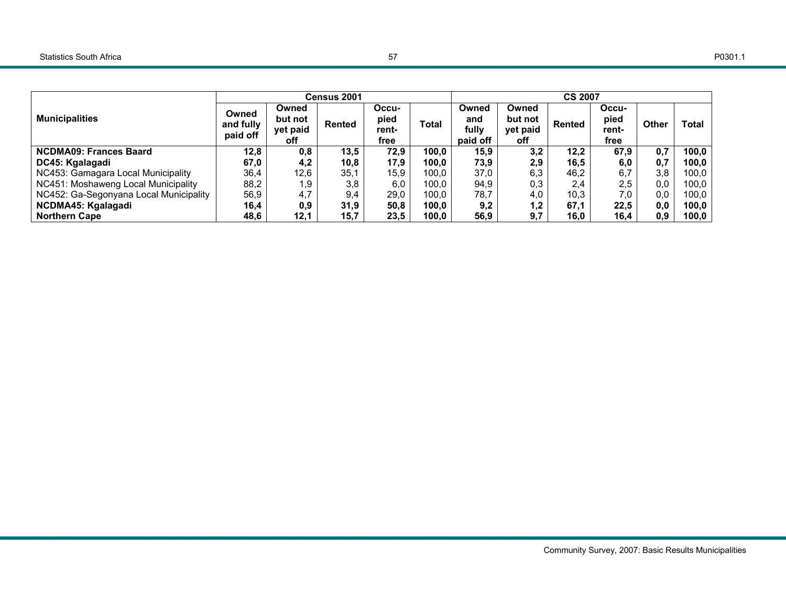|                                        |                                |                                     | Census 2001 |                                |              |                                   |                                     | <b>CS 2007</b> |                                |              |              |
|----------------------------------------|--------------------------------|-------------------------------------|-------------|--------------------------------|--------------|-----------------------------------|-------------------------------------|----------------|--------------------------------|--------------|--------------|
| <b>Municipalities</b>                  | Owned<br>and fully<br>paid off | Owned<br>but not<br>yet paid<br>off | Rented      | Occu-<br>pied<br>rent-<br>free | <b>Total</b> | Owned<br>and<br>fullv<br>paid off | Owned<br>but not<br>yet paid<br>off | Rented         | Occu-<br>pied<br>rent-<br>free | <b>Other</b> | <b>Total</b> |
| <b>NCDMA09: Frances Baard</b>          | 12,8                           | 0,8                                 | 13,5        | 72,9                           | 100,0        | 15,9                              | 3,2                                 | 12,2           | 67,9                           | 0.7          | 100,0        |
| DC45: Kgalagadi                        | 67,0                           | 4,2                                 | 10,8        | 17,9                           | 100,0        | 73,9                              | 2,9                                 | 16,5           | 6,0                            | 0,7          | 100,0        |
| NC453: Gamagara Local Municipality     | 36,4                           | 12,6                                | 35,1        | 15,9                           | 100,0        | 37,0                              | 6,3                                 | 46,2           | 6,7                            | 3,8          | 100,0        |
| NC451: Moshaweng Local Municipality    | 88,2                           | 1,9                                 | 3,8         | 6,0                            | 100,0        | 94,9                              | 0,3                                 | 2,4            | 2,5                            | 0,0          | 100,0        |
| NC452: Ga-Segonyana Local Municipality | 56,9                           | 4,7                                 | 9,4         | 29,0                           | 100.0        | 78,7                              | 4,0                                 | 10,3           | 7,0                            | 0.0          | 100.0        |
| NCDMA45: Kgalagadi                     | 16,4                           | 0,9                                 | 31,9        | 50,8                           | 100,0        | 9,2                               | 1,2                                 | 67,1           | 22,5                           | 0,0          | 100,0        |
| <b>Northern Cape</b>                   | 48,6                           | 12,1                                | 15,7        | 23,5                           | 100.0        | 56.9                              | 9,7                                 | 16.0           | 16.4                           | 0.9          | 100,0        |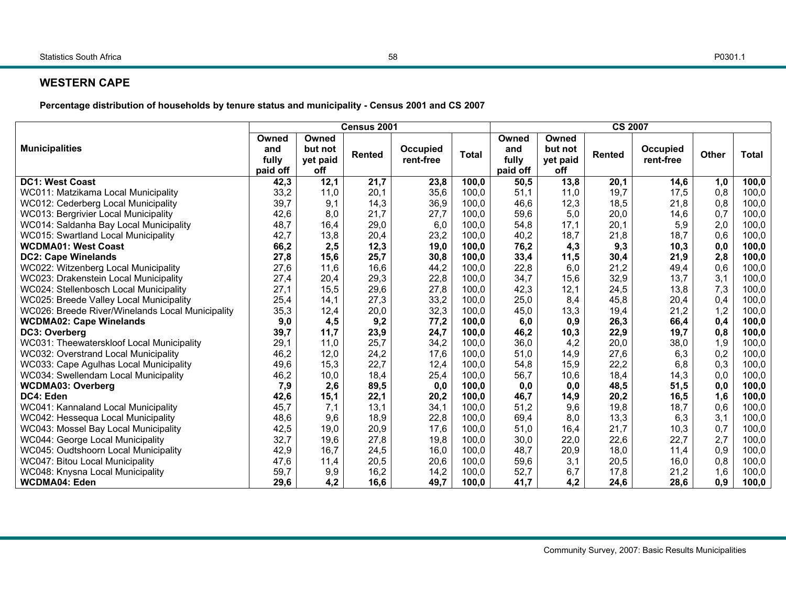#### **WESTERN CAPE**

**Percentage distribution of households by tenure status and municipality - Census 2001 and CS 2007** 

|                                                  | Census 2001                       |                                     |               |                       |              |                                   | <b>CS 2007</b>                      |               |                       |              |              |  |  |
|--------------------------------------------------|-----------------------------------|-------------------------------------|---------------|-----------------------|--------------|-----------------------------------|-------------------------------------|---------------|-----------------------|--------------|--------------|--|--|
| <b>Municipalities</b>                            | Owned<br>and<br>fully<br>paid off | Owned<br>but not<br>yet paid<br>off | <b>Rented</b> | Occupied<br>rent-free | <b>Total</b> | Owned<br>and<br>fully<br>paid off | Owned<br>but not<br>yet paid<br>off | <b>Rented</b> | Occupied<br>rent-free | <b>Other</b> | <b>Total</b> |  |  |
| <b>DC1: West Coast</b>                           | 42,3                              | 12,1                                | 21,7          | 23,8                  | 100,0        | 50,5                              | 13,8                                | 20,1          | 14,6                  | 1,0          | 100,0        |  |  |
| WC011: Matzikama Local Municipality              | 33,2                              | 11,0                                | 20,1          | 35,6                  | 100,0        | 51,1                              | 11,0                                | 19,7          | 17,5                  | 0,8          | 100,0        |  |  |
| WC012: Cederberg Local Municipality              | 39,7                              | 9,1                                 | 14,3          | 36,9                  | 100,0        | 46,6                              | 12,3                                | 18,5          | 21,8                  | 0,8          | 100,0        |  |  |
| WC013: Bergrivier Local Municipality             | 42,6                              | 8,0                                 | 21,7          | 27,7                  | 100,0        | 59,6                              | 5,0                                 | 20,0          | 14,6                  | 0,7          | 100,0        |  |  |
| WC014: Saldanha Bay Local Municipality           | 48,7                              | 16,4                                | 29,0          | 6,0                   | 100,0        | 54,8                              | 17,1                                | 20,1          | 5,9                   | 2,0          | 100,0        |  |  |
| WC015: Swartland Local Municipality              | 42,7                              | 13,8                                | 20,4          | 23,2                  | 100,0        | 40,2                              | 18,7                                | 21,8          | 18,7                  | 0,6          | 100,0        |  |  |
| <b>WCDMA01: West Coast</b>                       | 66,2                              | 2,5                                 | 12,3          | 19,0                  | 100,0        | 76,2                              | 4,3                                 | 9,3           | 10,3                  | 0,0          | 100,0        |  |  |
| <b>DC2: Cape Winelands</b>                       | 27,8                              | 15,6                                | 25,7          | 30,8                  | 100,0        | 33,4                              | 11,5                                | 30,4          | 21,9                  | 2,8          | 100,0        |  |  |
| WC022: Witzenberg Local Municipality             | 27,6                              | 11,6                                | 16,6          | 44,2                  | 100,0        | 22,8                              | 6,0                                 | 21,2          | 49,4                  | 0,6          | 100,0        |  |  |
| WC023: Drakenstein Local Municipality            | 27,4                              | 20,4                                | 29,3          | 22,8                  | 100,0        | 34,7                              | 15,6                                | 32,9          | 13,7                  | 3,1          | 100,0        |  |  |
| WC024: Stellenbosch Local Municipality           | 27,1                              | 15,5                                | 29,6          | 27,8                  | 100,0        | 42,3                              | 12,1                                | 24,5          | 13,8                  | 7,3          | 100,0        |  |  |
| WC025: Breede Valley Local Municipality          | 25,4                              | 14,1                                | 27,3          | 33,2                  | 100,0        | 25,0                              | 8,4                                 | 45,8          | 20,4                  | 0,4          | 100,0        |  |  |
| WC026: Breede River/Winelands Local Municipality | 35,3                              | 12,4                                | 20,0          | 32,3                  | 100,0        | 45,0                              | 13,3                                | 19,4          | 21,2                  | 1,2          | 100,0        |  |  |
| <b>WCDMA02: Cape Winelands</b>                   | 9,0                               | 4,5                                 | 9,2           | 77,2                  | 100,0        | 6,0                               | 0,9                                 | 26,3          | 66,4                  | 0,4          | 100,0        |  |  |
| DC3: Overberg                                    | 39,7                              | 11,7                                | 23,9          | 24,7                  | 100,0        | 46,2                              | 10,3                                | 22,9          | 19,7                  | 0,8          | 100,0        |  |  |
| WC031: Theewaterskloof Local Municipality        | 29,1                              | 11,0                                | 25,7          | 34,2                  | 100,0        | 36,0                              | 4,2                                 | 20,0          | 38,0                  | 1,9          | 100,0        |  |  |
| WC032: Overstrand Local Municipality             | 46,2                              | 12,0                                | 24,2          | 17,6                  | 100,0        | 51,0                              | 14,9                                | 27,6          | 6,3                   | 0,2          | 100,0        |  |  |
| WC033: Cape Agulhas Local Municipality           | 49,6                              | 15,3                                | 22,7          | 12,4                  | 100,0        | 54,8                              | 15,9                                | 22,2          | 6,8                   | 0,3          | 100,0        |  |  |
| WC034: Swellendam Local Municipality             | 46,2                              | 10,0                                | 18,4          | 25,4                  | 100,0        | 56,7                              | 10,6                                | 18,4          | 14,3                  | 0,0          | 100,0        |  |  |
| <b>WCDMA03: Overberg</b>                         | 7,9                               | 2,6                                 | 89,5          | 0,0                   | 100.0        | 0,0                               | 0,0                                 | 48,5          | 51,5                  | 0,0          | 100,0        |  |  |
| DC4: Eden                                        | 42,6                              | 15,1                                | 22,1          | 20,2                  | 100,0        | 46,7                              | 14,9                                | 20,2          | 16,5                  | 1,6          | 100,0        |  |  |
| WC041: Kannaland Local Municipality              | 45,7                              | 7,1                                 | 13,1          | 34,1                  | 100,0        | 51,2                              | 9,6                                 | 19,8          | 18,7                  | 0,6          | 100,0        |  |  |
| WC042: Hessequa Local Municipality               | 48,6                              | 9,6                                 | 18,9          | 22,8                  | 100,0        | 69,4                              | 8,0                                 | 13,3          | 6,3                   | 3,1          | 100,0        |  |  |
| WC043: Mossel Bay Local Municipality             | 42,5                              | 19,0                                | 20,9          | 17,6                  | 100,0        | 51,0                              | 16,4                                | 21,7          | 10,3                  | 0,7          | 100,0        |  |  |
| WC044: George Local Municipality                 | 32,7                              | 19,6                                | 27,8          | 19,8                  | 100,0        | 30,0                              | 22,0                                | 22,6          | 22,7                  | 2,7          | 100,0        |  |  |
| WC045: Oudtshoorn Local Municipality             | 42,9                              | 16,7                                | 24,5          | 16,0                  | 100,0        | 48,7                              | 20,9                                | 18,0          | 11,4                  | 0,9          | 100,0        |  |  |
| WC047: Bitou Local Municipality                  | 47,6                              | 11,4                                | 20,5          | 20,6                  | 100,0        | 59,6                              | 3,1                                 | 20,5          | 16,0                  | 0,8          | 100,0        |  |  |
| WC048: Knysna Local Municipality                 | 59,7                              | 9,9                                 | 16,2          | 14,2                  | 100,0        | 52,7                              | 6,7                                 | 17,8          | 21,2                  | 1,6          | 100,0        |  |  |
| <b>WCDMA04: Eden</b>                             | 29.6                              | 4,2                                 | 16,6          | 49,7                  | 100,0        | 41,7                              | 4,2                                 | 24,6          | 28,6                  | 0,9          | 100,0        |  |  |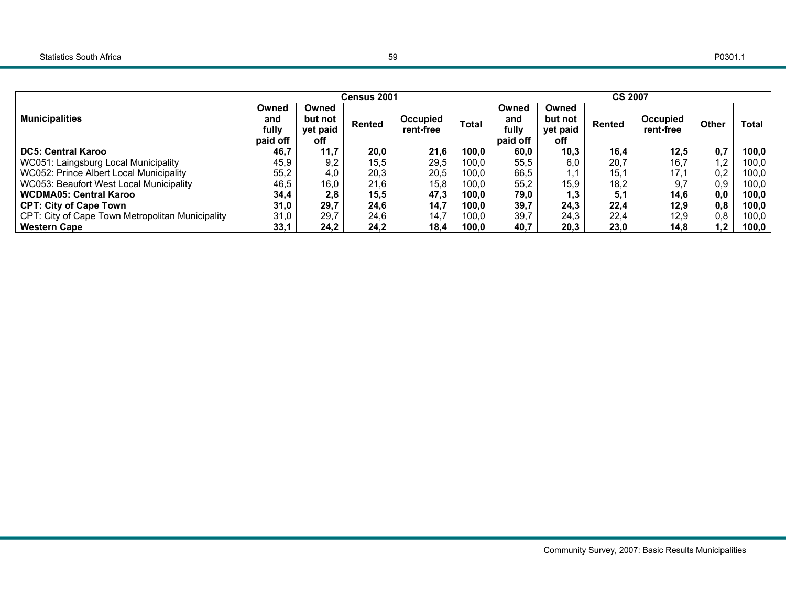|                                                  |          |          | Census 2001 |           |       |          |          | <b>CS 2007</b> |                 |       |              |
|--------------------------------------------------|----------|----------|-------------|-----------|-------|----------|----------|----------------|-----------------|-------|--------------|
|                                                  | Owned    | Owned    |             |           |       | Owned    | Owned    |                |                 |       |              |
| <b>Municipalities</b>                            | and      | but not  | Rented      | Occupied  | Total | and      | but not  | Rented         | <b>Occupied</b> | Other | <b>Total</b> |
|                                                  | fully    | yet paid |             | rent-free |       | fully    | yet paid |                | rent-free       |       |              |
|                                                  | paid off | off      |             |           |       | paid off | off      |                |                 |       |              |
| <b>DC5: Central Karoo</b>                        | 46,7     | 11,7     | 20,0        | 21,6      | 100,0 | 60,0     | 10,3     | 16,4           | 12,5            | 0,7   | 100,0        |
| WC051: Laingsburg Local Municipality             | 45,9     | 9,2      | 15,5        | 29,5      | 100.0 | 55,5     | 6.0      | 20,7           | 16,7            | 1,2   | 100,0        |
| WC052: Prince Albert Local Municipality          | 55,2     | 4,0      | 20,3        | 20,5      | 100.0 | 66,5     | 1,1      | 15,1           | 17,1            | 0,2   | 100,0        |
| WC053: Beaufort West Local Municipality          | 46,5     | 16,0     | 21,6        | 15,8      | 100,0 | 55,2     | 15,9     | 18,2           | 9.7             | 0,9   | 100.0        |
| <b>WCDMA05: Central Karoo</b>                    | 34,4     | 2,8      | 15,5        | 47,3      | 100.0 | 79,0     | 1,3      | 5,1            | 14,6            | 0,0   | 100,0        |
| <b>CPT: City of Cape Town</b>                    | 31,0     | 29,7     | 24,6        | 14,7      | 100.0 | 39,7     | 24,3     | 22.4           | 12,9            | 0,8   | 100,0        |
| CPT: City of Cape Town Metropolitan Municipality | 31,0     | 29,7     | 24,6        | 14,7      | 100.0 | 39,7     | 24,3     | 22,4           | 12,9            | 0,8   | 100,0        |
| <b>Western Cape</b>                              | 33,1     | 24,2     | 24,2        | 18,4      | 100,0 | 40,7     | 20,3     | 23,0           | 14,8            | 1,2   | 100,0        |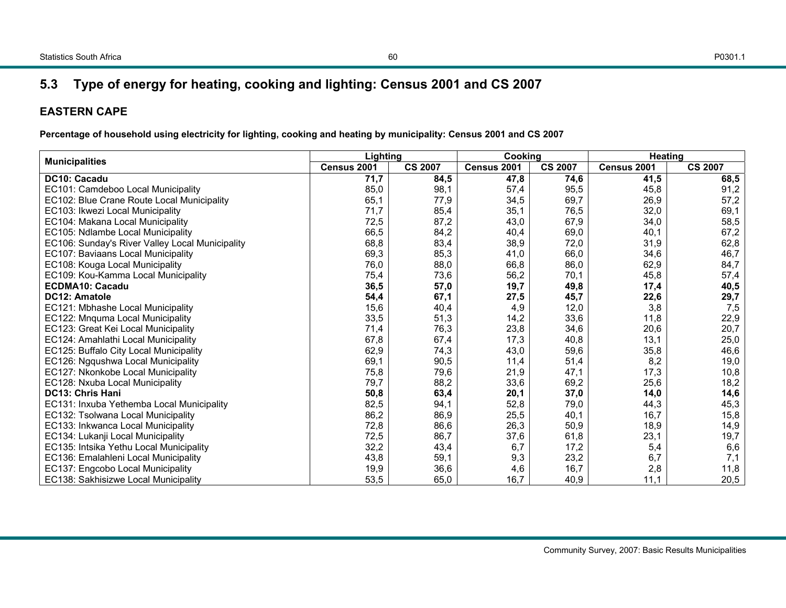## **5.3 Type of energy for heating, cooking and lighting: Census 2001 and CS 2007**

## **EASTERN CAPE**

| <b>Municipalities</b>                           | Lighting    |                | Cooking     |                | <b>Heating</b> |                |
|-------------------------------------------------|-------------|----------------|-------------|----------------|----------------|----------------|
|                                                 | Census 2001 | <b>CS 2007</b> | Census 2001 | <b>CS 2007</b> | Census 2001    | <b>CS 2007</b> |
| DC10: Cacadu                                    | 71,7        | 84,5           | 47,8        | 74,6           | 41,5           | 68,5           |
| EC101: Camdeboo Local Municipality              | 85,0        | 98,1           | 57,4        | 95,5           | 45,8           | 91,2           |
| EC102: Blue Crane Route Local Municipality      | 65,1        | 77,9           | 34,5        | 69,7           | 26,9           | 57,2           |
| EC103: Ikwezi Local Municipality                | 71,7        | 85,4           | 35,1        | 76,5           | 32,0           | 69,1           |
| EC104: Makana Local Municipality                | 72,5        | 87,2           | 43,0        | 67,9           | 34,0           | 58,5           |
| EC105: Ndlambe Local Municipality               | 66,5        | 84,2           | 40,4        | 69,0           | 40,1           | 67,2           |
| EC106: Sunday's River Valley Local Municipality | 68,8        | 83,4           | 38,9        | 72,0           | 31,9           | 62,8           |
| EC107: Baviaans Local Municipality              | 69,3        | 85,3           | 41,0        | 66,0           | 34,6           | 46,7           |
| EC108: Kouga Local Municipality                 | 76,0        | 88,0           | 66,8        | 86,0           | 62,9           | 84,7           |
| EC109: Kou-Kamma Local Municipality             | 75,4        | 73,6           | 56,2        | 70,1           | 45,8           | 57,4           |
| <b>ECDMA10: Cacadu</b>                          | 36,5        | 57,0           | 19,7        | 49,8           | 17,4           | 40,5           |
| DC12: Amatole                                   | 54,4        | 67,1           | 27,5        | 45,7           | 22,6           | 29,7           |
| EC121: Mbhashe Local Municipality               | 15,6        | 40.4           | 4,9         | 12,0           | 3,8            | 7,5            |
| EC122: Mnquma Local Municipality                | 33,5        | 51,3           | 14,2        | 33,6           | 11,8           | 22,9           |
| EC123: Great Kei Local Municipality             | 71,4        | 76,3           | 23,8        | 34,6           | 20,6           | 20,7           |
| EC124: Amahlathi Local Municipality             | 67,8        | 67,4           | 17,3        | 40,8           | 13,1           | 25,0           |
| EC125: Buffalo City Local Municipality          | 62,9        | 74,3           | 43,0        | 59,6           | 35,8           | 46,6           |
| EC126: Ngqushwa Local Municipality              | 69,1        | 90,5           | 11,4        | 51,4           | 8,2            | 19,0           |
| EC127: Nkonkobe Local Municipality              | 75,8        | 79,6           | 21,9        | 47,1           | 17,3           | 10,8           |
| EC128: Nxuba Local Municipality                 | 79,7        | 88,2           | 33,6        | 69,2           | 25,6           | 18,2           |
| <b>DC13: Chris Hani</b>                         | 50,8        | 63,4           | 20,1        | 37,0           | 14,0           | 14,6           |
| EC131: Inxuba Yethemba Local Municipality       | 82,5        | 94,1           | 52,8        | 79,0           | 44,3           | 45,3           |
| EC132: Tsolwana Local Municipality              | 86,2        | 86,9           | 25,5        | 40,1           | 16,7           | 15,8           |
| EC133: Inkwanca Local Municipality              | 72,8        | 86,6           | 26,3        | 50,9           | 18,9           | 14,9           |
| EC134: Lukanji Local Municipality               | 72,5        | 86,7           | 37,6        | 61,8           | 23,1           | 19,7           |
| EC135: Intsika Yethu Local Municipality         | 32,2        | 43,4           | 6,7         | 17,2           | 5,4            | 6,6            |
| EC136: Emalahleni Local Municipality            | 43,8        | 59,1           | 9,3         | 23,2           | 6,7            | 7,1            |
| EC137: Engcobo Local Municipality               | 19,9        | 36,6           | 4,6         | 16.7           | 2,8            | 11,8           |
| EC138: Sakhisizwe Local Municipality            | 53,5        | 65,0           | 16,7        | 40,9           | 11.1           | 20,5           |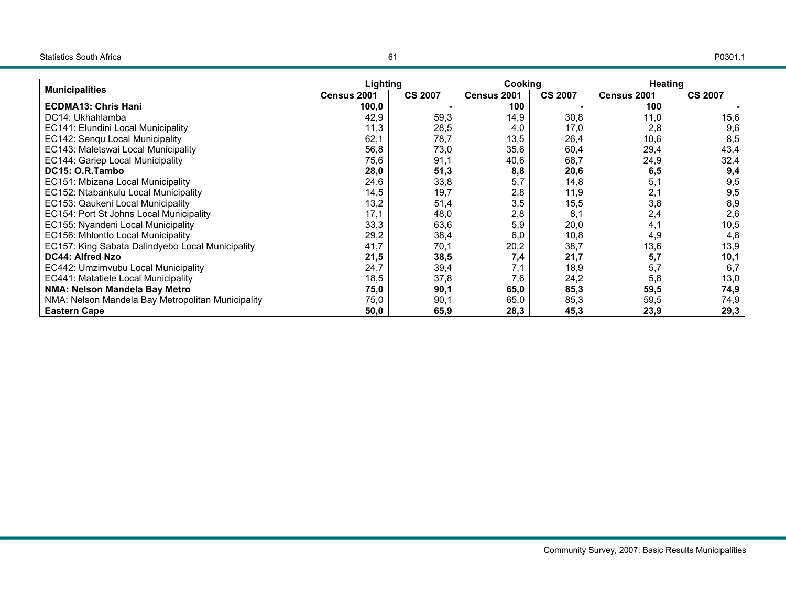| <b>Municipalities</b>                             | Lighting    |                | Cookina     |                | Heating     |                |
|---------------------------------------------------|-------------|----------------|-------------|----------------|-------------|----------------|
|                                                   | Census 2001 | <b>CS 2007</b> | Census 2001 | <b>CS 2007</b> | Census 2001 | <b>CS 2007</b> |
| <b>ECDMA13: Chris Hani</b>                        | 100,0       |                | 100         |                | 100         |                |
| DC14: Ukhahlamba                                  | 42,9        | 59,3           | 14,9        | 30,8           | 11,0        | 15,6           |
| EC141: Elundini Local Municipality                | 11,3        | 28,5           | 4,0         | 17,0           | 2,8         | 9,6            |
| EC142: Senqu Local Municipality                   | 62,1        | 78,7           | 13,5        | 26,4           | 10,6        | 8,5            |
| EC143: Maletswai Local Municipality               | 56,8        | 73,0           | 35,6        | 60,4           | 29,4        | 43,4           |
| EC144: Gariep Local Municipality                  | 75,6        | 91,1           | 40,6        | 68,7           | 24,9        | 32,4           |
| DC15: O.R.Tambo                                   | 28,0        | 51,3           | 8,8         | 20,6           | 6,5         | 9,4            |
| EC151: Mbizana Local Municipality                 | 24,6        | 33,8           | 5,7         | 14,8           | 5,1         | 9,5            |
| EC152: Ntabankulu Local Municipality              | 14,5        | 19,7           | 2,8         | 11,9           | 2,1         | 9,5            |
| EC153: Qaukeni Local Municipality                 | 13,2        | 51,4           | 3,5         | 15,5           | 3,8         | 8,9            |
| EC154: Port St Johns Local Municipality           | 17,1        | 48,0           | 2,8         | 8.1            | 2,4         | 2,6            |
| EC155: Nyandeni Local Municipality                | 33,3        | 63,6           | 5,9         | 20,0           | 4,1         | 10,5           |
| EC156: Mhlontlo Local Municipality                | 29,2        | 38,4           | 6,0         | 10,8           | 4,9         | 4,8            |
| EC157: King Sabata Dalindyebo Local Municipality  | 41,7        | 70,1           | 20,2        | 38,7           | 13,6        | 13,9           |
| <b>DC44: Alfred Nzo</b>                           | 21,5        | 38,5           | 7,4         | 21,7           | 5,7         | 10,1           |
| EC442: Umzimvubu Local Municipality               | 24,7        | 39,4           | 7,1         | 18,9           | 5,7         | 6,7            |
| EC441: Matatiele Local Municipality               | 18,5        | 37,8           | 7,6         | 24,2           | 5,8         | 13,0           |
| NMA: Nelson Mandela Bay Metro                     | 75,0        | 90,1           | 65,0        | 85,3           | 59,5        | 74,9           |
| NMA: Nelson Mandela Bay Metropolitan Municipality | 75,0        | 90,1           | 65,0        | 85,3           | 59,5        | 74,9           |
| <b>Eastern Cape</b>                               | 50,0        | 65,9           | 28,3        | 45,3           | 23,9        | 29,3           |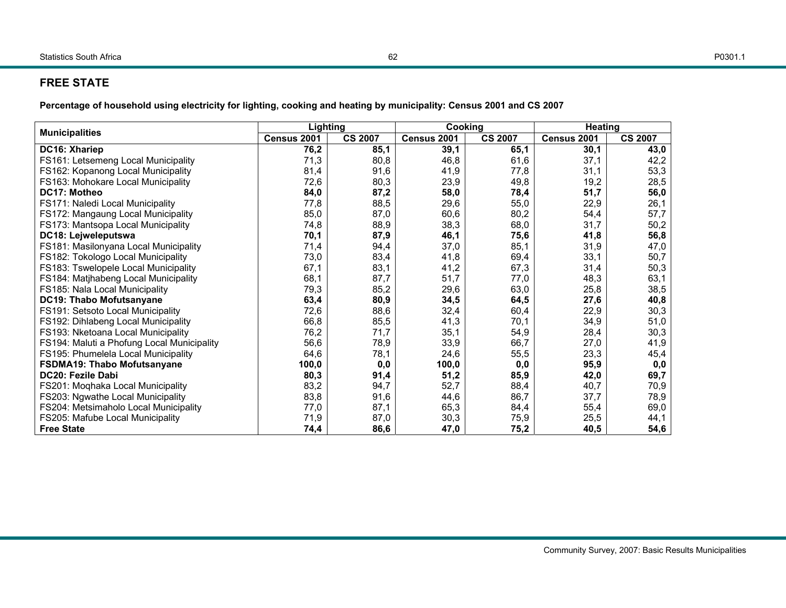## **FREE STATE**

|                                            | Lighting    |                | Cooking     |                | <b>Heating</b> |                |
|--------------------------------------------|-------------|----------------|-------------|----------------|----------------|----------------|
| <b>Municipalities</b>                      | Census 2001 | <b>CS 2007</b> | Census 2001 | <b>CS 2007</b> | Census 2001    | <b>CS 2007</b> |
| DC16: Xhariep                              | 76,2        | 85,1           | 39,1        | 65,1           | 30,1           | 43,0           |
| FS161: Letsemeng Local Municipality        | 71,3        | 80,8           | 46,8        | 61,6           | 37,1           | 42,2           |
| FS162: Kopanong Local Municipality         | 81,4        | 91,6           | 41,9        | 77,8           | 31,1           | 53,3           |
| FS163: Mohokare Local Municipality         | 72,6        | 80,3           | 23,9        | 49,8           | 19,2           | 28,5           |
| DC17: Motheo                               | 84,0        | 87,2           | 58,0        | 78,4           | 51,7           | 56,0           |
| FS171: Naledi Local Municipality           | 77,8        | 88,5           | 29,6        | 55,0           | 22,9           | 26,1           |
| FS172: Mangaung Local Municipality         | 85,0        | 87,0           | 60,6        | 80,2           | 54,4           | 57,7           |
| FS173: Mantsopa Local Municipality         | 74,8        | 88,9           | 38,3        | 68,0           | 31,7           | 50,2           |
| DC18: Lejweleputswa                        | 70,1        | 87,9           | 46,1        | 75,6           | 41,8           | 56,8           |
| FS181: Masilonyana Local Municipality      | 71,4        | 94,4           | 37,0        | 85,1           | 31,9           | 47,0           |
| FS182: Tokologo Local Municipality         | 73,0        | 83,4           | 41,8        | 69,4           | 33,1           | 50,7           |
| FS183: Tswelopele Local Municipality       | 67,1        | 83,1           | 41,2        | 67,3           | 31,4           | 50,3           |
| FS184: Matjhabeng Local Municipality       | 68,1        | 87,7           | 51,7        | 77,0           | 48,3           | 63,1           |
| FS185: Nala Local Municipality             | 79,3        | 85,2           | 29,6        | 63,0           | 25,8           | 38,5           |
| DC19: Thabo Mofutsanyane                   | 63,4        | 80,9           | 34,5        | 64,5           | 27,6           | 40,8           |
| FS191: Setsoto Local Municipality          | 72,6        | 88,6           | 32,4        | 60,4           | 22,9           | 30,3           |
| FS192: Dihlabeng Local Municipality        | 66,8        | 85,5           | 41,3        | 70,1           | 34,9           | 51,0           |
| FS193: Nketoana Local Municipality         | 76,2        | 71,7           | 35,1        | 54,9           | 28,4           | 30,3           |
| FS194: Maluti a Phofung Local Municipality | 56,6        | 78,9           | 33,9        | 66,7           | 27,0           | 41,9           |
| FS195: Phumelela Local Municipality        | 64,6        | 78,1           | 24,6        | 55,5           | 23,3           | 45,4           |
| FSDMA19: Thabo Mofutsanyane                | 100,0       | 0,0            | 100,0       | 0,0            | 95,9           | 0,0            |
| DC20: Fezile Dabi                          | 80,3        | 91,4           | 51,2        | 85,9           | 42,0           | 69,7           |
| FS201: Moqhaka Local Municipality          | 83,2        | 94,7           | 52,7        | 88,4           | 40,7           | 70,9           |
| FS203: Ngwathe Local Municipality          | 83,8        | 91,6           | 44,6        | 86,7           | 37,7           | 78,9           |
| FS204: Metsimaholo Local Municipality      | 77,0        | 87,1           | 65,3        | 84,4           | 55,4           | 69,0           |
| FS205: Mafube Local Municipality           | 71,9        | 87,0           | 30,3        | 75,9           | 25,5           | 44,1           |
| <b>Free State</b>                          | 74,4        | 86,6           | 47,0        | 75,2           | 40,5           | 54,6           |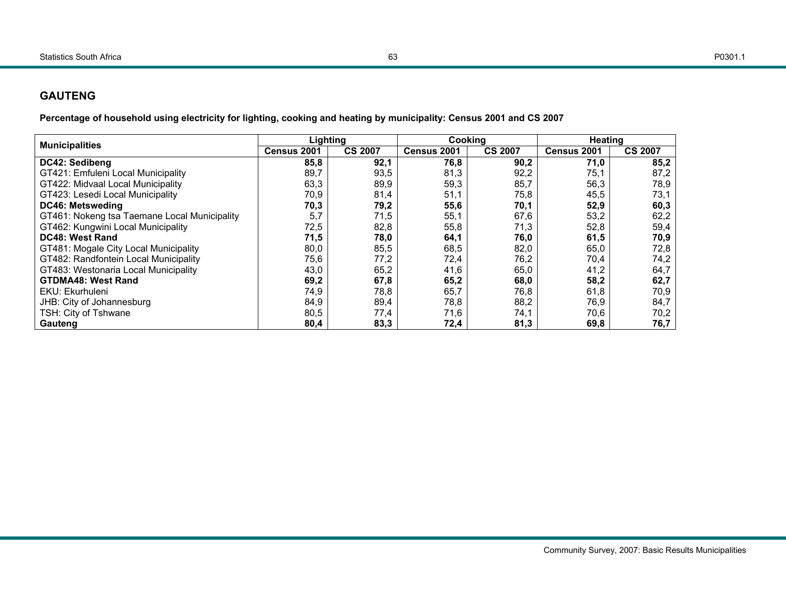## **GAUTENG**

| <b>Municipalities</b>                        | Lighting    |                | Cooking     |                | Heating     |                |
|----------------------------------------------|-------------|----------------|-------------|----------------|-------------|----------------|
|                                              | Census 2001 | <b>CS 2007</b> | Census 2001 | <b>CS 2007</b> | Census 2001 | <b>CS 2007</b> |
| DC42: Sedibeng                               | 85,8        | 92,1           | 76,8        | 90,2           | 71,0        | 85,2           |
| GT421: Emfuleni Local Municipality           | 89,7        | 93,5           | 81,3        | 92,2           | 75,1        | 87,2           |
| GT422: Midvaal Local Municipality            | 63,3        | 89,9           | 59,3        | 85,7           | 56,3        | 78,9           |
| GT423: Lesedi Local Municipality             | 70,9        | 81,4           | 51,1        | 75,8           | 45,5        | 73.1           |
| DC46: Metsweding                             | 70,3        | 79,2           | 55,6        | 70,1           | 52,9        | 60,3           |
| GT461: Nokeng tsa Taemane Local Municipality | 5,7         | 71,5           | 55,1        | 67,6           | 53,2        | 62,2           |
| GT462: Kungwini Local Municipality           | 72,5        | 82,8           | 55,8        | 71,3           | 52,8        | 59,4           |
| DC48: West Rand                              | 71,5        | 78,0           | 64,1        | 76,0           | 61,5        | 70,9           |
| GT481: Mogale City Local Municipality        | 80,0        | 85,5           | 68,5        | 82,0           | 65,0        | 72,8           |
| GT482: Randfontein Local Municipality        | 75,6        | 77,2           | 72,4        | 76,2           | 70,4        | 74,2           |
| GT483: Westonaria Local Municipality         | 43,0        | 65,2           | 41,6        | 65,0           | 41,2        | 64,7           |
| <b>GTDMA48: West Rand</b>                    | 69,2        | 67,8           | 65,2        | 68,0           | 58,2        | 62,7           |
| EKU: Ekurhuleni                              | 74,9        | 78,8           | 65,7        | 76,8           | 61,8        | 70,9           |
| JHB: City of Johannesburg                    | 84,9        | 89,4           | 78,8        | 88,2           | 76,9        | 84,7           |
| TSH: City of Tshwane                         | 80,5        | 77,4           | 71,6        | 74,1           | 70.6        | 70,2           |
| Gauteng                                      | 80,4        | 83,3           | 72,4        | 81,3           | 69,8        | 76,7           |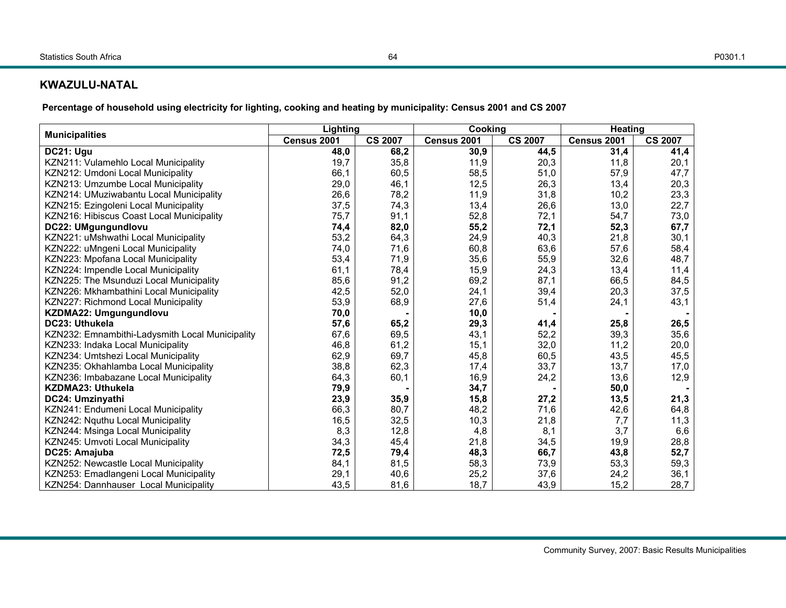## **KWAZULU-NATAL**

| <b>Municipalities</b>                           | Lighting    |                |             | Cooking        |             | <b>Heating</b> |  |
|-------------------------------------------------|-------------|----------------|-------------|----------------|-------------|----------------|--|
|                                                 | Census 2001 | <b>CS 2007</b> | Census 2001 | <b>CS 2007</b> | Census 2001 | <b>CS 2007</b> |  |
| DC21: Ugu                                       | 48,0        | 68,2           | 30,9        | 44,5           | 31,4        | 41,4           |  |
| KZN211: Vulamehlo Local Municipality            | 19,7        | 35,8           | 11,9        | 20,3           | 11,8        | 20,1           |  |
| KZN212: Umdoni Local Municipality               | 66,1        | 60,5           | 58,5        | 51,0           | 57,9        | 47,7           |  |
| KZN213: Umzumbe Local Municipality              | 29,0        | 46,1           | 12,5        | 26,3           | 13,4        | 20,3           |  |
| KZN214: UMuziwabantu Local Municipality         | 26,6        | 78,2           | 11,9        | 31,8           | 10,2        | 23,3           |  |
| KZN215: Ezingoleni Local Municipality           | 37,5        | 74,3           | 13,4        | 26,6           | 13,0        | 22,7           |  |
| KZN216: Hibiscus Coast Local Municipality       | 75,7        | 91,1           | 52,8        | 72,1           | 54,7        | 73,0           |  |
| DC22: UMgungundlovu                             | 74,4        | 82,0           | 55,2        | 72,1           | 52,3        | 67,7           |  |
| KZN221: uMshwathi Local Municipality            | 53,2        | 64,3           | 24,9        | 40,3           | 21,8        | 30,1           |  |
| KZN222: uMngeni Local Municipality              | 74,0        | 71,6           | 60,8        | 63,6           | 57,6        | 58,4           |  |
| KZN223: Mpofana Local Municipality              | 53,4        | 71,9           | 35,6        | 55,9           | 32,6        | 48,7           |  |
| KZN224: Impendle Local Municipality             | 61,1        | 78,4           | 15,9        | 24,3           | 13,4        | 11,4           |  |
| KZN225: The Msunduzi Local Municipality         | 85,6        | 91,2           | 69,2        | 87,1           | 66,5        | 84,5           |  |
| KZN226: Mkhambathini Local Municipality         | 42,5        | 52,0           | 24,1        | 39,4           | 20,3        | 37,5           |  |
| KZN227: Richmond Local Municipality             | 53,9        | 68,9           | 27,6        | 51,4           | 24,1        | 43,1           |  |
| KZDMA22: Umgungundlovu                          | 70,0        |                | 10,0        |                |             |                |  |
| DC23: Uthukela                                  | 57,6        | 65,2           | 29,3        | 41,4           | 25,8        | 26,5           |  |
| KZN232: Emnambithi-Ladysmith Local Municipality | 67,6        | 69,5           | 43,1        | 52,2           | 39,3        | 35,6           |  |
| KZN233: Indaka Local Municipality               | 46,8        | 61,2           | 15,1        | 32,0           | 11,2        | 20,0           |  |
| KZN234: Umtshezi Local Municipality             | 62,9        | 69,7           | 45,8        | 60,5           | 43,5        | 45,5           |  |
| KZN235: Okhahlamba Local Municipality           | 38,8        | 62,3           | 17,4        | 33,7           | 13,7        | 17,0           |  |
| KZN236: Imbabazane Local Municipality           | 64,3        | 60,1           | 16,9        | 24,2           | 13,6        | 12,9           |  |
| <b>KZDMA23: Uthukela</b>                        | 79,9        |                | 34,7        |                | 50,0        |                |  |
| DC24: Umzinyathi                                | 23,9        | 35,9           | 15,8        | 27,2           | 13,5        | 21,3           |  |
| KZN241: Endumeni Local Municipality             | 66,3        | 80,7           | 48,2        | 71,6           | 42,6        | 64,8           |  |
| KZN242: Nquthu Local Municipality               | 16,5        | 32,5           | 10,3        | 21,8           | 7,7         | 11,3           |  |
| KZN244: Msinga Local Municipality               | 8,3         | 12,8           | 4,8         | 8,1            | 3,7         | 6,6            |  |
| KZN245: Umvoti Local Municipality               | 34,3        | 45,4           | 21,8        | 34,5           | 19,9        | 28,8           |  |
| DC25: Amajuba                                   | 72,5        | 79,4           | 48,3        | 66,7           | 43,8        | 52,7           |  |
| KZN252: Newcastle Local Municipality            | 84,1        | 81,5           | 58,3        | 73,9           | 53,3        | 59,3           |  |
| KZN253: Emadlangeni Local Municipality          | 29,1        | 40,6           | 25,2        | 37,6           | 24,2        | 36,1           |  |
| KZN254: Dannhauser Local Municipality           | 43,5        | 81,6           | 18,7        | 43,9           | 15,2        | 28,7           |  |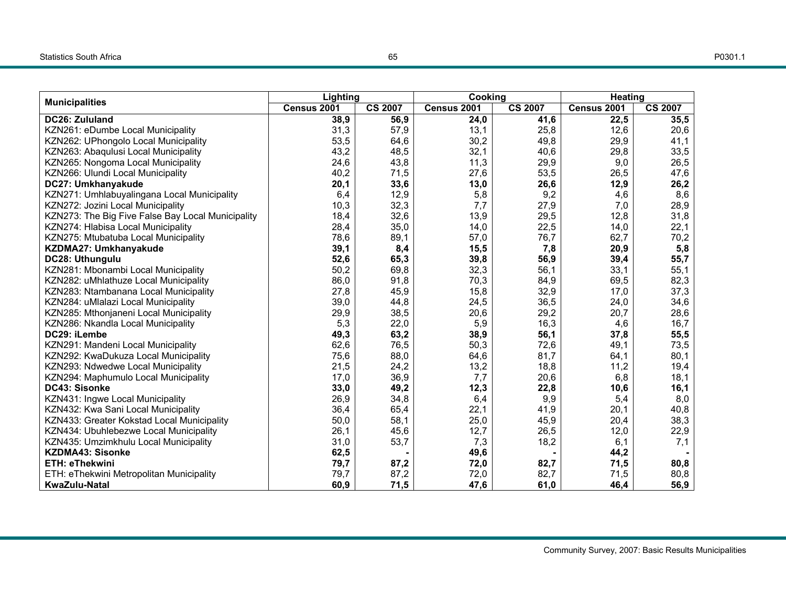|                                                   | Lighting    |                | Cooking     |                | <b>Heating</b> |                |
|---------------------------------------------------|-------------|----------------|-------------|----------------|----------------|----------------|
| <b>Municipalities</b>                             | Census 2001 | <b>CS 2007</b> | Census 2001 | <b>CS 2007</b> | Census 2001    | <b>CS 2007</b> |
| DC26: Zululand                                    | 38,9        | 56,9           | 24,0        | 41,6           | 22,5           | 35,5           |
| KZN261: eDumbe Local Municipality                 | 31,3        | 57,9           | 13,1        | 25,8           | 12,6           | 20,6           |
| KZN262: UPhongolo Local Municipality              | 53,5        | 64,6           | 30,2        | 49,8           | 29,9           | 41,1           |
| KZN263: Abaqulusi Local Municipality              | 43,2        | 48,5           | 32,1        | 40,6           | 29,8           | 33,5           |
| KZN265: Nongoma Local Municipality                | 24,6        | 43,8           | 11,3        | 29,9           | 9,0            | 26,5           |
| KZN266: Ulundi Local Municipality                 | 40,2        | 71,5           | 27,6        | 53,5           | 26,5           | 47,6           |
| DC27: Umkhanyakude                                | 20,1        | 33,6           | 13,0        | 26,6           | 12,9           | 26,2           |
| KZN271: Umhlabuyalingana Local Municipality       | 6,4         | 12,9           | 5,8         | 9,2            | 4,6            | 8,6            |
| KZN272: Jozini Local Municipality                 | 10,3        | 32,3           | 7,7         | 27,9           | 7,0            | 28,9           |
| KZN273: The Big Five False Bay Local Municipality | 18,4        | 32,6           | 13,9        | 29,5           | 12,8           | 31,8           |
| KZN274: Hlabisa Local Municipality                | 28,4        | 35,0           | 14,0        | 22,5           | 14,0           | 22,1           |
| KZN275: Mtubatuba Local Municipality              | 78,6        | 89,1           | 57,0        | 76,7           | 62,7           | 70,2           |
| KZDMA27: Umkhanyakude                             | 39,1        | 8,4            | 15,5        | 7,8            | 20,9           | 5,8            |
| DC28: Uthungulu                                   | 52,6        | 65,3           | 39,8        | 56,9           | 39,4           | 55,7           |
| KZN281: Mbonambi Local Municipality               | 50,2        | 69,8           | 32,3        | 56,1           | 33,1           | 55,1           |
| KZN282: uMhlathuze Local Municipality             | 86,0        | 91,8           | 70,3        | 84,9           | 69,5           | 82,3           |
| KZN283: Ntambanana Local Municipality             | 27,8        | 45,9           | 15,8        | 32,9           | 17,0           | 37,3           |
| KZN284: uMlalazi Local Municipality               | 39,0        | 44,8           | 24,5        | 36,5           | 24,0           | 34,6           |
| KZN285: Mthonjaneni Local Municipality            | 29,9        | 38,5           | 20,6        | 29,2           | 20,7           | 28,6           |
| KZN286: Nkandla Local Municipality                | 5,3         | 22,0           | 5,9         | 16,3           | 4,6            | 16,7           |
| DC29: iLembe                                      | 49,3        | 63,2           | 38,9        | 56,1           | 37,8           | 55,5           |
| KZN291: Mandeni Local Municipality                | 62,6        | 76,5           | 50,3        | 72,6           | 49,1           | 73,5           |
| KZN292: KwaDukuza Local Municipality              | 75,6        | 88,0           | 64,6        | 81,7           | 64,1           | 80,1           |
| KZN293: Ndwedwe Local Municipality                | 21,5        | 24,2           | 13,2        | 18,8           | 11,2           | 19,4           |
| KZN294: Maphumulo Local Municipality              | 17,0        | 36,9           | 7,7         | 20,6           | 6,8            | 18,1           |
| DC43: Sisonke                                     | 33,0        | 49,2           | 12,3        | 22,8           | 10,6           | 16,1           |
| KZN431: Ingwe Local Municipality                  | 26,9        | 34,8           | 6,4         | 9,9            | 5,4            | 8,0            |
| KZN432: Kwa Sani Local Municipality               | 36,4        | 65,4           | 22,1        | 41,9           | 20,1           | 40,8           |
| KZN433: Greater Kokstad Local Municipality        | 50,0        | 58,1           | 25,0        | 45,9           | 20,4           | 38,3           |
| KZN434: Ubuhlebezwe Local Municipality            | 26,1        | 45,6           | 12,7        | 26,5           | 12,0           | 22,9           |
| KZN435: Umzimkhulu Local Municipality             | 31,0        | 53,7           | 7,3         | 18,2           | 6,1            | 7,1            |
| <b>KZDMA43: Sisonke</b>                           | 62,5        |                | 49,6        |                | 44,2           |                |
| <b>ETH: eThekwini</b>                             | 79,7        | 87,2           | 72,0        | 82,7           | 71,5           | 80,8           |
| ETH: eThekwini Metropolitan Municipality          | 79,7        | 87,2           | 72,0        | 82,7           | 71,5           | 80,8           |
| <b>KwaZulu-Natal</b>                              | 60,9        | 71,5           | 47,6        | 61,0           | 46,4           | 56,9           |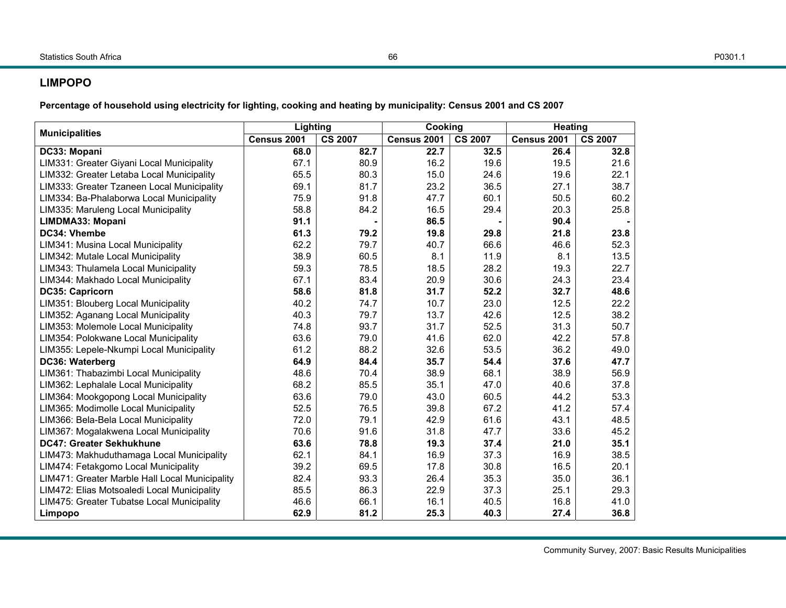## **LIMPOPO**

|                                                | Lighting    |                | Cooking     |                | <b>Heating</b> |                |  |
|------------------------------------------------|-------------|----------------|-------------|----------------|----------------|----------------|--|
| <b>Municipalities</b>                          | Census 2001 | <b>CS 2007</b> | Census 2001 | <b>CS 2007</b> | Census 2001    | <b>CS 2007</b> |  |
| DC33: Mopani                                   | 68.0        | 82.7           | 22.7        | 32.5           | 26.4           | 32.8           |  |
| LIM331: Greater Giyani Local Municipality      | 67.1        | 80.9           | 16.2        | 19.6           | 19.5           | 21.6           |  |
| LIM332: Greater Letaba Local Municipality      | 65.5        | 80.3           | 15.0        | 24.6           | 19.6           | 22.1           |  |
| LIM333: Greater Tzaneen Local Municipality     | 69.1        | 81.7           | 23.2        | 36.5           | 27.1           | 38.7           |  |
| LIM334: Ba-Phalaborwa Local Municipality       | 75.9        | 91.8           | 47.7        | 60.1           | 50.5           | 60.2           |  |
| LIM335: Maruleng Local Municipality            | 58.8        | 84.2           | 16.5        | 29.4           | 20.3           | 25.8           |  |
| LIMDMA33: Mopani                               | 91.1        |                | 86.5        |                | 90.4           |                |  |
| DC34: Vhembe                                   | 61.3        | 79.2           | 19.8        | 29.8           | 21.8           | 23.8           |  |
| LIM341: Musina Local Municipality              | 62.2        | 79.7           | 40.7        | 66.6           | 46.6           | 52.3           |  |
| LIM342: Mutale Local Municipality              | 38.9        | 60.5           | 8.1         | 11.9           | 8.1            | 13.5           |  |
| LIM343: Thulamela Local Municipality           | 59.3        | 78.5           | 18.5        | 28.2           | 19.3           | 22.7           |  |
| LIM344: Makhado Local Municipality             | 67.1        | 83.4           | 20.9        | 30.6           | 24.3           | 23.4           |  |
| DC35: Capricorn                                | 58.6        | 81.8           | 31.7        | 52.2           | 32.7           | 48.6           |  |
| LIM351: Blouberg Local Municipality            | 40.2        | 74.7           | 10.7        | 23.0           | 12.5           | 22.2           |  |
| LIM352: Aganang Local Municipality             | 40.3        | 79.7           | 13.7        | 42.6           | 12.5           | 38.2           |  |
| LIM353: Molemole Local Municipality            | 74.8        | 93.7           | 31.7        | 52.5           | 31.3           | 50.7           |  |
| LIM354: Polokwane Local Municipality           | 63.6        | 79.0           | 41.6        | 62.0           | 42.2           | 57.8           |  |
| LIM355: Lepele-Nkumpi Local Municipality       | 61.2        | 88.2           | 32.6        | 53.5           | 36.2           | 49.0           |  |
| DC36: Waterberg                                | 64.9        | 84.4           | 35.7        | 54.4           | 37.6           | 47.7           |  |
| LIM361: Thabazimbi Local Municipality          | 48.6        | 70.4           | 38.9        | 68.1           | 38.9           | 56.9           |  |
| LIM362: Lephalale Local Municipality           | 68.2        | 85.5           | 35.1        | 47.0           | 40.6           | 37.8           |  |
| LIM364: Mookgopong Local Municipality          | 63.6        | 79.0           | 43.0        | 60.5           | 44.2           | 53.3           |  |
| LIM365: Modimolle Local Municipality           | 52.5        | 76.5           | 39.8        | 67.2           | 41.2           | 57.4           |  |
| LIM366: Bela-Bela Local Municipality           | 72.0        | 79.1           | 42.9        | 61.6           | 43.1           | 48.5           |  |
| LIM367: Mogalakwena Local Municipality         | 70.6        | 91.6           | 31.8        | 47.7           | 33.6           | 45.2           |  |
| DC47: Greater Sekhukhune                       | 63.6        | 78.8           | 19.3        | 37.4           | 21.0           | 35.1           |  |
| LIM473: Makhuduthamaga Local Municipality      | 62.1        | 84.1           | 16.9        | 37.3           | 16.9           | 38.5           |  |
| LIM474: Fetakgomo Local Municipality           | 39.2        | 69.5           | 17.8        | 30.8           | 16.5           | 20.1           |  |
| LIM471: Greater Marble Hall Local Municipality | 82.4        | 93.3           | 26.4        | 35.3           | 35.0           | 36.1           |  |
| LIM472: Elias Motsoaledi Local Municipality    | 85.5        | 86.3           | 22.9        | 37.3           | 25.1           | 29.3           |  |
| LIM475: Greater Tubatse Local Municipality     | 46.6        | 66.1           | 16.1        | 40.5           | 16.8           | 41.0           |  |
| Limpopo                                        | 62.9        | 81.2           | 25.3        | 40.3           | 27.4           | 36.8           |  |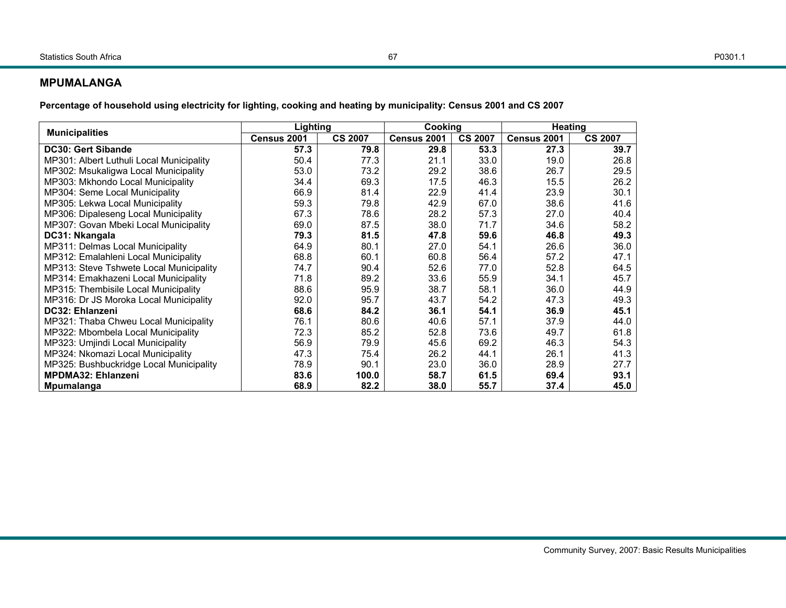#### **MPUMALANGA**

|                                          | Lighting    |                | <b>Cooking</b> |                | <b>Heating</b> |                |
|------------------------------------------|-------------|----------------|----------------|----------------|----------------|----------------|
| <b>Municipalities</b>                    | Census 2001 | <b>CS 2007</b> | Census 2001    | <b>CS 2007</b> | Census 2001    | <b>CS 2007</b> |
| <b>DC30: Gert Sibande</b>                | 57.3        | 79.8           | 29.8           | 53.3           | 27.3           | 39.7           |
| MP301: Albert Luthuli Local Municipality | 50.4        | 77.3           | 21.1           | 33.0           | 19.0           | 26.8           |
| MP302: Msukaligwa Local Municipality     | 53.0        | 73.2           | 29.2           | 38.6           | 26.7           | 29.5           |
| MP303: Mkhondo Local Municipality        | 34.4        | 69.3           | 17.5           | 46.3           | 15.5           | 26.2           |
| MP304: Seme Local Municipality           | 66.9        | 81.4           | 22.9           | 41.4           | 23.9           | 30.1           |
| MP305: Lekwa Local Municipality          | 59.3        | 79.8           | 42.9           | 67.0           | 38.6           | 41.6           |
| MP306: Dipaleseng Local Municipality     | 67.3        | 78.6           | 28.2           | 57.3           | 27.0           | 40.4           |
| MP307: Govan Mbeki Local Municipality    | 69.0        | 87.5           | 38.0           | 71.7           | 34.6           | 58.2           |
| DC31: Nkangala                           | 79.3        | 81.5           | 47.8           | 59.6           | 46.8           | 49.3           |
| MP311: Delmas Local Municipality         | 64.9        | 80.1           | 27.0           | 54.1           | 26.6           | 36.0           |
| MP312: Emalahleni Local Municipality     | 68.8        | 60.1           | 60.8           | 56.4           | 57.2           | 47.1           |
| MP313: Steve Tshwete Local Municipality  | 74.7        | 90.4           | 52.6           | 77.0           | 52.8           | 64.5           |
| MP314: Emakhazeni Local Municipality     | 71.8        | 89.2           | 33.6           | 55.9           | 34.1           | 45.7           |
| MP315: Thembisile Local Municipality     | 88.6        | 95.9           | 38.7           | 58.1           | 36.0           | 44.9           |
| MP316: Dr JS Moroka Local Municipality   | 92.0        | 95.7           | 43.7           | 54.2           | 47.3           | 49.3           |
| DC32: Ehlanzeni                          | 68.6        | 84.2           | 36.1           | 54.1           | 36.9           | 45.1           |
| MP321: Thaba Chweu Local Municipality    | 76.1        | 80.6           | 40.6           | 57.1           | 37.9           | 44.0           |
| MP322: Mbombela Local Municipality       | 72.3        | 85.2           | 52.8           | 73.6           | 49.7           | 61.8           |
| MP323: Umjindi Local Municipality        | 56.9        | 79.9           | 45.6           | 69.2           | 46.3           | 54.3           |
| MP324: Nkomazi Local Municipality        | 47.3        | 75.4           | 26.2           | 44.1           | 26.1           | 41.3           |
| MP325: Bushbuckridge Local Municipality  | 78.9        | 90.1           | 23.0           | 36.0           | 28.9           | 27.7           |
| <b>MPDMA32: Ehlanzeni</b>                | 83.6        | 100.0          | 58.7           | 61.5           | 69.4           | 93.1           |
| Mpumalanga                               | 68.9        | 82.2           | 38.0           | 55.7           | 37.4           | 45.0           |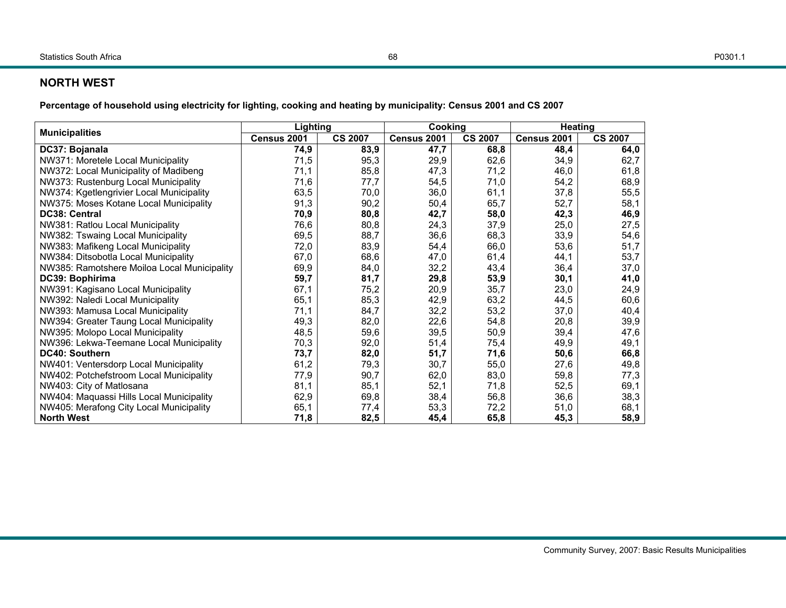## **NORTH WEST**

**Percentage of household using electricity for lighting, cooking and heating by municipality: Census 2001 and CS 2007** 

| <b>Municipalities</b>                       | Lighting    |                | Cookina     |                | <b>Heating</b> |                |
|---------------------------------------------|-------------|----------------|-------------|----------------|----------------|----------------|
|                                             | Census 2001 | <b>CS 2007</b> | Census 2001 | <b>CS 2007</b> | Census 2001    | <b>CS 2007</b> |
| DC37: Bojanala                              | 74,9        | 83,9           | 47,7        | 68,8           | 48,4           | 64,0           |
| NW371: Moretele Local Municipality          | 71,5        | 95,3           | 29,9        | 62,6           | 34,9           | 62,7           |
| NW372: Local Municipality of Madibeng       | 71.1        | 85,8           | 47,3        | 71,2           | 46,0           | 61,8           |
| NW373: Rustenburg Local Municipality        | 71,6        | 77,7           | 54,5        | 71,0           | 54,2           | 68,9           |
| NW374: Kgetlengrivier Local Municipality    | 63,5        | 70,0           | 36,0        | 61,1           | 37,8           | 55,5           |
| NW375: Moses Kotane Local Municipality      | 91,3        | 90,2           | 50,4        | 65,7           | 52,7           | 58,1           |
| <b>DC38: Central</b>                        | 70,9        | 80,8           | 42,7        | 58,0           | 42,3           | 46,9           |
| NW381: Ratlou Local Municipality            | 76,6        | 80,8           | 24,3        | 37,9           | 25,0           | 27,5           |
| NW382: Tswaing Local Municipality           | 69,5        | 88,7           | 36,6        | 68,3           | 33,9           | 54,6           |
| NW383: Mafikeng Local Municipality          | 72,0        | 83,9           | 54,4        | 66,0           | 53,6           | 51,7           |
| NW384: Ditsobotla Local Municipality        | 67,0        | 68,6           | 47,0        | 61,4           | 44,1           | 53,7           |
| NW385: Ramotshere Moiloa Local Municipality | 69,9        | 84,0           | 32,2        | 43,4           | 36,4           | 37,0           |
| DC39: Bophirima                             | 59,7        | 81,7           | 29,8        | 53,9           | 30,1           | 41,0           |
| NW391: Kagisano Local Municipality          | 67,1        | 75,2           | 20,9        | 35,7           | 23,0           | 24,9           |
| NW392: Naledi Local Municipality            | 65,1        | 85,3           | 42,9        | 63,2           | 44,5           | 60,6           |
| NW393: Mamusa Local Municipality            | 71,1        | 84,7           | 32,2        | 53,2           | 37,0           | 40,4           |
| NW394: Greater Taung Local Municipality     | 49,3        | 82,0           | 22,6        | 54,8           | 20,8           | 39,9           |
| NW395: Molopo Local Municipality            | 48,5        | 59,6           | 39,5        | 50,9           | 39,4           | 47,6           |
| NW396: Lekwa-Teemane Local Municipality     | 70.3        | 92,0           | 51,4        | 75,4           | 49,9           | 49,1           |
| <b>DC40: Southern</b>                       | 73,7        | 82,0           | 51,7        | 71,6           | 50,6           | 66,8           |
| NW401: Ventersdorp Local Municipality       | 61,2        | 79,3           | 30,7        | 55,0           | 27,6           | 49,8           |
| NW402: Potchefstroom Local Municipality     | 77,9        | 90,7           | 62,0        | 83,0           | 59,8           | 77,3           |
| NW403: City of Matlosana                    | 81,1        | 85,1           | 52,1        | 71,8           | 52,5           | 69,1           |
| NW404: Maquassi Hills Local Municipality    | 62,9        | 69,8           | 38,4        | 56,8           | 36,6           | 38,3           |
| NW405: Merafong City Local Municipality     | 65,1        | 77,4           | 53,3        | 72,2           | 51,0           | 68,1           |
| <b>North West</b>                           | 71,8        | 82,5           | 45,4        | 65,8           | 45,3           | 58,9           |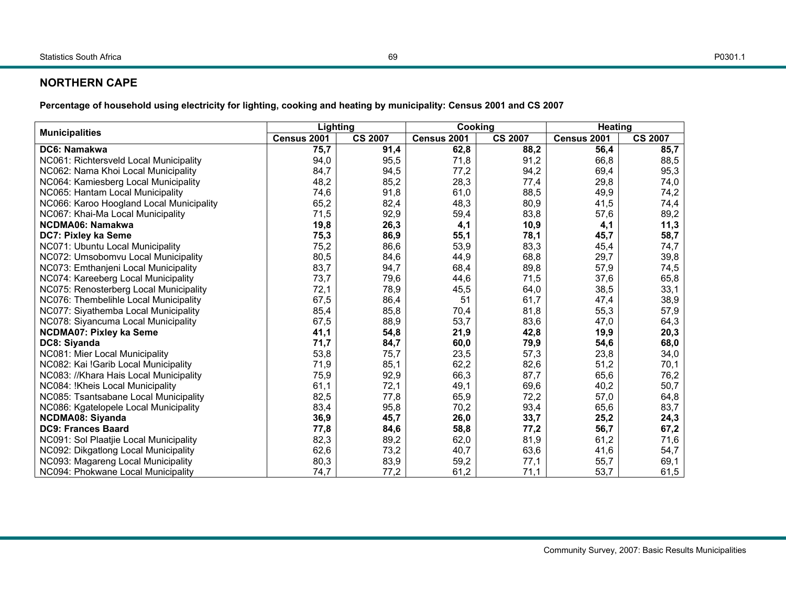### P0301.1

### **NORTHERN CAPE**

**Percentage of household using electricity for lighting, cooking and heating by municipality: Census 2001 and CS 2007** 

| <b>Municipalities</b>                    | Lighting    |                | Cooking     |                | <b>Heating</b> |                |  |
|------------------------------------------|-------------|----------------|-------------|----------------|----------------|----------------|--|
|                                          | Census 2001 | <b>CS 2007</b> | Census 2001 | <b>CS 2007</b> | Census 2001    | <b>CS 2007</b> |  |
| DC6: Namakwa                             | 75,7        | 91,4           | 62,8        | 88,2           | 56,4           | 85,7           |  |
| NC061: Richtersveld Local Municipality   | 94,0        | 95,5           | 71,8        | 91,2           | 66,8           | 88,5           |  |
| NC062: Nama Khoi Local Municipality      | 84,7        | 94,5           | 77,2        | 94,2           | 69,4           | 95,3           |  |
| NC064: Kamiesberg Local Municipality     | 48,2        | 85,2           | 28,3        | 77,4           | 29,8           | 74,0           |  |
| NC065: Hantam Local Municipality         | 74,6        | 91,8           | 61,0        | 88,5           | 49,9           | 74,2           |  |
| NC066: Karoo Hoogland Local Municipality | 65,2        | 82,4           | 48,3        | 80,9           | 41,5           | 74,4           |  |
| NC067: Khai-Ma Local Municipality        | 71,5        | 92,9           | 59,4        | 83,8           | 57,6           | 89,2           |  |
| NCDMA06: Namakwa                         | 19,8        | 26,3           | 4,1         | 10,9           | 4,1            | 11,3           |  |
| DC7: Pixley ka Seme                      | 75,3        | 86,9           | 55,1        | 78,1           | 45,7           | 58,7           |  |
| NC071: Ubuntu Local Municipality         | 75,2        | 86,6           | 53,9        | 83,3           | 45,4           | 74,7           |  |
| NC072: Umsobomvu Local Municipality      | 80,5        | 84,6           | 44,9        | 68,8           | 29,7           | 39,8           |  |
| NC073: Emthanjeni Local Municipality     | 83,7        | 94,7           | 68,4        | 89,8           | 57,9           | 74,5           |  |
| NC074: Kareeberg Local Municipality      | 73,7        | 79,6           | 44,6        | 71,5           | 37,6           | 65,8           |  |
| NC075: Renosterberg Local Municipality   | 72,1        | 78,9           | 45,5        | 64,0           | 38,5           | 33,1           |  |
| NC076: Thembelihle Local Municipality    | 67,5        | 86,4           | 51          | 61,7           | 47,4           | 38,9           |  |
| NC077: Siyathemba Local Municipality     | 85,4        | 85,8           | 70,4        | 81,8           | 55,3           | 57,9           |  |
| NC078: Siyancuma Local Municipality      | 67,5        | 88,9           | 53,7        | 83,6           | 47,0           | 64,3           |  |
| <b>NCDMA07: Pixley ka Seme</b>           | 41,1        | 54,8           | 21,9        | 42,8           | 19,9           | 20,3           |  |
| DC8: Siyanda                             | 71,7        | 84,7           | 60,0        | 79,9           | 54,6           | 68,0           |  |
| NC081: Mier Local Municipality           | 53,8        | 75,7           | 23,5        | 57,3           | 23,8           | 34,0           |  |
| NC082: Kai !Garib Local Municipality     | 71,9        | 85,1           | 62,2        | 82,6           | 51,2           | 70,1           |  |
| NC083: //Khara Hais Local Municipality   | 75,9        | 92,9           | 66,3        | 87,7           | 65,6           | 76,2           |  |
| NC084: !Kheis Local Municipality         | 61,1        | 72,1           | 49,1        | 69,6           | 40,2           | 50,7           |  |
| NC085: Tsantsabane Local Municipality    | 82,5        | 77,8           | 65,9        | 72,2           | 57,0           | 64,8           |  |
| NC086: Kgatelopele Local Municipality    | 83,4        | 95,8           | 70,2        | 93,4           | 65,6           | 83,7           |  |
| <b>NCDMA08: Siyanda</b>                  | 36,9        | 45,7           | 26,0        | 33,7           | 25,2           | 24,3           |  |
| <b>DC9: Frances Baard</b>                | 77,8        | 84,6           | 58,8        | 77,2           | 56,7           | 67,2           |  |
| NC091: Sol Plaatjie Local Municipality   | 82,3        | 89,2           | 62,0        | 81,9           | 61,2           | 71,6           |  |
| NC092: Dikgatlong Local Municipality     | 62,6        | 73,2           | 40,7        | 63,6           | 41,6           | 54,7           |  |
| NC093: Magareng Local Municipality       | 80,3        | 83,9           | 59,2        | 77,1           | 55,7           | 69,1           |  |
| NC094: Phokwane Local Municipality       | 74,7        | 77,2           | 61,2        | 71,1           | 53,7           | 61,5           |  |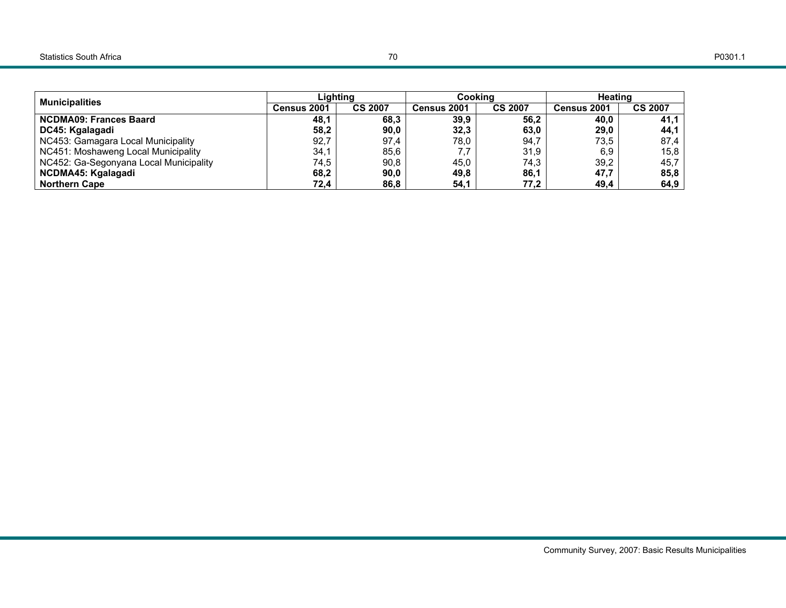| <b>Municipalities</b>                  | Liahtina    |                | Cooking     |                | Heating     |                |  |
|----------------------------------------|-------------|----------------|-------------|----------------|-------------|----------------|--|
|                                        | Census 2001 | <b>CS 2007</b> | Census 2001 | <b>CS 2007</b> | Census 2001 | <b>CS 2007</b> |  |
| <b>NCDMA09: Frances Baard</b>          | 48,1        | 68.3           | 39,9        | 56.2           | 40.0        | 41,1           |  |
| DC45: Kgalagadi                        | 58,2        | 90.0           | 32,3        | 63,0           | 29,0        | 44,1           |  |
| NC453: Gamagara Local Municipality     | 92,7        | 97.4           | 78.0        | 94.7           | 73,5        | 87,4           |  |
| NC451: Moshaweng Local Municipality    | 34,1        | 85.6           | 7.7         | 31.9           | 6,9         | 15,8           |  |
| NC452: Ga-Segonyana Local Municipality | 74,5        | 90.8           | 45.0        | 74.3           | 39,2        | 45,7           |  |
| NCDMA45: Kgalagadi                     | 68,2        | 90.0           | 49.8        | 86,1           | 47,7        | 85,8           |  |
| <b>Northern Cape</b>                   | 72,4        | 86.8           | 54,1        | 77,2           | 49,4        | 64,9           |  |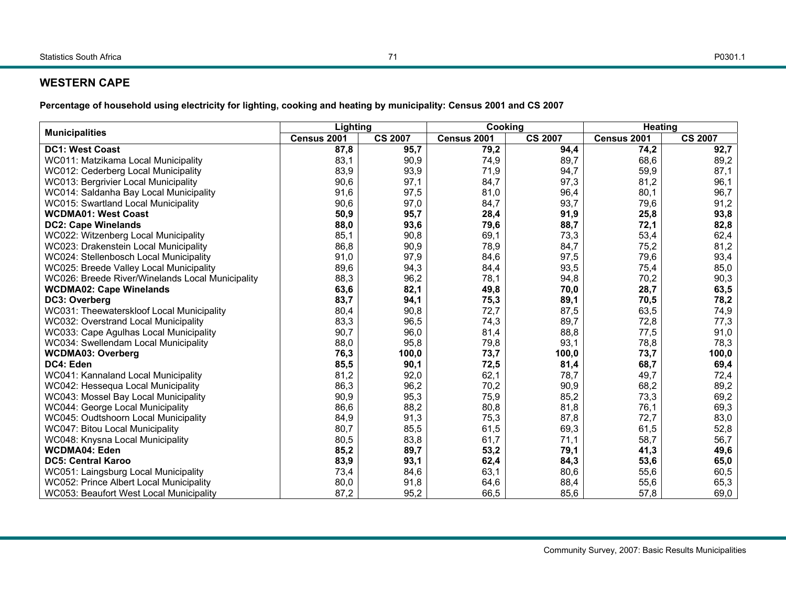# **WESTERN CAPE**

**Percentage of household using electricity for lighting, cooking and heating by municipality: Census 2001 and CS 2007** 

| <b>Municipalities</b>                            | Lighting    |                | Cooking     |                | Heating     |                |
|--------------------------------------------------|-------------|----------------|-------------|----------------|-------------|----------------|
|                                                  | Census 2001 | <b>CS 2007</b> | Census 2001 | <b>CS 2007</b> | Census 2001 | <b>CS 2007</b> |
| <b>DC1: West Coast</b>                           | 87,8        | 95,7           | 79,2        | 94,4           | 74,2        | 92,7           |
| WC011: Matzikama Local Municipality              | 83,1        | 90,9           | 74,9        | 89,7           | 68,6        | 89,2           |
| WC012: Cederberg Local Municipality              | 83,9        | 93,9           | 71,9        | 94,7           | 59,9        | 87,1           |
| WC013: Bergrivier Local Municipality             | 90,6        | 97,1           | 84,7        | 97,3           | 81,2        | 96,1           |
| WC014: Saldanha Bay Local Municipality           | 91,6        | 97,5           | 81,0        | 96,4           | 80,1        | 96,7           |
| WC015: Swartland Local Municipality              | 90,6        | 97,0           | 84,7        | 93,7           | 79,6        | 91,2           |
| <b>WCDMA01: West Coast</b>                       | 50,9        | 95,7           | 28,4        | 91,9           | 25,8        | 93,8           |
| <b>DC2: Cape Winelands</b>                       | 88,0        | 93,6           | 79,6        | 88,7           | 72,1        | 82,8           |
| WC022: Witzenberg Local Municipality             | 85,1        | 90,8           | 69,1        | 73,3           | 53,4        | 62,4           |
| WC023: Drakenstein Local Municipality            | 86,8        | 90,9           | 78,9        | 84,7           | 75,2        | 81,2           |
| WC024: Stellenbosch Local Municipality           | 91,0        | 97,9           | 84,6        | 97,5           | 79,6        | 93,4           |
| WC025: Breede Valley Local Municipality          | 89,6        | 94,3           | 84,4        | 93,5           | 75,4        | 85,0           |
| WC026: Breede River/Winelands Local Municipality | 88,3        | 96,2           | 78,1        | 94,8           | 70,2        | 90,3           |
| <b>WCDMA02: Cape Winelands</b>                   | 63,6        | 82,1           | 49,8        | 70,0           | 28,7        | 63,5           |
| DC3: Overberg                                    | 83,7        | 94,1           | 75,3        | 89,1           | 70,5        | 78,2           |
| WC031: Theewaterskloof Local Municipality        | 80,4        | 90,8           | 72,7        | 87,5           | 63,5        | 74,9           |
| WC032: Overstrand Local Municipality             | 83,3        | 96,5           | 74,3        | 89,7           | 72,8        | 77,3           |
| WC033: Cape Agulhas Local Municipality           | 90,7        | 96,0           | 81,4        | 88,8           | 77,5        | 91,0           |
| WC034: Swellendam Local Municipality             | 88,0        | 95,8           | 79,8        | 93,1           | 78,8        | 78,3           |
| <b>WCDMA03: Overberg</b>                         | 76,3        | 100,0          | 73,7        | 100,0          | 73,7        | 100,0          |
| DC4: Eden                                        | 85,5        | 90,1           | 72,5        | 81,4           | 68,7        | 69,4           |
| WC041: Kannaland Local Municipality              | 81,2        | 92,0           | 62,1        | 78,7           | 49,7        | 72,4           |
| WC042: Hessequa Local Municipality               | 86,3        | 96,2           | 70,2        | 90,9           | 68,2        | 89,2           |
| WC043: Mossel Bay Local Municipality             | 90,9        | 95,3           | 75,9        | 85,2           | 73,3        | 69,2           |
| WC044: George Local Municipality                 | 86.6        | 88,2           | 80,8        | 81.8           | 76,1        | 69,3           |
| WC045: Oudtshoorn Local Municipality             | 84,9        | 91,3           | 75,3        | 87,8           | 72,7        | 83,0           |
| WC047: Bitou Local Municipality                  | 80,7        | 85,5           | 61,5        | 69,3           | 61,5        | 52,8           |
| WC048: Knysna Local Municipality                 | 80,5        | 83,8           | 61,7        | 71,1           | 58,7        | 56,7           |
| <b>WCDMA04: Eden</b>                             | 85,2        | 89,7           | 53,2        | 79,1           | 41,3        | 49,6           |
| <b>DC5: Central Karoo</b>                        | 83,9        | 93,1           | 62,4        | 84,3           | 53,6        | 65,0           |
| WC051: Laingsburg Local Municipality             | 73,4        | 84,6           | 63,1        | 80,6           | 55,6        | 60,5           |
| WC052: Prince Albert Local Municipality          | 80,0        | 91,8           | 64,6        | 88,4           | 55,6        | 65,3           |
| WC053: Beaufort West Local Municipality          | 87,2        | 95,2           | 66,5        | 85,6           | 57,8        | 69,0           |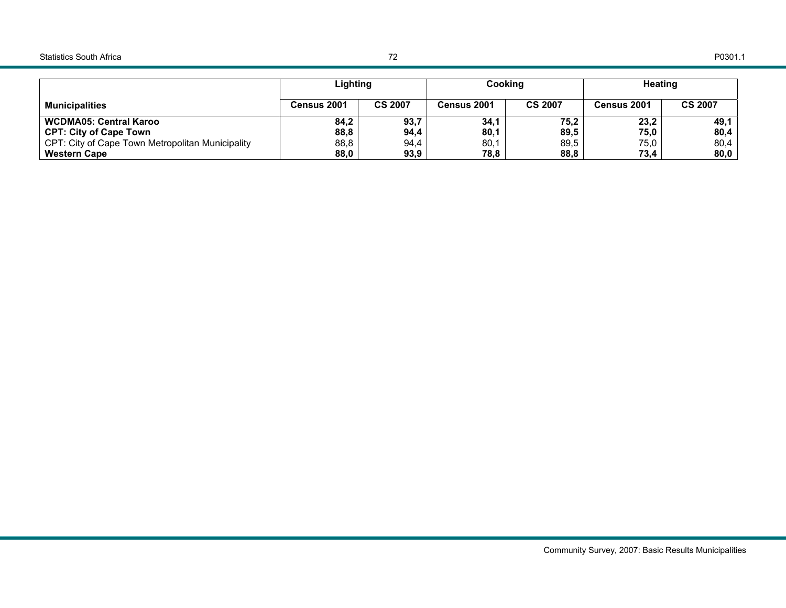### Statistics South Africa

|                                                  | Lighting    |                | Cooking     |                | <b>Heating</b> |                |
|--------------------------------------------------|-------------|----------------|-------------|----------------|----------------|----------------|
| <b>Municipalities</b>                            | Census 2001 | <b>CS 2007</b> | Census 2001 | <b>CS 2007</b> | Census 2001    | <b>CS 2007</b> |
| . WCDMA05: Central Karoo                         | 84,2        | 93,7           | 34,1        | 75,2           | 23,2           | 49,1           |
| CPT: City of Cape Town                           | 88,8        | 94,4           | 80,1        | 89,5           | 75,0           | 80,4           |
| CPT: City of Cape Town Metropolitan Municipality | 88,8        | 94,4           | 80,1        | 89.5           | 75,0           | 80,4           |
| <b>Western Cape</b>                              | 88,0        | 93,9           | 78,8        | 88,8           | 73,4           | 80,0           |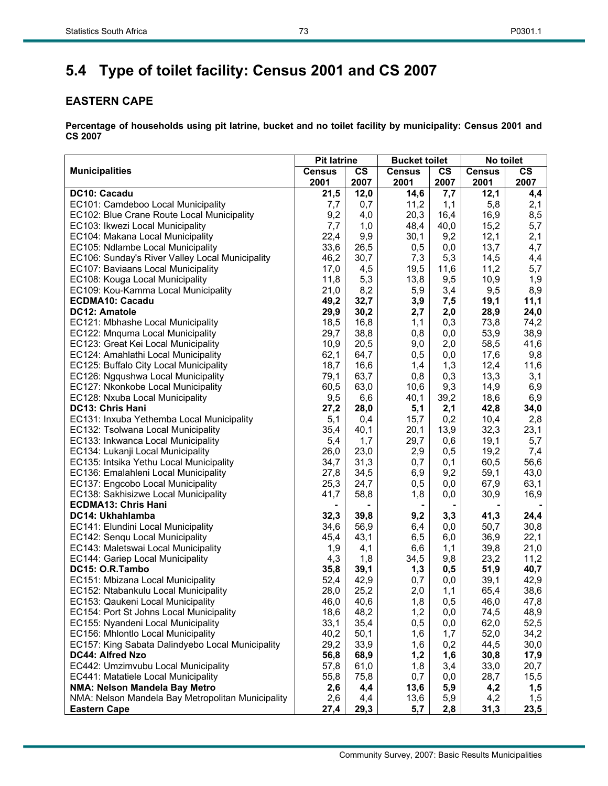# **5.4 Type of toilet facility: Census 2001 and CS 2007**

# **EASTERN CAPE**

|                                                   | <b>Pit latrine</b> |           | <b>Bucket toilet</b> |               | No toilet     |           |  |
|---------------------------------------------------|--------------------|-----------|----------------------|---------------|---------------|-----------|--|
| <b>Municipalities</b>                             | <b>Census</b>      | <b>CS</b> | <b>Census</b>        | $\mathsf{cs}$ | <b>Census</b> | <b>CS</b> |  |
|                                                   | 2001               | 2007      | 2001                 | 2007          | 2001          | 2007      |  |
| DC10: Cacadu                                      | 21,5               | 12,0      | 14,6                 | 7,7           | 12,1          | 4,4       |  |
| EC101: Camdeboo Local Municipality                | 7,7                | 0,7       | 11,2                 | 1,1           | 5,8           | 2,1       |  |
| EC102: Blue Crane Route Local Municipality        | 9,2                | 4,0       | 20,3                 | 16,4          | 16,9          | 8,5       |  |
| EC103: Ikwezi Local Municipality                  | 7,7                | 1,0       | 48,4                 | 40,0          | 15,2          | 5,7       |  |
| EC104: Makana Local Municipality                  | 22,4               | 9,9       | 30,1                 | 9,2           | 12,1          | 2,1       |  |
| EC105: Ndlambe Local Municipality                 | 33,6               | 26,5      | 0,5                  | 0,0           | 13,7          | 4,7       |  |
| EC106: Sunday's River Valley Local Municipality   | 46,2               | 30,7      | 7,3                  | 5,3           | 14,5          | 4,4       |  |
| EC107: Baviaans Local Municipality                | 17,0               | 4,5       | 19,5                 | 11,6          | 11,2          | 5,7       |  |
| EC108: Kouga Local Municipality                   | 11,8               | 5,3       | 13,8                 | 9,5           | 10,9          | 1,9       |  |
| EC109: Kou-Kamma Local Municipality               | 21,0               | 8,2       | 5,9                  | 3,4           | 9,5           | 8,9       |  |
| <b>ECDMA10: Cacadu</b>                            | 49,2               | 32,7      | 3,9                  | 7,5           | 19,1          | 11,1      |  |
| DC12: Amatole                                     | 29,9               | 30,2      | 2,7                  | 2,0           | 28,9          | 24,0      |  |
| EC121: Mbhashe Local Municipality                 | 18,5               | 16,8      | 1,1                  | 0,3           | 73,8          | 74,2      |  |
| EC122: Mnquma Local Municipality                  | 29,7               | 38,8      | 0,8                  | 0,0           | 53,9          | 38,9      |  |
| EC123: Great Kei Local Municipality               | 10,9               | 20,5      | 9,0                  | 2,0           | 58,5          | 41,6      |  |
| EC124: Amahlathi Local Municipality               | 62,1               | 64,7      | 0,5                  | 0,0           | 17,6          | 9,8       |  |
| EC125: Buffalo City Local Municipality            | 18,7               | 16,6      | 1,4                  | 1,3           | 12,4          | 11,6      |  |
| EC126: Ngqushwa Local Municipality                | 79,1               | 63,7      | 0,8                  | 0,3           | 13,3          | 3,1       |  |
| EC127: Nkonkobe Local Municipality                | 60,5               | 63,0      | 10,6                 | 9,3           | 14,9          | 6,9       |  |
| EC128: Nxuba Local Municipality                   | 9,5                | 6,6       | 40,1                 | 39,2          | 18,6          | 6,9       |  |
| DC13: Chris Hani                                  | 27,2               | 28,0      | 5,1                  | 2,1           | 42,8          | 34,0      |  |
| EC131: Inxuba Yethemba Local Municipality         | 5,1                | 0,4       | 15,7                 | 0,2           | 10,4          | 2,8       |  |
| EC132: Tsolwana Local Municipality                | 35,4               | 40,1      | 20,1                 | 13,9          | 32,3          | 23,1      |  |
| EC133: Inkwanca Local Municipality                | 5,4                | 1,7       | 29,7                 | 0,6           | 19,1          | 5,7       |  |
| EC134: Lukanji Local Municipality                 | 26,0               | 23,0      | 2,9                  | 0,5           | 19,2          | 7,4       |  |
| EC135: Intsika Yethu Local Municipality           | 34,7               | 31,3      | 0,7                  | 0,1           | 60,5          | 56,6      |  |
| EC136: Emalahleni Local Municipality              | 27,8               | 34,5      | 6,9                  | 9,2           | 59,1          | 43,0      |  |
| EC137: Engcobo Local Municipality                 | 25,3               | 24,7      | 0,5                  | 0,0           | 67,9          | 63,1      |  |
| EC138: Sakhisizwe Local Municipality              | 41,7               | 58,8      | 1,8                  | 0,0           | 30,9          | 16,9      |  |
| <b>ECDMA13: Chris Hani</b>                        |                    |           |                      |               |               |           |  |
| DC14: Ukhahlamba                                  | 32,3               | 39,8      | 9,2                  | 3,3           | 41,3          | 24,4      |  |
| EC141: Elundini Local Municipality                | 34,6               | 56,9      | 6,4                  | 0,0           | 50,7          | 30,8      |  |
| EC142: Senqu Local Municipality                   | 45,4               | 43,1      | 6, 5                 | 6,0           | 36,9          | 22,1      |  |
| EC143: Maletswai Local Municipality               | 1,9                | 4,1       | 6,6                  | 1,1           | 39,8          | 21,0      |  |
| EC144: Gariep Local Municipality                  | 4,3                | 1,8       | 34,5                 | 9,8           | 23,2          | 11,2      |  |
| DC15: O.R.Tambo                                   | 35,8               | 39,1      | 1,3                  | 0,5           | 51,9          | 40,7      |  |
| EC151: Mbizana Local Municipality                 | 52,4               | 42,9      | 0,7                  | 0,0           | 39,1          | 42,9      |  |
| EC152: Ntabankulu Local Municipality              | 28,0               | 25,2      | 2,0                  | 1,1           | 65,4          | 38,6      |  |
| EC153: Qaukeni Local Municipality                 | 46,0               | 40,6      | 1,8                  | 0,5           | 46,0          | 47,8      |  |
| EC154: Port St Johns Local Municipality           | 18,6               | 48,2      | 1,2                  | 0,0           | 74,5          | 48,9      |  |
| EC155: Nyandeni Local Municipality                | 33,1               | 35,4      | 0,5                  | 0,0           | 62,0          | 52,5      |  |
| EC156: Mhlontlo Local Municipality                | 40,2               | 50,1      | 1,6                  | 1,7           | 52,0          | 34,2      |  |
| EC157: King Sabata Dalindyebo Local Municipality  | 29,2               | 33,9      | 1,6                  | 0,2           | 44,5          | 30,0      |  |
| DC44: Alfred Nzo                                  | 56,8               | 68,9      | 1,2                  | 1,6           | 30,8          | 17,9      |  |
| EC442: Umzimvubu Local Municipality               | 57,8               | 61,0      | 1,8                  | 3,4           | 33,0          | 20,7      |  |
| EC441: Matatiele Local Municipality               | 55,8               | 75,8      | 0,7                  | 0,0           | 28,7          | 15,5      |  |
| NMA: Nelson Mandela Bay Metro                     | 2,6                | 4,4       | 13,6                 | 5,9           | 4,2           | 1,5       |  |
| NMA: Nelson Mandela Bay Metropolitan Municipality | 2,6                | 4,4       | 13,6                 | 5,9           | 4,2           | 1,5       |  |
| <b>Eastern Cape</b>                               | 27,4               | 29,3      | 5,7                  | 2,8           | 31,3          | 23,5      |  |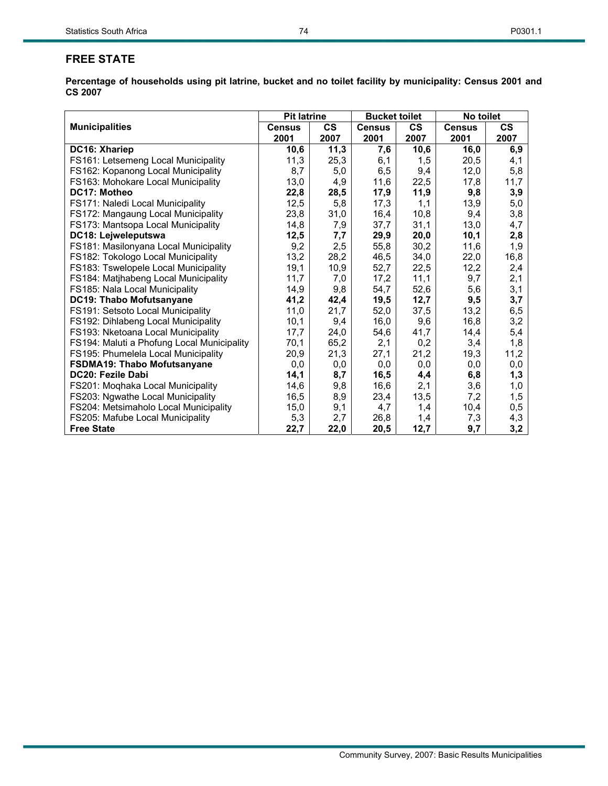# **FREE STATE**

|                                            | <b>Pit latrine</b> |               | <b>Bucket toilet</b> |               | No toilet     |           |
|--------------------------------------------|--------------------|---------------|----------------------|---------------|---------------|-----------|
| <b>Municipalities</b>                      | <b>Census</b>      | $\mathsf{cs}$ | <b>Census</b>        | $\mathsf{cs}$ | <b>Census</b> | <b>CS</b> |
|                                            | 2001               | 2007          | 2001                 | 2007          | 2001          | 2007      |
| DC16: Xhariep                              | 10,6               | 11,3          | 7,6                  | 10,6          | 16,0          | 6,9       |
| FS161: Letsemeng Local Municipality        | 11,3               | 25,3          | 6,1                  | 1,5           | 20,5          | 4,1       |
| FS162: Kopanong Local Municipality         | 8,7                | 5,0           | 6,5                  | 9,4           | 12,0          | 5,8       |
| FS163: Mohokare Local Municipality         | 13,0               | 4,9           | 11,6                 | 22,5          | 17,8          | 11,7      |
| DC17: Motheo                               | 22,8               | 28,5          | 17,9                 | 11,9          | 9,8           | 3,9       |
| FS171: Naledi Local Municipality           | 12,5               | 5,8           | 17,3                 | 1,1           | 13,9          | 5,0       |
| FS172: Mangaung Local Municipality         | 23,8               | 31,0          | 16,4                 | 10,8          | 9,4           | 3,8       |
| FS173: Mantsopa Local Municipality         | 14,8               | 7,9           | 37,7                 | 31,1          | 13,0          | 4,7       |
| DC18: Lejweleputswa                        | 12,5               | 7,7           | 29,9                 | 20,0          | 10,1          | 2,8       |
| FS181: Masilonyana Local Municipality      | 9,2                | 2,5           | 55,8                 | 30,2          | 11,6          | 1,9       |
| FS182: Tokologo Local Municipality         | 13,2               | 28,2          | 46,5                 | 34,0          | 22,0          | 16,8      |
| FS183: Tswelopele Local Municipality       | 19,1               | 10,9          | 52,7                 | 22,5          | 12,2          | 2,4       |
| FS184: Matjhabeng Local Municipality       | 11,7               | 7,0           | 17,2                 | 11,1          | 9,7           | 2,1       |
| FS185: Nala Local Municipality             | 14,9               | 9,8           | 54,7                 | 52,6          | 5,6           | 3,1       |
| DC19: Thabo Mofutsanyane                   | 41,2               | 42,4          | 19,5                 | 12,7          | 9,5           | 3,7       |
| FS191: Setsoto Local Municipality          | 11,0               | 21,7          | 52,0                 | 37,5          | 13,2          | 6,5       |
| FS192: Dihlabeng Local Municipality        | 10,1               | 9,4           | 16,0                 | 9,6           | 16,8          | 3,2       |
| FS193: Nketoana Local Municipality         | 17,7               | 24,0          | 54,6                 | 41,7          | 14,4          | 5,4       |
| FS194: Maluti a Phofung Local Municipality | 70,1               | 65,2          | 2,1                  | 0,2           | 3,4           | 1,8       |
| FS195: Phumelela Local Municipality        | 20,9               | 21,3          | 27,1                 | 21,2          | 19,3          | 11,2      |
| <b>FSDMA19: Thabo Mofutsanyane</b>         | 0,0                | 0,0           | 0,0                  | 0,0           | 0,0           | 0,0       |
| <b>DC20: Fezile Dabi</b>                   | 14,1               | 8,7           | 16,5                 | 4,4           | 6,8           | 1,3       |
| FS201: Moqhaka Local Municipality          | 14,6               | 9,8           | 16,6                 | 2,1           | 3,6           | 1,0       |
| FS203: Ngwathe Local Municipality          | 16,5               | 8,9           | 23,4                 | 13,5          | 7,2           | 1,5       |
| FS204: Metsimaholo Local Municipality      | 15,0               | 9,1           | 4,7                  | 1,4           | 10,4          | 0,5       |
| FS205: Mafube Local Municipality           | 5,3                | 2,7           | 26,8                 | 1,4           | 7,3           | 4,3       |
| <b>Free State</b>                          | 22,7               | 22,0          | 20,5                 | 12,7          | 9,7           | 3,2       |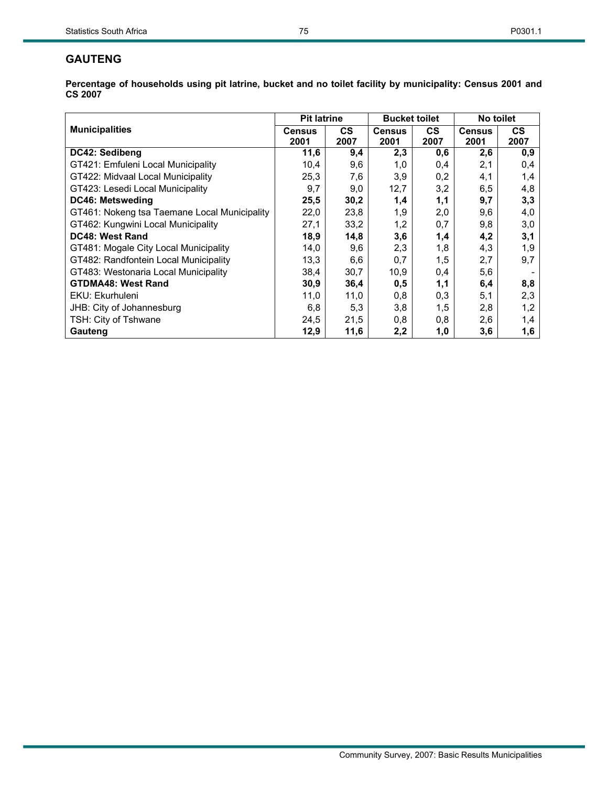# **GAUTENG**

|                                              | <b>Pit latrine</b> |           | <b>Bucket toilet</b> |           | No toilet     |           |
|----------------------------------------------|--------------------|-----------|----------------------|-----------|---------------|-----------|
| <b>Municipalities</b>                        | <b>Census</b>      | <b>CS</b> | <b>Census</b>        | <b>CS</b> | <b>Census</b> | <b>CS</b> |
|                                              | 2001               | 2007      | 2001                 | 2007      | 2001          | 2007      |
| DC42: Sedibeng                               | 11,6               | 9,4       | 2,3                  | 0,6       | 2,6           | 0,9       |
| GT421: Emfuleni Local Municipality           | 10,4               | 9,6       | 1,0                  | 0,4       | 2,1           | 0,4       |
| GT422: Midvaal Local Municipality            | 25,3               | 7,6       | 3,9                  | 0,2       | 4,1           | 1,4       |
| GT423: Lesedi Local Municipality             | 9,7                | 9,0       | 12,7                 | 3,2       | 6,5           | 4,8       |
| DC46: Metsweding                             | 25,5               | 30,2      | 1,4                  | 1,1       | 9,7           | 3,3       |
| GT461: Nokeng tsa Taemane Local Municipality | 22,0               | 23,8      | 1,9                  | 2,0       | 9,6           | 4,0       |
| GT462: Kungwini Local Municipality           | 27,1               | 33,2      | 1,2                  | 0,7       | 9,8           | 3,0       |
| DC48: West Rand                              | 18,9               | 14,8      | 3,6                  | 1,4       | 4,2           | 3,1       |
| GT481: Mogale City Local Municipality        | 14,0               | 9,6       | 2,3                  | 1,8       | 4,3           | 1,9       |
| GT482: Randfontein Local Municipality        | 13,3               | 6,6       | 0,7                  | 1,5       | 2,7           | 9,7       |
| GT483: Westonaria Local Municipality         | 38,4               | 30,7      | 10,9                 | 0,4       | 5,6           |           |
| <b>GTDMA48: West Rand</b>                    | 30,9               | 36,4      | 0,5                  | 1,1       | 6,4           | 8,8       |
| EKU: Ekurhuleni                              | 11,0               | 11,0      | 0,8                  | 0,3       | 5,1           | 2,3       |
| JHB: City of Johannesburg                    | 6,8                | 5,3       | 3,8                  | 1,5       | 2,8           | 1,2       |
| TSH: City of Tshwane                         | 24,5               | 21,5      | 0,8                  | 0,8       | 2,6           | 1,4       |
| Gauteng                                      | 12,9               | 11,6      | 2,2                  | 1,0       | 3,6           | 1,6       |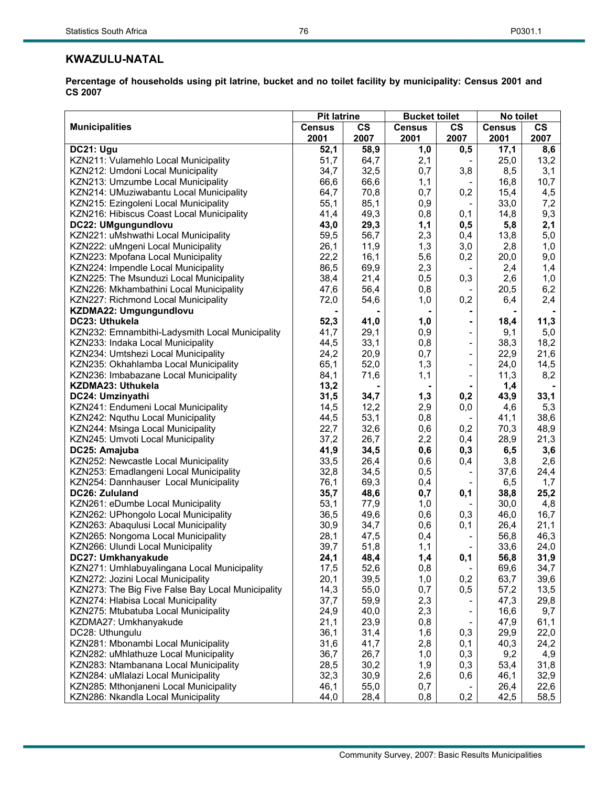# **KWAZULU-NATAL**

|                                                   | <b>Pit latrine</b> |      |               | <b>Bucket toilet</b><br>No toilet |               |               |
|---------------------------------------------------|--------------------|------|---------------|-----------------------------------|---------------|---------------|
| <b>Municipalities</b>                             | <b>Census</b>      | CS   | <b>Census</b> | $\mathsf{cs}$                     | <b>Census</b> | $\mathsf{cs}$ |
|                                                   | 2001               | 2007 | 2001          | 2007                              | 2001          | 2007          |
| DC21: Ugu                                         | 52,1               | 58,9 | 1,0           | 0,5                               | 17,1          | 8,6           |
| KZN211: Vulamehlo Local Municipality              | 51,7               | 64,7 | 2,1           |                                   | 25,0          | 13,2          |
| KZN212: Umdoni Local Municipality                 | 34,7               | 32,5 | 0,7           | 3,8                               | 8,5           | 3,1           |
| KZN213: Umzumbe Local Municipality                | 66,6               | 66,6 | 1,1           |                                   | 16,8          | 10,7          |
| KZN214: UMuziwabantu Local Municipality           | 64,7               | 70,8 | 0,7           | 0,2                               | 15,4          | 4,5           |
| KZN215: Ezingoleni Local Municipality             | 55,1               | 85,1 | 0,9           |                                   | 33,0          | 7,2           |
| KZN216: Hibiscus Coast Local Municipality         | 41,4               | 49,3 | 0,8           | 0,1                               | 14,8          | 9,3           |
| DC22: UMgungundlovu                               | 43,0               | 29,3 | 1,1           | 0,5                               | 5,8           | 2,1           |
| KZN221: uMshwathi Local Municipality              | 59,5               | 56,7 | 2,3           | 0,4                               | 13,8          | 5,0           |
| KZN222: uMngeni Local Municipality                | 26,1               | 11,9 | 1,3           | 3,0                               | 2,8           | 1,0           |
| KZN223: Mpofana Local Municipality                | 22,2               | 16,1 | 5,6           | 0,2                               | 20,0          | 9,0           |
| KZN224: Impendle Local Municipality               | 86,5               | 69,9 | 2,3           |                                   | 2,4           | 1,4           |
| KZN225: The Msunduzi Local Municipality           | 38,4               | 21,4 | 0,5           | 0,3                               | 2,6           | 1,0           |
| KZN226: Mkhambathini Local Municipality           | 47,6               | 56,4 | 0,8           |                                   | 20,5          | 6,2           |
| KZN227: Richmond Local Municipality               | 72,0               | 54,6 | 1,0           | 0,2                               | 6,4           | 2,4           |
| KZDMA22: Umgungundlovu                            |                    |      |               |                                   |               |               |
| DC23: Uthukela                                    | 52,3               | 41,0 | 1,0           |                                   | 18,4          | 11,3          |
| KZN232: Emnambithi-Ladysmith Local Municipality   | 41,7               | 29,1 | 0,9           | ÷                                 | 9,1           | 5,0           |
| KZN233: Indaka Local Municipality                 | 44,5               | 33,1 | 0,8           | $\overline{\phantom{a}}$          | 38,3          | 18,2          |
| KZN234: Umtshezi Local Municipality               | 24,2               | 20,9 | 0,7           | $\overline{\phantom{a}}$          | 22,9          | 21,6          |
| KZN235: Okhahlamba Local Municipality             | 65,1               | 52,0 | 1,3           | $\overline{\phantom{a}}$          | 24,0          | 14,5          |
| KZN236: Imbabazane Local Municipality             | 84,1               | 71,6 | 1,1           | $\overline{a}$                    | 11,3          | 8,2           |
| KZDMA23: Uthukela                                 | 13,2               |      |               | $\blacksquare$                    | 1,4           |               |
| DC24: Umzinyathi                                  | 31,5               | 34,7 | 1,3           | 0,2                               | 43,9          | 33,1          |
| KZN241: Endumeni Local Municipality               | 14,5               | 12,2 | 2,9           | 0,0                               | 4,6           | 5,3           |
| KZN242: Nquthu Local Municipality                 | 44,5               | 53,1 | 0,8           | $\overline{\phantom{a}}$          | 41,1          | 38,6          |
| KZN244: Msinga Local Municipality                 | 22,7               | 32,6 | 0,6           | 0,2                               | 70,3          | 48,9          |
| KZN245: Umvoti Local Municipality                 | 37,2               | 26,7 | 2,2           | 0,4                               | 28,9          | 21,3          |
| DC25: Amajuba                                     | 41,9               | 34,5 | 0,6           | 0,3                               | 6,5           | 3,6           |
| KZN252: Newcastle Local Municipality              | 33,5               | 26,4 | 0,6           | 0,4                               | 3,8           | 2,6           |
| KZN253: Emadlangeni Local Municipality            | 32,8               | 34,5 | 0,5           |                                   | 37,6          | 24,4          |
| KZN254: Dannhauser Local Municipality             | 76,1               | 69,3 | 0,4           |                                   | 6,5           | 1,7           |
| DC26: Zululand                                    | 35,7               | 48,6 | 0,7           | 0,1                               | 38,8          | 25,2          |
| KZN261: eDumbe Local Municipality                 | 53,1               | 77,9 | 1,0           |                                   | 30,0          | 4,8           |
| KZN262: UPhongolo Local Municipality              | 36,5               | 49,6 | 0,6           | 0,3                               | 46,0          | 16,7          |
| KZN263: Abaqulusi Local Municipality              | 30,9               | 34,7 | 0,6           | 0,1                               | 26,4          | 21,1          |
| KZN265: Nongoma Local Municipality                | 28,1               | 47,5 | 0,4           |                                   | 56,8          | 46,3          |
| KZN266: Ulundi Local Municipality                 | 39,7               | 51,8 | 1,1           | $\overline{\phantom{a}}$          | 33,6          | 24,0          |
| DC27: Umkhanyakude                                | 24,1               | 48,4 | 1,4           | 0,1                               | 56,8          | 31,9          |
| KZN271: Umhlabuyalingana Local Municipality       | 17,5               | 52,6 | 0,8           |                                   | 69,6          | 34,7          |
| KZN272: Jozini Local Municipality                 | 20,1               | 39,5 | 1,0           | 0,2                               | 63,7          | 39,6          |
| KZN273: The Big Five False Bay Local Municipality | 14,3               | 55,0 | 0,7           | 0,5                               | 57,2          | 13,5          |
| KZN274: Hlabisa Local Municipality                | 37,7               | 59,9 | 2,3           |                                   | 47,3          | 29,8          |
| KZN275: Mtubatuba Local Municipality              | 24,9               | 40,0 | 2,3           | $\overline{\phantom{a}}$          | 16,6          | 9,7           |
| KZDMA27: Umkhanyakude                             | 21,1               | 23,9 | 0,8           |                                   | 47,9          | 61,1          |
| DC28: Uthungulu                                   | 36,1               | 31,4 | 1,6           | 0,3                               | 29,9          | 22,0          |
| KZN281: Mbonambi Local Municipality               | 31,6               | 41,7 | 2,8           | 0,1                               | 40,3          | 24,2          |
| KZN282: uMhlathuze Local Municipality             | 36,7               | 26,7 | 1,0           | 0,3                               | 9,2           | 4,9           |
| KZN283: Ntambanana Local Municipality             | 28,5               | 30,2 | 1,9           | 0,3                               | 53,4          | 31,8          |
| KZN284: uMlalazi Local Municipality               | 32,3               | 30,9 | 2,6           | 0,6                               | 46,1          | 32,9          |
| KZN285: Mthonjaneni Local Municipality            | 46,1               | 55,0 | 0,7           |                                   | 26,4          | 22,6          |
| KZN286: Nkandla Local Municipality                | 44,0               | 28,4 | 0,8           | 0,2                               | 42,5          | 58,5          |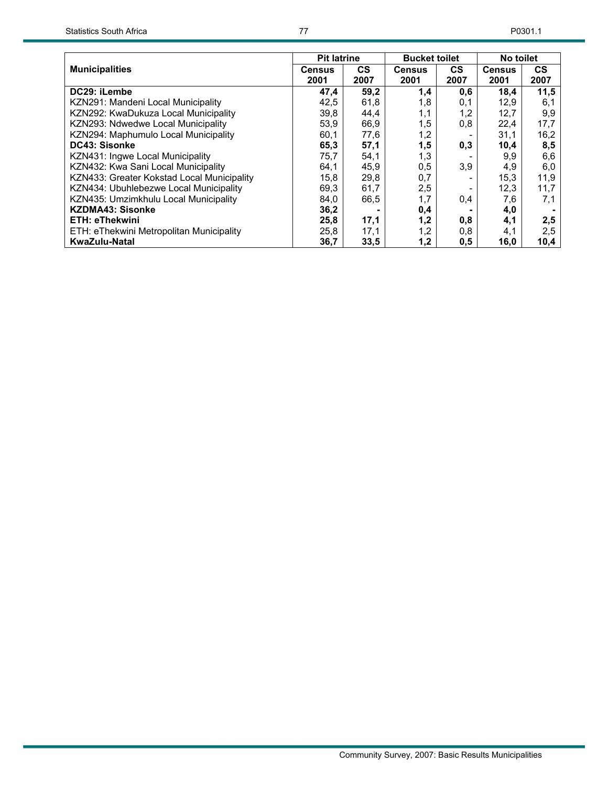|                                            | <b>Pit latrine</b> |           | <b>Bucket toilet</b> |           | No toilet     |           |
|--------------------------------------------|--------------------|-----------|----------------------|-----------|---------------|-----------|
| <b>Municipalities</b>                      | Census             | <b>CS</b> | <b>Census</b>        | <b>CS</b> | <b>Census</b> | <b>CS</b> |
|                                            | 2001               | 2007      | 2001                 | 2007      | 2001          | 2007      |
| DC29: iLembe                               | 47,4               | 59,2      | 1,4                  | 0,6       | 18,4          | 11,5      |
| KZN291: Mandeni Local Municipality         | 42,5               | 61,8      | 1,8                  | 0,1       | 12,9          | 6,1       |
| KZN292: KwaDukuza Local Municipality       | 39,8               | 44,4      | 1,1                  | 1,2       | 12,7          | 9,9       |
| KZN293: Ndwedwe Local Municipality         | 53,9               | 66,9      | 1,5                  | 0,8       | 22,4          | 17,7      |
| KZN294: Maphumulo Local Municipality       | 60,1               | 77,6      | 1,2                  |           | 31,1          | 16,2      |
| DC43: Sisonke                              | 65,3               | 57,1      | 1,5                  | 0,3       | 10,4          | 8,5       |
| KZN431: Ingwe Local Municipality           | 75,7               | 54,1      | 1,3                  |           | 9,9           | 6,6       |
| KZN432: Kwa Sani Local Municipality        | 64,1               | 45,9      | 0,5                  | 3,9       | 4,9           | 6,0       |
| KZN433: Greater Kokstad Local Municipality | 15,8               | 29,8      | 0,7                  |           | 15,3          | 11,9      |
| KZN434: Ubuhlebezwe Local Municipality     | 69,3               | 61,7      | 2,5                  |           | 12,3          | 11,7      |
| KZN435: Umzimkhulu Local Municipality      | 84,0               | 66,5      | 1,7                  | 0,4       | 7,6           | 7,1       |
| <b>KZDMA43: Sisonke</b>                    | 36,2               |           | 0,4                  |           | 4,0           |           |
| <b>ETH: eThekwini</b>                      | 25,8               | 17,1      | 1,2                  | 0,8       | 4,1           | 2,5       |
| ETH: eThekwini Metropolitan Municipality   | 25,8               | 17,1      | 1,2                  | 0,8       | 4,1           | 2,5       |
| KwaZulu-Natal                              | 36,7               | 33,5      | 1,2                  | 0,5       | 16,0          | 10,4      |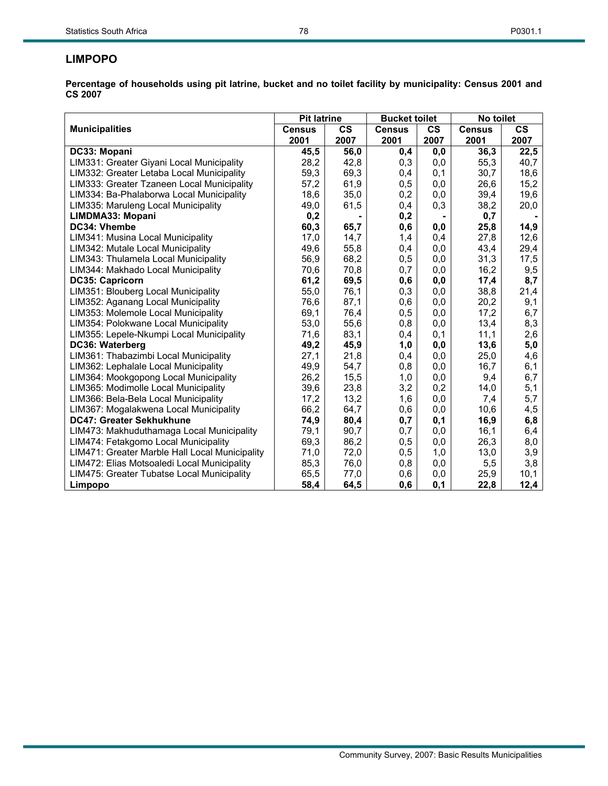# **LIMPOPO**

|                                                | <b>Pit latrine</b> |               | <b>Bucket toilet</b> |               | No toilet     |               |
|------------------------------------------------|--------------------|---------------|----------------------|---------------|---------------|---------------|
| <b>Municipalities</b>                          | <b>Census</b>      | $\mathsf{cs}$ | <b>Census</b>        | $\mathsf{cs}$ | <b>Census</b> | $\mathsf{cs}$ |
|                                                | 2001               | 2007          | 2001                 | 2007          | 2001          | 2007          |
| DC33: Mopani                                   | 45,5               | 56,0          | 0,4                  | 0,0           | 36,3          | 22,5          |
| LIM331: Greater Giyani Local Municipality      | 28,2               | 42,8          | 0,3                  | 0,0           | 55,3          | 40,7          |
| LIM332: Greater Letaba Local Municipality      | 59,3               | 69,3          | 0,4                  | 0,1           | 30,7          | 18,6          |
| LIM333: Greater Tzaneen Local Municipality     | 57,2               | 61,9          | 0,5                  | 0,0           | 26,6          | 15,2          |
| LIM334: Ba-Phalaborwa Local Municipality       | 18,6               | 35,0          | 0,2                  | 0,0           | 39,4          | 19,6          |
| LIM335: Maruleng Local Municipality            | 49,0               | 61,5          | 0,4                  | 0,3           | 38,2          | 20,0          |
| LIMDMA33: Mopani                               | 0,2                |               | 0,2                  |               | 0,7           |               |
| DC34: Vhembe                                   | 60,3               | 65,7          | 0,6                  | 0,0           | 25,8          | 14,9          |
| LIM341: Musina Local Municipality              | 17,0               | 14,7          | 1,4                  | 0,4           | 27,8          | 12,6          |
| LIM342: Mutale Local Municipality              | 49,6               | 55,8          | 0,4                  | 0,0           | 43,4          | 29,4          |
| LIM343: Thulamela Local Municipality           | 56,9               | 68,2          | 0,5                  | 0,0           | 31,3          | 17,5          |
| LIM344: Makhado Local Municipality             | 70,6               | 70,8          | 0,7                  | 0,0           | 16,2          | 9,5           |
| <b>DC35: Capricorn</b>                         | 61,2               | 69,5          | 0,6                  | 0,0           | 17,4          | 8,7           |
| LIM351: Blouberg Local Municipality            | 55,0               | 76,1          | 0,3                  | 0,0           | 38,8          | 21,4          |
| LIM352: Aganang Local Municipality             | 76,6               | 87,1          | 0,6                  | 0,0           | 20,2          | 9,1           |
| LIM353: Molemole Local Municipality            | 69,1               | 76,4          | 0,5                  | 0,0           | 17,2          | 6,7           |
| LIM354: Polokwane Local Municipality           | 53,0               | 55,6          | 0,8                  | 0,0           | 13,4          | 8,3           |
| LIM355: Lepele-Nkumpi Local Municipality       | 71,6               | 83,1          | 0,4                  | 0,1           | 11,1          | 2,6           |
| DC36: Waterberg                                | 49,2               | 45,9          | 1,0                  | 0,0           | 13,6          | 5,0           |
| LIM361: Thabazimbi Local Municipality          | 27,1               | 21,8          | 0,4                  | 0,0           | 25,0          | 4,6           |
| LIM362: Lephalale Local Municipality           | 49,9               | 54,7          | 0,8                  | 0,0           | 16,7          | 6,1           |
| LIM364: Mookgopong Local Municipality          | 26,2               | 15,5          | 1,0                  | 0,0           | 9,4           | 6,7           |
| LIM365: Modimolle Local Municipality           | 39,6               | 23,8          | 3,2                  | 0,2           | 14,0          | 5,1           |
| LIM366: Bela-Bela Local Municipality           | 17,2               | 13,2          | 1,6                  | 0,0           | 7,4           | 5,7           |
| LIM367: Mogalakwena Local Municipality         | 66,2               | 64,7          | 0,6                  | 0,0           | 10,6          | 4,5           |
| DC47: Greater Sekhukhune                       | 74,9               | 80,4          | 0,7                  | 0,1           | 16,9          | 6,8           |
| LIM473: Makhuduthamaga Local Municipality      | 79,1               | 90,7          | 0,7                  | 0,0           | 16,1          | 6,4           |
| LIM474: Fetakgomo Local Municipality           | 69,3               | 86,2          | 0,5                  | 0,0           | 26,3          | 8,0           |
| LIM471: Greater Marble Hall Local Municipality | 71,0               | 72,0          | 0,5                  | 1,0           | 13,0          | 3,9           |
| LIM472: Elias Motsoaledi Local Municipality    | 85,3               | 76,0          | 0,8                  | 0,0           | 5,5           | 3,8           |
| LIM475: Greater Tubatse Local Municipality     | 65,5               | 77,0          | 0,6                  | 0,0           | 25,9          | 10,1          |
| Limpopo                                        | 58,4               | 64,5          | 0,6                  | 0,1           | 22,8          | 12,4          |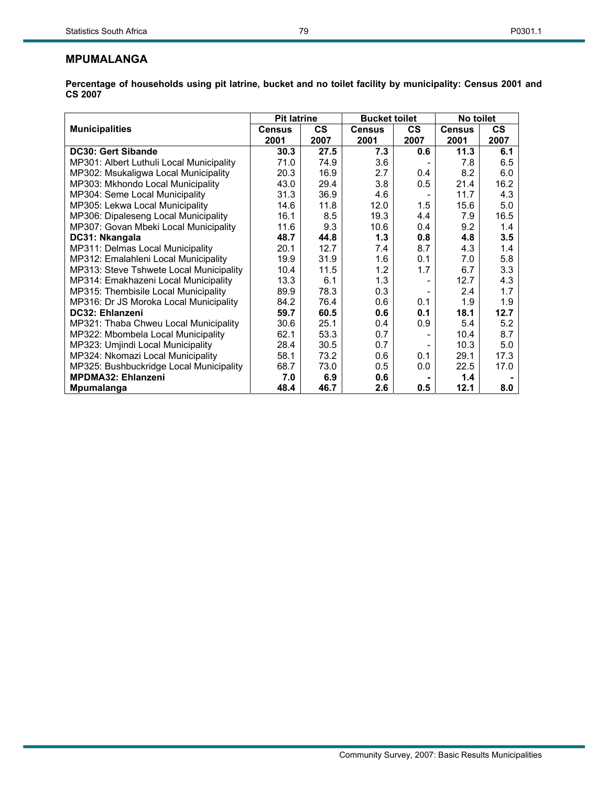|                                          | <b>Pit latrine</b> |      | <b>Bucket toilet</b> |      | No toilet     |           |
|------------------------------------------|--------------------|------|----------------------|------|---------------|-----------|
| <b>Municipalities</b>                    | <b>Census</b>      | CS   | <b>Census</b>        | CS.  | <b>Census</b> | <b>CS</b> |
|                                          | 2001               | 2007 | 2001                 | 2007 | 2001          | 2007      |
| <b>DC30: Gert Sibande</b>                | 30.3               | 27.5 | 7.3                  | 0.6  | 11.3          | 6.1       |
| MP301: Albert Luthuli Local Municipality | 71.0               | 74.9 | 3.6                  |      | 7.8           | 6.5       |
| MP302: Msukaligwa Local Municipality     | 20.3               | 16.9 | 2.7                  | 0.4  | 8.2           | 6.0       |
| MP303: Mkhondo Local Municipality        | 43.0               | 29.4 | 3.8                  | 0.5  | 21.4          | 16.2      |
| MP304: Seme Local Municipality           | 31.3               | 36.9 | 4.6                  |      | 11.7          | 4.3       |
| MP305: Lekwa Local Municipality          | 14.6               | 11.8 | 12.0                 | 1.5  | 15.6          | 5.0       |
| MP306: Dipaleseng Local Municipality     | 16.1               | 8.5  | 19.3                 | 4.4  | 7.9           | 16.5      |
| MP307: Govan Mbeki Local Municipality    | 11.6               | 9.3  | 10.6                 | 0.4  | 9.2           | 1.4       |
| DC31: Nkangala                           | 48.7               | 44.8 | 1.3                  | 0.8  | 4.8           | 3.5       |
| MP311: Delmas Local Municipality         | 20.1               | 12.7 | 7.4                  | 8.7  | 4.3           | 1.4       |
| MP312: Emalahleni Local Municipality     | 19.9               | 31.9 | 1.6                  | 0.1  | 7.0           | 5.8       |
| MP313: Steve Tshwete Local Municipality  | 10.4               | 11.5 | 1.2                  | 1.7  | 6.7           | 3.3       |
| MP314: Emakhazeni Local Municipality     | 13.3               | 6.1  | 1.3                  |      | 12.7          | 4.3       |
| MP315: Thembisile Local Municipality     | 89.9               | 78.3 | 0.3                  |      | 2.4           | 1.7       |
| MP316: Dr JS Moroka Local Municipality   | 84.2               | 76.4 | 0.6                  | 0.1  | 1.9           | 1.9       |
| DC32: Ehlanzeni                          | 59.7               | 60.5 | 0.6                  | 0.1  | 18.1          | 12.7      |
| MP321: Thaba Chweu Local Municipality    | 30.6               | 25.1 | 0.4                  | 0.9  | 5.4           | 5.2       |
| MP322: Mbombela Local Municipality       | 62.1               | 53.3 | 0.7                  |      | 10.4          | 8.7       |
| MP323: Umjindi Local Municipality        | 28.4               | 30.5 | 0.7                  |      | 10.3          | 5.0       |
| MP324: Nkomazi Local Municipality        | 58.1               | 73.2 | 0.6                  | 0.1  | 29.1          | 17.3      |
| MP325: Bushbuckridge Local Municipality  | 68.7               | 73.0 | 0.5                  | 0.0  | 22.5          | 17.0      |
| <b>MPDMA32: Ehlanzeni</b>                | 7.0                | 6.9  | 0.6                  |      | 1.4           |           |
| <b>Mpumalanga</b>                        | 48.4               | 46.7 | 2.6                  | 0.5  | 12.1          | 8.0       |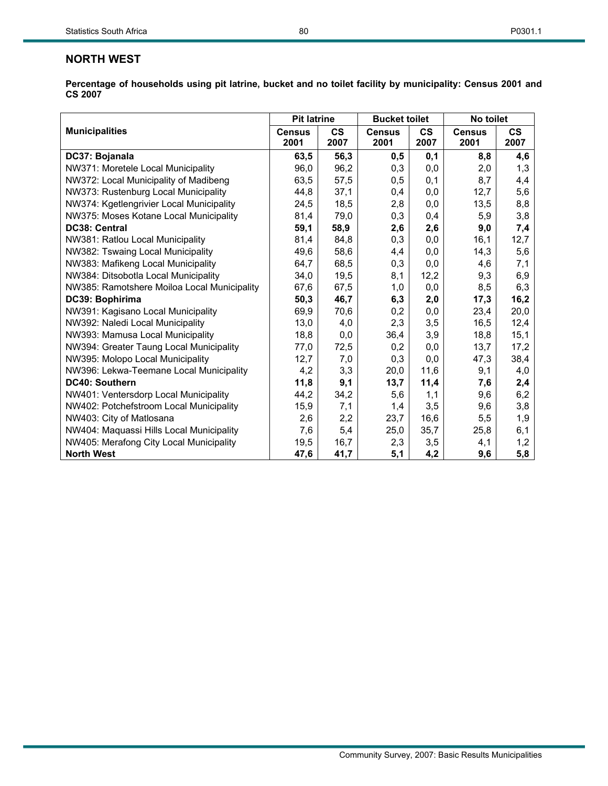|                                             | <b>Pit latrine</b>    |                       | <b>Bucket toilet</b>  |                       | No toilet             |                       |  |
|---------------------------------------------|-----------------------|-----------------------|-----------------------|-----------------------|-----------------------|-----------------------|--|
| <b>Municipalities</b>                       | <b>Census</b><br>2001 | $\mathsf{cs}$<br>2007 | <b>Census</b><br>2001 | $\mathsf{cs}$<br>2007 | <b>Census</b><br>2001 | $\mathsf{cs}$<br>2007 |  |
| DC37: Bojanala                              | 63,5                  | 56,3                  | 0,5                   | 0,1                   | 8,8                   | 4,6                   |  |
| NW371: Moretele Local Municipality          | 96,0                  | 96,2                  | 0,3                   | 0,0                   | 2,0                   | 1,3                   |  |
| NW372: Local Municipality of Madibeng       | 63,5                  | 57,5                  | 0,5                   | 0,1                   | 8,7                   | 4,4                   |  |
| NW373: Rustenburg Local Municipality        | 44,8                  | 37,1                  | 0,4                   | 0,0                   | 12,7                  | 5,6                   |  |
| NW374: Kgetlengrivier Local Municipality    | 24,5                  | 18,5                  | 2,8                   | 0,0                   | 13,5                  | 8,8                   |  |
| NW375: Moses Kotane Local Municipality      | 81,4                  | 79,0                  | 0,3                   | 0,4                   | 5,9                   | 3,8                   |  |
| DC38: Central                               | 59,1                  | 58,9                  | 2,6                   | 2,6                   | 9,0                   | 7,4                   |  |
| NW381: Ratlou Local Municipality            | 81,4                  | 84,8                  | 0,3                   | 0,0                   | 16,1                  | 12,7                  |  |
| NW382: Tswaing Local Municipality           | 49,6                  | 58,6                  | 4,4                   | 0,0                   | 14,3                  | 5,6                   |  |
| NW383: Mafikeng Local Municipality          | 64,7                  | 68,5                  | 0,3                   | 0,0                   | 4,6                   | 7,1                   |  |
| NW384: Ditsobotla Local Municipality        | 34,0                  | 19,5                  | 8,1                   | 12,2                  | 9,3                   | 6,9                   |  |
| NW385: Ramotshere Moiloa Local Municipality | 67,6                  | 67,5                  | 1,0                   | 0,0                   | 8,5                   | 6,3                   |  |
| DC39: Bophirima                             | 50,3                  | 46,7                  | 6,3                   | 2,0                   | 17,3                  | 16,2                  |  |
| NW391: Kagisano Local Municipality          | 69,9                  | 70,6                  | 0,2                   | 0,0                   | 23,4                  | 20,0                  |  |
| NW392: Naledi Local Municipality            | 13,0                  | 4,0                   | 2,3                   | 3,5                   | 16,5                  | 12,4                  |  |
| NW393: Mamusa Local Municipality            | 18,8                  | 0,0                   | 36,4                  | 3,9                   | 18,8                  | 15,1                  |  |
| NW394: Greater Taung Local Municipality     | 77,0                  | 72,5                  | 0,2                   | 0,0                   | 13,7                  | 17,2                  |  |
| NW395: Molopo Local Municipality            | 12,7                  | 7,0                   | 0,3                   | 0,0                   | 47,3                  | 38,4                  |  |
| NW396: Lekwa-Teemane Local Municipality     | 4,2                   | 3,3                   | 20,0                  | 11,6                  | 9,1                   | 4,0                   |  |
| <b>DC40: Southern</b>                       | 11,8                  | 9,1                   | 13,7                  | 11,4                  | 7,6                   | 2,4                   |  |
| NW401: Ventersdorp Local Municipality       | 44,2                  | 34,2                  | 5,6                   | 1,1                   | 9,6                   | 6,2                   |  |
| NW402: Potchefstroom Local Municipality     | 15,9                  | 7,1                   | 1,4                   | 3,5                   | 9,6                   | 3,8                   |  |
| NW403: City of Matlosana                    | 2,6                   | 2,2                   | 23,7                  | 16,6                  | 5,5                   | 1,9                   |  |
| NW404: Maquassi Hills Local Municipality    | 7,6                   | 5,4                   | 25,0                  | 35,7                  | 25,8                  | 6,1                   |  |
| NW405: Merafong City Local Municipality     | 19,5                  | 16,7                  | 2,3                   | 3,5                   | 4,1                   | 1,2                   |  |
| <b>North West</b>                           | 47,6                  | 41,7                  | 5,1                   | 4,2                   | 9,6                   | 5,8                   |  |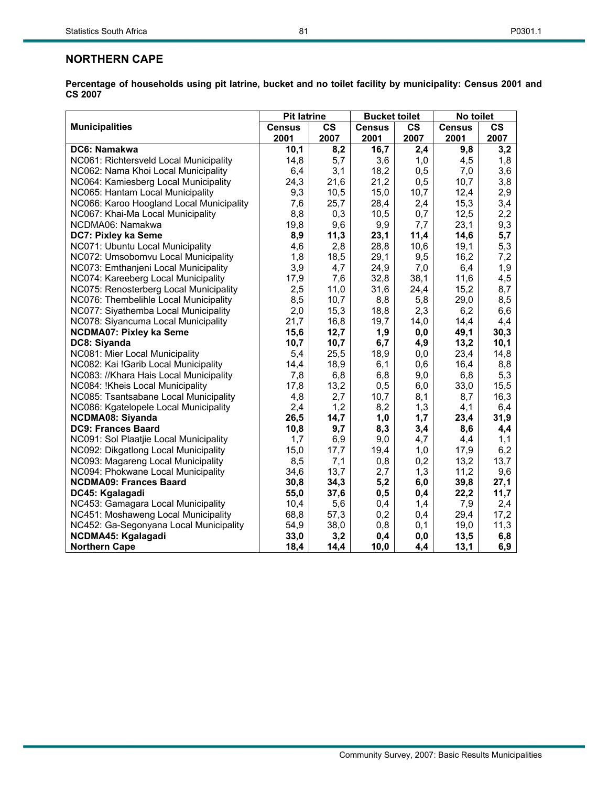|                                          | <b>Pit latrine</b>    |                       | <b>Bucket toilet</b>  |                       | No toilet             |                       |
|------------------------------------------|-----------------------|-----------------------|-----------------------|-----------------------|-----------------------|-----------------------|
| <b>Municipalities</b>                    | <b>Census</b><br>2001 | $\mathsf{cs}$<br>2007 | <b>Census</b><br>2001 | $\mathsf{cs}$<br>2007 | <b>Census</b><br>2001 | $\mathsf{cs}$<br>2007 |
| DC6: Namakwa                             | 10,1                  | 8,2                   | 16,7                  | 2,4                   | 9,8                   | 3,2                   |
| NC061: Richtersveld Local Municipality   | 14,8                  | 5,7                   | 3,6                   | 1,0                   | 4,5                   | 1,8                   |
| NC062: Nama Khoi Local Municipality      | 6,4                   | 3,1                   | 18,2                  | 0,5                   | 7,0                   | 3,6                   |
| NC064: Kamiesberg Local Municipality     | 24,3                  | 21,6                  | 21,2                  | 0,5                   | 10,7                  | 3,8                   |
| NC065: Hantam Local Municipality         | 9,3                   | 10,5                  | 15,0                  | 10,7                  | 12,4                  | 2,9                   |
| NC066: Karoo Hoogland Local Municipality | 7,6                   | 25,7                  | 28,4                  | 2,4                   | 15,3                  | 3,4                   |
| NC067: Khai-Ma Local Municipality        | 8,8                   | 0,3                   | 10,5                  | 0,7                   | 12,5                  | 2,2                   |
| NCDMA06: Namakwa                         | 19,8                  | 9,6                   | 9,9                   | 7,7                   | 23,1                  | 9,3                   |
| DC7: Pixley ka Seme                      | 8,9                   | 11,3                  | 23,1                  | 11,4                  | 14,6                  | 5,7                   |
| NC071: Ubuntu Local Municipality         | 4,6                   | 2,8                   | 28,8                  | 10,6                  | 19,1                  | 5,3                   |
| NC072: Umsobomvu Local Municipality      | 1,8                   | 18,5                  | 29,1                  | 9,5                   | 16,2                  | 7,2                   |
| NC073: Emthanjeni Local Municipality     | 3,9                   | 4,7                   | 24,9                  | 7,0                   | 6,4                   | 1,9                   |
| NC074: Kareeberg Local Municipality      | 17,9                  | 7,6                   | 32,8                  | 38,1                  | 11,6                  | 4,5                   |
| NC075: Renosterberg Local Municipality   | 2,5                   | 11,0                  | 31,6                  | 24,4                  | 15,2                  | 8,7                   |
| NC076: Thembelihle Local Municipality    | 8,5                   | 10,7                  | 8,8                   | 5,8                   | 29,0                  | 8,5                   |
| NC077: Siyathemba Local Municipality     | 2,0                   | 15,3                  | 18,8                  | 2,3                   | 6,2                   | 6,6                   |
| NC078: Siyancuma Local Municipality      | 21,7                  | 16,8                  | 19,7                  | 14,0                  | 14,4                  | 4,4                   |
| <b>NCDMA07: Pixley ka Seme</b>           | 15,6                  | 12,7                  | 1,9                   | 0,0                   | 49,1                  | 30,3                  |
| DC8: Siyanda                             | 10,7                  | 10,7                  | 6,7                   | 4,9                   | 13,2                  | 10,1                  |
| NC081: Mier Local Municipality           | 5,4                   | 25,5                  | 18,9                  | 0,0                   | 23,4                  | 14,8                  |
| NC082: Kai !Garib Local Municipality     | 14,4                  | 18,9                  | 6,1                   | 0,6                   | 16,4                  | 8,8                   |
| NC083: //Khara Hais Local Municipality   | 7,8                   | 6,8                   | 6,8                   | 9,0                   | 6,8                   | 5,3                   |
| NC084: !Kheis Local Municipality         | 17,8                  | 13,2                  | 0,5                   | 6,0                   | 33,0                  | 15,5                  |
| NC085: Tsantsabane Local Municipality    | 4,8                   | 2,7                   | 10,7                  | 8,1                   | 8,7                   | 16,3                  |
| NC086: Kgatelopele Local Municipality    | 2,4                   | 1,2                   | 8,2                   | 1,3                   | 4,1                   | 6,4                   |
| <b>NCDMA08: Siyanda</b>                  | 26,5                  | 14,7                  | 1,0                   | 1,7                   | 23,4                  | 31,9                  |
| <b>DC9: Frances Baard</b>                | 10,8                  | 9,7                   | 8,3                   | 3,4                   | 8,6                   | 4,4                   |
| NC091: Sol Plaatjie Local Municipality   | 1,7                   | 6,9                   | 9,0                   | 4,7                   | 4,4                   | 1,1                   |
| NC092: Dikgatlong Local Municipality     | 15,0                  | 17,7                  | 19,4                  | 1,0                   | 17,9                  | 6,2                   |
| NC093: Magareng Local Municipality       | 8,5                   | 7,1                   | 0,8                   | 0,2                   | 13,2                  | 13,7                  |
| NC094: Phokwane Local Municipality       | 34,6                  | 13,7                  | 2,7                   | 1,3                   | 11,2                  | 9,6                   |
| <b>NCDMA09: Frances Baard</b>            | 30,8                  | 34,3                  | 5,2                   | 6,0                   | 39,8                  | 27,1                  |
| DC45: Kgalagadi                          | 55,0                  | 37,6                  | 0,5                   | 0,4                   | 22,2                  | 11,7                  |
| NC453: Gamagara Local Municipality       | 10,4                  | 5,6                   | 0,4                   | 1,4                   | 7,9                   | 2,4                   |
| NC451: Moshaweng Local Municipality      | 68,8                  | 57,3                  | 0,2                   | 0,4                   | 29,4                  | 17,2                  |
| NC452: Ga-Segonyana Local Municipality   | 54,9                  | 38,0                  | 0,8                   | 0,1                   | 19,0                  | 11,3                  |
| NCDMA45: Kgalagadi                       | 33,0                  | 3,2                   | 0,4                   | 0,0                   | 13,5                  | 6,8                   |
| <b>Northern Cape</b>                     | 18,4                  | 14,4                  | 10,0                  | 4,4                   | 13,1                  | 6,9                   |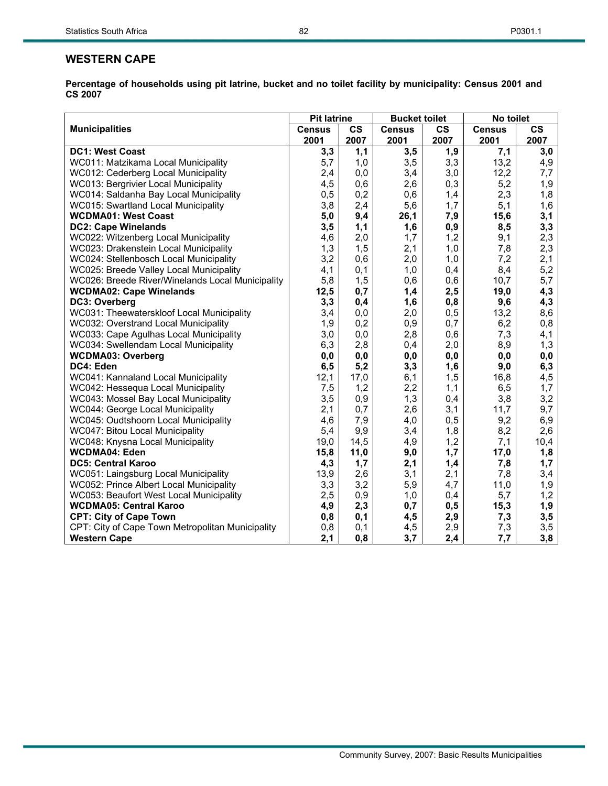|                                                  | <b>Pit latrine</b> |               | <b>Bucket toilet</b> |                        | No toilet     |                        |
|--------------------------------------------------|--------------------|---------------|----------------------|------------------------|---------------|------------------------|
| <b>Municipalities</b>                            | <b>Census</b>      | $\mathsf{cs}$ | <b>Census</b>        | $\overline{\text{cs}}$ | <b>Census</b> | $\overline{\text{cs}}$ |
|                                                  | 2001               | 2007          | 2001                 | 2007                   | 2001          | 2007                   |
| <b>DC1: West Coast</b>                           | 3,3                | 1,1           | 3,5                  | 1,9                    | 7,1           | $\overline{3,0}$       |
| WC011: Matzikama Local Municipality              | 5,7                | 1,0           | 3,5                  | 3,3                    | 13,2          | 4,9                    |
| WC012: Cederberg Local Municipality              | 2,4                | 0,0           | 3,4                  | 3,0                    | 12,2          | 7,7                    |
| WC013: Bergrivier Local Municipality             | 4,5                | 0,6           | 2,6                  | 0,3                    | 5,2           | 1,9                    |
| WC014: Saldanha Bay Local Municipality           | 0,5                | 0,2           | 0,6                  | 1,4                    | 2,3           | 1,8                    |
| WC015: Swartland Local Municipality              | 3,8                | 2,4           | 5,6                  | 1,7                    | 5,1           | $1,6$                  |
| <b>WCDMA01: West Coast</b>                       | 5,0                | 9,4           | 26,1                 | 7,9                    | 15,6          | 3,1                    |
| <b>DC2: Cape Winelands</b>                       | 3,5                | 1,1           | 1,6                  | 0,9                    | 8,5           | 3,3                    |
| WC022: Witzenberg Local Municipality             | 4,6                | 2,0           | 1,7                  | 1,2                    | 9,1           | 2,3                    |
| WC023: Drakenstein Local Municipality            | 1,3                | 1,5           | 2,1                  | 1,0                    | 7,8           | 2,3                    |
| WC024: Stellenbosch Local Municipality           | 3,2                | 0,6           | 2,0                  | 1,0                    | 7,2           | 2,1                    |
| WC025: Breede Valley Local Municipality          | 4,1                | 0,1           | 1,0                  | 0,4                    | 8,4           | 5,2                    |
| WC026: Breede River/Winelands Local Municipality | 5,8                | 1,5           | 0,6                  | 0,6                    | 10,7          | 5,7                    |
| <b>WCDMA02: Cape Winelands</b>                   | 12,5               | 0,7           | 1,4                  | 2,5                    | 19,0          | 4,3                    |
| DC3: Overberg                                    | 3,3                | 0,4           | 1,6                  | 0,8                    | 9,6           | 4,3                    |
| WC031: Theewaterskloof Local Municipality        | 3,4                | 0,0           | 2,0                  | 0,5                    | 13,2          | 8,6                    |
| WC032: Overstrand Local Municipality             | 1,9                | 0,2           | 0,9                  | 0,7                    | 6,2           | 0,8                    |
| WC033: Cape Agulhas Local Municipality           | 3,0                | 0,0           | 2,8                  | 0,6                    | 7,3           | 4,1                    |
| WC034: Swellendam Local Municipality             | 6,3                | 2,8           | 0,4                  | 2,0                    | 8,9           | 1,3                    |
| <b>WCDMA03: Overberg</b>                         | 0,0                | 0,0           | 0,0                  | 0,0                    | 0,0           | 0,0                    |
| DC4: Eden                                        | 6, 5               | 5,2           | 3,3                  | 1,6                    | 9,0           | 6,3                    |
| WC041: Kannaland Local Municipality              | 12,1               | 17,0          | 6,1                  | 1,5                    | 16,8          | 4,5                    |
| WC042: Hessequa Local Municipality               | 7,5                | 1,2           | 2,2                  | 1,1                    | 6,5           | 1,7                    |
| WC043: Mossel Bay Local Municipality             | 3,5                | 0,9           | 1,3                  | 0,4                    | 3,8           | 3,2                    |
| WC044: George Local Municipality                 | 2,1                | 0,7           | 2,6                  | 3,1                    | 11,7          | 9,7                    |
| WC045: Oudtshoorn Local Municipality             | 4,6                | 7,9           | 4,0                  | 0,5                    | 9,2           | 6,9                    |
| WC047: Bitou Local Municipality                  | 5,4                | 9,9           | 3,4                  | 1,8                    | 8,2           | 2,6                    |
| WC048: Knysna Local Municipality                 | 19,0               | 14,5          | 4,9                  | 1,2                    | 7,1           | 10,4                   |
| <b>WCDMA04: Eden</b>                             | 15,8               | 11,0          | 9,0                  | 1,7                    | 17,0          | 1,8                    |
| <b>DC5: Central Karoo</b>                        | 4,3                | 1,7           | 2,1                  | 1,4                    | 7,8           | 1,7                    |
| WC051: Laingsburg Local Municipality             | 13,9               | 2,6           | 3,1                  | 2,1                    | 7,8           | 3,4                    |
| WC052: Prince Albert Local Municipality          | 3,3                | 3,2           | 5,9                  | 4,7                    | 11,0          | 1,9                    |
| WC053: Beaufort West Local Municipality          | 2,5                | 0,9           | 1,0                  | 0,4                    | 5,7           | 1,2                    |
| <b>WCDMA05: Central Karoo</b>                    | 4,9                | 2,3           | 0,7                  | 0,5                    | 15,3          | 1,9                    |
| <b>CPT: City of Cape Town</b>                    | 0,8                | 0,1           | 4,5                  | 2,9                    | 7,3           | 3,5                    |
| CPT: City of Cape Town Metropolitan Municipality | 0,8                | 0,1           | 4,5                  | 2,9                    | 7,3           | 3,5                    |
| <b>Western Cape</b>                              | 2,1                | 0,8           | 3,7                  | 2,4                    | 7,7           | 3,8                    |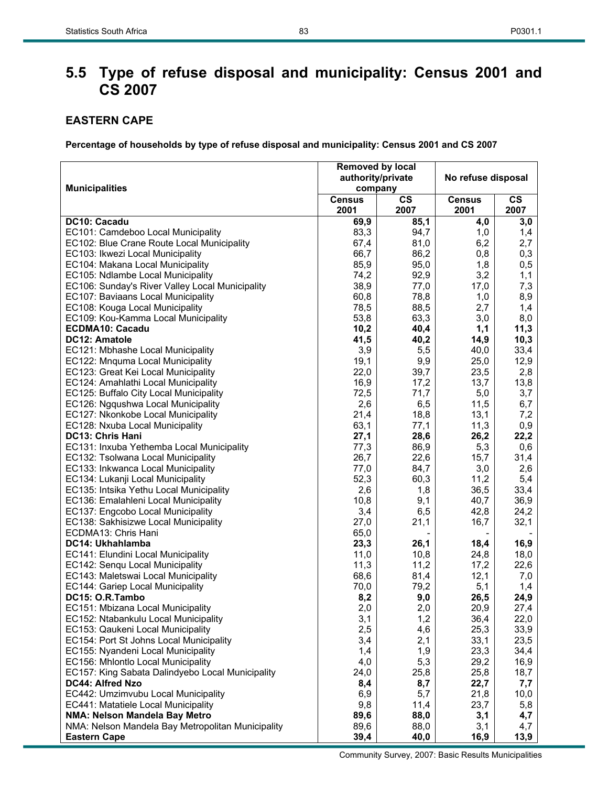# **5.5 Type of refuse disposal and municipality: Census 2001 and CS 2007**

# **EASTERN CAPE**

|                                                                       | <b>Removed by local</b><br>authority/private |               | No refuse disposal |               |  |
|-----------------------------------------------------------------------|----------------------------------------------|---------------|--------------------|---------------|--|
| <b>Municipalities</b>                                                 | company                                      |               |                    |               |  |
|                                                                       | <b>Census</b>                                | $\mathsf{cs}$ | <b>Census</b>      | $\mathsf{cs}$ |  |
|                                                                       | 2001                                         | 2007          | 2001               | 2007          |  |
| DC10: Cacadu                                                          | 69,9                                         | 85,1          | 4,0                | 3,0           |  |
| EC101: Camdeboo Local Municipality                                    | 83,3                                         | 94,7          | 1,0                | 1,4           |  |
| EC102: Blue Crane Route Local Municipality                            | 67,4                                         | 81,0          | 6,2                | 2,7           |  |
| EC103: Ikwezi Local Municipality                                      | 66,7                                         | 86,2          | 0,8                | 0,3           |  |
| EC104: Makana Local Municipality                                      | 85,9                                         | 95,0          | 1,8                | 0,5           |  |
| EC105: Ndlambe Local Municipality                                     | 74,2                                         | 92,9          | 3,2                | 1,1           |  |
| EC106: Sunday's River Valley Local Municipality                       | 38,9                                         | 77,0          | 17,0               | 7,3           |  |
| EC107: Baviaans Local Municipality                                    | 60,8                                         | 78,8          | 1,0                | 8,9           |  |
| EC108: Kouga Local Municipality                                       | 78,5                                         | 88,5          | 2,7                | 1,4           |  |
| EC109: Kou-Kamma Local Municipality                                   | 53,8                                         | 63,3          | 3,0                | 8,0           |  |
| <b>ECDMA10: Cacadu</b>                                                | 10,2                                         | 40,4          | 1,1                | 11,3          |  |
| <b>DC12: Amatole</b>                                                  | 41,5                                         | 40,2          | 14,9               | 10,3          |  |
| EC121: Mbhashe Local Municipality                                     | 3,9                                          | 5,5           | 40,0               | 33,4          |  |
| EC122: Mnquma Local Municipality                                      | 19,1                                         | 9,9           | 25,0               | 12,9          |  |
| EC123: Great Kei Local Municipality                                   | 22,0                                         | 39,7          | 23,5               | 2,8           |  |
| EC124: Amahlathi Local Municipality                                   | 16,9                                         | 17,2          | 13,7               | 13,8          |  |
| EC125: Buffalo City Local Municipality                                | 72,5                                         | 71,7          | 5,0                | 3,7           |  |
| EC126: Ngqushwa Local Municipality                                    | 2,6                                          | 6,5           | 11,5               | 6,7           |  |
| EC127: Nkonkobe Local Municipality                                    | 21,4                                         | 18,8          | 13,1               | 7,2           |  |
| EC128: Nxuba Local Municipality                                       | 63,1                                         | 77,1          | 11,3               | 0,9           |  |
| <b>DC13: Chris Hani</b>                                               | 27,1                                         | 28,6          | 26,2               | 22,2          |  |
| EC131: Inxuba Yethemba Local Municipality                             | 77,3                                         | 86,9          | 5,3                | 0,6           |  |
| EC132: Tsolwana Local Municipality                                    | 26,7                                         | 22,6          | 15,7               | 31,4          |  |
| EC133: Inkwanca Local Municipality                                    | 77,0                                         | 84,7          | 3,0                | 2,6           |  |
| EC134: Lukanji Local Municipality                                     | 52,3                                         | 60,3          | 11,2               | 5,4           |  |
| EC135: Intsika Yethu Local Municipality                               | 2,6                                          | 1,8           | 36,5               | 33,4          |  |
| EC136: Emalahleni Local Municipality                                  | 10,8                                         | 9,1           | 40,7               | 36,9          |  |
| EC137: Engcobo Local Municipality                                     | 3,4                                          | 6,5           | 42,8               | 24,2          |  |
| EC138: Sakhisizwe Local Municipality                                  | 27,0                                         | 21,1          | 16,7               | 32,1          |  |
| ECDMA13: Chris Hani                                                   | 65,0                                         |               |                    |               |  |
| DC14: Ukhahlamba                                                      | 23,3                                         | 26,1          | 18,4               | 16,9          |  |
| EC141: Elundini Local Municipality<br>EC142: Senqu Local Municipality | 11,0                                         | 10,8<br>11,2  | 24,8               | 18,0<br>22,6  |  |
| EC143: Maletswai Local Municipality                                   | 11,3<br>68,6                                 | 81,4          | 17,2<br>12,1       | 7,0           |  |
| EC144: Gariep Local Municipality                                      | 70,0                                         | 79,2          | 5,1                | 1,4           |  |
| DC15: O.R.Tambo                                                       | 8,2                                          | 9,0           | 26,5               | 24,9          |  |
| EC151: Mbizana Local Municipality                                     | 2,0                                          | 2,0           | 20,9               | 27,4          |  |
| EC152: Ntabankulu Local Municipality                                  | 3,1                                          | 1,2           | 36,4               | 22,0          |  |
| EC153: Qaukeni Local Municipality                                     | 2,5                                          | 4,6           | 25,3               | 33,9          |  |
| EC154: Port St Johns Local Municipality                               | 3,4                                          | 2,1           | 33,1               | 23,5          |  |
| EC155: Nyandeni Local Municipality                                    | 1,4                                          | 1,9           | 23,3               | 34,4          |  |
| EC156: Mhlontlo Local Municipality                                    | 4,0                                          | 5,3           | 29,2               | 16,9          |  |
| EC157: King Sabata Dalindyebo Local Municipality                      | 24,0                                         | 25,8          | 25,8               | 18,7          |  |
| DC44: Alfred Nzo                                                      | 8,4                                          | 8,7           | 22,7               | 7,7           |  |
| EC442: Umzimvubu Local Municipality                                   | 6,9                                          | 5,7           | 21,8               | 10,0          |  |
| EC441: Matatiele Local Municipality                                   | 9,8                                          | 11,4          | 23,7               | 5,8           |  |
| NMA: Nelson Mandela Bay Metro                                         | 89,6                                         | 88,0          | 3,1                | 4,7           |  |
| NMA: Nelson Mandela Bay Metropolitan Municipality                     | 89,6                                         | 88,0          | 3,1                | 4,7           |  |
| <b>Eastern Cape</b>                                                   | 39,4                                         | 40,0          | 16,9               | 13,9          |  |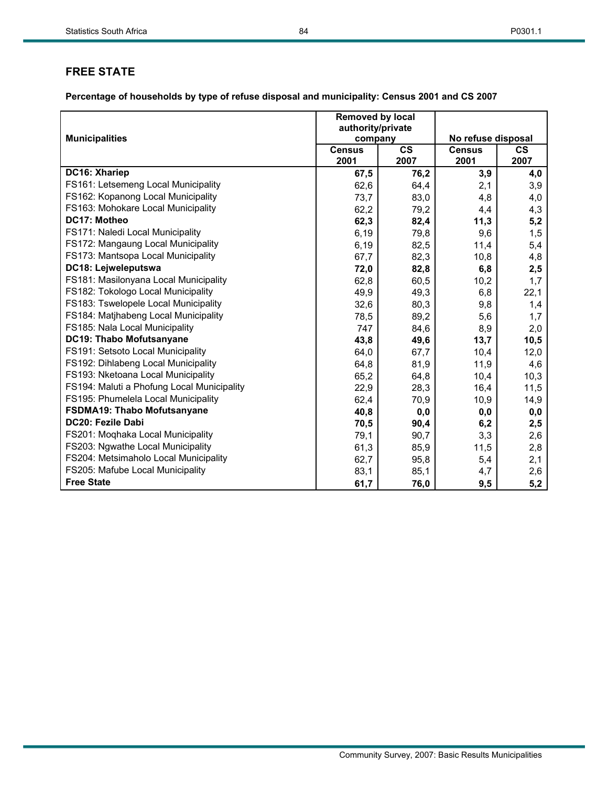|                                            | Removed by local             |               |                    |           |
|--------------------------------------------|------------------------------|---------------|--------------------|-----------|
| <b>Municipalities</b>                      | authority/private<br>company |               | No refuse disposal |           |
|                                            | <b>Census</b>                | $\mathsf{cs}$ | <b>Census</b>      | <b>CS</b> |
|                                            | 2001                         | 2007          | 2001               | 2007      |
| DC16: Xhariep                              | 67,5                         | 76,2          | 3,9                | 4,0       |
| FS161: Letsemeng Local Municipality        | 62,6                         | 64,4          | 2,1                | 3,9       |
| FS162: Kopanong Local Municipality         | 73,7                         | 83,0          | 4,8                | 4,0       |
| FS163: Mohokare Local Municipality         | 62,2                         | 79,2          | 4,4                | 4,3       |
| DC17: Motheo                               | 62,3                         | 82,4          | 11,3               | 5,2       |
| FS171: Naledi Local Municipality           | 6,19                         | 79,8          | 9,6                | 1,5       |
| FS172: Mangaung Local Municipality         | 6,19                         | 82,5          | 11,4               | 5,4       |
| FS173: Mantsopa Local Municipality         | 67,7                         | 82,3          | 10,8               | 4,8       |
| DC18: Lejweleputswa                        | 72,0                         | 82,8          | 6,8                | 2,5       |
| FS181: Masilonyana Local Municipality      | 62,8                         | 60,5          | 10,2               | 1,7       |
| FS182: Tokologo Local Municipality         | 49,9                         | 49,3          | 6,8                | 22,1      |
| FS183: Tswelopele Local Municipality       | 32,6                         | 80,3          | 9,8                | 1,4       |
| FS184: Matjhabeng Local Municipality       | 78,5                         | 89,2          | 5,6                | 1,7       |
| FS185: Nala Local Municipality             | 747                          | 84,6          | 8,9                | 2,0       |
| DC19: Thabo Mofutsanyane                   | 43,8                         | 49,6          | 13,7               | 10,5      |
| FS191: Setsoto Local Municipality          | 64,0                         | 67,7          | 10,4               | 12,0      |
| FS192: Dihlabeng Local Municipality        | 64,8                         | 81,9          | 11,9               | 4,6       |
| FS193: Nketoana Local Municipality         | 65,2                         | 64,8          | 10,4               | 10,3      |
| FS194: Maluti a Phofung Local Municipality | 22,9                         | 28,3          | 16,4               | 11,5      |
| FS195: Phumelela Local Municipality        | 62,4                         | 70,9          | 10,9               | 14,9      |
| <b>FSDMA19: Thabo Mofutsanyane</b>         | 40,8                         | 0,0           | 0,0                | 0,0       |
| DC20: Fezile Dabi                          | 70,5                         | 90,4          | 6,2                | 2,5       |
| FS201: Moqhaka Local Municipality          | 79,1                         | 90,7          | 3,3                | 2,6       |
| FS203: Ngwathe Local Municipality          | 61,3                         | 85,9          | 11,5               | 2,8       |
| FS204: Metsimaholo Local Municipality      | 62,7                         | 95,8          | 5,4                | 2,1       |
| FS205: Mafube Local Municipality           | 83,1                         | 85,1          | 4,7                | 2,6       |
| <b>Free State</b>                          | 61,7                         | 76,0          | 9,5                | 5,2       |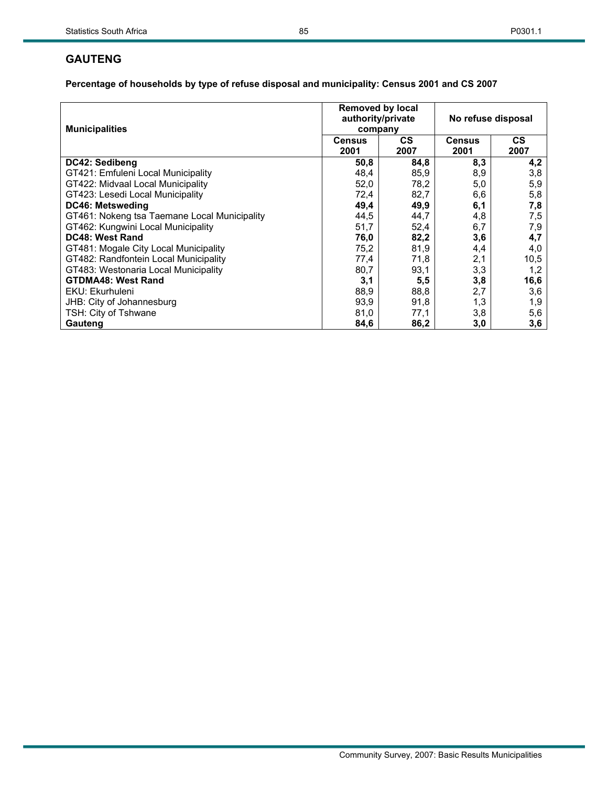## **GAUTENG**

| <b>Municipalities</b>                        | <b>Removed by local</b><br>authority/private<br>company |             | No refuse disposal    |                   |  |
|----------------------------------------------|---------------------------------------------------------|-------------|-----------------------|-------------------|--|
|                                              | <b>Census</b><br>2001                                   | CS.<br>2007 | <b>Census</b><br>2001 | <b>CS</b><br>2007 |  |
| DC42: Sedibeng                               | 50,8                                                    | 84,8        | 8,3                   | 4,2               |  |
| GT421: Emfuleni Local Municipality           | 48,4                                                    | 85,9        | 8,9                   | 3,8               |  |
| GT422: Midvaal Local Municipality            | 52,0                                                    | 78,2        | 5,0                   | 5,9               |  |
| GT423: Lesedi Local Municipality             | 72,4                                                    | 82,7        | 6,6                   | 5,8               |  |
| <b>DC46: Metsweding</b>                      | 49,4                                                    | 49,9        | 6,1                   | 7,8               |  |
| GT461: Nokeng tsa Taemane Local Municipality | 44,5                                                    | 44,7        | 4,8                   | 7,5               |  |
| GT462: Kungwini Local Municipality           | 51,7                                                    | 52,4        | 6,7                   | 7,9               |  |
| DC48: West Rand                              | 76,0                                                    | 82,2        | 3,6                   | 4,7               |  |
| GT481: Mogale City Local Municipality        | 75,2                                                    | 81,9        | 4,4                   | 4,0               |  |
| GT482: Randfontein Local Municipality        | 77,4                                                    | 71,8        | 2,1                   | 10,5              |  |
| GT483: Westonaria Local Municipality         | 80,7                                                    | 93,1        | 3,3                   | 1,2               |  |
| <b>GTDMA48: West Rand</b>                    | 3,1                                                     | 5,5         | 3,8                   | 16,6              |  |
| EKU: Ekurhuleni                              | 88,9                                                    | 88,8        | 2,7                   | 3,6               |  |
| JHB: City of Johannesburg                    | 93,9                                                    | 91,8        | 1,3                   | 1,9               |  |
| TSH: City of Tshwane                         | 81,0                                                    | 77.1        | 3,8                   | 5,6               |  |
| Gauteng                                      | 84,6                                                    | 86,2        | 3,0                   | 3,6               |  |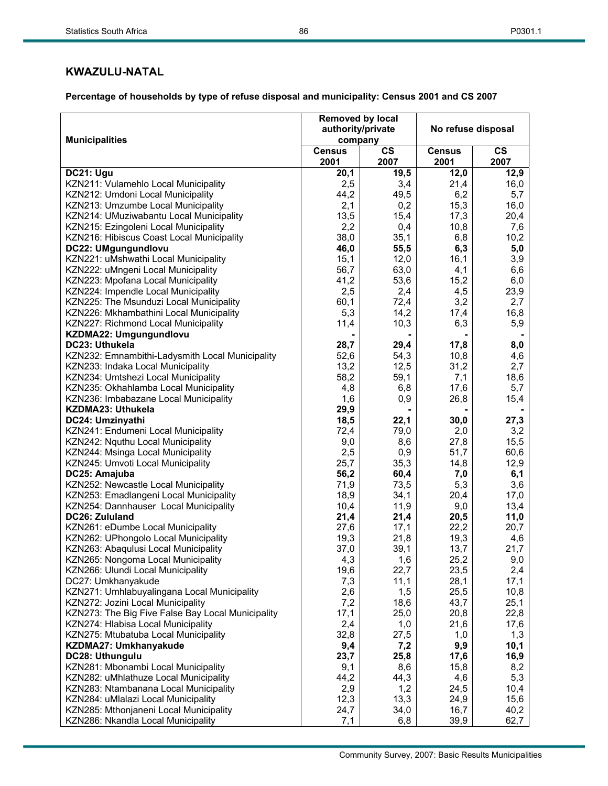# **KWAZULU-NATAL**

| <b>Municipalities</b>                             | <b>Removed by local</b><br>authority/private<br>company |                       | No refuse disposal    |                       |  |
|---------------------------------------------------|---------------------------------------------------------|-----------------------|-----------------------|-----------------------|--|
|                                                   | <b>Census</b><br>2001                                   | $\mathsf{cs}$<br>2007 | <b>Census</b><br>2001 | $\mathsf{cs}$<br>2007 |  |
| DC21: Ugu                                         | 20,1                                                    | 19,5                  | 12,0                  | 12,9                  |  |
| KZN211: Vulamehlo Local Municipality              | 2,5                                                     | 3,4                   | 21,4                  | 16,0                  |  |
| KZN212: Umdoni Local Municipality                 | 44,2                                                    | 49,5                  | 6,2                   | 5,7                   |  |
| KZN213: Umzumbe Local Municipality                | 2,1                                                     | 0,2                   | 15,3                  | 16,0                  |  |
| KZN214: UMuziwabantu Local Municipality           | 13,5                                                    | 15,4                  | 17,3                  | 20,4                  |  |
| KZN215: Ezingoleni Local Municipality             | 2,2                                                     | 0,4                   | 10,8                  | 7,6                   |  |
| KZN216: Hibiscus Coast Local Municipality         | 38,0                                                    | 35,1                  | 6,8                   | 10,2                  |  |
| DC22: UMgungundlovu                               | 46,0                                                    | 55,5                  | 6,3                   | 5,0                   |  |
| KZN221: uMshwathi Local Municipality              | 15,1                                                    | 12,0                  | 16,1                  | 3,9                   |  |
| KZN222: uMngeni Local Municipality                | 56,7                                                    | 63,0                  | 4,1                   | 6,6                   |  |
| KZN223: Mpofana Local Municipality                | 41,2                                                    | 53,6                  | 15,2                  | 6,0                   |  |
| KZN224: Impendle Local Municipality               | 2,5                                                     | 2,4                   | 4,5                   | 23,9                  |  |
| KZN225: The Msunduzi Local Municipality           | 60,1                                                    | 72,4                  | 3,2                   | 2,7                   |  |
| KZN226: Mkhambathini Local Municipality           | 5,3                                                     | 14,2                  | 17,4                  | 16,8                  |  |
| KZN227: Richmond Local Municipality               | 11,4                                                    | 10,3                  | 6,3                   | 5,9                   |  |
| KZDMA22: Umgungundlovu                            |                                                         |                       |                       |                       |  |
| DC23: Uthukela                                    | 28,7                                                    | 29,4                  | 17,8                  | 8,0                   |  |
| KZN232: Emnambithi-Ladysmith Local Municipality   | 52,6                                                    | 54,3                  | 10,8                  | 4,6                   |  |
| KZN233: Indaka Local Municipality                 | 13,2                                                    | 12,5                  | 31,2                  | 2,7                   |  |
| KZN234: Umtshezi Local Municipality               | 58,2                                                    | 59,1                  | 7,1                   | 18,6                  |  |
| KZN235: Okhahlamba Local Municipality             | 4,8                                                     | 6,8                   | 17,6                  | 5,7                   |  |
| KZN236: Imbabazane Local Municipality             | 1,6                                                     | 0,9                   | 26,8                  | 15,4                  |  |
| KZDMA23: Uthukela                                 | 29,9                                                    |                       |                       |                       |  |
| DC24: Umzinyathi                                  | 18,5                                                    | 22,1                  | 30,0                  | 27,3                  |  |
| KZN241: Endumeni Local Municipality               | 72,4                                                    | 79,0                  | 2,0                   | 3,2                   |  |
| KZN242: Nquthu Local Municipality                 | 9,0                                                     | 8,6                   | 27,8                  | 15,5                  |  |
| KZN244: Msinga Local Municipality                 | 2,5                                                     | 0,9                   | 51,7                  | 60,6                  |  |
| KZN245: Umvoti Local Municipality                 | 25,7                                                    | 35,3                  | 14,8                  | 12,9                  |  |
| DC25: Amajuba                                     | 56,2                                                    | 60,4                  | 7,0                   | 6,1                   |  |
| KZN252: Newcastle Local Municipality              | 71,9                                                    | 73,5                  | 5,3                   | 3,6                   |  |
| KZN253: Emadlangeni Local Municipality            | 18,9                                                    | 34,1                  | 20,4                  | 17,0                  |  |
| KZN254: Dannhauser Local Municipality             | 10,4                                                    | 11,9                  | 9,0                   | 13,4                  |  |
| DC26: Zululand                                    | 21,4                                                    | 21,4                  | 20,5                  | 11,0                  |  |
| KZN261: eDumbe Local Municipality                 | 27,6                                                    | 17,1                  | 22,2                  | 20,7                  |  |
| KZN262: UPhongolo Local Municipality              | 19,3                                                    | 21,8                  | 19,3                  | 4,6                   |  |
| KZN263: Abaqulusi Local Municipality              | 37,0                                                    | 39,1                  | 13,7                  | 21,7                  |  |
| KZN265: Nongoma Local Municipality                | 4,3                                                     | 1,6                   | 25,2                  | 9,0                   |  |
| KZN266: Ulundi Local Municipality                 | 19,6                                                    | 22,7                  | 23,5                  | 2,4                   |  |
| DC27: Umkhanyakude                                | 7,3                                                     | 11,1                  | 28,1                  | 17,1                  |  |
| KZN271: Umhlabuyalingana Local Municipality       | 2,6                                                     | 1,5                   | 25,5                  | 10,8                  |  |
| KZN272: Jozini Local Municipality                 | 7,2                                                     | 18,6                  | 43,7                  | 25,1                  |  |
| KZN273: The Big Five False Bay Local Municipality | 17,1                                                    | 25,0                  | 20,8                  | 22,8                  |  |
| KZN274: Hlabisa Local Municipality                | 2,4                                                     | 1,0                   | 21,6                  | 17,6                  |  |
| KZN275: Mtubatuba Local Municipality              | 32,8                                                    | 27,5                  | 1,0                   | 1,3                   |  |
| KZDMA27: Umkhanyakude                             | 9,4                                                     | 7,2                   | 9,9                   | 10,1                  |  |
| DC28: Uthungulu                                   | 23,7                                                    | 25,8                  | 17,6                  | 16,9                  |  |
| KZN281: Mbonambi Local Municipality               | 9,1                                                     | 8,6                   | 15,8                  | 8,2                   |  |
| KZN282: uMhlathuze Local Municipality             | 44,2                                                    | 44,3                  | 4,6                   | 5,3                   |  |
| KZN283: Ntambanana Local Municipality             | 2,9                                                     | 1,2                   | 24,5                  | 10,4                  |  |
| KZN284: uMlalazi Local Municipality               | 12,3                                                    | 13,3                  | 24,9                  | 15,6                  |  |
| KZN285: Mthonjaneni Local Municipality            | 24,7                                                    | 34,0                  | 16,7                  | 40,2                  |  |
| KZN286: Nkandla Local Municipality                | 7,1                                                     | 6,8                   | 39,9                  | 62,7                  |  |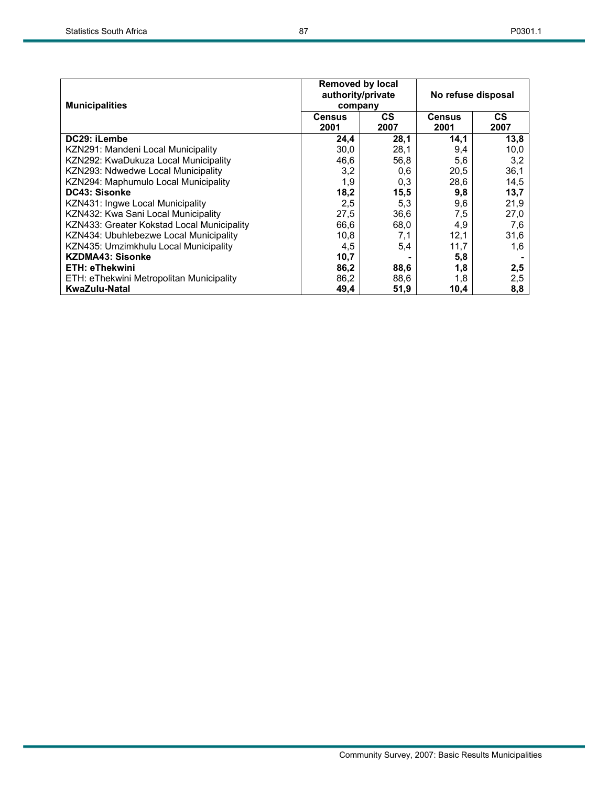| <b>Municipalities</b>                      | <b>Removed by local</b><br>authority/private<br>company |                   | No refuse disposal    |                   |  |
|--------------------------------------------|---------------------------------------------------------|-------------------|-----------------------|-------------------|--|
|                                            | <b>Census</b><br>2001                                   | <b>CS</b><br>2007 | <b>Census</b><br>2001 | <b>CS</b><br>2007 |  |
| DC29: iLembe                               | 24,4                                                    | 28,1              | 14,1                  | 13,8              |  |
| KZN291: Mandeni Local Municipality         | 30,0                                                    | 28,1              | 9,4                   | 10,0              |  |
| KZN292: KwaDukuza Local Municipality       | 46,6                                                    | 56,8              | 5,6                   | 3,2               |  |
| KZN293: Ndwedwe Local Municipality         | 3,2                                                     | 0,6               | 20,5                  | 36,1              |  |
| KZN294: Maphumulo Local Municipality       | 1,9                                                     | 0,3               | 28,6                  | 14,5              |  |
| DC43: Sisonke                              | 18,2                                                    | 15,5              | 9,8                   | 13,7              |  |
| KZN431: Ingwe Local Municipality           | 2,5                                                     | 5,3               | 9,6                   | 21,9              |  |
| KZN432: Kwa Sani Local Municipality        | 27,5                                                    | 36,6              | 7,5                   | 27,0              |  |
| KZN433: Greater Kokstad Local Municipality | 66,6                                                    | 68,0              | 4,9                   | 7,6               |  |
| KZN434: Ubuhlebezwe Local Municipality     | 10,8                                                    | 7,1               | 12,1                  | 31,6              |  |
| KZN435: Umzimkhulu Local Municipality      | 4,5                                                     | 5,4               | 11,7                  | 1.6               |  |
| <b>KZDMA43: Sisonke</b>                    | 10,7                                                    |                   | 5,8                   |                   |  |
| <b>ETH: eThekwini</b>                      | 86,2                                                    | 88,6              | 1,8                   | 2,5               |  |
| ETH: eThekwini Metropolitan Municipality   | 86,2                                                    | 88,6              | 1,8                   | 2,5               |  |
| <b>KwaZulu-Natal</b>                       | 49,4                                                    | 51,9              | 10,4                  | 8,8               |  |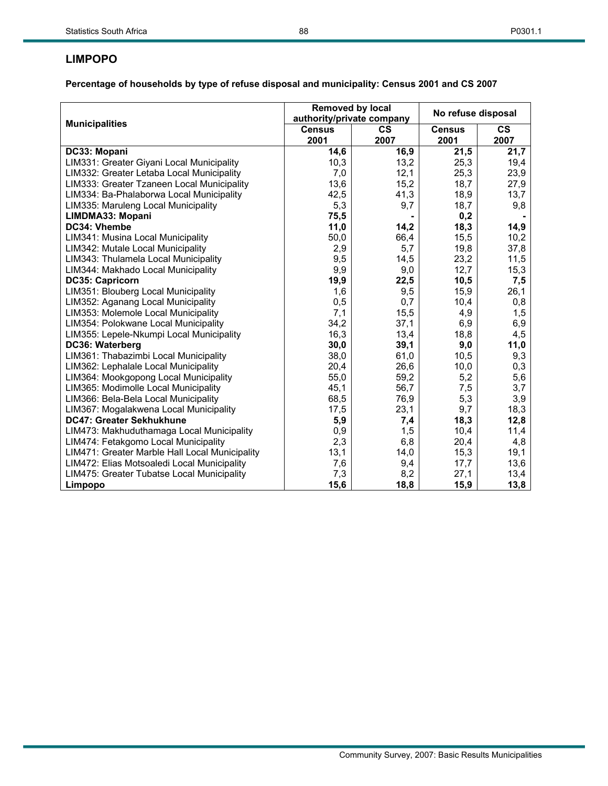## **LIMPOPO**

|                                                | Removed by local<br>authority/private company |               | No refuse disposal |           |
|------------------------------------------------|-----------------------------------------------|---------------|--------------------|-----------|
| <b>Municipalities</b>                          | <b>Census</b>                                 | $\mathsf{cs}$ | <b>Census</b>      | <b>CS</b> |
|                                                | 2001                                          | 2007          | 2001               | 2007      |
| DC33: Mopani                                   | 14,6                                          | 16,9          | 21,5               | 21,7      |
| LIM331: Greater Giyani Local Municipality      | 10,3                                          | 13,2          | 25,3               | 19,4      |
| LIM332: Greater Letaba Local Municipality      | 7,0                                           | 12,1          | 25,3               | 23,9      |
| LIM333: Greater Tzaneen Local Municipality     | 13,6                                          | 15,2          | 18,7               | 27,9      |
| LIM334: Ba-Phalaborwa Local Municipality       | 42,5                                          | 41,3          | 18,9               | 13,7      |
| LIM335: Maruleng Local Municipality            | 5,3                                           | 9,7           | 18,7               | 9,8       |
| LIMDMA33: Mopani                               | 75,5                                          |               | 0,2                |           |
| DC34: Vhembe                                   | 11,0                                          | 14,2          | 18,3               | 14,9      |
| LIM341: Musina Local Municipality              | 50,0                                          | 66,4          | 15,5               | 10,2      |
| LIM342: Mutale Local Municipality              | 2,9                                           | 5,7           | 19,8               | 37,8      |
| LIM343: Thulamela Local Municipality           | 9,5                                           | 14,5          | 23,2               | 11,5      |
| LIM344: Makhado Local Municipality             | 9,9                                           | 9,0           | 12,7               | 15,3      |
| DC35: Capricorn                                | 19,9                                          | 22,5          | 10,5               | 7,5       |
| LIM351: Blouberg Local Municipality            | 1,6                                           | 9,5           | 15,9               | 26,1      |
| LIM352: Aganang Local Municipality             | 0,5                                           | 0,7           | 10,4               | 0,8       |
| LIM353: Molemole Local Municipality            | 7,1                                           | 15,5          | 4,9                | 1,5       |
| LIM354: Polokwane Local Municipality           | 34,2                                          | 37,1          | 6,9                | 6,9       |
| LIM355: Lepele-Nkumpi Local Municipality       | 16,3                                          | 13,4          | 18,8               | 4,5       |
| DC36: Waterberg                                | 30,0                                          | 39,1          | 9,0                | 11,0      |
| LIM361: Thabazimbi Local Municipality          | 38,0                                          | 61,0          | 10,5               | 9,3       |
| LIM362: Lephalale Local Municipality           | 20,4                                          | 26,6          | 10,0               | 0,3       |
| LIM364: Mookgopong Local Municipality          | 55,0                                          | 59,2          | 5,2                | 5,6       |
| LIM365: Modimolle Local Municipality           | 45,1                                          | 56,7          | 7,5                | 3,7       |
| LIM366: Bela-Bela Local Municipality           | 68,5                                          | 76,9          | 5,3                | 3,9       |
| LIM367: Mogalakwena Local Municipality         | 17,5                                          | 23,1          | 9,7                | 18,3      |
| DC47: Greater Sekhukhune                       | 5,9                                           | 7,4           | 18,3               | 12,8      |
| LIM473: Makhuduthamaga Local Municipality      | 0,9                                           | 1,5           | 10,4               | 11,4      |
| LIM474: Fetakgomo Local Municipality           | 2,3                                           | 6,8           | 20,4               | 4,8       |
| LIM471: Greater Marble Hall Local Municipality | 13,1                                          | 14,0          | 15,3               | 19,1      |
| LIM472: Elias Motsoaledi Local Municipality    | 7,6                                           | 9,4           | 17,7               | 13,6      |
| LIM475: Greater Tubatse Local Municipality     | 7,3                                           | 8,2           | 27,1               | 13,4      |
| Limpopo                                        | 15,6                                          | 18,8          | 15,9               | 13,8      |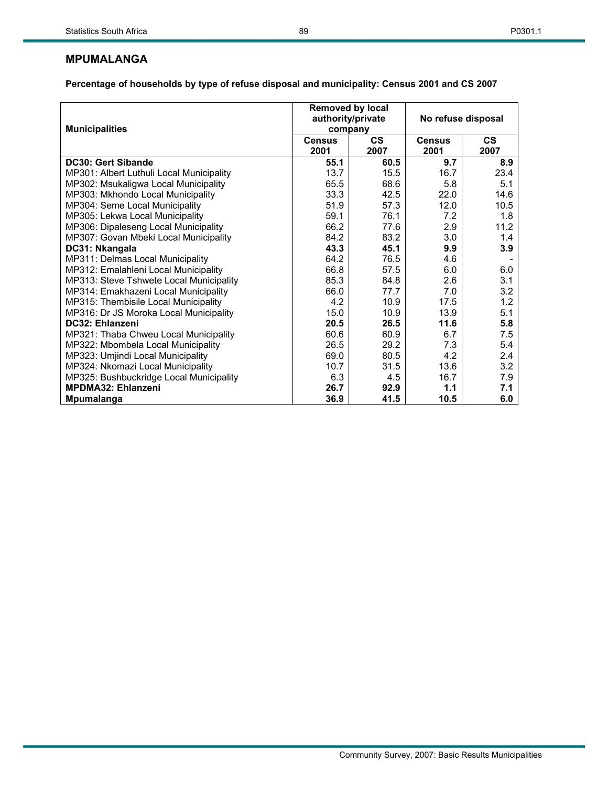|                                          | <b>Removed by local</b><br>authority/private |               | No refuse disposal |           |  |
|------------------------------------------|----------------------------------------------|---------------|--------------------|-----------|--|
| <b>Municipalities</b>                    | company                                      |               |                    |           |  |
|                                          | <b>Census</b>                                | $\mathsf{cs}$ | <b>Census</b>      | <b>CS</b> |  |
|                                          | 2001                                         | 2007          | 2001               | 2007      |  |
| <b>DC30: Gert Sibande</b>                | 55.1                                         | 60.5          | 9.7                | 8.9       |  |
| MP301: Albert Luthuli Local Municipality | 13.7                                         | 15.5          | 16.7               | 23.4      |  |
| MP302: Msukaligwa Local Municipality     | 65.5                                         | 68.6          | 5.8                | 5.1       |  |
| MP303: Mkhondo Local Municipality        | 33.3                                         | 42.5          | 22.0               | 14.6      |  |
| MP304: Seme Local Municipality           | 51.9                                         | 57.3          | 12.0               | 10.5      |  |
| MP305: Lekwa Local Municipality          | 59.1                                         | 76.1          | 7.2                | 1.8       |  |
| MP306: Dipaleseng Local Municipality     | 66.2                                         | 77.6          | 2.9                | 11.2      |  |
| MP307: Govan Mbeki Local Municipality    | 84.2                                         | 83.2          | 3.0                | 1.4       |  |
| DC31: Nkangala                           | 43.3                                         | 45.1          | 9.9                | 3.9       |  |
| MP311: Delmas Local Municipality         | 64.2                                         | 76.5          | 4.6                |           |  |
| MP312: Emalahleni Local Municipality     | 66.8                                         | 57.5          | 6.0                | 6.0       |  |
| MP313: Steve Tshwete Local Municipality  | 85.3                                         | 84.8          | 2.6                | 3.1       |  |
| MP314: Emakhazeni Local Municipality     | 66.0                                         | 77.7          | 7.0                | 3.2       |  |
| MP315: Thembisile Local Municipality     | 4.2                                          | 10.9          | 17.5               | 1.2       |  |
| MP316: Dr JS Moroka Local Municipality   | 15.0                                         | 10.9          | 13.9               | 5.1       |  |
| DC32: Ehlanzeni                          | 20.5                                         | 26.5          | 11.6               | 5.8       |  |
| MP321: Thaba Chweu Local Municipality    | 60.6                                         | 60.9          | 6.7                | 7.5       |  |
| MP322: Mbombela Local Municipality       | 26.5                                         | 29.2          | 7.3                | 5.4       |  |
| MP323: Umjindi Local Municipality        | 69.0                                         | 80.5          | 4.2                | 2.4       |  |
| MP324: Nkomazi Local Municipality        | 10.7                                         | 31.5          | 13.6               | 3.2       |  |
| MP325: Bushbuckridge Local Municipality  | 6.3                                          | 4.5           | 16.7               | 7.9       |  |
| <b>MPDMA32: Ehlanzeni</b>                | 26.7                                         | 92.9          | 1.1                | 7.1       |  |
| <b>Mpumalanga</b>                        | 36.9                                         | 41.5          | 10.5               | 6.0       |  |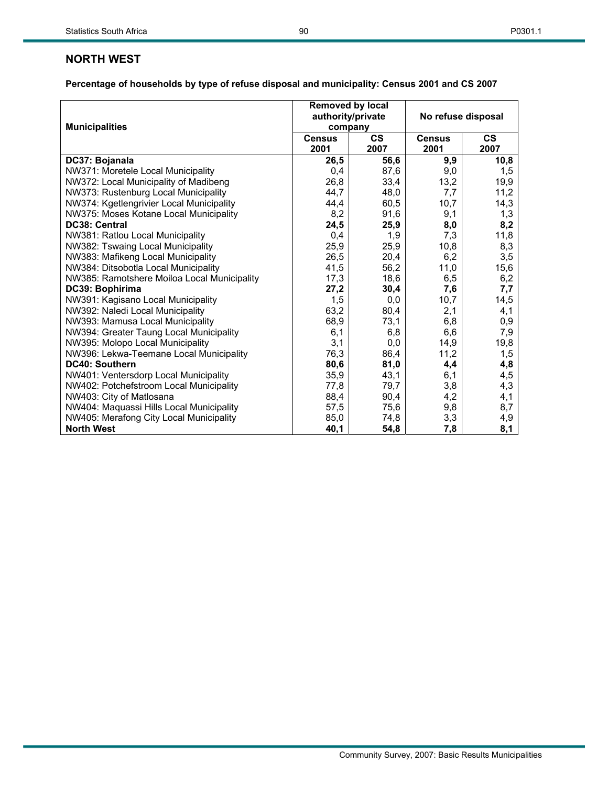# **NORTH WEST**

|                                             | Removed by local<br>authority/private |               | No refuse disposal |               |  |
|---------------------------------------------|---------------------------------------|---------------|--------------------|---------------|--|
| <b>Municipalities</b>                       | company                               |               |                    |               |  |
|                                             | <b>Census</b>                         | $\mathsf{cs}$ | <b>Census</b>      | $\mathsf{cs}$ |  |
|                                             | 2001                                  | 2007          | 2001               | 2007          |  |
| DC37: Bojanala                              | 26,5                                  | 56,6          | 9,9                | 10,8          |  |
| NW371: Moretele Local Municipality          | 0,4                                   | 87,6          | 9,0                | 1,5           |  |
| NW372: Local Municipality of Madibeng       | 26,8                                  | 33,4          | 13,2               | 19,9          |  |
| NW373: Rustenburg Local Municipality        | 44,7                                  | 48,0          | 7,7                | 11,2          |  |
| NW374: Kgetlengrivier Local Municipality    | 44,4                                  | 60,5          | 10,7               | 14,3          |  |
| NW375: Moses Kotane Local Municipality      | 8,2                                   | 91,6          | 9,1                | 1,3           |  |
| DC38: Central                               | 24,5                                  | 25,9          | 8,0                | 8,2           |  |
| NW381: Ratlou Local Municipality            | 0,4                                   | 1,9           | 7,3                | 11,8          |  |
| NW382: Tswaing Local Municipality           | 25,9                                  | 25,9          | 10,8               | 8,3           |  |
| NW383: Mafikeng Local Municipality          | 26,5                                  | 20,4          | 6,2                | 3,5           |  |
| NW384: Ditsobotla Local Municipality        | 41,5                                  | 56,2          | 11,0               | 15,6          |  |
| NW385: Ramotshere Moiloa Local Municipality | 17,3                                  | 18,6          | 6,5                | 6,2           |  |
| DC39: Bophirima                             | 27,2                                  | 30,4          | 7,6                | 7,7           |  |
| NW391: Kagisano Local Municipality          | 1,5                                   | 0,0           | 10,7               | 14,5          |  |
| NW392: Naledi Local Municipality            | 63,2                                  | 80,4          | 2,1                | 4,1           |  |
| NW393: Mamusa Local Municipality            | 68,9                                  | 73,1          | 6,8                | 0,9           |  |
| NW394: Greater Taung Local Municipality     | 6,1                                   | 6,8           | 6,6                | 7,9           |  |
| NW395: Molopo Local Municipality            | 3,1                                   | 0,0           | 14,9               | 19,8          |  |
| NW396: Lekwa-Teemane Local Municipality     | 76,3                                  | 86,4          | 11,2               | 1,5           |  |
| DC40: Southern                              | 80,6                                  | 81,0          | 4,4                | 4,8           |  |
| NW401: Ventersdorp Local Municipality       | 35,9                                  | 43,1          | 6,1                | 4,5           |  |
| NW402: Potchefstroom Local Municipality     | 77,8                                  | 79,7          | 3,8                | 4,3           |  |
| NW403: City of Matlosana                    | 88,4                                  | 90,4          | 4,2                | 4,1           |  |
| NW404: Maquassi Hills Local Municipality    | 57,5                                  | 75,6          | 9,8                | 8,7           |  |
| NW405: Merafong City Local Municipality     | 85,0                                  | 74,8          | 3,3                | 4,9           |  |
| <b>North West</b>                           | 40,1                                  | 54,8          | 7,8                | 8,1           |  |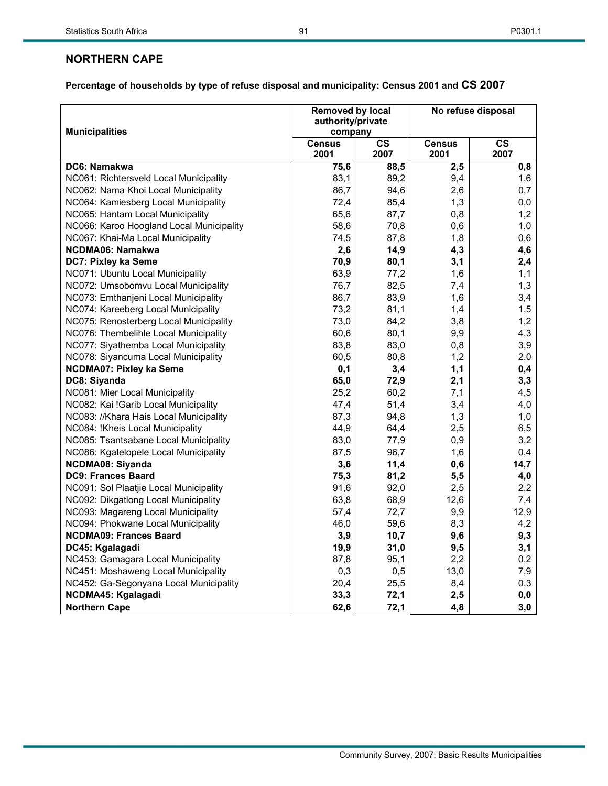# **NORTHERN CAPE**

|                                          | <b>Removed by local</b><br>authority/private |            |                       | No refuse disposal    |
|------------------------------------------|----------------------------------------------|------------|-----------------------|-----------------------|
| <b>Municipalities</b>                    | company                                      |            |                       |                       |
|                                          | <b>Census</b><br>2001                        | CS<br>2007 | <b>Census</b><br>2001 | $\mathsf{cs}$<br>2007 |
| DC6: Namakwa                             | 75,6                                         | 88,5       | 2,5                   | 0,8                   |
| NC061: Richtersveld Local Municipality   | 83,1                                         | 89,2       | 9,4                   | 1,6                   |
| NC062: Nama Khoi Local Municipality      | 86,7                                         | 94,6       | 2,6                   | 0,7                   |
| NC064: Kamiesberg Local Municipality     | 72,4                                         | 85,4       | 1,3                   | 0,0                   |
| NC065: Hantam Local Municipality         | 65,6                                         | 87,7       | 0,8                   | 1,2                   |
| NC066: Karoo Hoogland Local Municipality | 58,6                                         | 70,8       | 0,6                   | 1,0                   |
| NC067: Khai-Ma Local Municipality        | 74,5                                         | 87,8       | 1,8                   | 0,6                   |
| NCDMA06: Namakwa                         | 2,6                                          | 14,9       | 4,3                   | 4,6                   |
| DC7: Pixley ka Seme                      | 70,9                                         | 80,1       | 3,1                   | 2,4                   |
| NC071: Ubuntu Local Municipality         | 63,9                                         | 77,2       | 1,6                   | 1,1                   |
| NC072: Umsobomvu Local Municipality      | 76,7                                         | 82,5       | 7,4                   | 1,3                   |
| NC073: Emthanjeni Local Municipality     | 86,7                                         | 83,9       | 1,6                   | 3,4                   |
| NC074: Kareeberg Local Municipality      | 73,2                                         | 81,1       | 1,4                   | 1,5                   |
| NC075: Renosterberg Local Municipality   | 73,0                                         | 84,2       | 3,8                   | 1,2                   |
| NC076: Thembelihle Local Municipality    | 60,6                                         | 80,1       | 9,9                   | 4,3                   |
| NC077: Siyathemba Local Municipality     | 83,8                                         | 83,0       | 0,8                   | 3,9                   |
| NC078: Siyancuma Local Municipality      | 60,5                                         | 80,8       | 1,2                   | 2,0                   |
| <b>NCDMA07: Pixley ka Seme</b>           | 0,1                                          | 3,4        | 1,1                   | 0,4                   |
| DC8: Siyanda                             | 65,0                                         | 72,9       | 2,1                   | 3,3                   |
| NC081: Mier Local Municipality           | 25,2                                         | 60,2       | 7,1                   | 4,5                   |
| NC082: Kai !Garib Local Municipality     | 47,4                                         | 51,4       | 3,4                   | 4,0                   |
| NC083: //Khara Hais Local Municipality   | 87,3                                         | 94,8       | 1,3                   | 1,0                   |
| NC084: !Kheis Local Municipality         | 44,9                                         | 64,4       | 2,5                   | 6,5                   |
| NC085: Tsantsabane Local Municipality    | 83,0                                         | 77,9       | 0,9                   | 3,2                   |
| NC086: Kgatelopele Local Municipality    | 87,5                                         | 96,7       | 1,6                   | 0,4                   |
| <b>NCDMA08: Siyanda</b>                  | 3,6                                          | 11,4       | 0,6                   | 14,7                  |
| <b>DC9: Frances Baard</b>                | 75,3                                         | 81,2       | 5,5                   | 4,0                   |
| NC091: Sol Plaatjie Local Municipality   | 91,6                                         | 92,0       | 2,5                   | 2,2                   |
| NC092: Dikgatlong Local Municipality     | 63,8                                         | 68,9       | 12,6                  | 7,4                   |
| NC093: Magareng Local Municipality       | 57,4                                         | 72,7       | 9,9                   | 12,9                  |
| NC094: Phokwane Local Municipality       | 46,0                                         | 59,6       | 8,3                   | 4,2                   |
| <b>NCDMA09: Frances Baard</b>            | 3,9                                          | 10,7       | 9,6                   | 9,3                   |
| DC45: Kgalagadi                          | 19,9                                         | 31,0       | 9,5                   | 3,1                   |
| NC453: Gamagara Local Municipality       | 87,8                                         | 95,1       | 2,2                   | 0,2                   |
| NC451: Moshaweng Local Municipality      | 0,3                                          | 0,5        | 13,0                  | 7,9                   |
| NC452: Ga-Segonyana Local Municipality   | 20,4                                         | 25,5       | 8,4                   | 0,3                   |
| NCDMA45: Kgalagadi                       | 33,3                                         | 72,1       | 2,5                   | 0,0                   |
| <b>Northern Cape</b>                     | 62,6                                         | 72,1       | 4,8                   | 3,0                   |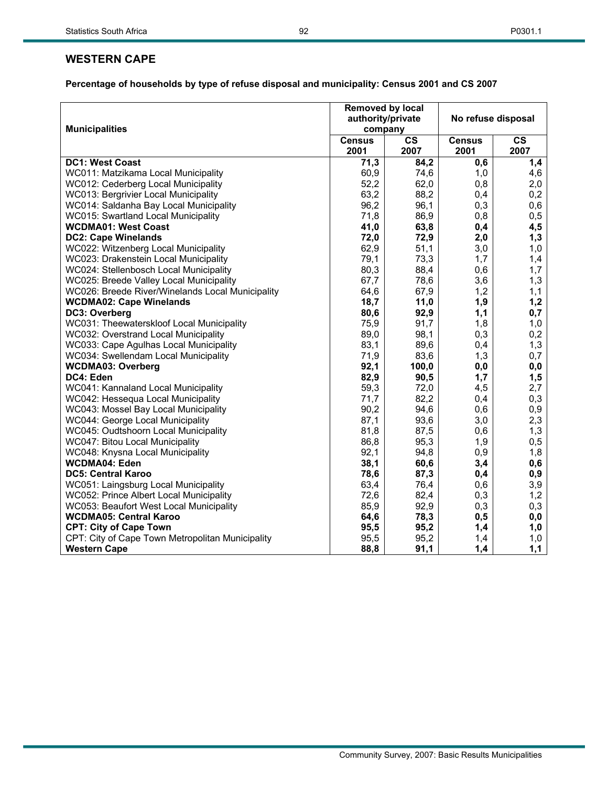# **WESTERN CAPE**

|                                                  | Removed by local<br>authority/private |               | No refuse disposal |               |  |  |
|--------------------------------------------------|---------------------------------------|---------------|--------------------|---------------|--|--|
| <b>Municipalities</b>                            | company                               |               |                    |               |  |  |
|                                                  | <b>Census</b>                         | $\mathsf{cs}$ | <b>Census</b>      | $\mathsf{cs}$ |  |  |
|                                                  | 2001                                  | 2007          | 2001               | 2007          |  |  |
| <b>DC1: West Coast</b>                           | 71,3                                  | 84,2          | 0,6                | 1,4           |  |  |
| WC011: Matzikama Local Municipality              | 60,9                                  | 74,6          | 1,0                | 4,6           |  |  |
| WC012: Cederberg Local Municipality              | 52,2                                  | 62,0          | 0,8                | 2,0           |  |  |
| WC013: Bergrivier Local Municipality             | 63,2                                  | 88,2          | 0,4                | 0,2           |  |  |
| WC014: Saldanha Bay Local Municipality           | 96,2                                  | 96,1          | 0,3                | 0,6           |  |  |
| WC015: Swartland Local Municipality              | 71,8                                  | 86,9          | 0,8                | 0,5           |  |  |
| <b>WCDMA01: West Coast</b>                       | 41,0                                  | 63,8          | 0,4                | 4,5           |  |  |
| <b>DC2: Cape Winelands</b>                       | 72,0                                  | 72,9          | 2,0                | 1,3           |  |  |
| WC022: Witzenberg Local Municipality             | 62,9                                  | 51,1          | 3,0                | 1,0           |  |  |
| WC023: Drakenstein Local Municipality            | 79,1                                  | 73,3          | 1,7                | 1,4           |  |  |
| WC024: Stellenbosch Local Municipality           | 80,3                                  | 88,4          | 0,6                | 1,7           |  |  |
| WC025: Breede Valley Local Municipality          | 67,7                                  | 78,6          | 3,6                | 1,3           |  |  |
| WC026: Breede River/Winelands Local Municipality | 64,6                                  | 67,9          | 1,2                | 1,1           |  |  |
| <b>WCDMA02: Cape Winelands</b>                   | 18,7                                  | 11,0          | 1,9                | 1,2           |  |  |
| DC3: Overberg                                    | 80,6                                  | 92,9          | 1,1                | 0,7           |  |  |
| WC031: Theewaterskloof Local Municipality        | 75,9                                  | 91,7          | 1,8                | 1,0           |  |  |
| WC032: Overstrand Local Municipality             | 89,0                                  | 98,1          | 0,3                | 0,2           |  |  |
| WC033: Cape Agulhas Local Municipality           | 83,1                                  | 89,6          | 0,4                | 1,3           |  |  |
| WC034: Swellendam Local Municipality             | 71,9                                  | 83,6          | 1,3                | 0,7           |  |  |
| <b>WCDMA03: Overberg</b>                         | 92,1                                  | 100,0         | 0,0                | 0,0           |  |  |
| DC4: Eden                                        | 82,9                                  | 90,5          | 1,7                | 1,5           |  |  |
| WC041: Kannaland Local Municipality              | 59,3                                  | 72,0          | 4,5                | 2,7           |  |  |
| WC042: Hessequa Local Municipality               | 71,7                                  | 82,2          | 0,4                | 0,3           |  |  |
| WC043: Mossel Bay Local Municipality             | 90,2                                  | 94,6          | 0,6                | 0,9           |  |  |
| WC044: George Local Municipality                 | 87,1                                  | 93,6          | 3,0                | 2,3           |  |  |
| WC045: Oudtshoorn Local Municipality             | 81,8                                  | 87,5          | 0,6                | 1,3           |  |  |
| WC047: Bitou Local Municipality                  | 86,8                                  | 95,3          | 1,9                | 0,5           |  |  |
| WC048: Knysna Local Municipality                 | 92,1                                  | 94,8          | 0,9                | 1,8           |  |  |
| <b>WCDMA04: Eden</b>                             | 38,1                                  | 60,6          | 3,4                | 0,6           |  |  |
| <b>DC5: Central Karoo</b>                        | 78,6                                  | 87,3          | 0,4                | 0,9           |  |  |
| WC051: Laingsburg Local Municipality             | 63,4                                  | 76,4          | 0,6                | 3,9           |  |  |
| WC052: Prince Albert Local Municipality          | 72,6                                  | 82,4          | 0,3                | 1,2           |  |  |
| WC053: Beaufort West Local Municipality          | 85,9                                  | 92,9          | 0,3                | 0,3           |  |  |
| <b>WCDMA05: Central Karoo</b>                    | 64,6                                  | 78,3          | 0,5                | 0,0           |  |  |
| <b>CPT: City of Cape Town</b>                    | 95,5                                  | 95,2          | 1,4                | 1,0           |  |  |
| CPT: City of Cape Town Metropolitan Municipality | 95,5                                  | 95,2          | 1,4                | 1,0           |  |  |
| <b>Western Cape</b>                              | 88,8                                  | 91,1          | 1,4                | 1,1           |  |  |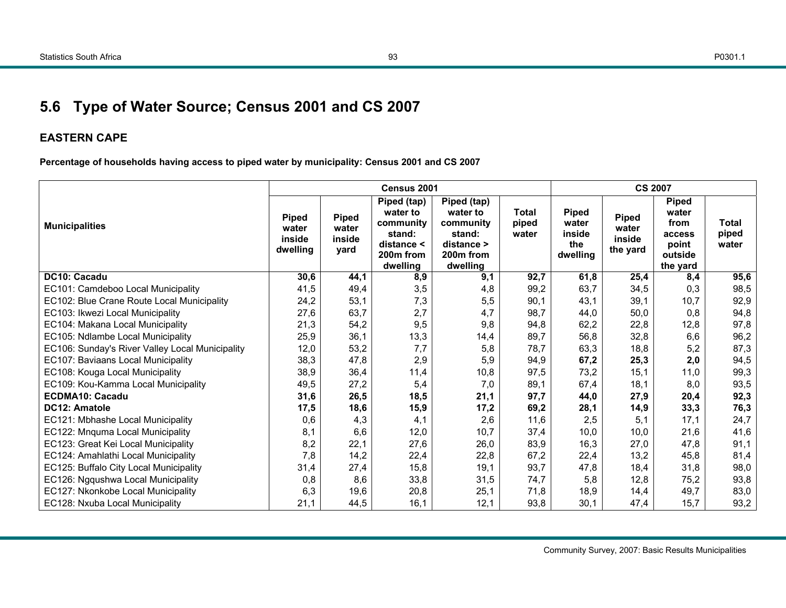# **5.6 Type of Water Source; Census 2001 and CS 2007**

# **EASTERN CAPE**

**Percentage of households having access to piped water by municipality: Census 2001 and CS 2007** 

|                                                 |                                             |                                         | Census 2001                                                                                       |                                                                                                   |                         | <b>CS 2007</b>                                     |                                             |                                                                         |                                |  |
|-------------------------------------------------|---------------------------------------------|-----------------------------------------|---------------------------------------------------------------------------------------------------|---------------------------------------------------------------------------------------------------|-------------------------|----------------------------------------------------|---------------------------------------------|-------------------------------------------------------------------------|--------------------------------|--|
| <b>Municipalities</b>                           | <b>Piped</b><br>water<br>inside<br>dwelling | <b>Piped</b><br>water<br>inside<br>yard | Piped (tap)<br>water to<br>community<br>stand:<br>distance <<br>200 <sub>m</sub> from<br>dwelling | Piped (tap)<br>water to<br>community<br>stand:<br>distance ><br>200 <sub>m</sub> from<br>dwelling | Total<br>piped<br>water | <b>Piped</b><br>water<br>inside<br>the<br>dwelling | <b>Piped</b><br>water<br>inside<br>the yard | <b>Piped</b><br>water<br>from<br>access<br>point<br>outside<br>the yard | <b>Total</b><br>piped<br>water |  |
| DC10: Cacadu                                    | 30,6                                        | 44,1                                    | 8,9                                                                                               | 9,1                                                                                               | 92,7                    | 61,8                                               | 25,4                                        | 8,4                                                                     | 95,6                           |  |
| EC101: Camdeboo Local Municipality              | 41,5                                        | 49,4                                    | 3,5                                                                                               | 4,8                                                                                               | 99,2                    | 63,7                                               | 34,5                                        | 0,3                                                                     | 98,5                           |  |
| EC102: Blue Crane Route Local Municipality      | 24,2                                        | 53,1                                    | 7,3                                                                                               | 5,5                                                                                               | 90,1                    | 43,1                                               | 39,1                                        | 10,7                                                                    | 92,9                           |  |
| EC103: Ikwezi Local Municipality                | 27,6                                        | 63,7                                    | 2,7                                                                                               | 4,7                                                                                               | 98.7                    | 44,0                                               | 50,0                                        | 0,8                                                                     | 94,8                           |  |
| EC104: Makana Local Municipality                | 21,3                                        | 54,2                                    | 9,5                                                                                               | 9,8                                                                                               | 94,8                    | 62,2                                               | 22,8                                        | 12,8                                                                    | 97,8                           |  |
| EC105: Ndlambe Local Municipality               | 25,9                                        | 36,1                                    | 13,3                                                                                              | 14,4                                                                                              | 89,7                    | 56,8                                               | 32,8                                        | 6,6                                                                     | 96,2                           |  |
| EC106: Sunday's River Valley Local Municipality | 12,0                                        | 53,2                                    | 7,7                                                                                               | 5,8                                                                                               | 78.7                    | 63,3                                               | 18,8                                        | 5,2                                                                     | 87,3                           |  |
| EC107: Baviaans Local Municipality              | 38,3                                        | 47,8                                    | 2,9                                                                                               | 5,9                                                                                               | 94,9                    | 67,2                                               | 25,3                                        | 2,0                                                                     | 94,5                           |  |
| EC108: Kouga Local Municipality                 | 38,9                                        | 36,4                                    | 11,4                                                                                              | 10,8                                                                                              | 97,5                    | 73,2                                               | 15,1                                        | 11,0                                                                    | 99,3                           |  |
| EC109: Kou-Kamma Local Municipality             | 49,5                                        | 27,2                                    | 5,4                                                                                               | 7,0                                                                                               | 89,1                    | 67,4                                               | 18,1                                        | 8,0                                                                     | 93,5                           |  |
| <b>ECDMA10: Cacadu</b>                          | 31,6                                        | 26,5                                    | 18,5                                                                                              | 21,1                                                                                              | 97,7                    | 44,0                                               | 27,9                                        | 20,4                                                                    | 92,3                           |  |
| <b>DC12: Amatole</b>                            | 17,5                                        | 18,6                                    | 15,9                                                                                              | 17,2                                                                                              | 69,2                    | 28,1                                               | 14,9                                        | 33,3                                                                    | 76,3                           |  |
| EC121: Mbhashe Local Municipality               | 0,6                                         | 4,3                                     | 4,1                                                                                               | 2,6                                                                                               | 11,6                    | 2,5                                                | 5,1                                         | 17,1                                                                    | 24,7                           |  |
| EC122: Mnquma Local Municipality                | 8,1                                         | 6,6                                     | 12,0                                                                                              | 10,7                                                                                              | 37,4                    | 10,0                                               | 10,0                                        | 21,6                                                                    | 41,6                           |  |
| EC123: Great Kei Local Municipality             | 8,2                                         | 22,1                                    | 27,6                                                                                              | 26,0                                                                                              | 83,9                    | 16,3                                               | 27,0                                        | 47,8                                                                    | 91,1                           |  |
| EC124: Amahlathi Local Municipality             | 7,8                                         | 14,2                                    | 22,4                                                                                              | 22,8                                                                                              | 67,2                    | 22,4                                               | 13,2                                        | 45,8                                                                    | 81,4                           |  |
| EC125: Buffalo City Local Municipality          | 31,4                                        | 27,4                                    | 15,8                                                                                              | 19,1                                                                                              | 93,7                    | 47,8                                               | 18,4                                        | 31,8                                                                    | 98,0                           |  |
| EC126: Ngqushwa Local Municipality              | 0,8                                         | 8,6                                     | 33,8                                                                                              | 31,5                                                                                              | 74,7                    | 5,8                                                | 12,8                                        | 75,2                                                                    | 93,8                           |  |
| EC127: Nkonkobe Local Municipality              | 6,3                                         | 19,6                                    | 20,8                                                                                              | 25,1                                                                                              | 71,8                    | 18,9                                               | 14,4                                        | 49,7                                                                    | 83,0                           |  |
| EC128: Nxuba Local Municipality                 | 21,1                                        | 44,5                                    | 16,1                                                                                              | 12,1                                                                                              | 93,8                    | 30,1                                               | 47,4                                        | 15,7                                                                    | 93,2                           |  |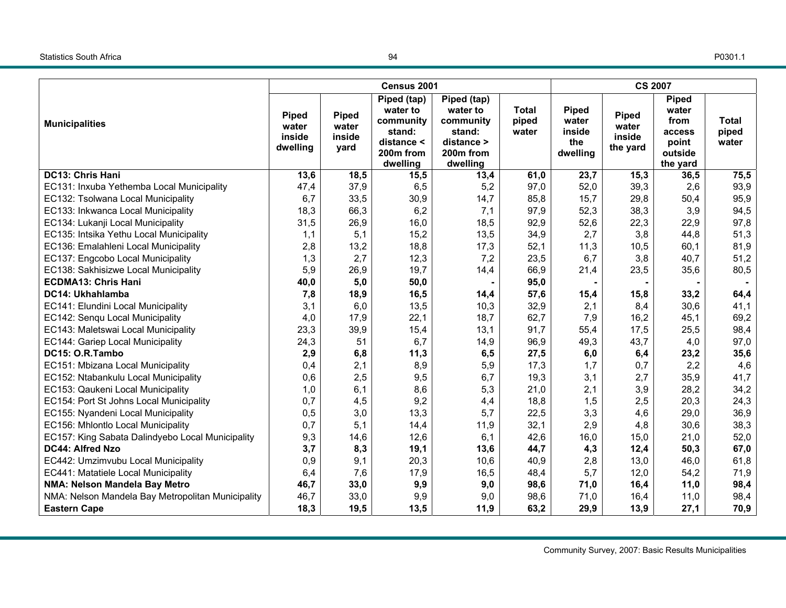### Statistics South Africa

P0301.1

|                                                   |                                             |                                         | Census 2001                                                                                       |                                                                                       |                                | <b>CS 2007</b>                                     |                                             |                                                                         |                                |  |
|---------------------------------------------------|---------------------------------------------|-----------------------------------------|---------------------------------------------------------------------------------------------------|---------------------------------------------------------------------------------------|--------------------------------|----------------------------------------------------|---------------------------------------------|-------------------------------------------------------------------------|--------------------------------|--|
| <b>Municipalities</b>                             | <b>Piped</b><br>water<br>inside<br>dwelling | <b>Piped</b><br>water<br>inside<br>yard | Piped (tap)<br>water to<br>community<br>stand:<br>distance <<br>200 <sub>m</sub> from<br>dwelling | Piped (tap)<br>water to<br>community<br>stand:<br>distance ><br>200m from<br>dwelling | <b>Total</b><br>piped<br>water | <b>Piped</b><br>water<br>inside<br>the<br>dwelling | <b>Piped</b><br>water<br>inside<br>the yard | <b>Piped</b><br>water<br>from<br>access<br>point<br>outside<br>the yard | <b>Total</b><br>piped<br>water |  |
| <b>DC13: Chris Hani</b>                           | 13,6                                        | 18,5                                    | 15,5                                                                                              | 13,4                                                                                  | 61,0                           | 23,7                                               | 15,3                                        | 36,5                                                                    | 75,5                           |  |
| EC131: Inxuba Yethemba Local Municipality         | 47,4                                        | 37,9                                    | 6,5                                                                                               | 5,2                                                                                   | 97,0                           | 52,0                                               | 39,3                                        | 2,6                                                                     | 93,9                           |  |
| EC132: Tsolwana Local Municipality                | 6,7                                         | 33,5                                    | 30,9                                                                                              | 14,7                                                                                  | 85,8                           | 15,7                                               | 29,8                                        | 50,4                                                                    | 95,9                           |  |
| EC133: Inkwanca Local Municipality                | 18,3                                        | 66,3                                    | 6,2                                                                                               | 7,1                                                                                   | 97,9                           | 52,3                                               | 38,3                                        | 3,9                                                                     | 94,5                           |  |
| EC134: Lukanji Local Municipality                 | 31,5                                        | 26,9                                    | 16,0                                                                                              | 18,5                                                                                  | 92,9                           | 52,6                                               | 22,3                                        | 22,9                                                                    | 97,8                           |  |
| EC135: Intsika Yethu Local Municipality           | 1,1                                         | 5,1                                     | 15,2                                                                                              | 13,5                                                                                  | 34,9                           | 2,7                                                | 3,8                                         | 44,8                                                                    | 51,3                           |  |
| EC136: Emalahleni Local Municipality              | 2,8                                         | 13,2                                    | 18,8                                                                                              | 17,3                                                                                  | 52,1                           | 11,3                                               | 10,5                                        | 60,1                                                                    | 81,9                           |  |
| EC137: Engcobo Local Municipality                 | 1,3                                         | 2,7                                     | 12,3                                                                                              | 7,2                                                                                   | 23,5                           | 6,7                                                | 3,8                                         | 40,7                                                                    | 51,2                           |  |
| EC138: Sakhisizwe Local Municipality              | 5,9                                         | 26,9                                    | 19,7                                                                                              | 14,4                                                                                  | 66,9                           | 21,4                                               | 23,5                                        | 35,6                                                                    | 80,5                           |  |
| <b>ECDMA13: Chris Hani</b>                        | 40,0                                        | 5,0                                     | 50,0                                                                                              |                                                                                       | 95,0                           |                                                    |                                             |                                                                         |                                |  |
| DC14: Ukhahlamba                                  | 7,8                                         | 18,9                                    | 16,5                                                                                              | 14,4                                                                                  | 57,6                           | 15,4                                               | 15,8                                        | 33,2                                                                    | 64,4                           |  |
| EC141: Elundini Local Municipality                | 3,1                                         | 6,0                                     | 13,5                                                                                              | 10,3                                                                                  | 32,9                           | 2,1                                                | 8,4                                         | 30,6                                                                    | 41,1                           |  |
| EC142: Senqu Local Municipality                   | 4,0                                         | 17,9                                    | 22,1                                                                                              | 18,7                                                                                  | 62,7                           | 7,9                                                | 16,2                                        | 45,1                                                                    | 69,2                           |  |
| EC143: Maletswai Local Municipality               | 23,3                                        | 39,9                                    | 15,4                                                                                              | 13,1                                                                                  | 91,7                           | 55,4                                               | 17,5                                        | 25,5                                                                    | 98,4                           |  |
| EC144: Gariep Local Municipality                  | 24,3                                        | 51                                      | 6,7                                                                                               | 14,9                                                                                  | 96,9                           | 49,3                                               | 43,7                                        | 4,0                                                                     | 97,0                           |  |
| DC15: O.R.Tambo                                   | 2,9                                         | 6,8                                     | 11,3                                                                                              | 6, 5                                                                                  | 27,5                           | 6,0                                                | 6,4                                         | 23,2                                                                    | 35,6                           |  |
| EC151: Mbizana Local Municipality                 | 0,4                                         | 2,1                                     | 8,9                                                                                               | 5,9                                                                                   | 17,3                           | 1,7                                                | 0,7                                         | 2,2                                                                     | 4,6                            |  |
| EC152: Ntabankulu Local Municipality              | 0,6                                         | 2,5                                     | 9,5                                                                                               | 6,7                                                                                   | 19,3                           | 3,1                                                | 2,7                                         | 35,9                                                                    | 41,7                           |  |
| EC153: Qaukeni Local Municipality                 | 1,0                                         | 6,1                                     | 8,6                                                                                               | 5,3                                                                                   | 21,0                           | 2,1                                                | 3,9                                         | 28,2                                                                    | 34,2                           |  |
| EC154: Port St Johns Local Municipality           | 0,7                                         | 4,5                                     | 9,2                                                                                               | 4,4                                                                                   | 18,8                           | 1,5                                                | 2,5                                         | 20,3                                                                    | 24,3                           |  |
| EC155: Nyandeni Local Municipality                | 0,5                                         | 3,0                                     | 13,3                                                                                              | 5,7                                                                                   | 22,5                           | 3,3                                                | 4,6                                         | 29,0                                                                    | 36,9                           |  |
| EC156: Mhlontlo Local Municipality                | 0,7                                         | 5,1                                     | 14,4                                                                                              | 11,9                                                                                  | 32,1                           | 2,9                                                | 4,8                                         | 30,6                                                                    | 38,3                           |  |
| EC157: King Sabata Dalindyebo Local Municipality  | 9,3                                         | 14,6                                    | 12,6                                                                                              | 6,1                                                                                   | 42,6                           | 16,0                                               | 15,0                                        | 21,0                                                                    | 52,0                           |  |
| DC44: Alfred Nzo                                  | 3,7                                         | 8,3                                     | 19,1                                                                                              | 13,6                                                                                  | 44,7                           | 4,3                                                | 12,4                                        | 50,3                                                                    | 67,0                           |  |
| EC442: Umzimvubu Local Municipality               | 0,9                                         | 9,1                                     | 20,3                                                                                              | 10,6                                                                                  | 40,9                           | 2,8                                                | 13,0                                        | 46,0                                                                    | 61,8                           |  |
| EC441: Matatiele Local Municipality               | 6,4                                         | 7,6                                     | 17,9                                                                                              | 16,5                                                                                  | 48,4                           | 5,7                                                | 12,0                                        | 54,2                                                                    | 71,9                           |  |
| NMA: Nelson Mandela Bay Metro                     | 46,7                                        | 33,0                                    | 9,9                                                                                               | 9,0                                                                                   | 98,6                           | 71,0                                               | 16,4                                        | 11,0                                                                    | 98,4                           |  |
| NMA: Nelson Mandela Bay Metropolitan Municipality | 46,7                                        | 33,0                                    | 9,9                                                                                               | 9,0                                                                                   | 98,6                           | 71,0                                               | 16,4                                        | 11,0                                                                    | 98,4                           |  |
| <b>Eastern Cape</b>                               | 18,3                                        | 19,5                                    | 13,5                                                                                              | 11,9                                                                                  | 63,2                           | 29,9                                               | 13,9                                        | 27,1                                                                    | 70,9                           |  |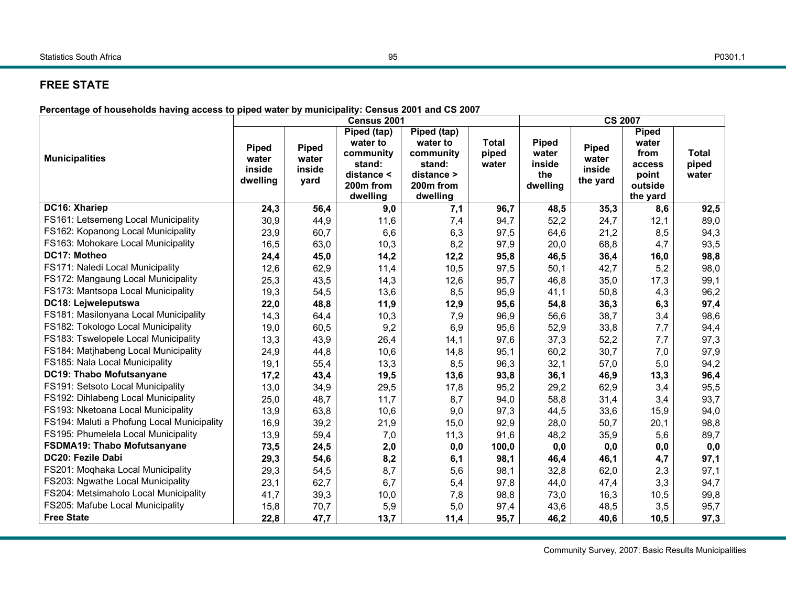### Statistics South Africa

# **FREE STATE**

**Percentage of households having access to piped water by municipality: Census 2001 and CS 2007**

|                                            | Census 2001<br><b>CS 2007</b>               |                                         |                                                                                       |                                                                                       |                                |                                                    |                                             |                                                                         |                         |  |
|--------------------------------------------|---------------------------------------------|-----------------------------------------|---------------------------------------------------------------------------------------|---------------------------------------------------------------------------------------|--------------------------------|----------------------------------------------------|---------------------------------------------|-------------------------------------------------------------------------|-------------------------|--|
| <b>Municipalities</b>                      | <b>Piped</b><br>water<br>inside<br>dwelling | <b>Piped</b><br>water<br>inside<br>yard | Piped (tap)<br>water to<br>community<br>stand:<br>distance <<br>200m from<br>dwelling | Piped (tap)<br>water to<br>community<br>stand:<br>distance ><br>200m from<br>dwelling | <b>Total</b><br>piped<br>water | <b>Piped</b><br>water<br>inside<br>the<br>dwelling | <b>Piped</b><br>water<br>inside<br>the yard | <b>Piped</b><br>water<br>from<br>access<br>point<br>outside<br>the yard | Total<br>piped<br>water |  |
| DC16: Xhariep                              | 24,3                                        | 56,4                                    | 9,0                                                                                   | 7,1                                                                                   | 96,7                           | 48,5                                               | 35,3                                        | 8,6                                                                     | 92,5                    |  |
| FS161: Letsemeng Local Municipality        | 30,9                                        | 44,9                                    | 11,6                                                                                  | 7,4                                                                                   | 94,7                           | 52,2                                               | 24,7                                        | 12,1                                                                    | 89,0                    |  |
| FS162: Kopanong Local Municipality         | 23,9                                        | 60,7                                    | 6,6                                                                                   | 6,3                                                                                   | 97,5                           | 64,6                                               | 21,2                                        | 8,5                                                                     | 94,3                    |  |
| FS163: Mohokare Local Municipality         | 16,5                                        | 63,0                                    | 10,3                                                                                  | 8,2                                                                                   | 97,9                           | 20,0                                               | 68,8                                        | 4,7                                                                     | 93,5                    |  |
| DC17: Motheo                               | 24,4                                        | 45,0                                    | 14,2                                                                                  | 12,2                                                                                  | 95,8                           | 46,5                                               | 36,4                                        | 16,0                                                                    | 98,8                    |  |
| FS171: Naledi Local Municipality           | 12,6                                        | 62,9                                    | 11,4                                                                                  | 10,5                                                                                  | 97,5                           | 50,1                                               | 42,7                                        | 5,2                                                                     | 98,0                    |  |
| FS172: Mangaung Local Municipality         | 25,3                                        | 43,5                                    | 14,3                                                                                  | 12,6                                                                                  | 95,7                           | 46,8                                               | 35,0                                        | 17,3                                                                    | 99,1                    |  |
| FS173: Mantsopa Local Municipality         | 19,3                                        | 54,5                                    | 13,6                                                                                  | 8,5                                                                                   | 95,9                           | 41,1                                               | 50,8                                        | 4,3                                                                     | 96,2                    |  |
| DC18: Lejweleputswa                        | 22,0                                        | 48,8                                    | 11,9                                                                                  | 12,9                                                                                  | 95,6                           | 54,8                                               | 36,3                                        | 6,3                                                                     | 97,4                    |  |
| FS181: Masilonyana Local Municipality      | 14,3                                        | 64,4                                    | 10,3                                                                                  | 7,9                                                                                   | 96,9                           | 56,6                                               | 38,7                                        | 3,4                                                                     | 98,6                    |  |
| FS182: Tokologo Local Municipality         | 19,0                                        | 60,5                                    | 9,2                                                                                   | 6,9                                                                                   | 95,6                           | 52,9                                               | 33,8                                        | 7,7                                                                     | 94,4                    |  |
| FS183: Tswelopele Local Municipality       | 13,3                                        | 43,9                                    | 26,4                                                                                  | 14,1                                                                                  | 97,6                           | 37,3                                               | 52,2                                        | 7,7                                                                     | 97,3                    |  |
| FS184: Matjhabeng Local Municipality       | 24,9                                        | 44,8                                    | 10,6                                                                                  | 14,8                                                                                  | 95,1                           | 60,2                                               | 30,7                                        | 7,0                                                                     | 97,9                    |  |
| FS185: Nala Local Municipality             | 19,1                                        | 55,4                                    | 13,3                                                                                  | 8,5                                                                                   | 96,3                           | 32,1                                               | 57,0                                        | 5,0                                                                     | 94,2                    |  |
| DC19: Thabo Mofutsanyane                   | 17,2                                        | 43,4                                    | 19,5                                                                                  | 13,6                                                                                  | 93,8                           | 36,1                                               | 46,9                                        | 13,3                                                                    | 96,4                    |  |
| FS191: Setsoto Local Municipality          | 13,0                                        | 34,9                                    | 29,5                                                                                  | 17,8                                                                                  | 95,2                           | 29,2                                               | 62,9                                        | 3,4                                                                     | 95,5                    |  |
| FS192: Dihlabeng Local Municipality        | 25,0                                        | 48,7                                    | 11,7                                                                                  | 8,7                                                                                   | 94,0                           | 58,8                                               | 31,4                                        | 3,4                                                                     | 93,7                    |  |
| FS193: Nketoana Local Municipality         | 13,9                                        | 63,8                                    | 10,6                                                                                  | 9,0                                                                                   | 97,3                           | 44,5                                               | 33,6                                        | 15,9                                                                    | 94,0                    |  |
| FS194: Maluti a Phofung Local Municipality | 16,9                                        | 39,2                                    | 21,9                                                                                  | 15,0                                                                                  | 92,9                           | 28,0                                               | 50,7                                        | 20,1                                                                    | 98,8                    |  |
| FS195: Phumelela Local Municipality        | 13,9                                        | 59,4                                    | 7,0                                                                                   | 11,3                                                                                  | 91,6                           | 48,2                                               | 35,9                                        | 5,6                                                                     | 89,7                    |  |
| <b>FSDMA19: Thabo Mofutsanyane</b>         | 73,5                                        | 24,5                                    | 2,0                                                                                   | 0,0                                                                                   | 100,0                          | 0,0                                                | 0,0                                         | 0,0                                                                     | 0,0                     |  |
| DC20: Fezile Dabi                          | 29,3                                        | 54,6                                    | 8,2                                                                                   | 6,1                                                                                   | 98,1                           | 46,4                                               | 46,1                                        | 4,7                                                                     | 97,1                    |  |
| FS201: Moqhaka Local Municipality          | 29,3                                        | 54,5                                    | 8,7                                                                                   | 5,6                                                                                   | 98,1                           | 32,8                                               | 62,0                                        | 2,3                                                                     | 97,1                    |  |
| FS203: Ngwathe Local Municipality          | 23,1                                        | 62,7                                    | 6,7                                                                                   | 5,4                                                                                   | 97,8                           | 44,0                                               | 47,4                                        | 3,3                                                                     | 94,7                    |  |
| FS204: Metsimaholo Local Municipality      | 41,7                                        | 39,3                                    | 10,0                                                                                  | 7,8                                                                                   | 98,8                           | 73,0                                               | 16,3                                        | 10,5                                                                    | 99,8                    |  |
| FS205: Mafube Local Municipality           | 15,8                                        | 70,7                                    | 5,9                                                                                   | 5,0                                                                                   | 97,4                           | 43,6                                               | 48,5                                        | 3,5                                                                     | 95,7                    |  |
| <b>Free State</b>                          | 22,8                                        | 47,7                                    | 13,7                                                                                  | 11,4                                                                                  | 95,7                           | 46,2                                               | 40,6                                        | 10,5                                                                    | 97,3                    |  |

P0301.1

Community Survey, 2007: Basic Results Municipalities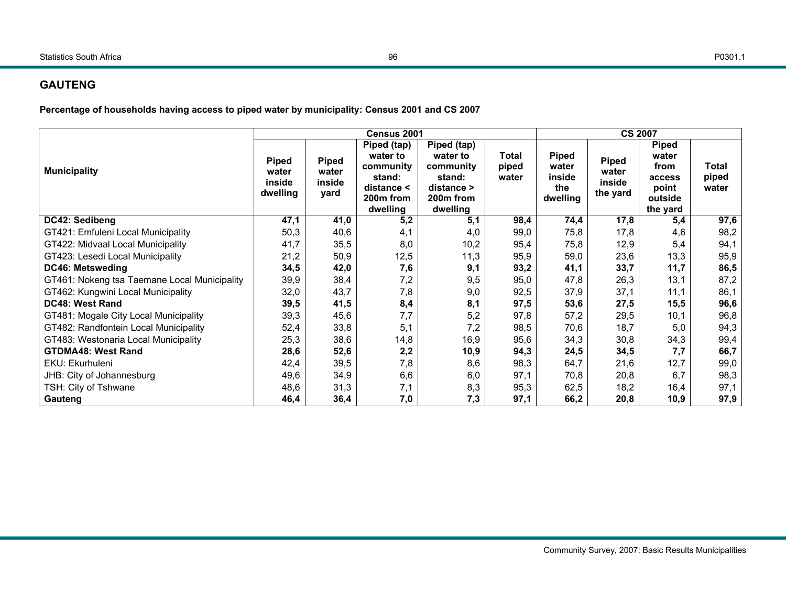# **GAUTENG**

**Percentage of households having access to piped water by municipality: Census 2001 and CS 2007** 

|                                              |                                      |                                         | Census 2001                                                                                       |                                                                                                 |                         | <b>CS 2007</b>                                     |                                             |                                                                         |                                |  |
|----------------------------------------------|--------------------------------------|-----------------------------------------|---------------------------------------------------------------------------------------------------|-------------------------------------------------------------------------------------------------|-------------------------|----------------------------------------------------|---------------------------------------------|-------------------------------------------------------------------------|--------------------------------|--|
| <b>Municipality</b>                          | Piped<br>water<br>inside<br>dwelling | <b>Piped</b><br>water<br>inside<br>yard | Piped (tap)<br>water to<br>community<br>stand:<br>distance <<br>200 <sub>m</sub> from<br>dwelling | Piped (tap)<br>water to<br>community<br>stand:<br>distance<br>200 <sub>m</sub> from<br>dwelling | Total<br>piped<br>water | <b>Piped</b><br>water<br>inside<br>the<br>dwelling | <b>Piped</b><br>water<br>inside<br>the yard | <b>Piped</b><br>water<br>from<br>access<br>point<br>outside<br>the yard | <b>Total</b><br>piped<br>water |  |
| DC42: Sedibeng                               | 47,1                                 | 41,0                                    | 5,2                                                                                               | 5,1                                                                                             | 98,4                    | 74,4                                               | 17,8                                        | 5,4                                                                     | 97,6                           |  |
| GT421: Emfuleni Local Municipality           | 50,3                                 | 40,6                                    | 4,1                                                                                               | 4,0                                                                                             | 99,0                    | 75,8                                               | 17,8                                        | 4,6                                                                     | 98,2                           |  |
| GT422: Midvaal Local Municipality            | 41,7                                 | 35,5                                    | 8,0                                                                                               | 10,2                                                                                            | 95,4                    | 75,8                                               | 12,9                                        | 5,4                                                                     | 94,1                           |  |
| GT423: Lesedi Local Municipality             | 21,2                                 | 50,9                                    | 12,5                                                                                              | 11,3                                                                                            | 95,9                    | 59,0                                               | 23,6                                        | 13,3                                                                    | 95,9                           |  |
| <b>DC46: Metsweding</b>                      | 34,5                                 | 42,0                                    | 7,6                                                                                               | 9,1                                                                                             | 93,2                    | 41,1                                               | 33,7                                        | 11,7                                                                    | 86,5                           |  |
| GT461: Nokeng tsa Taemane Local Municipality | 39,9                                 | 38,4                                    | 7,2                                                                                               | 9,5                                                                                             | 95,0                    | 47,8                                               | 26,3                                        | 13,1                                                                    | 87,2                           |  |
| GT462: Kungwini Local Municipality           | 32,0                                 | 43,7                                    | 7,8                                                                                               | 9,0                                                                                             | 92,5                    | 37,9                                               | 37,1                                        | 11,1                                                                    | 86,1                           |  |
| <b>DC48: West Rand</b>                       | 39,5                                 | 41,5                                    | 8,4                                                                                               | 8,1                                                                                             | 97,5                    | 53,6                                               | 27,5                                        | 15,5                                                                    | 96,6                           |  |
| GT481: Mogale City Local Municipality        | 39,3                                 | 45,6                                    | 7,7                                                                                               | 5,2                                                                                             | 97,8                    | 57,2                                               | 29,5                                        | 10,1                                                                    | 96,8                           |  |
| GT482: Randfontein Local Municipality        | 52,4                                 | 33,8                                    | 5,1                                                                                               | 7,2                                                                                             | 98,5                    | 70,6                                               | 18,7                                        | 5,0                                                                     | 94,3                           |  |
| GT483: Westonaria Local Municipality         | 25,3                                 | 38,6                                    | 14,8                                                                                              | 16,9                                                                                            | 95,6                    | 34,3                                               | 30,8                                        | 34,3                                                                    | 99,4                           |  |
| <b>GTDMA48: West Rand</b>                    | 28,6                                 | 52,6                                    | 2,2                                                                                               | 10,9                                                                                            | 94,3                    | 24,5                                               | 34,5                                        | 7,7                                                                     | 66,7                           |  |
| EKU: Ekurhuleni                              | 42,4                                 | 39,5                                    | 7,8                                                                                               | 8,6                                                                                             | 98,3                    | 64,7                                               | 21,6                                        | 12,7                                                                    | 99,0                           |  |
| JHB: City of Johannesburg                    | 49,6                                 | 34,9                                    | 6,6                                                                                               | 6,0                                                                                             | 97,1                    | 70,8                                               | 20,8                                        | 6,7                                                                     | 98,3                           |  |
| TSH: City of Tshwane                         | 48,6                                 | 31,3                                    | 7,1                                                                                               | 8,3                                                                                             | 95,3                    | 62,5                                               | 18,2                                        | 16,4                                                                    | 97,1                           |  |
| Gauteng                                      | 46,4                                 | 36,4                                    | 7,0                                                                                               | 7,3                                                                                             | 97,1                    | 66,2                                               | 20,8                                        | 10,9                                                                    | 97,9                           |  |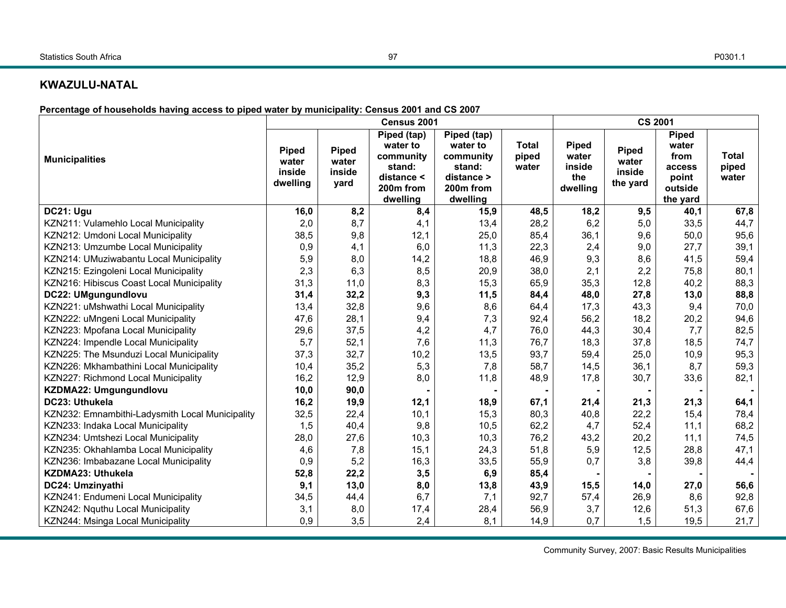#### Statistics South Africa

#### 97

### **KWAZULU-NATAL**

**Percentage of households having access to piped water by municipality: Census 2001 and CS 2007** 

|                                                 |                                             |                                         | Census 2001                                                                                       |                                                                                       |                                | <b>CS 2001</b>                                     |                                             |                                                                  |                                |  |
|-------------------------------------------------|---------------------------------------------|-----------------------------------------|---------------------------------------------------------------------------------------------------|---------------------------------------------------------------------------------------|--------------------------------|----------------------------------------------------|---------------------------------------------|------------------------------------------------------------------|--------------------------------|--|
| <b>Municipalities</b>                           | <b>Piped</b><br>water<br>inside<br>dwelling | <b>Piped</b><br>water<br>inside<br>yard | Piped (tap)<br>water to<br>community<br>stand:<br>distance <<br>200 <sub>m</sub> from<br>dwelling | Piped (tap)<br>water to<br>community<br>stand:<br>distance ><br>200m from<br>dwelling | <b>Total</b><br>piped<br>water | <b>Piped</b><br>water<br>inside<br>the<br>dwelling | <b>Piped</b><br>water<br>inside<br>the yard | Piped<br>water<br>from<br>access<br>point<br>outside<br>the yard | <b>Total</b><br>piped<br>water |  |
| DC21: Ugu                                       | 16,0                                        | 8,2                                     | 8,4                                                                                               | 15,9                                                                                  | 48,5                           | 18,2                                               | 9,5                                         | 40,1                                                             | 67,8                           |  |
| KZN211: Vulamehlo Local Municipality            | 2,0                                         | 8,7                                     | 4,1                                                                                               | 13,4                                                                                  | 28,2                           | 6,2                                                | 5,0                                         | 33,5                                                             | 44,7                           |  |
| KZN212: Umdoni Local Municipality               | 38,5                                        | 9,8                                     | 12,1                                                                                              | 25,0                                                                                  | 85,4                           | 36,1                                               | 9,6                                         | 50,0                                                             | 95,6                           |  |
| KZN213: Umzumbe Local Municipality              | 0,9                                         | 4,1                                     | 6,0                                                                                               | 11,3                                                                                  | 22,3                           | 2,4                                                | 9,0                                         | 27,7                                                             | 39,1                           |  |
| KZN214: UMuziwabantu Local Municipality         | 5,9                                         | 8,0                                     | 14,2                                                                                              | 18,8                                                                                  | 46,9                           | 9,3                                                | 8,6                                         | 41,5                                                             | 59,4                           |  |
| KZN215: Ezingoleni Local Municipality           | 2,3                                         | 6,3                                     | 8,5                                                                                               | 20,9                                                                                  | 38,0                           | 2,1                                                | 2,2                                         | 75,8                                                             | 80,1                           |  |
| KZN216: Hibiscus Coast Local Municipality       | 31,3                                        | 11,0                                    | 8,3                                                                                               | 15,3                                                                                  | 65,9                           | 35,3                                               | 12,8                                        | 40,2                                                             | 88,3                           |  |
| DC22: UMgungundlovu                             | 31,4                                        | 32,2                                    | 9,3                                                                                               | 11,5                                                                                  | 84,4                           | 48,0                                               | 27,8                                        | 13,0                                                             | 88,8                           |  |
| KZN221: uMshwathi Local Municipality            | 13,4                                        | 32,8                                    | 9,6                                                                                               | 8,6                                                                                   | 64,4                           | 17,3                                               | 43,3                                        | 9,4                                                              | 70,0                           |  |
| KZN222: uMngeni Local Municipality              | 47,6                                        | 28,1                                    | 9,4                                                                                               | 7,3                                                                                   | 92,4                           | 56,2                                               | 18,2                                        | 20,2                                                             | 94,6                           |  |
| KZN223: Mpofana Local Municipality              | 29,6                                        | 37,5                                    | 4,2                                                                                               | 4,7                                                                                   | 76,0                           | 44,3                                               | 30,4                                        | 7,7                                                              | 82,5                           |  |
| KZN224: Impendle Local Municipality             | 5,7                                         | 52,1                                    | 7,6                                                                                               | 11,3                                                                                  | 76,7                           | 18,3                                               | 37,8                                        | 18,5                                                             | 74,7                           |  |
| KZN225: The Msunduzi Local Municipality         | 37,3                                        | 32,7                                    | 10,2                                                                                              | 13,5                                                                                  | 93,7                           | 59,4                                               | 25,0                                        | 10,9                                                             | 95,3                           |  |
| KZN226: Mkhambathini Local Municipality         | 10,4                                        | 35,2                                    | 5,3                                                                                               | 7,8                                                                                   | 58,7                           | 14,5                                               | 36,1                                        | 8,7                                                              | 59,3                           |  |
| KZN227: Richmond Local Municipality             | 16,2                                        | 12,9                                    | 8,0                                                                                               | 11,8                                                                                  | 48,9                           | 17,8                                               | 30,7                                        | 33,6                                                             | 82,1                           |  |
| KZDMA22: Umgungundlovu                          | 10,0                                        | 90,0                                    |                                                                                                   |                                                                                       |                                |                                                    |                                             |                                                                  |                                |  |
| DC23: Uthukela                                  | 16,2                                        | 19,9                                    | 12,1                                                                                              | 18,9                                                                                  | 67,1                           | 21,4                                               | 21,3                                        | 21,3                                                             | 64,1                           |  |
| KZN232: Emnambithi-Ladysmith Local Municipality | 32,5                                        | 22,4                                    | 10,1                                                                                              | 15,3                                                                                  | 80,3                           | 40,8                                               | 22,2                                        | 15,4                                                             | 78,4                           |  |
| KZN233: Indaka Local Municipality               | 1,5                                         | 40,4                                    | 9,8                                                                                               | 10,5                                                                                  | 62,2                           | 4,7                                                | 52,4                                        | 11,1                                                             | 68,2                           |  |
| KZN234: Umtshezi Local Municipality             | 28,0                                        | 27,6                                    | 10,3                                                                                              | 10,3                                                                                  | 76,2                           | 43,2                                               | 20,2                                        | 11,1                                                             | 74,5                           |  |
| KZN235: Okhahlamba Local Municipality           | 4,6                                         | 7,8                                     | 15,1                                                                                              | 24,3                                                                                  | 51,8                           | 5,9                                                | 12,5                                        | 28,8                                                             | 47,1                           |  |
| KZN236: Imbabazane Local Municipality           | 0,9                                         | 5,2                                     | 16,3                                                                                              | 33,5                                                                                  | 55,9                           | 0,7                                                | 3,8                                         | 39,8                                                             | 44,4                           |  |
| KZDMA23: Uthukela                               | 52,8                                        | 22,2                                    | 3, 5                                                                                              | 6,9                                                                                   | 85,4                           |                                                    |                                             |                                                                  |                                |  |
| DC24: Umzinyathi                                | 9,1                                         | 13,0                                    | 8,0                                                                                               | 13,8                                                                                  | 43,9                           | 15,5                                               | 14,0                                        | 27,0                                                             | 56,6                           |  |
| KZN241: Endumeni Local Municipality             | 34,5                                        | 44,4                                    | 6,7                                                                                               | 7,1                                                                                   | 92,7                           | 57,4                                               | 26,9                                        | 8,6                                                              | 92,8                           |  |
| KZN242: Nquthu Local Municipality               | 3,1                                         | 8,0                                     | 17,4                                                                                              | 28,4                                                                                  | 56,9                           | 3,7                                                | 12,6                                        | 51,3                                                             | 67,6                           |  |
| KZN244: Msinga Local Municipality               | 0,9                                         | 3,5                                     | 2,4                                                                                               | 8,1                                                                                   | 14,9                           | 0,7                                                | 1,5                                         | 19,5                                                             | 21,7                           |  |

Community Survey, 2007: Basic Results Municipalities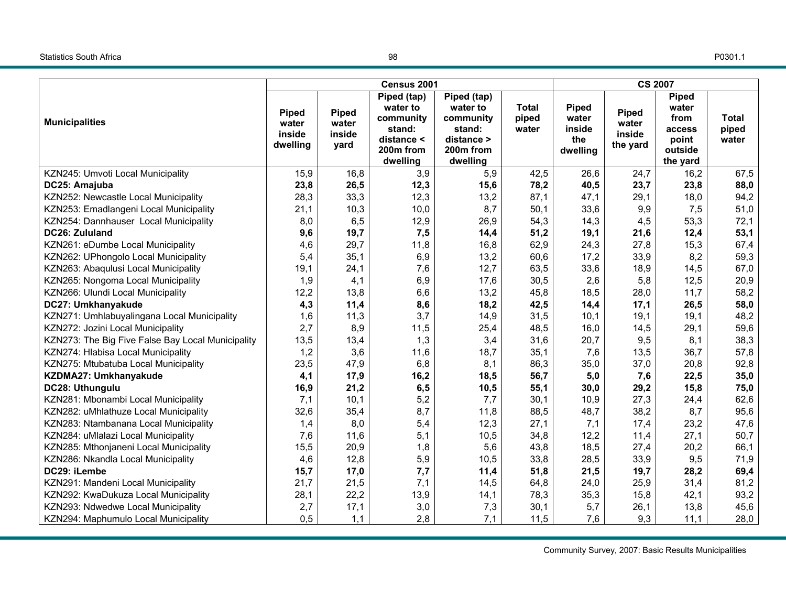#### Statistics South Africa

P0301.1

|                                                   |                                             |                                         | Census 2001                                                                           |                                                                                       |                                | <b>CS 2007</b>                                     |                                             |                                                                         |                                |  |
|---------------------------------------------------|---------------------------------------------|-----------------------------------------|---------------------------------------------------------------------------------------|---------------------------------------------------------------------------------------|--------------------------------|----------------------------------------------------|---------------------------------------------|-------------------------------------------------------------------------|--------------------------------|--|
| <b>Municipalities</b>                             | <b>Piped</b><br>water<br>inside<br>dwelling | <b>Piped</b><br>water<br>inside<br>yard | Piped (tap)<br>water to<br>community<br>stand:<br>distance <<br>200m from<br>dwelling | Piped (tap)<br>water to<br>community<br>stand:<br>distance ><br>200m from<br>dwelling | <b>Total</b><br>piped<br>water | <b>Piped</b><br>water<br>inside<br>the<br>dwelling | <b>Piped</b><br>water<br>inside<br>the yard | <b>Piped</b><br>water<br>from<br>access<br>point<br>outside<br>the yard | <b>Total</b><br>piped<br>water |  |
| KZN245: Umvoti Local Municipality                 | 15,9                                        | 16,8                                    | 3,9                                                                                   | 5,9                                                                                   | 42,5                           | 26,6                                               | 24,7                                        | 16,2                                                                    | 67,5                           |  |
| DC25: Amajuba                                     | 23,8                                        | 26,5                                    | 12,3                                                                                  | 15,6                                                                                  | 78,2                           | 40,5                                               | 23,7                                        | 23,8                                                                    | 88,0                           |  |
| KZN252: Newcastle Local Municipality              | 28,3                                        | 33,3                                    | 12,3                                                                                  | 13,2                                                                                  | 87,1                           | 47,1                                               | 29,1                                        | 18,0                                                                    | 94,2                           |  |
| KZN253: Emadlangeni Local Municipality            | 21,1                                        | 10,3                                    | 10,0                                                                                  | 8,7                                                                                   | 50,1                           | 33,6                                               | 9,9                                         | 7,5                                                                     | 51,0                           |  |
| KZN254: Dannhauser Local Municipality             | 8,0                                         | 6,5                                     | 12,9                                                                                  | 26,9                                                                                  | 54,3                           | 14,3                                               | 4,5                                         | 53,3                                                                    | 72,1                           |  |
| DC26: Zululand                                    | 9,6                                         | 19,7                                    | 7,5                                                                                   | 14,4                                                                                  | 51,2                           | 19,1                                               | 21,6                                        | 12,4                                                                    | 53,1                           |  |
| KZN261: eDumbe Local Municipality                 | 4,6                                         | 29,7                                    | 11,8                                                                                  | 16,8                                                                                  | 62,9                           | 24,3                                               | 27,8                                        | 15,3                                                                    | 67,4                           |  |
| KZN262: UPhongolo Local Municipality              | 5,4                                         | 35,1                                    | 6,9                                                                                   | 13,2                                                                                  | 60,6                           | 17,2                                               | 33,9                                        | 8,2                                                                     | 59,3                           |  |
| KZN263: Abaqulusi Local Municipality              | 19,1                                        | 24,1                                    | 7,6                                                                                   | 12,7                                                                                  | 63,5                           | 33,6                                               | 18,9                                        | 14,5                                                                    | 67,0                           |  |
| KZN265: Nongoma Local Municipality                | 1,9                                         | 4,1                                     | 6,9                                                                                   | 17,6                                                                                  | 30,5                           | 2,6                                                | 5,8                                         | 12,5                                                                    | 20,9                           |  |
| KZN266: Ulundi Local Municipality                 | 12,2                                        | 13,8                                    | 6,6                                                                                   | 13,2                                                                                  | 45,8                           | 18,5                                               | 28,0                                        | 11,7                                                                    | 58,2                           |  |
| DC27: Umkhanyakude                                | 4,3                                         | 11,4                                    | 8,6                                                                                   | 18,2                                                                                  | 42,5                           | 14,4                                               | 17,1                                        | 26,5                                                                    | 58,0                           |  |
| KZN271: Umhlabuyalingana Local Municipality       | 1,6                                         | 11,3                                    | 3,7                                                                                   | 14,9                                                                                  | 31,5                           | 10,1                                               | 19,1                                        | 19,1                                                                    | 48,2                           |  |
| KZN272: Jozini Local Municipality                 | 2,7                                         | 8,9                                     | 11,5                                                                                  | 25,4                                                                                  | 48,5                           | 16,0                                               | 14,5                                        | 29,1                                                                    | 59,6                           |  |
| KZN273: The Big Five False Bay Local Municipality | 13,5                                        | 13,4                                    | 1,3                                                                                   | 3,4                                                                                   | 31,6                           | 20,7                                               | 9,5                                         | 8,1                                                                     | 38,3                           |  |
| KZN274: Hlabisa Local Municipality                | 1,2                                         | 3,6                                     | 11,6                                                                                  | 18,7                                                                                  | 35,1                           | 7,6                                                | 13,5                                        | 36,7                                                                    | 57,8                           |  |
| KZN275: Mtubatuba Local Municipality              | 23,5                                        | 47,9                                    | 6,8                                                                                   | 8,1                                                                                   | 86,3                           | 35,0                                               | 37,0                                        | 20,8                                                                    | 92,8                           |  |
| KZDMA27: Umkhanyakude                             | 4,1                                         | 17,9                                    | 16,2                                                                                  | 18,5                                                                                  | 56,7                           | 5,0                                                | 7,6                                         | 22,5                                                                    | 35,0                           |  |
| DC28: Uthungulu                                   | 16,9                                        | 21,2                                    | 6, 5                                                                                  | 10,5                                                                                  | 55,1                           | 30,0                                               | 29,2                                        | 15,8                                                                    | 75,0                           |  |
| KZN281: Mbonambi Local Municipality               | 7,1                                         | 10,1                                    | 5,2                                                                                   | 7,7                                                                                   | 30,1                           | 10,9                                               | 27,3                                        | 24,4                                                                    | 62,6                           |  |
| KZN282: uMhlathuze Local Municipality             | 32,6                                        | 35,4                                    | 8,7                                                                                   | 11,8                                                                                  | 88,5                           | 48,7                                               | 38,2                                        | 8,7                                                                     | 95,6                           |  |
| KZN283: Ntambanana Local Municipality             | 1,4                                         | 8,0                                     | 5,4                                                                                   | 12,3                                                                                  | 27,1                           | 7,1                                                | 17,4                                        | 23,2                                                                    | 47,6                           |  |
| KZN284: uMlalazi Local Municipality               | 7,6                                         | 11,6                                    | 5,1                                                                                   | 10,5                                                                                  | 34,8                           | 12,2                                               | 11,4                                        | 27,1                                                                    | 50,7                           |  |
| KZN285: Mthonjaneni Local Municipality            | 15,5                                        | 20,9                                    | 1,8                                                                                   | 5,6                                                                                   | 43,8                           | 18,5                                               | 27,4                                        | 20,2                                                                    | 66,1                           |  |
| KZN286: Nkandla Local Municipality                | 4,6                                         | 12,8                                    | 5,9                                                                                   | 10,5                                                                                  | 33,8                           | 28,5                                               | 33,9                                        | 9,5                                                                     | 71,9                           |  |
| DC29: iLembe                                      | 15,7                                        | 17,0                                    | 7,7                                                                                   | 11,4                                                                                  | 51,8                           | 21,5                                               | 19,7                                        | 28,2                                                                    | 69,4                           |  |
| KZN291: Mandeni Local Municipality                | 21,7                                        | 21,5                                    | 7,1                                                                                   | 14,5                                                                                  | 64,8                           | 24,0                                               | 25,9                                        | 31,4                                                                    | 81,2                           |  |
| KZN292: KwaDukuza Local Municipality              | 28,1                                        | 22,2                                    | 13,9                                                                                  | 14,1                                                                                  | 78,3                           | 35,3                                               | 15,8                                        | 42,1                                                                    | 93,2                           |  |
| KZN293: Ndwedwe Local Municipality                | 2,7                                         | 17,1                                    | 3,0                                                                                   | 7,3                                                                                   | 30,1                           | 5,7                                                | 26,1                                        | 13,8                                                                    | 45,6                           |  |
| KZN294: Maphumulo Local Municipality              | 0,5                                         | 1,1                                     | 2,8                                                                                   | 7,1                                                                                   | 11,5                           | 7,6                                                | 9,3                                         | 11,1                                                                    | 28,0                           |  |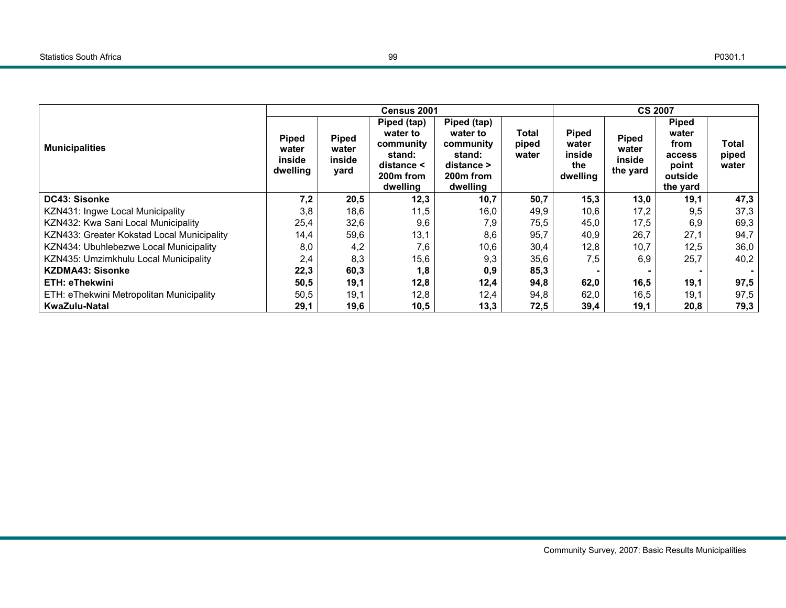|                                            |                                             |                                         | Census 2001                                                                           |                                                                                     |                         | <b>CS 2007</b>                              |                                             |                                                                         |                                |  |
|--------------------------------------------|---------------------------------------------|-----------------------------------------|---------------------------------------------------------------------------------------|-------------------------------------------------------------------------------------|-------------------------|---------------------------------------------|---------------------------------------------|-------------------------------------------------------------------------|--------------------------------|--|
| <b>Municipalities</b>                      | <b>Piped</b><br>water<br>inside<br>dwelling | <b>Piped</b><br>water<br>inside<br>yard | Piped (tap)<br>water to<br>community<br>stand:<br>distance <<br>200m from<br>dwelling | Piped (tap)<br>water to<br>community<br>stand:<br>distance<br>200m from<br>dwelling | Total<br>piped<br>water | Piped<br>water<br>inside<br>the<br>dwelling | <b>Piped</b><br>water<br>inside<br>the yard | <b>Piped</b><br>water<br>from<br>access<br>point<br>outside<br>the yard | <b>Total</b><br>piped<br>water |  |
| DC43: Sisonke                              | 7,2                                         | 20,5                                    | 12,3                                                                                  | 10,7                                                                                | 50,7                    | 15,3                                        | 13,0                                        | 19,1                                                                    | 47,3                           |  |
| KZN431: Ingwe Local Municipality           | 3,8                                         | 18,6                                    | 11,5                                                                                  | 16,0                                                                                | 49,9                    | 10,6                                        | 17,2                                        | 9,5                                                                     | 37,3                           |  |
| KZN432: Kwa Sani Local Municipality        | 25.4                                        | 32,6                                    | 9,6                                                                                   | 7,9                                                                                 | 75,5                    | 45,0                                        | 17.5                                        | 6,9                                                                     | 69,3                           |  |
| KZN433: Greater Kokstad Local Municipality | 14,4                                        | 59,6                                    | 13,1                                                                                  | 8,6                                                                                 | 95,7                    | 40,9                                        | 26,7                                        | 27,1                                                                    | 94,7                           |  |
| KZN434: Ubuhlebezwe Local Municipality     | 8,0                                         | 4,2                                     | 7,6                                                                                   | 10,6                                                                                | 30,4                    | 12,8                                        | 10,7                                        | 12,5                                                                    | 36,0                           |  |
| KZN435: Umzimkhulu Local Municipality      | 2,4                                         | 8,3                                     | 15,6                                                                                  | 9,3                                                                                 | 35,6                    | 7,5                                         | 6,9                                         | 25,7                                                                    | 40,2                           |  |
| <b>KZDMA43: Sisonke</b>                    | 22,3                                        | 60,3                                    | 1,8                                                                                   | 0,9                                                                                 | 85,3                    |                                             |                                             |                                                                         |                                |  |
| ETH: eThekwini                             | 50,5                                        | 19,1                                    | 12,8                                                                                  | 12,4                                                                                | 94,8                    | 62,0                                        | 16,5                                        | 19,1                                                                    | 97,5                           |  |
| ETH: eThekwini Metropolitan Municipality   | 50,5                                        | 19,1                                    | 12,8                                                                                  | 12,4                                                                                | 94,8                    | 62,0                                        | 16,5                                        | 19,1                                                                    | 97,5                           |  |
| KwaZulu-Natal                              | 29,1                                        | 19,6                                    | 10,5                                                                                  | 13,3                                                                                | 72,5                    | 39,4                                        | 19,1                                        | 20,8                                                                    | 79,3                           |  |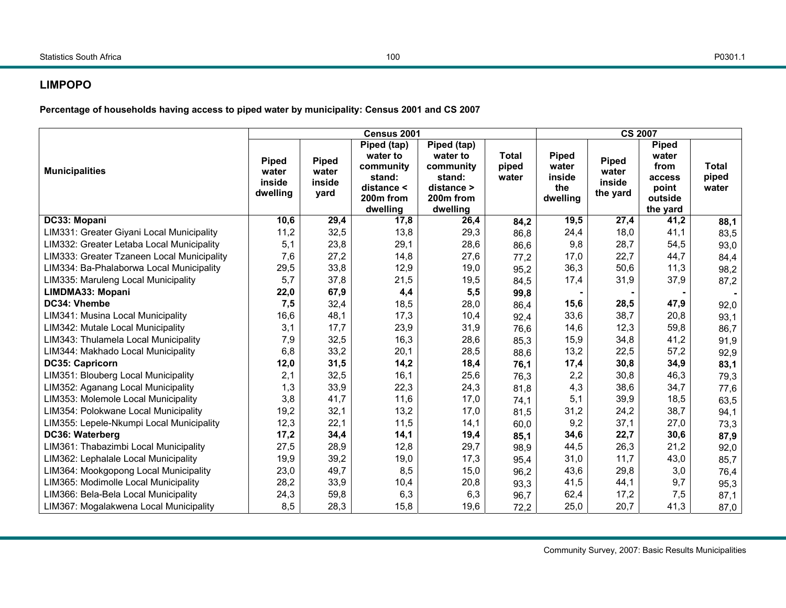# **LIMPOPO**

**Percentage of households having access to piped water by municipality: Census 2001 and CS 2007** 

|                                            |                                             |                                         | Census 2001                                                                                       |                                                                                                   |                                | <b>CS 2007</b>                                     |                                             |                                                                         |                                |  |
|--------------------------------------------|---------------------------------------------|-----------------------------------------|---------------------------------------------------------------------------------------------------|---------------------------------------------------------------------------------------------------|--------------------------------|----------------------------------------------------|---------------------------------------------|-------------------------------------------------------------------------|--------------------------------|--|
| <b>Municipalities</b>                      | <b>Piped</b><br>water<br>inside<br>dwelling | <b>Piped</b><br>water<br>inside<br>yard | Piped (tap)<br>water to<br>community<br>stand:<br>distance <<br>200 <sub>m</sub> from<br>dwelling | Piped (tap)<br>water to<br>community<br>stand:<br>distance ><br>200 <sub>m</sub> from<br>dwelling | <b>Total</b><br>piped<br>water | <b>Piped</b><br>water<br>inside<br>the<br>dwelling | <b>Piped</b><br>water<br>inside<br>the yard | <b>Piped</b><br>water<br>from<br>access<br>point<br>outside<br>the yard | <b>Total</b><br>piped<br>water |  |
| DC33: Mopani                               | 10,6                                        | 29,4                                    | 17,8                                                                                              | 26,4                                                                                              | 84,2                           | 19,5                                               | 27,4                                        | 41,2                                                                    | 88,1                           |  |
| LIM331: Greater Giyani Local Municipality  | 11,2                                        | 32,5                                    | 13,8                                                                                              | 29,3                                                                                              | 86,8                           | 24,4                                               | 18,0                                        | 41,1                                                                    | 83,5                           |  |
| LIM332: Greater Letaba Local Municipality  | 5,1                                         | 23,8                                    | 29,1                                                                                              | 28,6                                                                                              | 86,6                           | 9,8                                                | 28,7                                        | 54,5                                                                    | 93,0                           |  |
| LIM333: Greater Tzaneen Local Municipality | 7,6                                         | 27,2                                    | 14,8                                                                                              | 27,6                                                                                              | 77,2                           | 17,0                                               | 22,7                                        | 44,7                                                                    | 84,4                           |  |
| LIM334: Ba-Phalaborwa Local Municipality   | 29,5                                        | 33,8                                    | 12,9                                                                                              | 19,0                                                                                              | 95,2                           | 36,3                                               | 50,6                                        | 11,3                                                                    | 98,2                           |  |
| LIM335: Maruleng Local Municipality        | 5,7                                         | 37,8                                    | 21,5                                                                                              | 19,5                                                                                              | 84,5                           | 17,4                                               | 31,9                                        | 37,9                                                                    | 87,2                           |  |
| LIMDMA33: Mopani                           | 22,0                                        | 67,9                                    | 4,4                                                                                               | 5,5                                                                                               | 99,8                           |                                                    |                                             |                                                                         |                                |  |
| DC34: Vhembe                               | 7,5                                         | 32,4                                    | 18,5                                                                                              | 28,0                                                                                              | 86,4                           | 15,6                                               | 28,5                                        | 47,9                                                                    | 92,0                           |  |
| LIM341: Musina Local Municipality          | 16,6                                        | 48,1                                    | 17,3                                                                                              | 10,4                                                                                              | 92,4                           | 33,6                                               | 38,7                                        | 20,8                                                                    | 93,1                           |  |
| LIM342: Mutale Local Municipality          | 3,1                                         | 17,7                                    | 23,9                                                                                              | 31,9                                                                                              | 76,6                           | 14,6                                               | 12,3                                        | 59,8                                                                    | 86,7                           |  |
| LIM343: Thulamela Local Municipality       | 7,9                                         | 32,5                                    | 16,3                                                                                              | 28,6                                                                                              | 85,3                           | 15,9                                               | 34,8                                        | 41,2                                                                    | 91,9                           |  |
| LIM344: Makhado Local Municipality         | 6,8                                         | 33,2                                    | 20,1                                                                                              | 28,5                                                                                              | 88,6                           | 13,2                                               | 22,5                                        | 57,2                                                                    | 92,9                           |  |
| DC35: Capricorn                            | 12,0                                        | 31,5                                    | 14,2                                                                                              | 18,4                                                                                              | 76,1                           | 17,4                                               | 30,8                                        | 34,9                                                                    | 83,1                           |  |
| LIM351: Blouberg Local Municipality        | 2,1                                         | 32,5                                    | 16,1                                                                                              | 25,6                                                                                              | 76,3                           | 2,2                                                | 30,8                                        | 46,3                                                                    | 79,3                           |  |
| LIM352: Aganang Local Municipality         | 1,3                                         | 33,9                                    | 22,3                                                                                              | 24,3                                                                                              | 81,8                           | 4,3                                                | 38,6                                        | 34,7                                                                    | 77,6                           |  |
| LIM353: Molemole Local Municipality        | 3,8                                         | 41,7                                    | 11,6                                                                                              | 17,0                                                                                              | 74,1                           | 5,1                                                | 39,9                                        | 18,5                                                                    | 63,5                           |  |
| LIM354: Polokwane Local Municipality       | 19,2                                        | 32,1                                    | 13,2                                                                                              | 17,0                                                                                              | 81,5                           | 31,2                                               | 24,2                                        | 38,7                                                                    | 94,1                           |  |
| LIM355: Lepele-Nkumpi Local Municipality   | 12,3                                        | 22,1                                    | 11,5                                                                                              | 14,1                                                                                              | 60,0                           | 9,2                                                | 37,1                                        | 27,0                                                                    | 73,3                           |  |
| DC36: Waterberg                            | 17,2                                        | 34,4                                    | 14,1                                                                                              | 19,4                                                                                              | 85,1                           | 34,6                                               | 22,7                                        | 30,6                                                                    | 87,9                           |  |
| LIM361: Thabazimbi Local Municipality      | 27,5                                        | 28,9                                    | 12,8                                                                                              | 29,7                                                                                              | 98,9                           | 44,5                                               | 26,3                                        | 21,2                                                                    | 92,0                           |  |
| LIM362: Lephalale Local Municipality       | 19,9                                        | 39,2                                    | 19,0                                                                                              | 17,3                                                                                              | 95,4                           | 31,0                                               | 11,7                                        | 43,0                                                                    | 85,7                           |  |
| LIM364: Mookgopong Local Municipality      | 23,0                                        | 49,7                                    | 8,5                                                                                               | 15,0                                                                                              | 96,2                           | 43,6                                               | 29,8                                        | 3,0                                                                     | 76,4                           |  |
| LIM365: Modimolle Local Municipality       | 28,2                                        | 33,9                                    | 10,4                                                                                              | 20,8                                                                                              | 93,3                           | 41,5                                               | 44,1                                        | 9,7                                                                     | 95,3                           |  |
| LIM366: Bela-Bela Local Municipality       | 24,3                                        | 59,8                                    | 6,3                                                                                               | 6,3                                                                                               | 96,7                           | 62,4                                               | 17,2                                        | 7,5                                                                     | 87,1                           |  |
| LIM367: Mogalakwena Local Municipality     | 8,5                                         | 28,3                                    | 15,8                                                                                              | 19,6                                                                                              | 72,2                           | 25,0                                               | 20,7                                        | 41,3                                                                    | 87,0                           |  |

Community Survey, 2007: Basic Results Municipalities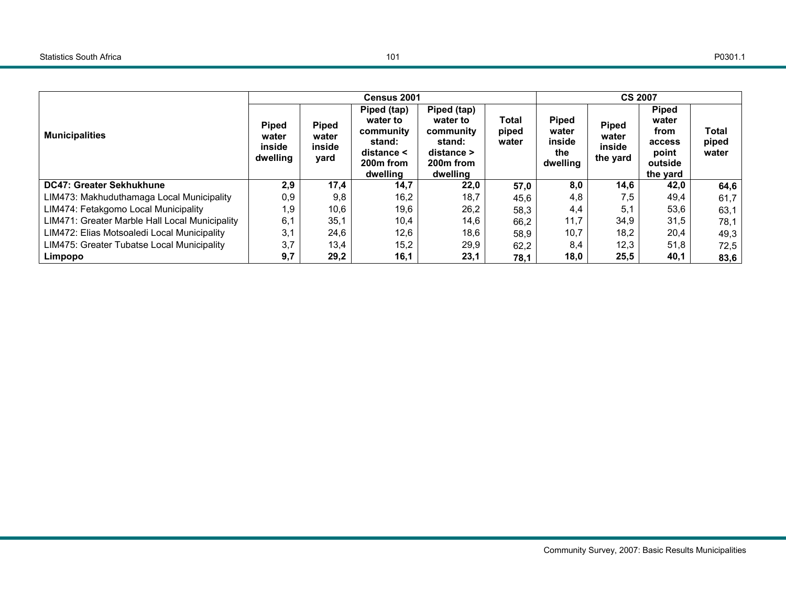|                                                |                                             |                                         | Census 2001                                                                                       |                                                                                                 |                                | <b>CS 2007</b>                                     |                                             |                                                                         |                         |
|------------------------------------------------|---------------------------------------------|-----------------------------------------|---------------------------------------------------------------------------------------------------|-------------------------------------------------------------------------------------------------|--------------------------------|----------------------------------------------------|---------------------------------------------|-------------------------------------------------------------------------|-------------------------|
| <b>Municipalities</b>                          | <b>Piped</b><br>water<br>inside<br>dwelling | <b>Piped</b><br>water<br>inside<br>yard | Piped (tap)<br>water to<br>community<br>stand:<br>distance <<br>200 <sub>m</sub> from<br>dwelling | Piped (tap)<br>water to<br>community<br>stand:<br>distance<br>200 <sub>m</sub> from<br>dwelling | <b>Total</b><br>piped<br>water | <b>Piped</b><br>water<br>inside<br>the<br>dwelling | <b>Piped</b><br>water<br>inside<br>the yard | <b>Piped</b><br>water<br>from<br>access<br>point<br>outside<br>the yard | Total<br>piped<br>water |
| <b>DC47: Greater Sekhukhune</b>                | 2,9                                         | 17,4                                    | 14,7                                                                                              | 22,0                                                                                            | 57,0                           | 8,0                                                | 14,6                                        | 42,0                                                                    | 64,6                    |
| LIM473: Makhuduthamaga Local Municipality      | 0,9                                         | 9,8                                     | 16,2                                                                                              | 18,7                                                                                            | 45,6                           | 4,8                                                | 7,5                                         | 49,4                                                                    | 61,7                    |
| LIM474: Fetakgomo Local Municipality           | 1,9                                         | 10,6                                    | 19,6                                                                                              | 26,2                                                                                            | 58,3                           | 4,4                                                | 5,1                                         | 53,6                                                                    | 63,1                    |
| LIM471: Greater Marble Hall Local Municipality | 6,1                                         | 35,1                                    | 10,4                                                                                              | 14,6                                                                                            | 66,2                           | 11,7                                               | 34,9                                        | 31,5                                                                    | 78,1                    |
| LIM472: Elias Motsoaledi Local Municipality    | 3,1                                         | 24,6                                    | 12,6                                                                                              | 18,6                                                                                            | 58,9                           | 10,7                                               | 18,2                                        | 20,4                                                                    | 49,3                    |
| LIM475: Greater Tubatse Local Municipality     | 3,7                                         | 13,4                                    | 15,2                                                                                              | 29,9                                                                                            | 62,2                           | 8,4                                                | 12,3                                        | 51,8                                                                    | 72,5                    |
| Limpopo                                        | 9,7                                         | 29,2                                    | 16,1                                                                                              | 23,1                                                                                            | 78,1                           | 18,0                                               | 25,5                                        | 40,1                                                                    | 83,6                    |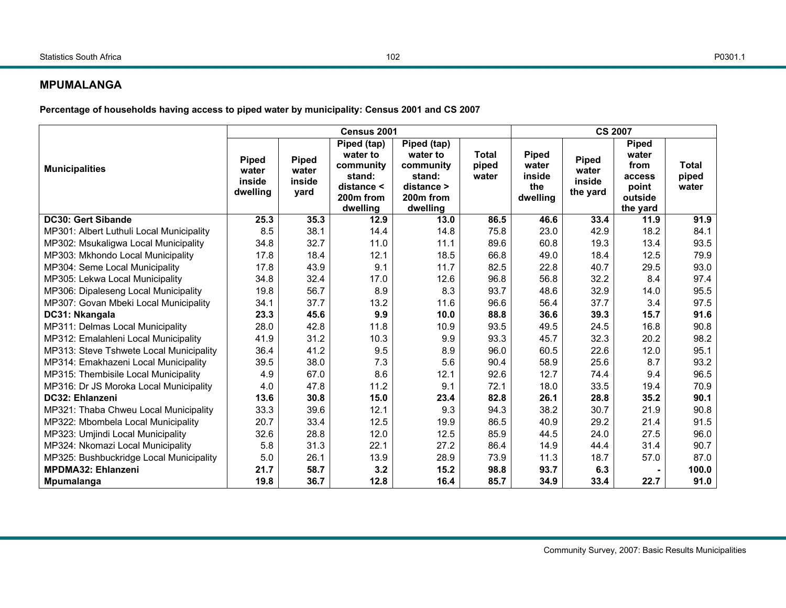## **MPUMALANGA**

**Percentage of households having access to piped water by municipality: Census 2001 and CS 2007** 

|                                          |                                             |                                         | Census 2001                                                                                       |                                                                                                   |                                | <b>CS 2007</b>                                     |                                             |                                                                         |                                |  |
|------------------------------------------|---------------------------------------------|-----------------------------------------|---------------------------------------------------------------------------------------------------|---------------------------------------------------------------------------------------------------|--------------------------------|----------------------------------------------------|---------------------------------------------|-------------------------------------------------------------------------|--------------------------------|--|
| <b>Municipalities</b>                    | <b>Piped</b><br>water<br>inside<br>dwelling | <b>Piped</b><br>water<br>inside<br>yard | Piped (tap)<br>water to<br>community<br>stand:<br>distance <<br>200 <sub>m</sub> from<br>dwelling | Piped (tap)<br>water to<br>community<br>stand:<br>distance ><br>200 <sub>m</sub> from<br>dwelling | <b>Total</b><br>piped<br>water | <b>Piped</b><br>water<br>inside<br>the<br>dwelling | <b>Piped</b><br>water<br>inside<br>the yard | <b>Piped</b><br>water<br>from<br>access<br>point<br>outside<br>the yard | <b>Total</b><br>piped<br>water |  |
| <b>DC30: Gert Sibande</b>                | 25.3                                        | 35.3                                    | 12.9                                                                                              | 13.0                                                                                              | 86.5                           | 46.6                                               | 33.4                                        | 11.9                                                                    | 91.9                           |  |
| MP301: Albert Luthuli Local Municipality | 8.5                                         | 38.1                                    | 14.4                                                                                              | 14.8                                                                                              | 75.8                           | 23.0                                               | 42.9                                        | 18.2                                                                    | 84.1                           |  |
| MP302: Msukaligwa Local Municipality     | 34.8                                        | 32.7                                    | 11.0                                                                                              | 11.1                                                                                              | 89.6                           | 60.8                                               | 19.3                                        | 13.4                                                                    | 93.5                           |  |
| MP303: Mkhondo Local Municipality        | 17.8                                        | 18.4                                    | 12.1                                                                                              | 18.5                                                                                              | 66.8                           | 49.0                                               | 18.4                                        | 12.5                                                                    | 79.9                           |  |
| MP304: Seme Local Municipality           | 17.8                                        | 43.9                                    | 9.1                                                                                               | 11.7                                                                                              | 82.5                           | 22.8                                               | 40.7                                        | 29.5                                                                    | 93.0                           |  |
| MP305: Lekwa Local Municipality          | 34.8                                        | 32.4                                    | 17.0                                                                                              | 12.6                                                                                              | 96.8                           | 56.8                                               | 32.2                                        | 8.4                                                                     | 97.4                           |  |
| MP306: Dipaleseng Local Municipality     | 19.8                                        | 56.7                                    | 8.9                                                                                               | 8.3                                                                                               | 93.7                           | 48.6                                               | 32.9                                        | 14.0                                                                    | 95.5                           |  |
| MP307: Govan Mbeki Local Municipality    | 34.1                                        | 37.7                                    | 13.2                                                                                              | 11.6                                                                                              | 96.6                           | 56.4                                               | 37.7                                        | 3.4                                                                     | 97.5                           |  |
| DC31: Nkangala                           | 23.3                                        | 45.6                                    | 9.9                                                                                               | 10.0                                                                                              | 88.8                           | 36.6                                               | 39.3                                        | 15.7                                                                    | 91.6                           |  |
| MP311: Delmas Local Municipality         | 28.0                                        | 42.8                                    | 11.8                                                                                              | 10.9                                                                                              | 93.5                           | 49.5                                               | 24.5                                        | 16.8                                                                    | 90.8                           |  |
| MP312: Emalahleni Local Municipality     | 41.9                                        | 31.2                                    | 10.3                                                                                              | 9.9                                                                                               | 93.3                           | 45.7                                               | 32.3                                        | 20.2                                                                    | 98.2                           |  |
| MP313: Steve Tshwete Local Municipality  | 36.4                                        | 41.2                                    | 9.5                                                                                               | 8.9                                                                                               | 96.0                           | 60.5                                               | 22.6                                        | 12.0                                                                    | 95.1                           |  |
| MP314: Emakhazeni Local Municipality     | 39.5                                        | 38.0                                    | 7.3                                                                                               | 5.6                                                                                               | 90.4                           | 58.9                                               | 25.6                                        | 8.7                                                                     | 93.2                           |  |
| MP315: Thembisile Local Municipality     | 4.9                                         | 67.0                                    | 8.6                                                                                               | 12.1                                                                                              | 92.6                           | 12.7                                               | 74.4                                        | 9.4                                                                     | 96.5                           |  |
| MP316: Dr JS Moroka Local Municipality   | 4.0                                         | 47.8                                    | 11.2                                                                                              | 9.1                                                                                               | 72.1                           | 18.0                                               | 33.5                                        | 19.4                                                                    | 70.9                           |  |
| DC32: Ehlanzeni                          | 13.6                                        | 30.8                                    | 15.0                                                                                              | 23.4                                                                                              | 82.8                           | 26.1                                               | 28.8                                        | 35.2                                                                    | 90.1                           |  |
| MP321: Thaba Chweu Local Municipality    | 33.3                                        | 39.6                                    | 12.1                                                                                              | 9.3                                                                                               | 94.3                           | 38.2                                               | 30.7                                        | 21.9                                                                    | 90.8                           |  |
| MP322: Mbombela Local Municipality       | 20.7                                        | 33.4                                    | 12.5                                                                                              | 19.9                                                                                              | 86.5                           | 40.9                                               | 29.2                                        | 21.4                                                                    | 91.5                           |  |
| MP323: Umjindi Local Municipality        | 32.6                                        | 28.8                                    | 12.0                                                                                              | 12.5                                                                                              | 85.9                           | 44.5                                               | 24.0                                        | 27.5                                                                    | 96.0                           |  |
| MP324: Nkomazi Local Municipality        | 5.8                                         | 31.3                                    | 22.1                                                                                              | 27.2                                                                                              | 86.4                           | 14.9                                               | 44.4                                        | 31.4                                                                    | 90.7                           |  |
| MP325: Bushbuckridge Local Municipality  | 5.0                                         | 26.1                                    | 13.9                                                                                              | 28.9                                                                                              | 73.9                           | 11.3                                               | 18.7                                        | 57.0                                                                    | 87.0                           |  |
| MPDMA32: Ehlanzeni                       | 21.7                                        | 58.7                                    | 3.2                                                                                               | 15.2                                                                                              | 98.8                           | 93.7                                               | 6.3                                         |                                                                         | 100.0                          |  |
| <b>Mpumalanga</b>                        | 19.8                                        | 36.7                                    | 12.8                                                                                              | 16.4                                                                                              | 85.7                           | 34.9                                               | 33.4                                        | 22.7                                                                    | 91.0                           |  |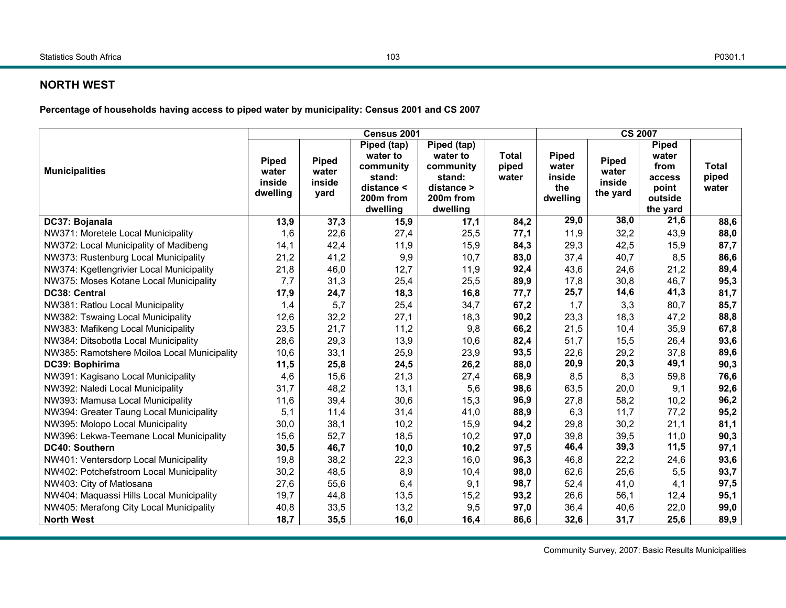### **NORTH WEST**

**Percentage of households having access to piped water by municipality: Census 2001 and CS 2007** 

|                                             |                                      |                                         | Census 2001                                                                                       |                                                                                       |                                | <b>CS 2007</b>                                     |                                             |                                                                         |                                |  |
|---------------------------------------------|--------------------------------------|-----------------------------------------|---------------------------------------------------------------------------------------------------|---------------------------------------------------------------------------------------|--------------------------------|----------------------------------------------------|---------------------------------------------|-------------------------------------------------------------------------|--------------------------------|--|
| <b>Municipalities</b>                       | Piped<br>water<br>inside<br>dwelling | <b>Piped</b><br>water<br>inside<br>yard | Piped (tap)<br>water to<br>community<br>stand:<br>distance <<br>200 <sub>m</sub> from<br>dwelling | Piped (tap)<br>water to<br>community<br>stand:<br>distance ><br>200m from<br>dwelling | <b>Total</b><br>piped<br>water | <b>Piped</b><br>water<br>inside<br>the<br>dwelling | <b>Piped</b><br>water<br>inside<br>the yard | <b>Piped</b><br>water<br>from<br>access<br>point<br>outside<br>the yard | <b>Total</b><br>piped<br>water |  |
| DC37: Bojanala                              | 13,9                                 | 37,3                                    | 15,9                                                                                              | 17,1                                                                                  | 84,2                           | 29,0                                               | 38,0                                        | 21,6                                                                    | 88,6                           |  |
| NW371: Moretele Local Municipality          | 1,6                                  | 22,6                                    | 27,4                                                                                              | 25,5                                                                                  | 77,1                           | 11,9                                               | 32,2                                        | 43,9                                                                    | 88,0                           |  |
| NW372: Local Municipality of Madibeng       | 14,1                                 | 42,4                                    | 11,9                                                                                              | 15,9                                                                                  | 84,3                           | 29,3                                               | 42,5                                        | 15,9                                                                    | 87,7                           |  |
| NW373: Rustenburg Local Municipality        | 21,2                                 | 41,2                                    | 9,9                                                                                               | 10,7                                                                                  | 83,0                           | 37,4                                               | 40,7                                        | 8,5                                                                     | 86,6                           |  |
| NW374: Kgetlengrivier Local Municipality    | 21,8                                 | 46,0                                    | 12,7                                                                                              | 11,9                                                                                  | 92,4                           | 43,6                                               | 24,6                                        | 21,2                                                                    | 89,4                           |  |
| NW375: Moses Kotane Local Municipality      | 7,7                                  | 31,3                                    | 25,4                                                                                              | 25,5                                                                                  | 89,9                           | 17,8                                               | 30,8                                        | 46,7                                                                    | 95,3                           |  |
| DC38: Central                               | 17,9                                 | 24,7                                    | 18,3                                                                                              | 16,8                                                                                  | 77,7                           | 25,7                                               | 14,6                                        | 41,3                                                                    | 81,7                           |  |
| NW381: Ratlou Local Municipality            | 1,4                                  | 5,7                                     | 25,4                                                                                              | 34,7                                                                                  | 67,2                           | 1,7                                                | 3,3                                         | 80,7                                                                    | 85,7                           |  |
| NW382: Tswaing Local Municipality           | 12,6                                 | 32,2                                    | 27,1                                                                                              | 18,3                                                                                  | 90,2                           | 23,3                                               | 18,3                                        | 47,2                                                                    | 88,8                           |  |
| NW383: Mafikeng Local Municipality          | 23,5                                 | 21,7                                    | 11,2                                                                                              | 9,8                                                                                   | 66,2                           | 21,5                                               | 10,4                                        | 35,9                                                                    | 67,8                           |  |
| NW384: Ditsobotla Local Municipality        | 28,6                                 | 29,3                                    | 13,9                                                                                              | 10,6                                                                                  | 82,4                           | 51,7                                               | 15,5                                        | 26,4                                                                    | 93,6                           |  |
| NW385: Ramotshere Moiloa Local Municipality | 10,6                                 | 33,1                                    | 25,9                                                                                              | 23,9                                                                                  | 93,5                           | 22,6                                               | 29,2                                        | 37,8                                                                    | 89,6                           |  |
| DC39: Bophirima                             | 11,5                                 | 25,8                                    | 24,5                                                                                              | 26,2                                                                                  | 88,0                           | 20,9                                               | 20,3                                        | 49,1                                                                    | 90,3                           |  |
| NW391: Kagisano Local Municipality          | 4,6                                  | 15,6                                    | 21,3                                                                                              | 27,4                                                                                  | 68,9                           | 8,5                                                | 8,3                                         | 59,8                                                                    | 76,6                           |  |
| NW392: Naledi Local Municipality            | 31,7                                 | 48,2                                    | 13,1                                                                                              | 5,6                                                                                   | 98,6                           | 63,5                                               | 20,0                                        | 9,1                                                                     | 92,6                           |  |
| NW393: Mamusa Local Municipality            | 11,6                                 | 39,4                                    | 30,6                                                                                              | 15,3                                                                                  | 96,9                           | 27,8                                               | 58,2                                        | 10,2                                                                    | 96,2                           |  |
| NW394: Greater Taung Local Municipality     | 5,1                                  | 11,4                                    | 31,4                                                                                              | 41,0                                                                                  | 88,9                           | 6,3                                                | 11,7                                        | 77,2                                                                    | 95,2                           |  |
| NW395: Molopo Local Municipality            | 30,0                                 | 38,1                                    | 10,2                                                                                              | 15,9                                                                                  | 94,2                           | 29,8                                               | 30,2                                        | 21,1                                                                    | 81,1                           |  |
| NW396: Lekwa-Teemane Local Municipality     | 15,6                                 | 52,7                                    | 18,5                                                                                              | 10,2                                                                                  | 97,0                           | 39,8                                               | 39,5                                        | 11,0                                                                    | 90,3                           |  |
| DC40: Southern                              | 30,5                                 | 46,7                                    | 10,0                                                                                              | 10,2                                                                                  | 97,5                           | 46,4                                               | 39,3                                        | 11,5                                                                    | 97,1                           |  |
| NW401: Ventersdorp Local Municipality       | 19,8                                 | 38,2                                    | 22,3                                                                                              | 16,0                                                                                  | 96,3                           | 46,8                                               | 22,2                                        | 24,6                                                                    | 93,6                           |  |
| NW402: Potchefstroom Local Municipality     | 30,2                                 | 48,5                                    | 8,9                                                                                               | 10,4                                                                                  | 98,0                           | 62,6                                               | 25,6                                        | 5,5                                                                     | 93,7                           |  |
| NW403: City of Matlosana                    | 27,6                                 | 55,6                                    | 6,4                                                                                               | 9,1                                                                                   | 98,7                           | 52,4                                               | 41,0                                        | 4,1                                                                     | 97,5                           |  |
| NW404: Maquassi Hills Local Municipality    | 19,7                                 | 44,8                                    | 13,5                                                                                              | 15,2                                                                                  | 93,2                           | 26,6                                               | 56,1                                        | 12,4                                                                    | 95,1                           |  |
| NW405: Merafong City Local Municipality     | 40,8                                 | 33,5                                    | 13,2                                                                                              | 9,5                                                                                   | 97,0                           | 36,4                                               | 40,6                                        | 22,0                                                                    | 99,0                           |  |
| <b>North West</b>                           | 18,7                                 | 35,5                                    | 16,0                                                                                              | 16,4                                                                                  | 86,6                           | 32,6                                               | 31,7                                        | 25,6                                                                    | 89,9                           |  |

Community Survey, 2007: Basic Results Municipalities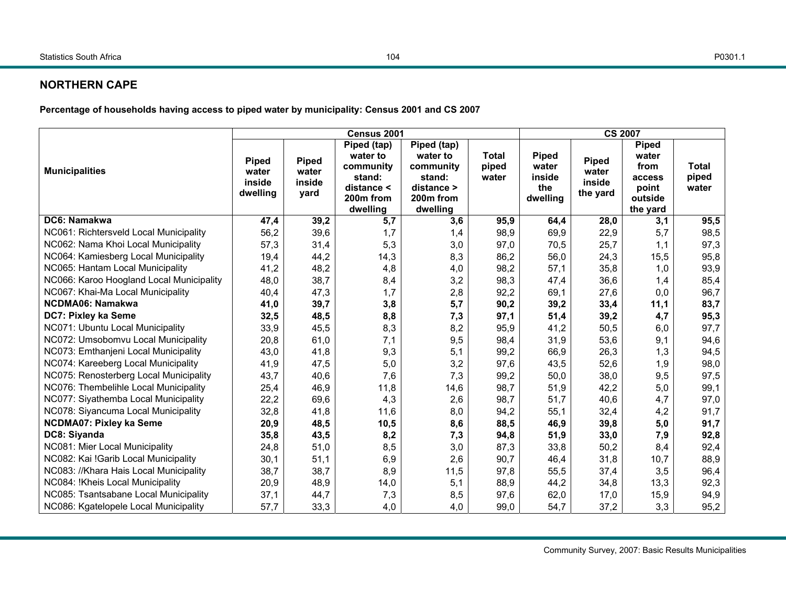## **NORTHERN CAPE**

**Percentage of households having access to piped water by municipality: Census 2001 and CS 2007** 

|                                          |                                             |                                         | Census 2001                                                                           | <b>CS 2007</b>                                                                                    |                                |                                                    |                                             |                                                                         |                                |
|------------------------------------------|---------------------------------------------|-----------------------------------------|---------------------------------------------------------------------------------------|---------------------------------------------------------------------------------------------------|--------------------------------|----------------------------------------------------|---------------------------------------------|-------------------------------------------------------------------------|--------------------------------|
| <b>Municipalities</b>                    | <b>Piped</b><br>water<br>inside<br>dwelling | <b>Piped</b><br>water<br>inside<br>yard | Piped (tap)<br>water to<br>community<br>stand:<br>distance <<br>200m from<br>dwelling | Piped (tap)<br>water to<br>community<br>stand:<br>distance ><br>200 <sub>m</sub> from<br>dwelling | <b>Total</b><br>piped<br>water | <b>Piped</b><br>water<br>inside<br>the<br>dwelling | <b>Piped</b><br>water<br>inside<br>the yard | <b>Piped</b><br>water<br>from<br>access<br>point<br>outside<br>the yard | <b>Total</b><br>piped<br>water |
| DC6: Namakwa                             | 47,4                                        | 39,2                                    | 5,7                                                                                   | 3,6                                                                                               | 95,9                           | 64,4                                               | 28,0                                        | 3,1                                                                     | 95,5                           |
| NC061: Richtersveld Local Municipality   | 56,2                                        | 39,6                                    | 1,7                                                                                   | 1,4                                                                                               | 98,9                           | 69,9                                               | 22,9                                        | 5,7                                                                     | 98,5                           |
| NC062: Nama Khoi Local Municipality      | 57,3                                        | 31,4                                    | 5,3                                                                                   | 3,0                                                                                               | 97,0                           | 70,5                                               | 25,7                                        | 1,1                                                                     | 97,3                           |
| NC064: Kamiesberg Local Municipality     | 19,4                                        | 44,2                                    | 14,3                                                                                  | 8,3                                                                                               | 86,2                           | 56,0                                               | 24,3                                        | 15,5                                                                    | 95,8                           |
| NC065: Hantam Local Municipality         | 41,2                                        | 48,2                                    | 4,8                                                                                   | 4,0                                                                                               | 98,2                           | 57,1                                               | 35,8                                        | 1,0                                                                     | 93,9                           |
| NC066: Karoo Hoogland Local Municipality | 48,0                                        | 38,7                                    | 8,4                                                                                   | 3,2                                                                                               | 98,3                           | 47,4                                               | 36,6                                        | 1,4                                                                     | 85,4                           |
| NC067: Khai-Ma Local Municipality        | 40,4                                        | 47,3                                    | 1,7                                                                                   | 2,8                                                                                               | 92,2                           | 69,1                                               | 27,6                                        | 0,0                                                                     | 96,7                           |
| <b>NCDMA06: Namakwa</b>                  | 41,0                                        | 39,7                                    | 3,8                                                                                   | 5,7                                                                                               | 90,2                           | 39,2                                               | 33,4                                        | 11,1                                                                    | 83,7                           |
| DC7: Pixley ka Seme                      | 32,5                                        | 48,5                                    | 8,8                                                                                   | 7,3                                                                                               | 97,1                           | 51,4                                               | 39,2                                        | 4,7                                                                     | 95,3                           |
| NC071: Ubuntu Local Municipality         | 33,9                                        | 45,5                                    | 8,3                                                                                   | 8,2                                                                                               | 95,9                           | 41,2                                               | 50,5                                        | 6,0                                                                     | 97,7                           |
| NC072: Umsobomvu Local Municipality      | 20,8                                        | 61,0                                    | 7,1                                                                                   | 9,5                                                                                               | 98,4                           | 31,9                                               | 53,6                                        | 9,1                                                                     | 94,6                           |
| NC073: Emthanjeni Local Municipality     | 43,0                                        | 41,8                                    | 9,3                                                                                   | 5,1                                                                                               | 99,2                           | 66,9                                               | 26,3                                        | 1,3                                                                     | 94,5                           |
| NC074: Kareeberg Local Municipality      | 41,9                                        | 47,5                                    | 5,0                                                                                   | 3,2                                                                                               | 97,6                           | 43,5                                               | 52,6                                        | 1,9                                                                     | 98,0                           |
| NC075: Renosterberg Local Municipality   | 43,7                                        | 40,6                                    | 7,6                                                                                   | 7,3                                                                                               | 99,2                           | 50,0                                               | 38,0                                        | 9,5                                                                     | 97,5                           |
| NC076: Thembelihle Local Municipality    | 25,4                                        | 46,9                                    | 11,8                                                                                  | 14,6                                                                                              | 98,7                           | 51,9                                               | 42,2                                        | 5,0                                                                     | 99,1                           |
| NC077: Siyathemba Local Municipality     | 22,2                                        | 69,6                                    | 4,3                                                                                   | 2,6                                                                                               | 98,7                           | 51,7                                               | 40,6                                        | 4,7                                                                     | 97,0                           |
| NC078: Siyancuma Local Municipality      | 32,8                                        | 41,8                                    | 11,6                                                                                  | 8,0                                                                                               | 94,2                           | 55,1                                               | 32,4                                        | 4,2                                                                     | 91,7                           |
| NCDMA07: Pixley ka Seme                  | 20,9                                        | 48,5                                    | 10,5                                                                                  | 8,6                                                                                               | 88,5                           | 46,9                                               | 39,8                                        | 5,0                                                                     | 91,7                           |
| DC8: Siyanda                             | 35,8                                        | 43,5                                    | 8,2                                                                                   | 7,3                                                                                               | 94,8                           | 51,9                                               | 33,0                                        | 7,9                                                                     | 92,8                           |
| NC081: Mier Local Municipality           | 24,8                                        | 51,0                                    | 8,5                                                                                   | 3,0                                                                                               | 87,3                           | 33,8                                               | 50,2                                        | 8,4                                                                     | 92,4                           |
| NC082: Kai !Garib Local Municipality     | 30,1                                        | 51,1                                    | 6,9                                                                                   | 2,6                                                                                               | 90,7                           | 46,4                                               | 31,8                                        | 10,7                                                                    | 88,9                           |
| NC083: //Khara Hais Local Municipality   | 38,7                                        | 38,7                                    | 8,9                                                                                   | 11,5                                                                                              | 97,8                           | 55,5                                               | 37,4                                        | 3,5                                                                     | 96,4                           |
| NC084: !Kheis Local Municipality         | 20,9                                        | 48,9                                    | 14,0                                                                                  | 5,1                                                                                               | 88,9                           | 44,2                                               | 34,8                                        | 13,3                                                                    | 92,3                           |
| NC085: Tsantsabane Local Municipality    | 37,1                                        | 44,7                                    | 7,3                                                                                   | 8,5                                                                                               | 97,6                           | 62,0                                               | 17,0                                        | 15,9                                                                    | 94,9                           |
| NC086: Kgatelopele Local Municipality    | 57,7                                        | 33,3                                    | 4,0                                                                                   | 4,0                                                                                               | 99,0                           | 54,7                                               | 37,2                                        | 3,3                                                                     | 95,2                           |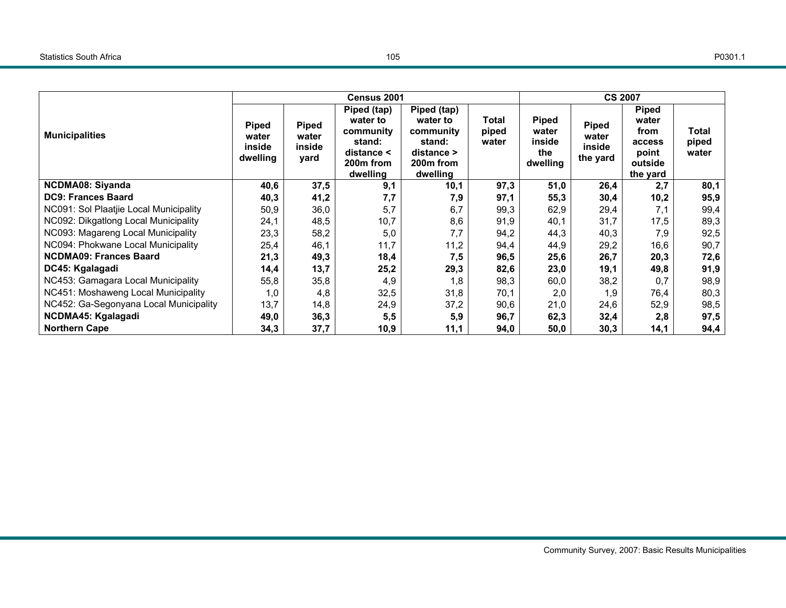|                                        |                                      |                                  | Census 2001                                                                           | <b>CS 2007</b>                                                                          |                         |                                                    |                                             |                                                                         |                         |
|----------------------------------------|--------------------------------------|----------------------------------|---------------------------------------------------------------------------------------|-----------------------------------------------------------------------------------------|-------------------------|----------------------------------------------------|---------------------------------------------|-------------------------------------------------------------------------|-------------------------|
| <b>Municipalities</b>                  | Piped<br>water<br>inside<br>dwelling | Piped<br>water<br>inside<br>yard | Piped (tap)<br>water to<br>community<br>stand:<br>distance <<br>200m from<br>dwelling | Piped (tap)<br>water to<br>community<br>stand:<br>$distance$ ><br>200m from<br>dwelling | Total<br>piped<br>water | <b>Piped</b><br>water<br>inside<br>the<br>dwelling | <b>Piped</b><br>water<br>inside<br>the yard | <b>Piped</b><br>water<br>from<br>access<br>point<br>outside<br>the yard | Total<br>piped<br>water |
| <b>NCDMA08: Siyanda</b>                | 40,6                                 | 37,5                             | 9,1                                                                                   | 10,1                                                                                    | 97,3                    | 51,0                                               | 26,4                                        | 2,7                                                                     | 80,1                    |
| <b>DC9: Frances Baard</b>              | 40,3                                 | 41,2                             | 7,7                                                                                   | 7,9                                                                                     | 97,1                    | 55,3                                               | 30,4                                        | 10,2                                                                    | 95,9                    |
| NC091: Sol Plaatjie Local Municipality | 50,9                                 | 36,0                             | 5,7                                                                                   | 6,7                                                                                     | 99,3                    | 62,9                                               | 29,4                                        | 7,1                                                                     | 99,4                    |
| NC092: Dikgatlong Local Municipality   | 24,1                                 | 48,5                             | 10,7                                                                                  | 8,6                                                                                     | 91,9                    | 40,1                                               | 31,7                                        | 17,5                                                                    | 89,3                    |
| NC093: Magareng Local Municipality     | 23,3                                 | 58,2                             | 5,0                                                                                   | 7,7                                                                                     | 94,2                    | 44,3                                               | 40,3                                        | 7,9                                                                     | 92,5                    |
| NC094: Phokwane Local Municipality     | 25,4                                 | 46,1                             | 11,7                                                                                  | 11,2                                                                                    | 94,4                    | 44,9                                               | 29,2                                        | 16,6                                                                    | 90,7                    |
| <b>NCDMA09: Frances Baard</b>          | 21,3                                 | 49,3                             | 18,4                                                                                  | 7,5                                                                                     | 96,5                    | 25,6                                               | 26,7                                        | 20,3                                                                    | 72,6                    |
| DC45: Kgalagadi                        | 14,4                                 | 13,7                             | 25,2                                                                                  | 29,3                                                                                    | 82,6                    | 23,0                                               | 19,1                                        | 49,8                                                                    | 91,9                    |
| NC453: Gamagara Local Municipality     | 55,8                                 | 35,8                             | 4,9                                                                                   | 1,8                                                                                     | 98,3                    | 60,0                                               | 38,2                                        | 0.7                                                                     | 98,9                    |
| NC451: Moshaweng Local Municipality    | 1,0                                  | 4,8                              | 32,5                                                                                  | 31,8                                                                                    | 70,1                    | 2,0                                                | 1,9                                         | 76,4                                                                    | 80,3                    |
| NC452: Ga-Segonyana Local Municipality | 13,7                                 | 14,8                             | 24,9                                                                                  | 37,2                                                                                    | 90,6                    | 21,0                                               | 24,6                                        | 52,9                                                                    | 98,5                    |
| NCDMA45: Kgalagadi                     | 49,0                                 | 36,3                             | 5,5                                                                                   | 5,9                                                                                     | 96,7                    | 62,3                                               | 32,4                                        | 2,8                                                                     | 97,5                    |
| <b>Northern Cape</b>                   | 34,3                                 | 37,7                             | 10,9                                                                                  | 11,1                                                                                    | 94,0                    | 50,0                                               | 30,3                                        | 14,1                                                                    | 94,4                    |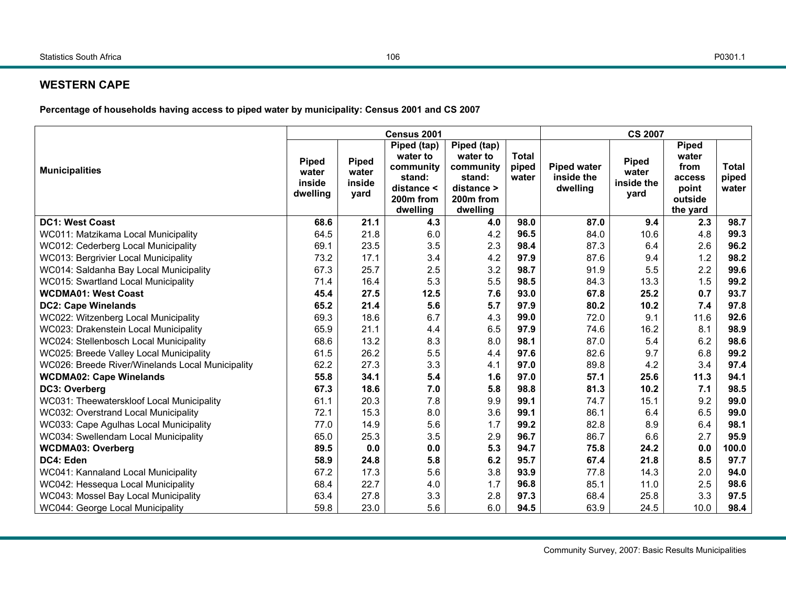## **WESTERN CAPE**

**Percentage of households having access to piped water by municipality: Census 2001 and CS 2007** 

|                                                  |                                             |                                         | Census 2001                                                                                       |                                                                                                   | <b>CS 2007</b>                 |                                              |                                             |                                                                         |                                |
|--------------------------------------------------|---------------------------------------------|-----------------------------------------|---------------------------------------------------------------------------------------------------|---------------------------------------------------------------------------------------------------|--------------------------------|----------------------------------------------|---------------------------------------------|-------------------------------------------------------------------------|--------------------------------|
| <b>Municipalities</b>                            | <b>Piped</b><br>water<br>inside<br>dwelling | <b>Piped</b><br>water<br>inside<br>yard | Piped (tap)<br>water to<br>community<br>stand:<br>distance <<br>200 <sub>m</sub> from<br>dwelling | Piped (tap)<br>water to<br>community<br>stand:<br>distance ><br>200 <sub>m</sub> from<br>dwelling | <b>Total</b><br>piped<br>water | <b>Piped water</b><br>inside the<br>dwelling | <b>Piped</b><br>water<br>inside the<br>yard | <b>Piped</b><br>water<br>from<br>access<br>point<br>outside<br>the yard | <b>Total</b><br>piped<br>water |
| <b>DC1: West Coast</b>                           | 68.6                                        | 21.1                                    | 4.3                                                                                               | 4.0                                                                                               | 98.0                           | 87.0                                         | 9.4                                         | 2.3                                                                     | 98.7                           |
| WC011: Matzikama Local Municipality              | 64.5                                        | 21.8                                    | 6.0                                                                                               | 4.2                                                                                               | 96.5                           | 84.0                                         | 10.6                                        | 4.8                                                                     | 99.3                           |
| WC012: Cederberg Local Municipality              | 69.1                                        | 23.5                                    | 3.5                                                                                               | 2.3                                                                                               | 98.4                           | 87.3                                         | 6.4                                         | 2.6                                                                     | 96.2                           |
| WC013: Bergrivier Local Municipality             | 73.2                                        | 17.1                                    | 3.4                                                                                               | 4.2                                                                                               | 97.9                           | 87.6                                         | 9.4                                         | 1.2                                                                     | 98.2                           |
| WC014: Saldanha Bay Local Municipality           | 67.3                                        | 25.7                                    | 2.5                                                                                               | 3.2                                                                                               | 98.7                           | 91.9                                         | 5.5                                         | 2.2                                                                     | 99.6                           |
| WC015: Swartland Local Municipality              | 71.4                                        | 16.4                                    | 5.3                                                                                               | 5.5                                                                                               | 98.5                           | 84.3                                         | 13.3                                        | 1.5                                                                     | 99.2                           |
| <b>WCDMA01: West Coast</b>                       | 45.4                                        | 27.5                                    | 12.5                                                                                              | 7.6                                                                                               | 93.0                           | 67.8                                         | 25.2                                        | 0.7                                                                     | 93.7                           |
| <b>DC2: Cape Winelands</b>                       | 65.2                                        | 21.4                                    | 5.6                                                                                               | 5.7                                                                                               | 97.9                           | 80.2                                         | 10.2                                        | 7.4                                                                     | 97.8                           |
| WC022: Witzenberg Local Municipality             | 69.3                                        | 18.6                                    | 6.7                                                                                               | 4.3                                                                                               | 99.0                           | 72.0                                         | 9.1                                         | 11.6                                                                    | 92.6                           |
| WC023: Drakenstein Local Municipality            | 65.9                                        | 21.1                                    | 4.4                                                                                               | 6.5                                                                                               | 97.9                           | 74.6                                         | 16.2                                        | 8.1                                                                     | 98.9                           |
| WC024: Stellenbosch Local Municipality           | 68.6                                        | 13.2                                    | 8.3                                                                                               | 8.0                                                                                               | 98.1                           | 87.0                                         | 5.4                                         | 6.2                                                                     | 98.6                           |
| WC025: Breede Valley Local Municipality          | 61.5                                        | 26.2                                    | 5.5                                                                                               | 4.4                                                                                               | 97.6                           | 82.6                                         | 9.7                                         | 6.8                                                                     | 99.2                           |
| WC026: Breede River/Winelands Local Municipality | 62.2                                        | 27.3                                    | 3.3                                                                                               | 4.1                                                                                               | 97.0                           | 89.8                                         | 4.2                                         | 3.4                                                                     | 97.4                           |
| <b>WCDMA02: Cape Winelands</b>                   | 55.8                                        | 34.1                                    | 5.4                                                                                               | 1.6                                                                                               | 97.0                           | 57.1                                         | 25.6                                        | 11.3                                                                    | 94.1                           |
| DC3: Overberg                                    | 67.3                                        | 18.6                                    | 7.0                                                                                               | 5.8                                                                                               | 98.8                           | 81.3                                         | 10.2                                        | 7.1                                                                     | 98.5                           |
| WC031: Theewaterskloof Local Municipality        | 61.1                                        | 20.3                                    | 7.8                                                                                               | 9.9                                                                                               | 99.1                           | 74.7                                         | 15.1                                        | 9.2                                                                     | 99.0                           |
| WC032: Overstrand Local Municipality             | 72.1                                        | 15.3                                    | 8.0                                                                                               | 3.6                                                                                               | 99.1                           | 86.1                                         | 6.4                                         | 6.5                                                                     | 99.0                           |
| WC033: Cape Agulhas Local Municipality           | 77.0                                        | 14.9                                    | 5.6                                                                                               | 1.7                                                                                               | 99.2                           | 82.8                                         | 8.9                                         | 6.4                                                                     | 98.1                           |
| WC034: Swellendam Local Municipality             | 65.0                                        | 25.3                                    | 3.5                                                                                               | 2.9                                                                                               | 96.7                           | 86.7                                         | 6.6                                         | 2.7                                                                     | 95.9                           |
| <b>WCDMA03: Overberg</b>                         | 89.5                                        | 0.0                                     | 0.0                                                                                               | 5.3                                                                                               | 94.7                           | 75.8                                         | 24.2                                        | 0.0                                                                     | 100.0                          |
| DC4: Eden                                        | 58.9                                        | 24.8                                    | 5.8                                                                                               | 6.2                                                                                               | 95.7                           | 67.4                                         | 21.8                                        | 8.5                                                                     | 97.7                           |
| WC041: Kannaland Local Municipality              | 67.2                                        | 17.3                                    | 5.6                                                                                               | 3.8                                                                                               | 93.9                           | 77.8                                         | 14.3                                        | 2.0                                                                     | 94.0                           |
| WC042: Hessequa Local Municipality               | 68.4                                        | 22.7                                    | 4.0                                                                                               | 1.7                                                                                               | 96.8                           | 85.1                                         | 11.0                                        | 2.5                                                                     | 98.6                           |
| WC043: Mossel Bay Local Municipality             | 63.4                                        | 27.8                                    | 3.3                                                                                               | 2.8                                                                                               | 97.3                           | 68.4                                         | 25.8                                        | 3.3                                                                     | 97.5                           |
| WC044: George Local Municipality                 | 59.8                                        | 23.0                                    | 5.6                                                                                               | 6.0                                                                                               | 94.5                           | 63.9                                         | 24.5                                        | 10.0                                                                    | 98.4                           |